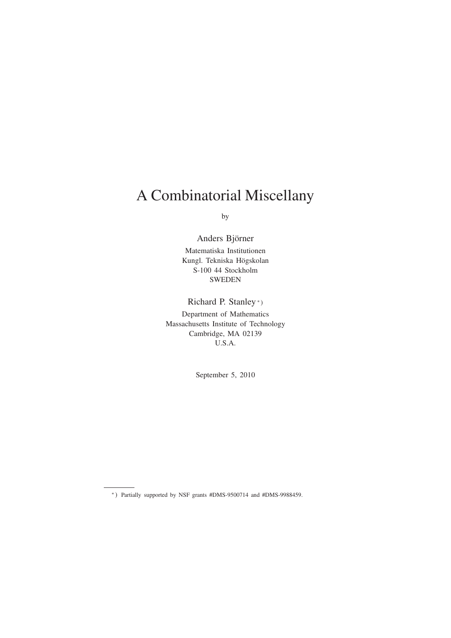# A Combinatorial Miscellany

by

Anders Björner

Matematiska Institutionen Kungl. Tekniska Högskolan S-100 44 Stockholm SWEDEN

Richard P. Stanley\*)

Department of Mathematics Massachusetts Institute of Technology Cambridge, MA 02139 U.S.A.

September 5, 2010

<sup>∗</sup> ) Partially supported by NSF grants #DMS-9500714 and #DMS-9988459.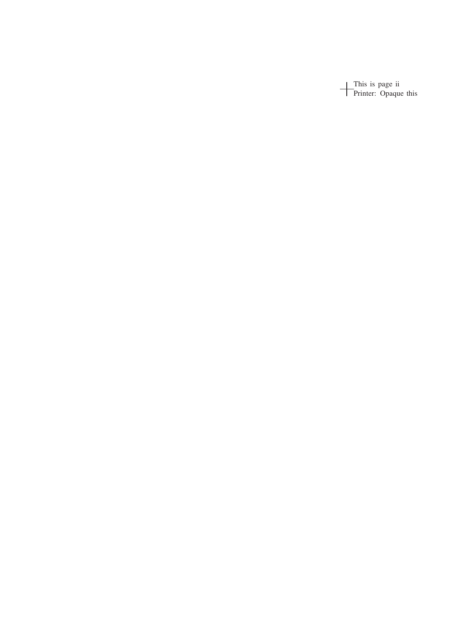This is page ii Printer: Opaque this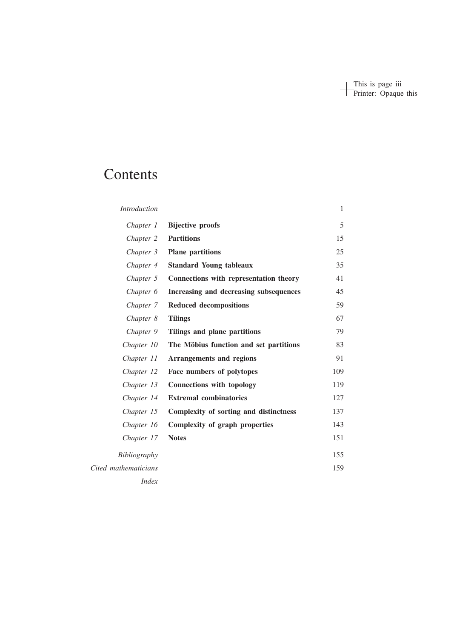This is page iii Printer: Opaque this

# Contents

| <b>Introduction</b>  |                                        | 1   |
|----------------------|----------------------------------------|-----|
| Chapter 1            | <b>Bijective proofs</b>                | 5   |
| Chapter 2            | <b>Partitions</b>                      | 15  |
| Chapter 3            | <b>Plane</b> partitions                | 25  |
| Chapter 4            | <b>Standard Young tableaux</b>         | 35  |
| Chapter 5            | Connections with representation theory | 41  |
| Chapter 6            | Increasing and decreasing subsequences | 45  |
| Chapter 7            | <b>Reduced decompositions</b>          | 59  |
| Chapter 8            | <b>Tilings</b>                         | 67  |
| Chapter 9            | Tilings and plane partitions           | 79  |
| Chapter 10           | The Möbius function and set partitions | 83  |
| Chapter 11           | <b>Arrangements and regions</b>        | 91  |
| Chapter 12           | Face numbers of polytopes              | 109 |
| Chapter 13           | <b>Connections with topology</b>       | 119 |
| Chapter 14           | <b>Extremal combinatorics</b>          | 127 |
| Chapter 15           | Complexity of sorting and distinctness | 137 |
| Chapter 16           | Complexity of graph properties         | 143 |
| Chapter 17           | <b>Notes</b>                           | 151 |
| <i>Bibliography</i>  |                                        | 155 |
| Cited mathematicians |                                        | 159 |
| <i>Index</i>         |                                        |     |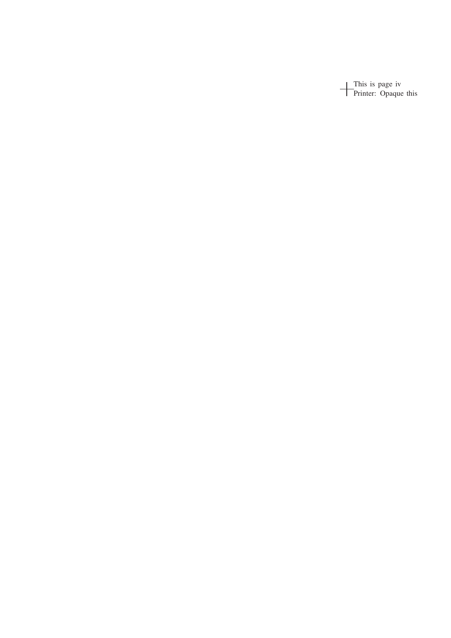This is page iv Printer: Opaque this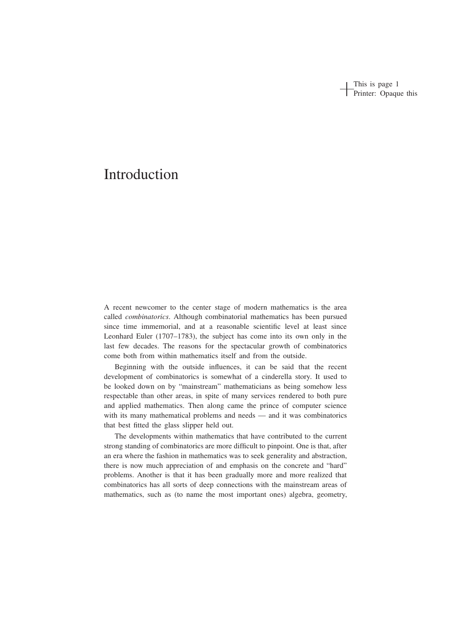This is page 1 Printer: Opaque this

# Introduction

A recent newcomer to the center stage of modern mathematics is the area called *combinatorics*. Although combinatorial mathematics has been pursued since time immemorial, and at a reasonable scientific level at least since Leonhard Euler (1707–1783), the subject has come into its own only in the last few decades. The reasons for the spectacular growth of combinatorics come both from within mathematics itself and from the outside.

Beginning with the outside influences, it can be said that the recent development of combinatorics is somewhat of a cinderella story. It used to be looked down on by "mainstream" mathematicians as being somehow less respectable than other areas, in spite of many services rendered to both pure and applied mathematics. Then along came the prince of computer science with its many mathematical problems and needs — and it was combinatorics that best fitted the glass slipper held out.

The developments within mathematics that have contributed to the current strong standing of combinatorics are more difficult to pinpoint. One is that, after an era where the fashion in mathematics was to seek generality and abstraction, there is now much appreciation of and emphasis on the concrete and "hard" problems. Another is that it has been gradually more and more realized that combinatorics has all sorts of deep connections with the mainstream areas of mathematics, such as (to name the most important ones) algebra, geometry,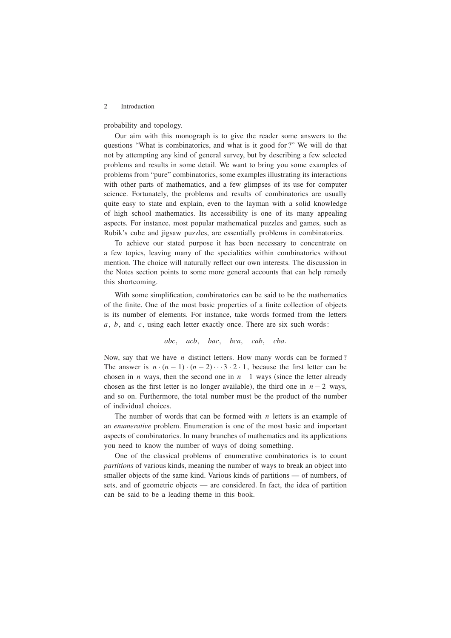## 2 Introduction

probability and topology.

Our aim with this monograph is to give the reader some answers to the questions "What is combinatorics, and what is it good for ?" We will do that not by attempting any kind of general survey, but by describing a few selected problems and results in some detail. We want to bring you some examples of problems from "pure" combinatorics, some examples illustrating its interactions with other parts of mathematics, and a few glimpses of its use for computer science. Fortunately, the problems and results of combinatorics are usually quite easy to state and explain, even to the layman with a solid knowledge of high school mathematics. Its accessibility is one of its many appealing aspects. For instance, most popular mathematical puzzles and games, such as Rubik's cube and jigsaw puzzles, are essentially problems in combinatorics.

To achieve our stated purpose it has been necessary to concentrate on a few topics, leaving many of the specialities within combinatorics without mention. The choice will naturally reflect our own interests. The discussion in the Notes section points to some more general accounts that can help remedy this shortcoming.

With some simplification, combinatorics can be said to be the mathematics of the finite. One of the most basic properties of a finite collection of objects is its number of elements. For instance, take words formed from the letters *a*, *b*, and *c*, using each letter exactly once. There are six such words :

#### *abc*, *acb*, *bac*, *bca*, *cab*, *cba*.

Now, say that we have *n* distinct letters. How many words can be formed ? The answer is  $n \cdot (n-1) \cdot (n-2) \cdot \cdot \cdot 3 \cdot 2 \cdot 1$ , because the first letter can be chosen in *n* ways, then the second one in  $n-1$  ways (since the letter already chosen as the first letter is no longer available), the third one in  $n-2$  ways, and so on. Furthermore, the total number must be the product of the number of individual choices.

The number of words that can be formed with *n* letters is an example of an *enumerative* problem. Enumeration is one of the most basic and important aspects of combinatorics. In many branches of mathematics and its applications you need to know the number of ways of doing something.

One of the classical problems of enumerative combinatorics is to count *partitions* of various kinds, meaning the number of ways to break an object into smaller objects of the same kind. Various kinds of partitions — of numbers, of sets, and of geometric objects — are considered. In fact, the idea of partition can be said to be a leading theme in this book.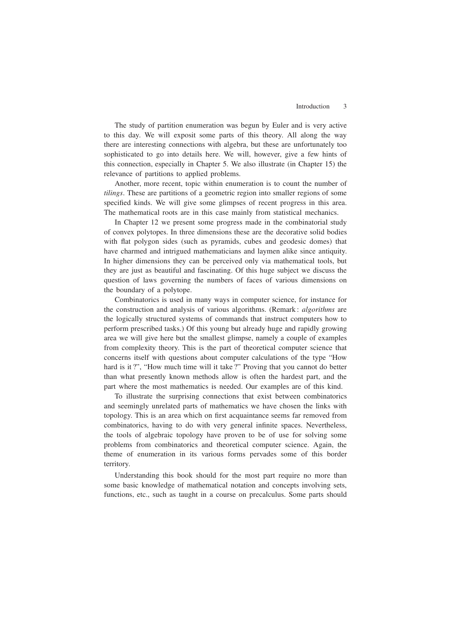The study of partition enumeration was begun by Euler and is very active to this day. We will exposit some parts of this theory. All along the way there are interesting connections with algebra, but these are unfortunately too sophisticated to go into details here. We will, however, give a few hints of this connection, especially in Chapter 5. We also illustrate (in Chapter 15) the relevance of partitions to applied problems.

Another, more recent, topic within enumeration is to count the number of *tilings*. These are partitions of a geometric region into smaller regions of some specified kinds. We will give some glimpses of recent progress in this area. The mathematical roots are in this case mainly from statistical mechanics.

In Chapter 12 we present some progress made in the combinatorial study of convex polytopes. In three dimensions these are the decorative solid bodies with flat polygon sides (such as pyramids, cubes and geodesic domes) that have charmed and intrigued mathematicians and laymen alike since antiquity. In higher dimensions they can be perceived only via mathematical tools, but they are just as beautiful and fascinating. Of this huge subject we discuss the question of laws governing the numbers of faces of various dimensions on the boundary of a polytope.

Combinatorics is used in many ways in computer science, for instance for the construction and analysis of various algorithms. (Remark : *algorithms* are the logically structured systems of commands that instruct computers how to perform prescribed tasks.) Of this young but already huge and rapidly growing area we will give here but the smallest glimpse, namely a couple of examples from complexity theory. This is the part of theoretical computer science that concerns itself with questions about computer calculations of the type "How hard is it ?", "How much time will it take ?" Proving that you cannot do better than what presently known methods allow is often the hardest part, and the part where the most mathematics is needed. Our examples are of this kind.

To illustrate the surprising connections that exist between combinatorics and seemingly unrelated parts of mathematics we have chosen the links with topology. This is an area which on first acquaintance seems far removed from combinatorics, having to do with very general infinite spaces. Nevertheless, the tools of algebraic topology have proven to be of use for solving some problems from combinatorics and theoretical computer science. Again, the theme of enumeration in its various forms pervades some of this border territory.

Understanding this book should for the most part require no more than some basic knowledge of mathematical notation and concepts involving sets, functions, etc., such as taught in a course on precalculus. Some parts should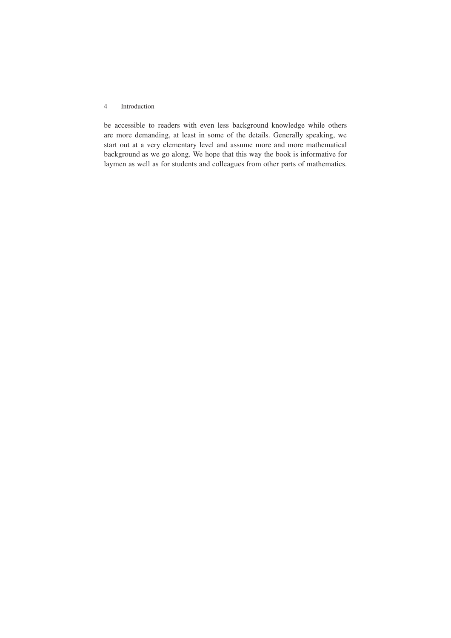# 4 Introduction

be accessible to readers with even less background knowledge while others are more demanding, at least in some of the details. Generally speaking, we start out at a very elementary level and assume more and more mathematical background as we go along. We hope that this way the book is informative for laymen as well as for students and colleagues from other parts of mathematics.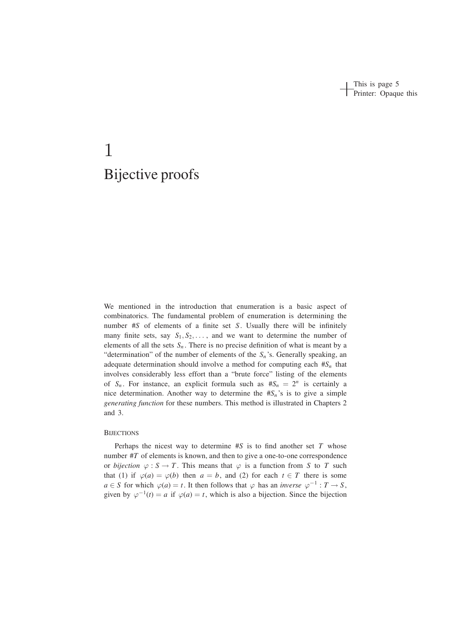This is page 5 Printer: Opaque this

# 1 Bijective proofs

We mentioned in the introduction that enumeration is a basic aspect of combinatorics. The fundamental problem of enumeration is determining the number #*S* of elements of a finite set *S*. Usually there will be infinitely many finite sets, say  $S_1, S_2, \ldots$ , and we want to determine the number of elements of all the sets  $S_n$ . There is no precise definition of what is meant by a "determination" of the number of elements of the  $S_n$ 's. Generally speaking, an adequate determination should involve a method for computing each #*S<sup>n</sup>* that involves considerably less effort than a "brute force" listing of the elements of  $S_n$ . For instance, an explicit formula such as  $\#S_n = 2^n$  is certainly a nice determination. Another way to determine the  $#S_n$ 's is to give a simple *generating function* for these numbers. This method is illustrated in Chapters 2 and 3.

#### **BIJECTIONS**

Perhaps the nicest way to determine #*S* is to find another set *T* whose number #*T* of elements is known, and then to give a one-to-one correspondence or *bijection*  $\varphi$ :  $S \to T$ . This means that  $\varphi$  is a function from *S* to *T* such that (1) if  $\varphi(a) = \varphi(b)$  then  $a = b$ , and (2) for each  $t \in T$  there is some  $a \in S$  for which  $\varphi(a) = t$ . It then follows that  $\varphi$  has an *inverse*  $\varphi^{-1} : T \to S$ , given by  $\varphi^{-1}(t) = a$  if  $\varphi(a) = t$ , which is also a bijection. Since the bijection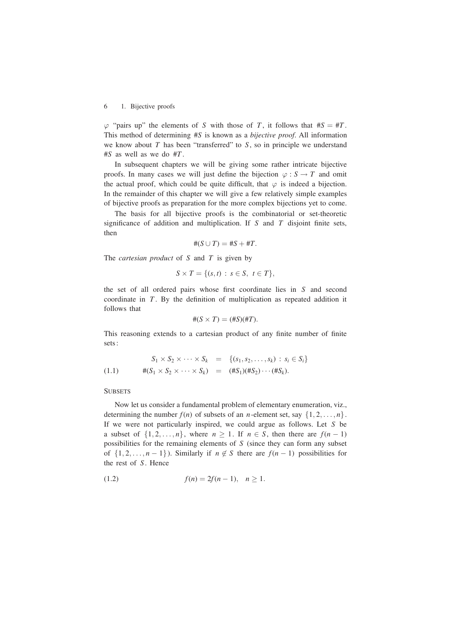## 6 1. Bijective proofs

 $\varphi$  "pairs up" the elements of *S* with those of *T*, it follows that  $\#S = \#T$ . This method of determining #*S* is known as a *bijective proof*. All information we know about *T* has been "transferred" to *S*, so in principle we understand #*S* as well as we do #*T* .

In subsequent chapters we will be giving some rather intricate bijective proofs. In many cases we will just define the bijection  $\varphi : S \to T$  and omit the actual proof, which could be quite difficult, that  $\varphi$  is indeed a bijection. In the remainder of this chapter we will give a few relatively simple examples of bijective proofs as preparation for the more complex bijections yet to come.

The basis for all bijective proofs is the combinatorial or set-theoretic significance of addition and multiplication. If *S* and *T* disjoint finite sets, then

$$
#(S \cup T) = #S + #T.
$$

The *cartesian product* of *S* and *T* is given by

$$
S \times T = \{(s,t) : s \in S, t \in T\},\
$$

the set of all ordered pairs whose first coordinate lies in *S* and second coordinate in *T* . By the definition of multiplication as repeated addition it follows that

$$
\#(S \times T) = (\#S)(\#T).
$$

This reasoning extends to a cartesian product of any finite number of finite sets :

(1.1) 
$$
S_1 \times S_2 \times \cdots \times S_k = \{(s_1, s_2, \ldots, s_k) : s_i \in S_i\}
$$

$$
\#(S_1 \times S_2 \times \cdots \times S_k) = (\#S_1)(\#S_2) \cdots (\#S_k).
$$

**SUBSETS** 

Now let us consider a fundamental problem of elementary enumeration, viz., determining the number  $f(n)$  of subsets of an *n*-element set, say  $\{1, 2, ..., n\}$ . If we were not particularly inspired, we could argue as follows. Let *S* be a subset of  $\{1, 2, \ldots, n\}$ , where  $n \geq 1$ . If  $n \in S$ , then there are  $f(n-1)$ possibilities for the remaining elements of *S* (since they can form any subset of  $\{1, 2, \ldots, n-1\}$ ). Similarly if  $n \notin S$  there are  $f(n-1)$  possibilities for the rest of *S*. Hence

(1.2) 
$$
f(n) = 2f(n-1), \quad n \ge 1.
$$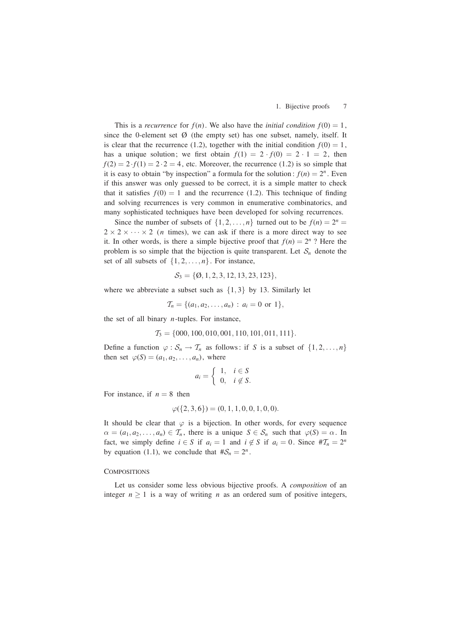#### 1. Bijective proofs 7

This is a *recurrence* for  $f(n)$ . We also have the *initial condition*  $f(0) = 1$ , since the 0-element set  $\emptyset$  (the empty set) has one subset, namely, itself. It is clear that the recurrence (1.2), together with the initial condition  $f(0) = 1$ , has a unique solution; we first obtain  $f(1) = 2 \cdot f(0) = 2 \cdot 1 = 2$ , then  $f(2) = 2 \cdot f(1) = 2 \cdot 2 = 4$ , etc. Moreover, the recurrence (1.2) is so simple that it is easy to obtain "by inspection" a formula for the solution:  $f(n) = 2<sup>n</sup>$ . Even if this answer was only guessed to be correct, it is a simple matter to check that it satisfies  $f(0) = 1$  and the recurrence (1.2). This technique of finding and solving recurrences is very common in enumerative combinatorics, and many sophisticated techniques have been developed for solving recurrences.

Since the number of subsets of  $\{1, 2, ..., n\}$  turned out to be  $f(n) = 2^n =$  $2 \times 2 \times \cdots \times 2$  (*n* times), we can ask if there is a more direct way to see it. In other words, is there a simple bijective proof that  $f(n) = 2<sup>n</sup>$ ? Here the problem is so simple that the bijection is quite transparent. Let  $S_n$  denote the set of all subsets of  $\{1, 2, \ldots, n\}$ . For instance,

$$
\mathcal{S}_3 = \{ \emptyset, 1, 2, 3, 12, 13, 23, 123 \},\
$$

where we abbreviate a subset such as  $\{1,3\}$  by 13. Similarly let

 $\mathcal{T}_n = \{ (a_1, a_2, \ldots, a_n) : a_i = 0 \text{ or } 1 \},$ 

the set of all binary *n*-tuples. For instance,

$$
\mathcal{T}_3 = \{000, 100, 010, 001, 110, 101, 011, 111\}.
$$

Define a function  $\varphi : \mathcal{S}_n \to \mathcal{T}_n$  as follows: if *S* is a subset of  $\{1, 2, ..., n\}$ then set  $\varphi(S) = (a_1, a_2, \dots, a_n)$ , where

$$
a_i = \left\{ \begin{array}{ll} 1, & i \in S \\ 0, & i \notin S. \end{array} \right.
$$

For instance, if  $n = 8$  then

$$
\varphi(\{2,3,6\}) = (0,1,1,0,0,1,0,0).
$$

It should be clear that  $\varphi$  is a bijection. In other words, for every sequence  $\alpha = (a_1, a_2, \dots, a_n) \in \mathcal{T}_n$ , there is a unique  $S \in \mathcal{S}_n$  such that  $\varphi(S) = \alpha$ . In fact, we simply define  $i \in S$  if  $a_i = 1$  and  $i \notin S$  if  $a_i = 0$ . Since  $\# \mathcal{T}_n = 2^n$ by equation (1.1), we conclude that  $\#\mathcal{S}_n = 2^n$ .

#### **COMPOSITIONS**

Let us consider some less obvious bijective proofs. A *composition* of an integer  $n \geq 1$  is a way of writing *n* as an ordered sum of positive integers,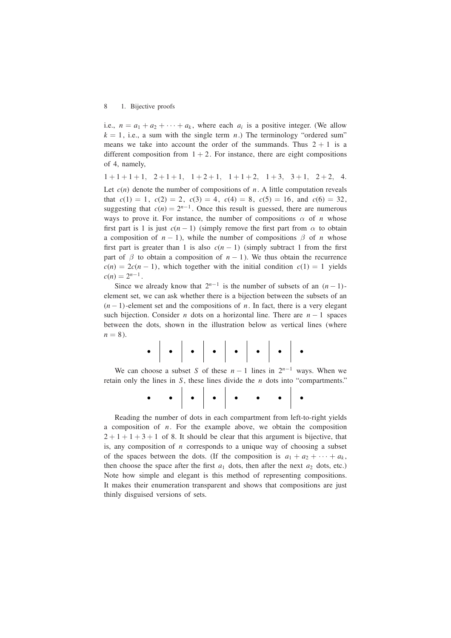## 8 1. Bijective proofs

i.e.,  $n = a_1 + a_2 + \cdots + a_k$ , where each  $a_i$  is a positive integer. (We allow  $k = 1$ , i.e., a sum with the single term *n*.) The terminology "ordered sum" means we take into account the order of the summands. Thus  $2 + 1$  is a different composition from  $1 + 2$ . For instance, there are eight compositions of 4, namely,

$$
1+1+1+1
$$
,  $2+1+1$ ,  $1+2+1$ ,  $1+1+2$ ,  $1+3$ ,  $3+1$ ,  $2+2$ , 4.

Let  $c(n)$  denote the number of compositions of  $n$ . A little computation reveals that  $c(1) = 1$ ,  $c(2) = 2$ ,  $c(3) = 4$ ,  $c(4) = 8$ ,  $c(5) = 16$ , and  $c(6) = 32$ , suggesting that  $c(n) = 2^{n-1}$ . Once this result is guessed, there are numerous ways to prove it. For instance, the number of compositions  $\alpha$  of *n* whose first part is 1 is just  $c(n-1)$  (simply remove the first part from  $\alpha$  to obtain a composition of  $n - 1$ ), while the number of compositions  $\beta$  of *n* whose first part is greater than 1 is also  $c(n - 1)$  (simply subtract 1 from the first part of  $\beta$  to obtain a composition of  $n - 1$ ). We thus obtain the recurrence  $c(n) = 2c(n-1)$ , which together with the initial condition  $c(1) = 1$  yields  $c(n) = 2^{n-1}.$ 

Since we already know that  $2^{n-1}$  is the number of subsets of an  $(n-1)$ element set, we can ask whether there is a bijection between the subsets of an  $(n-1)$ -element set and the compositions of *n*. In fact, there is a very elegant such bijection. Consider *n* dots on a horizontal line. There are  $n - 1$  spaces between the dots, shown in the illustration below as vertical lines (where  $n = 8$ ).

|  |  |  |  |  |  | $\bullet$ $\Big\vert \bullet \Big\vert \bullet \Big\vert \bullet \Big\vert \bullet \Big\vert \bullet \Big\vert \bullet \Big\vert \bullet \Big\vert \bullet \Big\vert \bullet$ |  |
|--|--|--|--|--|--|-------------------------------------------------------------------------------------------------------------------------------------------------------------------------------|--|
|--|--|--|--|--|--|-------------------------------------------------------------------------------------------------------------------------------------------------------------------------------|--|

We can choose a subset *S* of these  $n-1$  lines in  $2^{n-1}$  ways. When we retain only the lines in *S*, these lines divide the *n* dots into "compartments."

Reading the number of dots in each compartment from left-to-right yields a composition of *n*. For the example above, we obtain the composition  $2+1+1+3+1$  of 8. It should be clear that this argument is bijective, that is, any composition of *n* corresponds to a unique way of choosing a subset of the spaces between the dots. (If the composition is  $a_1 + a_2 + \cdots + a_k$ , then choose the space after the first  $a_1$  dots, then after the next  $a_2$  dots, etc.) Note how simple and elegant is this method of representing compositions. It makes their enumeration transparent and shows that compositions are just thinly disguised versions of sets.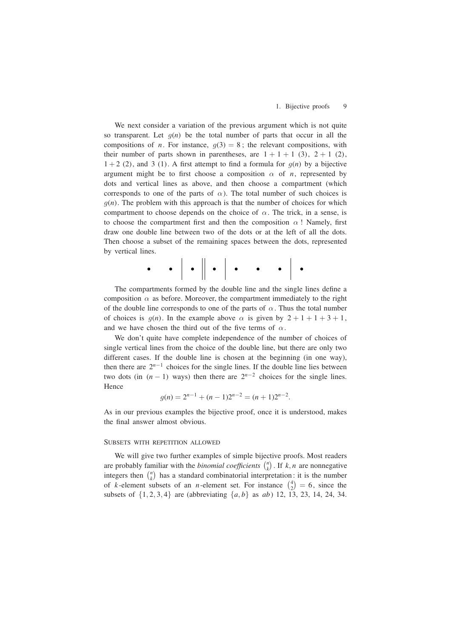#### 1. Bijective proofs 9

We next consider a variation of the previous argument which is not quite so transparent. Let  $g(n)$  be the total number of parts that occur in all the compositions of *n*. For instance,  $g(3) = 8$ ; the relevant compositions, with their number of parts shown in parentheses, are  $1 + 1 + 1$  (3),  $2 + 1$  (2),  $1+2$  (2), and 3 (1). A first attempt to find a formula for  $q(n)$  by a bijective argument might be to first choose a composition  $\alpha$  of *n*, represented by dots and vertical lines as above, and then choose a compartment (which corresponds to one of the parts of  $\alpha$ ). The total number of such choices is  $g(n)$ . The problem with this approach is that the number of choices for which compartment to choose depends on the choice of  $\alpha$ . The trick, in a sense, is to choose the compartment first and then the composition  $\alpha$ ! Namely, first draw one double line between two of the dots or at the left of all the dots. Then choose a subset of the remaining spaces between the dots, represented by vertical lines.

The compartments formed by the double line and the single lines define a composition  $\alpha$  as before. Moreover, the compartment immediately to the right of the double line corresponds to one of the parts of  $\alpha$ . Thus the total number of choices is  $g(n)$ . In the example above  $\alpha$  is given by  $2 + 1 + 1 + 3 + 1$ , and we have chosen the third out of the five terms of  $\alpha$ .

We don't quite have complete independence of the number of choices of single vertical lines from the choice of the double line, but there are only two different cases. If the double line is chosen at the beginning (in one way), then there are  $2^{n-1}$  choices for the single lines. If the double line lies between two dots (in  $(n - 1)$  ways) then there are  $2^{n-2}$  choices for the single lines. Hence

$$
g(n) = 2^{n-1} + (n-1)2^{n-2} = (n+1)2^{n-2}.
$$

As in our previous examples the bijective proof, once it is understood, makes the final answer almost obvious.

#### SUBSETS WITH REPETITION ALLOWED

We will give two further examples of simple bijective proofs. Most readers are probably familiar with the *binomial coefficients*  $\binom{n}{k}$ . If  $k, n$  are nonnegative integers then  $\binom{n}{k}$  has a standard combinatorial interpretation: it is the number of *k*-element subsets of an *n*-element set. For instance  $\binom{4}{2} = 6$ , since the subsets of {1, 2, 3, 4} are (abbreviating {*a*, *b*} as *ab*) 12, 13, 23, 14, 24, 34.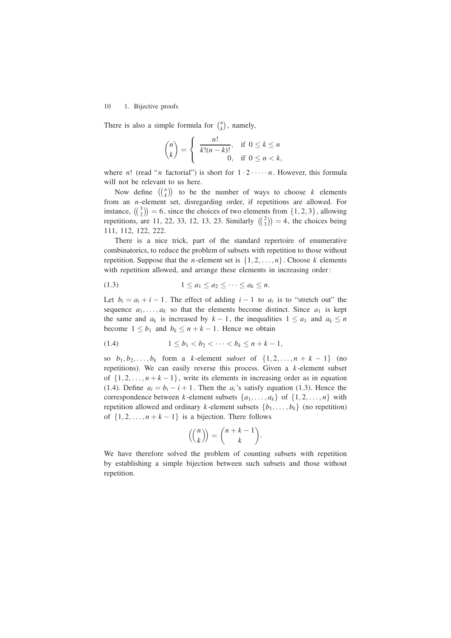## 10 1. Bijective proofs

There is also a simple formula for  $\binom{n}{k}$ , namely,

$$
\binom{n}{k} = \begin{cases} \frac{n!}{k!(n-k)!}, & \text{if } 0 \le k \le n \\ 0, & \text{if } 0 \le n < k, \end{cases}
$$

where  $n!$  (read " $n$  factorial") is short for  $1 \cdot 2 \cdot \cdots \cdot n$ . However, this formula will not be relevant to us here.

Now define  $\binom{n}{k}$  to be the number of ways to choose *k* elements from an *n*-element set, disregarding order, if repetitions are allowed. For instance,  $\binom{3}{2}$  = 6, since the choices of two elements from  $\{1, 2, 3\}$ , allowing repetitions, are 11, 22, 33, 12, 13, 23. Similarly  $\binom{2}{3}$  = 4, the choices being 111, 112, 122, 222.

There is a nice trick, part of the standard repertoire of enumerative combinatorics, to reduce the problem of subsets with repetition to those without repetition. Suppose that the *n*-element set is  $\{1, 2, \ldots, n\}$ . Choose *k* elements with repetition allowed, and arrange these elements in increasing order :

$$
(1.3) \t 1 \le a_1 \le a_2 \le \cdots \le a_k \le n.
$$

Let  $b_i = a_i + i - 1$ . The effect of adding  $i - 1$  to  $a_i$  is to "stretch out" the sequence  $a_1, \ldots, a_k$  so that the elements become distinct. Since  $a_1$  is kept the same and  $a_k$  is increased by  $k - 1$ , the inequalities  $1 \le a_1$  and  $a_k \le n$ become  $1 \leq b_1$  and  $b_k \leq n + k - 1$ . Hence we obtain

$$
(1.4) \t 1 \le b_1 < b_2 < \cdots < b_k \le n + k - 1,
$$

so  $b_1, b_2, \ldots, b_k$  form a *k*-element *subset* of  $\{1, 2, \ldots, n + k - 1\}$  (no repetitions). We can easily reverse this process. Given a *k* -element subset of  $\{1, 2, \ldots, n+k-1\}$ , write its elements in increasing order as in equation (1.4). Define  $a_i = b_i - i + 1$ . Then the  $a_i$ 's satisfy equation (1.3). Hence the correspondence between *k*-element subsets  $\{a_1, \ldots, a_k\}$  of  $\{1, 2, \ldots, n\}$  with repetition allowed and ordinary *k*-element subsets  $\{b_1, \ldots, b_k\}$  (no repetition) of  $\{1, 2, \ldots, n + k - 1\}$  is a bijection. There follows

$$
\binom{n}{k} = \binom{n+k-1}{k}.
$$

We have therefore solved the problem of counting subsets with repetition by establishing a simple bijection between such subsets and those without repetition.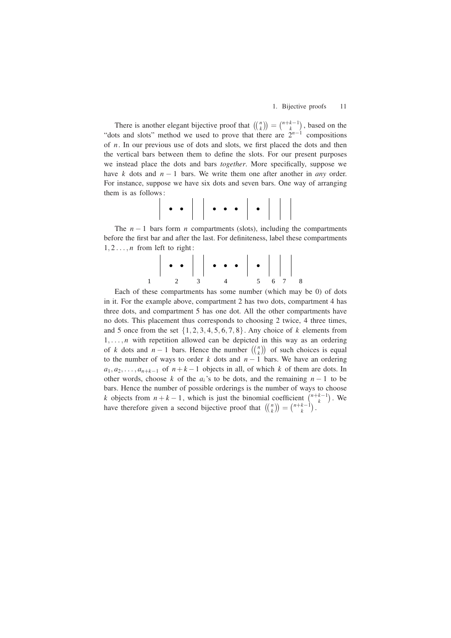There is another elegant bijective proof that  $\binom{n}{k} = \binom{n+k-1}{k}$ , based on the "dots and slots" method we used to prove that there are  $2^{n-1}$  compositions of *n*. In our previous use of dots and slots, we first placed the dots and then the vertical bars between them to define the slots. For our present purposes we instead place the dots and bars *together*. More specifically, suppose we have *k* dots and *n* − 1 bars. We write them one after another in *any* order. For instance, suppose we have six dots and seven bars. One way of arranging them is as follows :

$$
\vert \cdot \cdot \vert \vert \cdot \cdot \cdot \vert \cdot \vert \vert \vert
$$

The  $n-1$  bars form *n* compartments (slots), including the compartments before the first bar and after the last. For definiteness, label these compartments  $1, 2, \ldots, n$  from left to right:

| 1. |  | 5 <sup>5</sup> | 6 7 |  |
|----|--|----------------|-----|--|

Each of these compartments has some number (which may be 0) of dots in it. For the example above, compartment 2 has two dots, compartment 4 has three dots, and compartment 5 has one dot. All the other compartments have no dots. This placement thus corresponds to choosing 2 twice, 4 three times, and 5 once from the set  $\{1, 2, 3, 4, 5, 6, 7, 8\}$ . Any choice of *k* elements from  $1, \ldots, n$  with repetition allowed can be depicted in this way as an ordering of *k* dots and  $n-1$  bars. Hence the number  $\binom{n}{k}$  of such choices is equal to the number of ways to order  $k$  dots and  $n-1$  bars. We have an ordering  $a_1, a_2, \ldots, a_{n+k-1}$  of  $n+k-1$  objects in all, of which *k* of them are dots. In other words, choose *k* of the  $a_i$ 's to be dots, and the remaining  $n-1$  to be bars. Hence the number of possible orderings is the number of ways to choose *k* objects from  $n + k - 1$ , which is just the binomial coefficient  $\binom{n+k-1}{k}$ . We have therefore given a second bijective proof that  $\binom{n}{k} = \binom{n+k-1}{k}$ .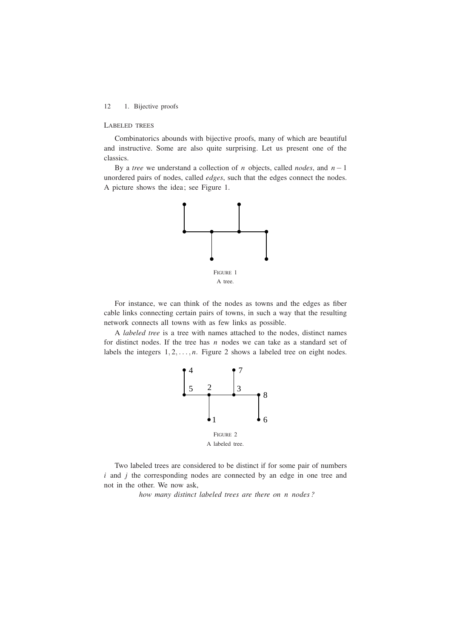#### 12 1. Bijective proofs

### LABELED TREES

Combinatorics abounds with bijective proofs, many of which are beautiful and instructive. Some are also quite surprising. Let us present one of the classics.

By a *tree* we understand a collection of *n* objects, called *nodes*, and *n*−1 unordered pairs of nodes, called *edges*, such that the edges connect the nodes. A picture shows the idea; see Figure 1.



For instance, we can think of the nodes as towns and the edges as fiber cable links connecting certain pairs of towns, in such a way that the resulting network connects all towns with as few links as possible.

A *labeled tree* is a tree with names attached to the nodes, distinct names for distinct nodes. If the tree has *n* nodes we can take as a standard set of labels the integers  $1, 2, \ldots, n$ . Figure 2 shows a labeled tree on eight nodes.



Two labeled trees are considered to be distinct if for some pair of numbers *i* and *j* the corresponding nodes are connected by an edge in one tree and not in the other. We now ask,

*how many distinct labeled trees are there on n nodes ?*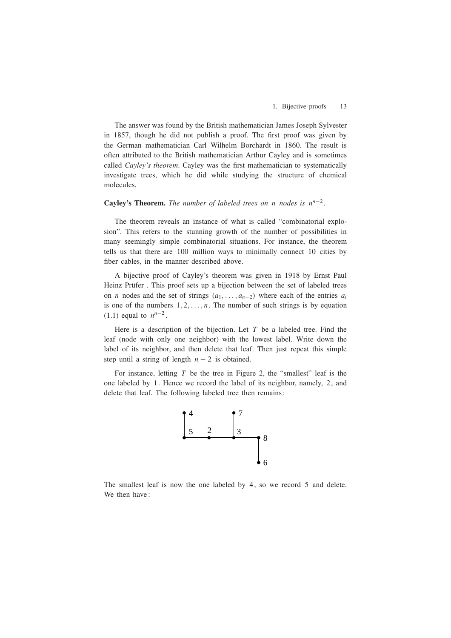The answer was found by the British mathematician James Joseph Sylvester in 1857, though he did not publish a proof. The first proof was given by the German mathematician Carl Wilhelm Borchardt in 1860. The result is often attributed to the British mathematician Arthur Cayley and is sometimes called *Cayley's theorem*. Cayley was the first mathematician to systematically investigate trees, which he did while studying the structure of chemical molecules.

# **Cayley's Theorem.** The number of labeled trees on n nodes is  $n^{n-2}$ .

The theorem reveals an instance of what is called "combinatorial explosion". This refers to the stunning growth of the number of possibilities in many seemingly simple combinatorial situations. For instance, the theorem tells us that there are 100 million ways to minimally connect 10 cities by fiber cables, in the manner described above.

A bijective proof of Cayley's theorem was given in 1918 by Ernst Paul Heinz Prüfer . This proof sets up a bijection between the set of labeled trees on *n* nodes and the set of strings  $(a_1, \ldots, a_{n-2})$  where each of the entries  $a_i$ is one of the numbers  $1, 2, \ldots, n$ . The number of such strings is by equation (1.1) equal to  $n^{n-2}$ .

Here is a description of the bijection. Let *T* be a labeled tree. Find the leaf (node with only one neighbor) with the lowest label. Write down the label of its neighbor, and then delete that leaf. Then just repeat this simple step until a string of length  $n-2$  is obtained.

For instance, letting *T* be the tree in Figure 2, the "smallest" leaf is the one labeled by 1. Hence we record the label of its neighbor, namely, 2, and delete that leaf. The following labeled tree then remains :



The smallest leaf is now the one labeled by 4, so we record 5 and delete. We then have: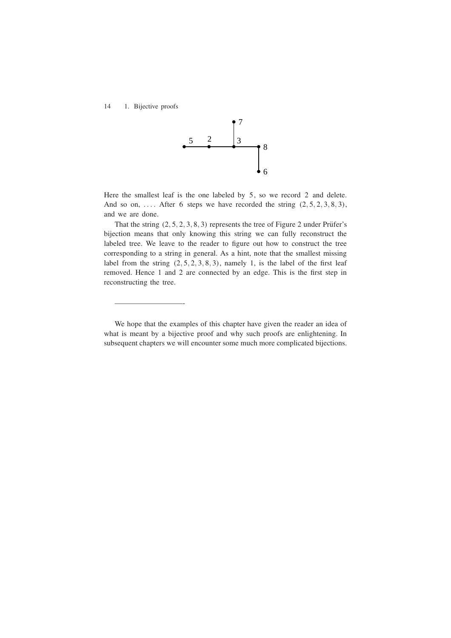14 1. Bijective proofs

—————————-



Here the smallest leaf is the one labeled by 5, so we record 2 and delete. And so on, .... After 6 steps we have recorded the string  $(2, 5, 2, 3, 8, 3)$ , and we are done.

That the string  $(2, 5, 2, 3, 8, 3)$  represents the tree of Figure 2 under Prüfer's bijection means that only knowing this string we can fully reconstruct the labeled tree. We leave to the reader to figure out how to construct the tree corresponding to a string in general. As a hint, note that the smallest missing label from the string  $(2, 5, 2, 3, 8, 3)$ , namely 1, is the label of the first leaf removed. Hence 1 and 2 are connected by an edge. This is the first step in reconstructing the tree.

We hope that the examples of this chapter have given the reader an idea of what is meant by a bijective proof and why such proofs are enlightening. In subsequent chapters we will encounter some much more complicated bijections.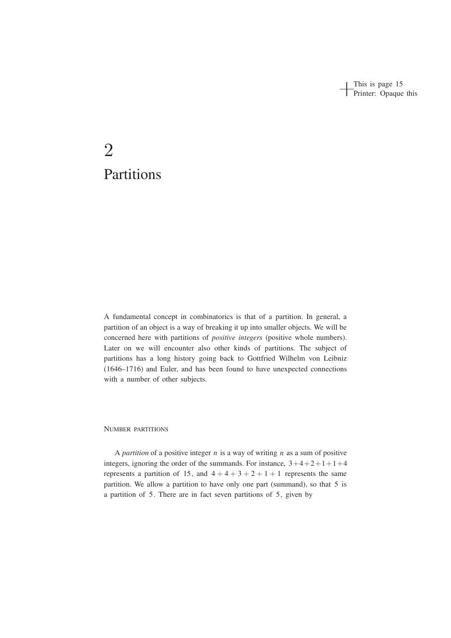This is page 15 Printer: Opaque this

# 2 Partitions

A fundamental concept in combinatorics is that of a partition. In general, a partition of an object is a way of breaking it up into smaller objects. We will be concerned here with partitions of *positive integers* (positive whole numbers). Later on we will encounter also other kinds of partitions. The subject of partitions has a long history going back to Gottfried Wilhelm von Leibniz (1646–1716) and Euler, and has been found to have unexpected connections with a number of other subjects.

# NUMBER PARTITIONS

A *partition* of a positive integer *n* is a way of writing *n* as a sum of positive integers, ignoring the order of the summands. For instance,  $3+4+2+1+1+4$ represents a partition of 15, and  $4+4+3+2+1+1$  represents the same partition. We allow a partition to have only one part (summand), so that 5 is a partition of 5. There are in fact seven partitions of 5, given by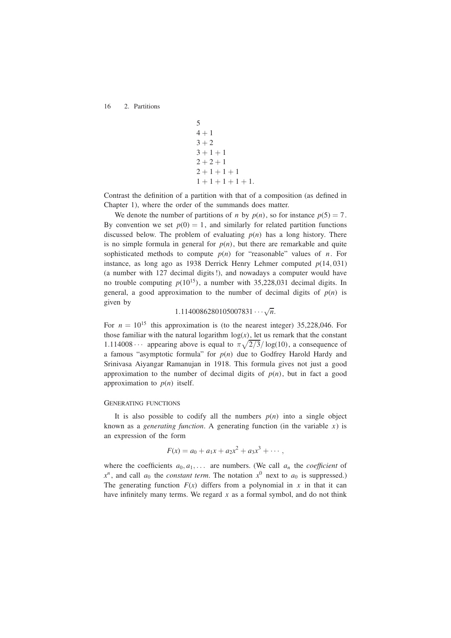16 2. Partitions

5  $4 + 1$  $3 + 2$  $3 + 1 + 1$  $2 + 2 + 1$  $2 + 1 + 1 + 1$  $1 + 1 + 1 + 1 + 1$ .

Contrast the definition of a partition with that of a composition (as defined in Chapter 1), where the order of the summands does matter.

We denote the number of partitions of *n* by  $p(n)$ , so for instance  $p(5) = 7$ . By convention we set  $p(0) = 1$ , and similarly for related partition functions discussed below. The problem of evaluating  $p(n)$  has a long history. There is no simple formula in general for  $p(n)$ , but there are remarkable and quite sophisticated methods to compute  $p(n)$  for "reasonable" values of *n*. For instance, as long ago as 1938 Derrick Henry Lehmer computed *p*(14, 031) (a number with 127 decimal digits !), and nowadays a computer would have no trouble computing  $p(10^{15})$ , a number with 35,228,031 decimal digits. In general, a good approximation to the number of decimal digits of  $p(n)$  is given by

# $1.1140086280105007831\cdots\sqrt{n}$ .

For  $n = 10^{15}$  this approximation is (to the nearest integer) 35,228,046. For those familiar with the natural logarithm  $log(x)$ , let us remark that the constant 1.114008  $\cdots$  appearing above is equal to  $\pi\sqrt{2/3}/\log(10)$ , a consequence of a famous "asymptotic formula" for  $p(n)$  due to Godfrey Harold Hardy and Srinivasa Aiyangar Ramanujan in 1918. This formula gives not just a good approximation to the number of decimal digits of  $p(n)$ , but in fact a good approximation to  $p(n)$  itself.

#### GENERATING FUNCTIONS

It is also possible to codify all the numbers  $p(n)$  into a single object known as a *generating function*. A generating function (in the variable  $x$ ) is an expression of the form

$$
F(x) = a_0 + a_1x + a_2x^2 + a_3x^3 + \cdots,
$$

where the coefficients  $a_0, a_1, \ldots$  are numbers. (We call  $a_n$  the *coefficient* of  $x^n$ , and call  $a_0$  the *constant term*. The notation  $x^0$  next to  $a_0$  is suppressed.) The generating function  $F(x)$  differs from a polynomial in x in that it can have infinitely many terms. We regard *x* as a formal symbol, and do not think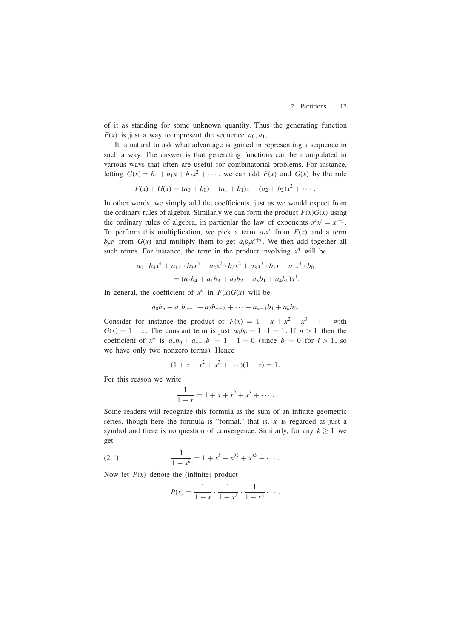of it as standing for some unknown quantity. Thus the generating function  $F(x)$  is just a way to represent the sequence  $a_0, a_1, \ldots$ .

It is natural to ask what advantage is gained in representing a sequence in such a way. The answer is that generating functions can be manipulated in various ways that often are useful for combinatorial problems. For instance, letting  $G(x) = b_0 + b_1x + b_2x^2 + \cdots$ , we can add  $F(x)$  and  $G(x)$  by the rule

$$
F(x) + G(x) = (a_0 + b_0) + (a_1 + b_1)x + (a_2 + b_2)x^2 + \cdots
$$

In other words, we simply add the coefficients, just as we would expect from the ordinary rules of algebra. Similarly we can form the product  $F(x)G(x)$  using the ordinary rules of algebra, in particular the law of exponents  $x^i x^j = x^{i+j}$ . To perform this multiplication, we pick a term  $a_i x^i$  from  $F(x)$  and a term  $b_j x^j$  from  $G(x)$  and multiply them to get  $a_i b_j x^{i+j}$ . We then add together all such terms. For instance, the term in the product involving  $x<sup>4</sup>$  will be

$$
a_0 \cdot b_4 x^4 + a_1 x \cdot b_3 x^3 + a_2 x^2 \cdot b_2 x^2 + a_3 x^3 \cdot b_1 x + a_4 x^4 \cdot b_0
$$
  
=  $(a_0 b_4 + a_1 b_3 + a_2 b_2 + a_3 b_1 + a_4 b_0) x^4$ .

In general, the coefficient of  $x^n$  in  $F(x)G(x)$  will be

$$
a_0b_n + a_1b_{n-1} + a_2b_{n-2} + \cdots + a_{n-1}b_1 + a_nb_0.
$$

Consider for instance the product of  $F(x) = 1 + x + x^2 + x^3 + \cdots$  with  $G(x) = 1 - x$ . The constant term is just  $a_0b_0 = 1 \cdot 1 = 1$ . If  $n > 1$  then the coefficient of  $x^n$  is  $a_n b_0 + a_{n-1} b_1 = 1 - 1 = 0$  (since  $b_i = 0$  for  $i > 1$ , so we have only two nonzero terms). Hence

$$
(1 + x + x2 + x3 + \cdots)(1 - x) = 1.
$$

For this reason we write

$$
\frac{1}{1-x} = 1 + x + x^2 + x^3 + \cdots
$$

Some readers will recognize this formula as the sum of an infinite geometric series, though here the formula is "formal," that is, *x* is regarded as just a symbol and there is no question of convergence. Similarly, for any  $k \geq 1$  we get

(2.1) 
$$
\frac{1}{1-x^k} = 1 + x^k + x^{2k} + x^{3k} + \cdots
$$

Now let  $P(x)$  denote the (infinite) product

$$
P(x) = \frac{1}{1-x} \cdot \frac{1}{1-x^2} \cdot \frac{1}{1-x^3} \cdots
$$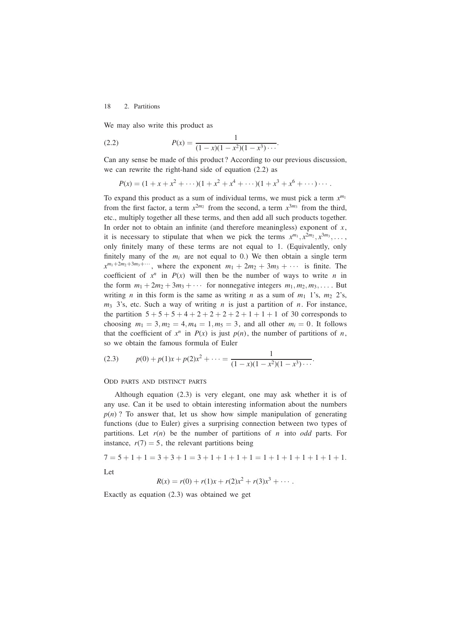# 18 2. Partitions

We may also write this product as

(2.2) 
$$
P(x) = \frac{1}{(1-x)(1-x^2)(1-x^3)\cdots}.
$$

Can any sense be made of this product ? According to our previous discussion, we can rewrite the right-hand side of equation (2.2) as

$$
P(x) = (1 + x + x2 + \cdots)(1 + x2 + x4 + \cdots)(1 + x3 + x6 + \cdots) \cdots
$$

To expand this product as a sum of individual terms, we must pick a term  $x^{m_1}$ from the first factor, a term  $x^{2m_2}$  from the second, a term  $x^{3m_3}$  from the third, etc., multiply together all these terms, and then add all such products together. In order not to obtain an infinite (and therefore meaningless) exponent of  $x$ , it is necessary to stipulate that when we pick the terms  $x^{m_1}, x^{2m_2}, x^{3m_3}, \ldots$ only finitely many of these terms are not equal to 1. (Equivalently, only finitely many of the  $m_i$  are not equal to 0.) We then obtain a single term  $x^{m_1+2m_2+3m_3+\cdots}$ , where the exponent  $m_1 + 2m_2 + 3m_3 + \cdots$  is finite. The coefficient of  $x^n$  in  $P(x)$  will then be the number of ways to write *n* in the form  $m_1 + 2m_2 + 3m_3 + \cdots$  for nonnegative integers  $m_1, m_2, m_3, \ldots$ . But writing *n* in this form is the same as writing *n* as a sum of  $m_1$  1's,  $m_2$  2's,  $m_3$  3's, etc. Such a way of writing *n* is just a partition of *n*. For instance, the partition  $5 + 5 + 5 + 4 + 2 + 2 + 2 + 2 + 1 + 1 + 1$  of 30 corresponds to choosing  $m_1 = 3, m_2 = 4, m_4 = 1, m_5 = 3$ , and all other  $m_i = 0$ . It follows that the coefficient of  $x^n$  in  $P(x)$  is just  $p(n)$ , the number of partitions of *n*, so we obtain the famous formula of Euler

(2.3) 
$$
p(0) + p(1)x + p(2)x^{2} + \cdots = \frac{1}{(1-x)(1-x^{2})(1-x^{3})\cdots}.
$$

#### ODD PARTS AND DISTINCT PARTS

Although equation (2.3) is very elegant, one may ask whether it is of any use. Can it be used to obtain interesting information about the numbers  $p(n)$ ? To answer that, let us show how simple manipulation of generating functions (due to Euler) gives a surprising connection between two types of partitions. Let *r*(*n*) be the number of partitions of *n* into *odd* parts. For instance,  $r(7) = 5$ , the relevant partitions being

 $7 = 5 + 1 + 1 = 3 + 3 + 1 = 3 + 1 + 1 + 1 + 1 = 1 + 1 + 1 + 1 + 1 + 1.$ 

Let

$$
R(x) = r(0) + r(1)x + r(2)x^{2} + r(3)x^{3} + \cdots
$$

Exactly as equation (2.3) was obtained we get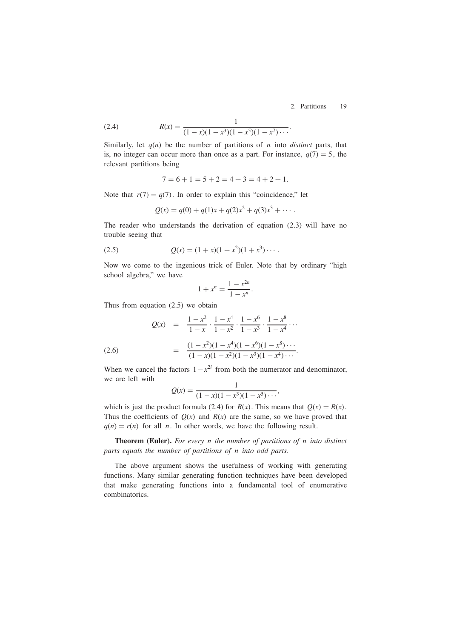2. Partitions 19

(2.4) 
$$
R(x) = \frac{1}{(1-x)(1-x^3)(1-x^5)(1-x^7)\cdots}.
$$

Similarly, let  $q(n)$  be the number of partitions of *n* into *distinct* parts, that is, no integer can occur more than once as a part. For instance,  $q(7) = 5$ , the relevant partitions being

$$
7 = 6 + 1 = 5 + 2 = 4 + 3 = 4 + 2 + 1.
$$

Note that  $r(7) = q(7)$ . In order to explain this "coincidence," let

$$
Q(x) = q(0) + q(1)x + q(2)x^{2} + q(3)x^{3} + \cdots
$$

The reader who understands the derivation of equation (2.3) will have no trouble seeing that

(2.5) 
$$
Q(x) = (1+x)(1+x^2)(1+x^3)\cdots
$$

Now we come to the ingenious trick of Euler. Note that by ordinary "high school algebra," we have

$$
1 + x^n = \frac{1 - x^{2n}}{1 - x^n}.
$$

Thus from equation (2.5) we obtain

$$
Q(x) = \frac{1 - x^2}{1 - x} \cdot \frac{1 - x^4}{1 - x^2} \cdot \frac{1 - x^6}{1 - x^3} \cdot \frac{1 - x^8}{1 - x^4} \cdots
$$
  
(2.6)  

$$
= \frac{(1 - x^2)(1 - x^4)(1 - x^6)(1 - x^8) \cdots}{(1 - x)(1 - x^2)(1 - x^3)(1 - x^4) \cdots}.
$$

When we cancel the factors  $1 - x^{2i}$  from both the numerator and denominator, we are left with

$$
Q(x) = \frac{1}{(1-x)(1-x^3)(1-x^5)\cdots},
$$

which is just the product formula (2.4) for  $R(x)$ . This means that  $Q(x) = R(x)$ . Thus the coefficients of  $Q(x)$  and  $R(x)$  are the same, so we have proved that  $q(n) = r(n)$  for all *n*. In other words, we have the following result.

Theorem (Euler). *For every n the number of partitions of n into distinct parts equals the number of partitions of n into odd parts*.

The above argument shows the usefulness of working with generating functions. Many similar generating function techniques have been developed that make generating functions into a fundamental tool of enumerative combinatorics.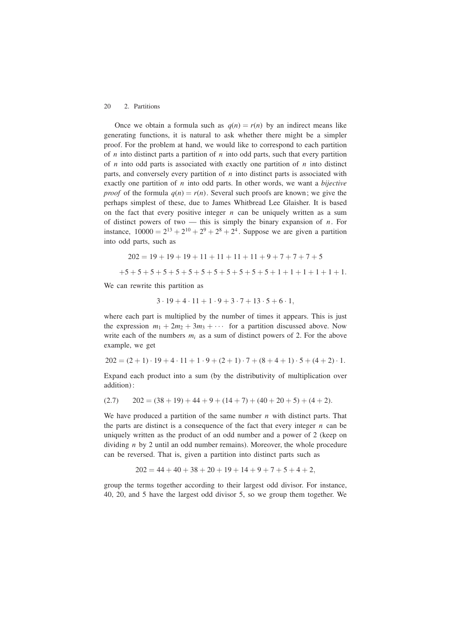## 20 2. Partitions

Once we obtain a formula such as  $q(n) = r(n)$  by an indirect means like generating functions, it is natural to ask whether there might be a simpler proof. For the problem at hand, we would like to correspond to each partition of *n* into distinct parts a partition of *n* into odd parts, such that every partition of *n* into odd parts is associated with exactly one partition of *n* into distinct parts, and conversely every partition of *n* into distinct parts is associated with exactly one partition of *n* into odd parts. In other words, we want a *bijective proof* of the formula  $q(n) = r(n)$ . Several such proofs are known; we give the perhaps simplest of these, due to James Whitbread Lee Glaisher. It is based on the fact that every positive integer *n* can be uniquely written as a sum of distinct powers of two — this is simply the binary expansion of *n*. For instance,  $10000 = 2^{13} + 2^{10} + 2^9 + 2^8 + 2^4$ . Suppose we are given a partition into odd parts, such as

$$
202 = 19 + 19 + 19 + 11 + 11 + 11 + 11 + 9 + 7 + 7 + 7 + 5
$$

$$
+5+5+5+5+5+5+5+5+5+5+5+5+1+1+1+1+1+1+1.
$$

We can rewrite this partition as

$$
3 \cdot 19 + 4 \cdot 11 + 1 \cdot 9 + 3 \cdot 7 + 13 \cdot 5 + 6 \cdot 1,
$$

where each part is multiplied by the number of times it appears. This is just the expression  $m_1 + 2m_2 + 3m_3 + \cdots$  for a partition discussed above. Now write each of the numbers  $m_i$  as a sum of distinct powers of 2. For the above example, we get

$$
202 = (2 + 1) \cdot 19 + 4 \cdot 11 + 1 \cdot 9 + (2 + 1) \cdot 7 + (8 + 4 + 1) \cdot 5 + (4 + 2) \cdot 1.
$$

Expand each product into a sum (by the distributivity of multiplication over addition) :

$$
(2.7) \qquad 202 = (38 + 19) + 44 + 9 + (14 + 7) + (40 + 20 + 5) + (4 + 2).
$$

We have produced a partition of the same number *n* with distinct parts. That the parts are distinct is a consequence of the fact that every integer *n* can be uniquely written as the product of an odd number and a power of 2 (keep on dividing *n* by 2 until an odd number remains). Moreover, the whole procedure can be reversed. That is, given a partition into distinct parts such as

$$
202 = 44 + 40 + 38 + 20 + 19 + 14 + 9 + 7 + 5 + 4 + 2,
$$

group the terms together according to their largest odd divisor. For instance, 40, 20, and 5 have the largest odd divisor 5, so we group them together. We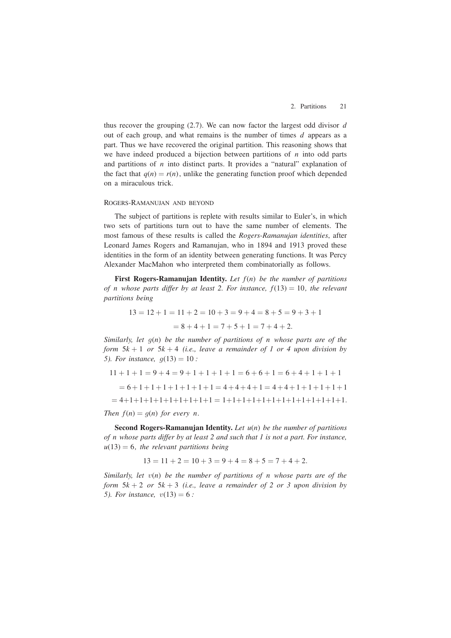thus recover the grouping (2.7). We can now factor the largest odd divisor *d* out of each group, and what remains is the number of times *d* appears as a part. Thus we have recovered the original partition. This reasoning shows that we have indeed produced a bijection between partitions of *n* into odd parts and partitions of *n* into distinct parts. It provides a "natural" explanation of the fact that  $q(n) = r(n)$ , unlike the generating function proof which depended on a miraculous trick.

#### ROGERS-RAMANUJAN AND BEYOND

The subject of partitions is replete with results similar to Euler's, in which two sets of partitions turn out to have the same number of elements. The most famous of these results is called the *Rogers-Ramanujan identities*, after Leonard James Rogers and Ramanujan, who in 1894 and 1913 proved these identities in the form of an identity between generating functions. It was Percy Alexander MacMahon who interpreted them combinatorially as follows.

First Rogers-Ramanujan Identity. *Let f*(*n*) *be the number of partitions of n whose parts differ by at least 2. For instance, f*(13) = 10*, the relevant partitions being*

$$
13 = 12 + 1 = 11 + 2 = 10 + 3 = 9 + 4 = 8 + 5 = 9 + 3 + 1
$$

$$
= 8 + 4 + 1 = 7 + 5 + 1 = 7 + 4 + 2.
$$

*Similarly, let* g(*n*) *be the number of partitions of n whose parts are of the form*  $5k + 1$  *or*  $5k + 4$  *(i.e., leave a remainder of 1 or 4 upon division by 5). For instance,* g(13) = 10 *:*

```
11 + 1 + 1 = 9 + 4 = 9 + 1 + 1 + 1 + 1 = 6 + 6 + 1 = 6 + 4 + 1 + 1 + 1= 6+1+1+1+1+1+1+1 = 4+4+4+1 = 4+4+1+1+1+1+1= 4+1+1+1+1+1+1+1+1+1 = 1+1+1+1+1+1+1+1+1+1+1+1+1.
```
*Then*  $f(n) = g(n)$  *for every n.* 

Second Rogers-Ramanujan Identity. *Let u*(*n*) *be the number of partitions of n whose parts differ by at least 2 and such that 1 is not a part. For instance,*  $u(13) = 6$ *, the relevant partitions being* 

$$
13 = 11 + 2 = 10 + 3 = 9 + 4 = 8 + 5 = 7 + 4 + 2.
$$

*Similarly, let* v(*n*) *be the number of partitions of n whose parts are of the form*  $5k + 2$  *or*  $5k + 3$  *(i.e., leave a remainder of 2 or 3 upon division by 5). For instance,* v(13) = 6 *:*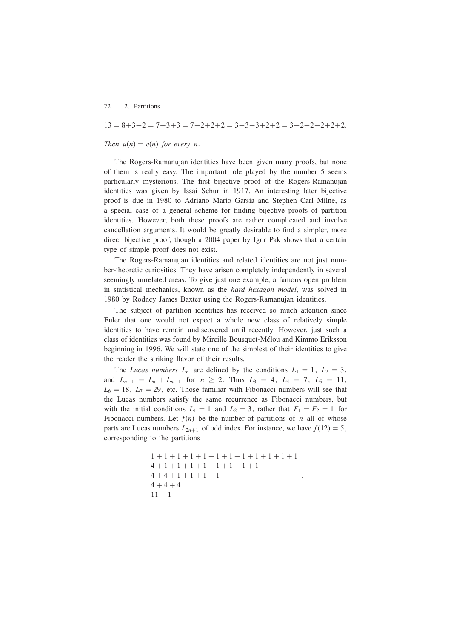# 22 2. Partitions

 $13 = 8+3+2 = 7+3+3 = 7+2+2+2 = 3+3+3+2+2 = 3+2+2+2+2+2$ .

#### *Then*  $u(n) = v(n)$  *for every n.*

The Rogers-Ramanujan identities have been given many proofs, but none of them is really easy. The important role played by the number 5 seems particularly mysterious. The first bijective proof of the Rogers-Ramanujan identities was given by Issai Schur in 1917. An interesting later bijective proof is due in 1980 to Adriano Mario Garsia and Stephen Carl Milne, as a special case of a general scheme for finding bijective proofs of partition identities. However, both these proofs are rather complicated and involve cancellation arguments. It would be greatly desirable to find a simpler, more direct bijective proof, though a 2004 paper by Igor Pak shows that a certain type of simple proof does not exist.

The Rogers-Ramanujan identities and related identities are not just number-theoretic curiosities. They have arisen completely independently in several seemingly unrelated areas. To give just one example, a famous open problem in statistical mechanics, known as the *hard hexagon model*, was solved in 1980 by Rodney James Baxter using the Rogers-Ramanujan identities.

The subject of partition identities has received so much attention since Euler that one would not expect a whole new class of relatively simple identities to have remain undiscovered until recently. However, just such a class of identities was found by Mireille Bousquet-Melou and Kimmo Eriksson ´ beginning in 1996. We will state one of the simplest of their identities to give the reader the striking flavor of their results.

The *Lucas numbers*  $L_n$  are defined by the conditions  $L_1 = 1$ ,  $L_2 = 3$ , and  $L_{n+1} = L_n + L_{n-1}$  for  $n \ge 2$ . Thus  $L_3 = 4$ ,  $L_4 = 7$ ,  $L_5 = 11$ ,  $L_6 = 18$ ,  $L_7 = 29$ , etc. Those familiar with Fibonacci numbers will see that the Lucas numbers satisfy the same recurrence as Fibonacci numbers, but with the initial conditions  $L_1 = 1$  and  $L_2 = 3$ , rather that  $F_1 = F_2 = 1$  for Fibonacci numbers. Let  $f(n)$  be the number of partitions of *n* all of whose parts are Lucas numbers  $L_{2n+1}$  of odd index. For instance, we have  $f(12) = 5$ , corresponding to the partitions

```
1 + 1 + 1 + 1 + 1 + 1 + 1 + 1 + 1 + 1 + 1 + 14+1+1+1+1+1+1+1+14 + 4 + 1 + 1 + 1 + 14 + 4 + 411 + 1
```
.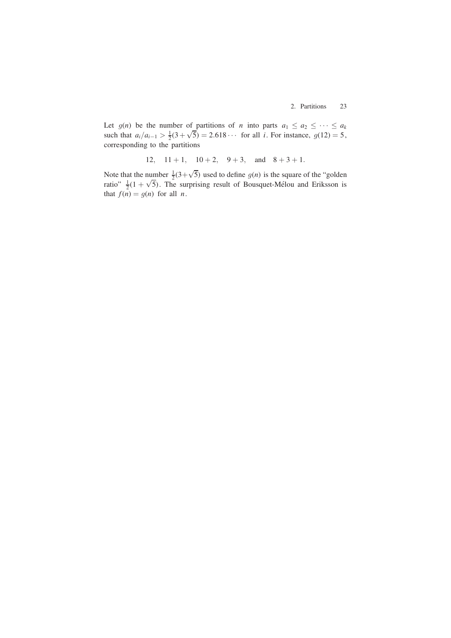2. Partitions 23

Let  $g(n)$  be the number of partitions of *n* into parts  $a_1 \le a_2 \le \cdots \le a_k$ such that  $a_i/a_{i-1} > \frac{1}{2}(3+\sqrt{5}) = 2.618 \cdots$  for all *i*. For instance,  $g(12) = 5$ , corresponding to the partitions

12,  $11 + 1$ ,  $10 + 2$ ,  $9 + 3$ , and  $8 + 3 + 1$ .

Note that the number  $\frac{1}{2}(3+\sqrt{5})$  used to define  $g(n)$  is the square of the "golden" ratio"  $\frac{1}{2}(1+\sqrt{5})$ . The surprising result of Bousquet-Mélou and Eriksson is that  $f(n) = g(n)$  for all *n*.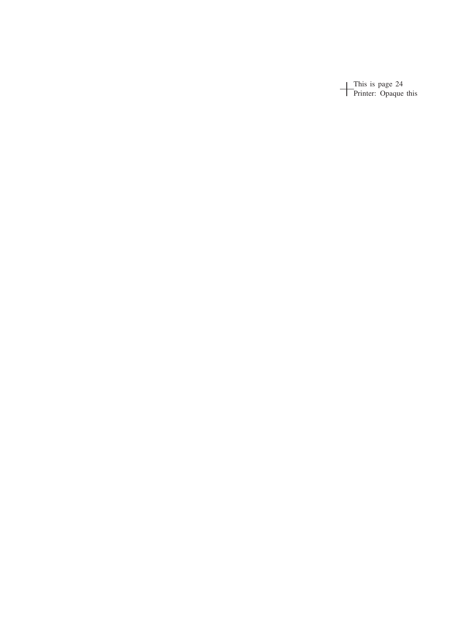This is page 24 Printer: Opaque this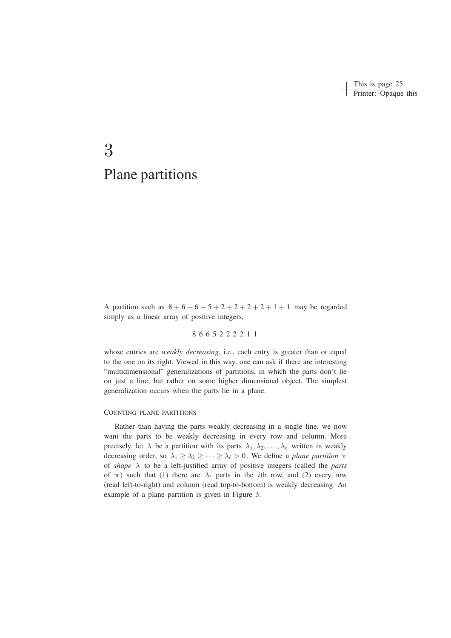This is page 25 Printer: Opaque this

# 3 Plane partitions

A partition such as  $8 + 6 + 6 + 5 + 2 + 2 + 2 + 2 + 1 + 1$  may be regarded simply as a linear array of positive integers,

## 8 6 6 5 2 2 2 2 1 1

whose entries are *weakly decreasing*, i.e., each entry is greater than or equal to the one on its right. Viewed in this way, one can ask if there are interesting "multidimensional" generalizations of partitions, in which the parts don't lie on just a line, but rather on some higher dimensional object. The simplest generalization occurs when the parts lie in a plane.

#### COUNTING PLANE PARTITIONS

Rather than having the parts weakly decreasing in a single line, we now want the parts to be weakly decreasing in every row and column. More precisely, let  $\lambda$  be a partition with its parts  $\lambda_1, \lambda_2, \ldots, \lambda_\ell$  written in weakly decreasing order, so  $\lambda_1 \geq \lambda_2 \geq \cdots \geq \lambda_\ell > 0$ . We define a *plane partition*  $\pi$ of *shape* λ to be a left-justified array of positive integers (called the *parts* of  $\pi$ ) such that (1) there are  $\lambda_i$  parts in the *i*th row, and (2) every row (read left-to-right) and column (read top-to-bottom) is weakly decreasing. An example of a plane partition is given in Figure 3.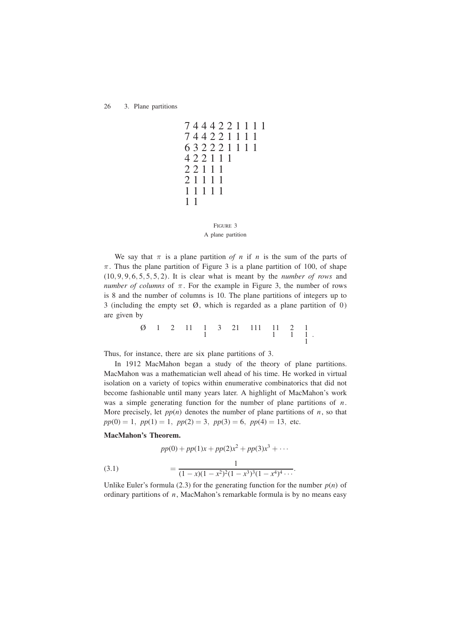26 3. Plane partitions

7 4 4 4 2 2 1 1 1 1 7 4 4 2 2 1 1 1 1 6 3 2 2 2 1 1 1 1 4 2 2 1 1 1 2 2 1 1 1 2 1 1 1 1 1 1 1 1 1 1 1



We say that  $\pi$  is a plane partition of *n* if *n* is the sum of the parts of  $\pi$ . Thus the plane partition of Figure 3 is a plane partition of 100, of shape (10, 9, 9, 6, 5, 5, 5, 2). It is clear what is meant by the *number of rows* and *number of columns* of  $\pi$ . For the example in Figure 3, the number of rows is 8 and the number of columns is 10. The plane partitions of integers up to 3 (including the empty set  $\emptyset$ , which is regarded as a plane partition of 0) are given by

$$
\begin{array}{ccccccccc}\n\emptyset & 1 & 2 & 11 & 1 & 3 & 21 & 111 & 11 & 2 & 1\\
& & & & & 1 & & 1 & 1 & 1\\
& & & & & & 1 & & 1 & 1\n\end{array}
$$

Thus, for instance, there are six plane partitions of 3.

In 1912 MacMahon began a study of the theory of plane partitions. MacMahon was a mathematician well ahead of his time. He worked in virtual isolation on a variety of topics within enumerative combinatorics that did not become fashionable until many years later. A highlight of MacMahon's work was a simple generating function for the number of plane partitions of *n*. More precisely, let  $pp(n)$  denotes the number of plane partitions of *n*, so that  $pp(0) = 1$ ,  $pp(1) = 1$ ,  $pp(2) = 3$ ,  $pp(3) = 6$ ,  $pp(4) = 13$ , etc.

### MacMahon's Theorem.

(3.1) 
$$
pp(0) + pp(1)x + pp(2)x^{2} + pp(3)x^{3} + \cdots
$$

$$
= \frac{1}{(1-x)(1-x^{2})^{2}(1-x^{3})^{3}(1-x^{4})^{4}\cdots}.
$$

Unlike Euler's formula (2.3) for the generating function for the number  $p(n)$  of ordinary partitions of *n*, MacMahon's remarkable formula is by no means easy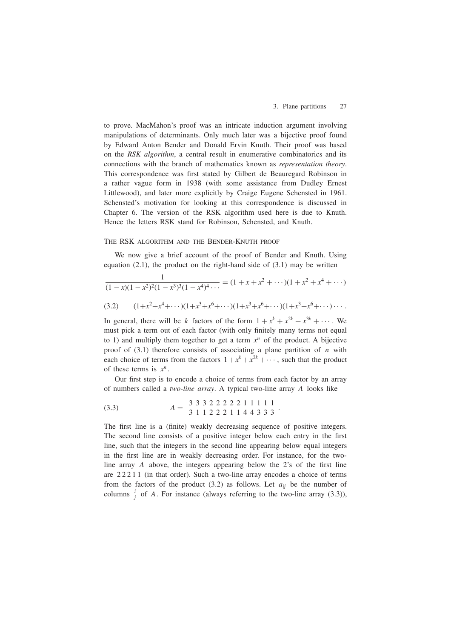to prove. MacMahon's proof was an intricate induction argument involving manipulations of determinants. Only much later was a bijective proof found by Edward Anton Bender and Donald Ervin Knuth. Their proof was based on the *RSK algorithm*, a central result in enumerative combinatorics and its connections with the branch of mathematics known as *representation theory*. This correspondence was first stated by Gilbert de Beauregard Robinson in a rather vague form in 1938 (with some assistance from Dudley Ernest Littlewood), and later more explicitly by Craige Eugene Schensted in 1961. Schensted's motivation for looking at this correspondence is discussed in Chapter 6. The version of the RSK algorithm used here is due to Knuth. Hence the letters RSK stand for Robinson, Schensted, and Knuth.

#### THE RSK ALGORITHM AND THE BENDER-KNUTH PROOF

We now give a brief account of the proof of Bender and Knuth. Using equation  $(2.1)$ , the product on the right-hand side of  $(3.1)$  may be written

$$
\frac{1}{(1-x)(1-x^2)^2(1-x^3)^3(1-x^4)^4\cdots} = (1+x+x^2+\cdots)(1+x^2+x^4+\cdots)
$$

$$
(3.2) \qquad (1+x^2+x^4+\cdots)(1+x^3+x^6+\cdots)(1+x^3+x^6+\cdots)(1+x^3+x^6+\cdots)\cdots.
$$

In general, there will be *k* factors of the form  $1 + x^k + x^{2k} + x^{3k} + \cdots$ . We must pick a term out of each factor (with only finitely many terms not equal to 1) and multiply them together to get a term  $x^n$  of the product. A bijective proof of (3.1) therefore consists of associating a plane partition of *n* with each choice of terms from the factors  $1 + x^k + x^{2k} + \cdots$ , such that the product of these terms is  $x^n$ .

Our first step is to encode a choice of terms from each factor by an array of numbers called a *two-line array*. A typical two-line array *A* looks like

$$
(3.3) \qquad \qquad A = \begin{array}{c} 3 & 3 & 3 & 2 & 2 & 2 & 2 & 1 & 1 & 1 & 1 \\ 3 & 1 & 1 & 2 & 2 & 2 & 1 & 1 & 4 & 4 & 3 & 3 \end{array}.
$$

The first line is a (finite) weakly decreasing sequence of positive integers. The second line consists of a positive integer below each entry in the first line, such that the integers in the second line appearing below equal integers in the first line are in weakly decreasing order. For instance, for the twoline array *A* above, the integers appearing below the 2's of the first line are 2 2 2 1 1 (in that order). Such a two-line array encodes a choice of terms from the factors of the product (3.2) as follows. Let  $a_{ij}$  be the number of columns  $\frac{i}{j}$  of *A*. For instance (always referring to the two-line array (3.3)),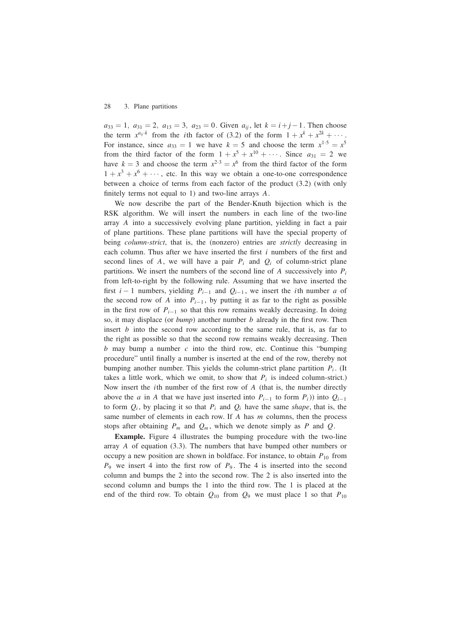## 28 3. Plane partitions

 $a_{33} = 1$ ,  $a_{31} = 2$ ,  $a_{13} = 3$ ,  $a_{23} = 0$ . Given  $a_{ij}$ , let  $k = i + j - 1$ . Then choose the term  $x^{a_{ij} \cdot k}$  from the *i*th factor of (3.2) of the form  $1 + x^{k} + x^{2k} + \cdots$ For instance, since  $a_{33} = 1$  we have  $k = 5$  and choose the term  $x^{1.5} = x^5$ from the third factor of the form  $1 + x^5 + x^{10} + \cdots$ . Since  $a_{31} = 2$  we have  $k = 3$  and choose the term  $x^{2 \cdot 3} = x^6$  from the third factor of the form  $1 + x<sup>3</sup> + x<sup>6</sup> + \cdots$ , etc. In this way we obtain a one-to-one correspondence between a choice of terms from each factor of the product (3.2) (with only finitely terms not equal to 1) and two-line arrays *A*.

We now describe the part of the Bender-Knuth bijection which is the RSK algorithm. We will insert the numbers in each line of the two-line array *A* into a successively evolving plane partition, yielding in fact a pair of plane partitions. These plane partitions will have the special property of being *column-strict*, that is, the (nonzero) entries are *strictly* decreasing in each column. Thus after we have inserted the first *i* numbers of the first and second lines of *A*, we will have a pair  $P_i$  and  $Q_i$  of column-strict plane partitions. We insert the numbers of the second line of  $A$  successively into  $P_i$ from left-to-right by the following rule. Assuming that we have inserted the first *i* − 1 numbers, yielding  $P_{i-1}$  and  $Q_{i-1}$ , we insert the *i*th number *a* of the second row of *A* into  $P_{i-1}$ , by putting it as far to the right as possible in the first row of  $P_{i-1}$  so that this row remains weakly decreasing. In doing so, it may displace (or *bump*) another number *b* already in the first row. Then insert *b* into the second row according to the same rule, that is, as far to the right as possible so that the second row remains weakly decreasing. Then *b* may bump a number *c* into the third row, etc. Continue this "bumping procedure" until finally a number is inserted at the end of the row, thereby not bumping another number. This yields the column-strict plane partition  $P_i$ . (It takes a little work, which we omit, to show that  $P_i$  is indeed column-strict.) Now insert the *i*th number of the first row of *A* (that is, the number directly above the *a* in *A* that we have just inserted into  $P_{i-1}$  to form  $P_i$ )) into  $Q_{i-1}$ to form  $Q_i$ , by placing it so that  $P_i$  and  $Q_i$  have the same *shape*, that is, the same number of elements in each row. If *A* has *m* columns, then the process stops after obtaining  $P_m$  and  $Q_m$ , which we denote simply as  $P$  and  $Q$ .

Example. Figure 4 illustrates the bumping procedure with the two-line array *A* of equation (3.3). The numbers that have bumped other numbers or occupy a new position are shown in boldface. For instance, to obtain  $P_{10}$  from  $P_9$  we insert 4 into the first row of  $P_9$ . The 4 is inserted into the second column and bumps the 2 into the second row. The 2 is also inserted into the second column and bumps the 1 into the third row. The 1 is placed at the end of the third row. To obtain  $Q_{10}$  from  $Q_9$  we must place 1 so that  $P_{10}$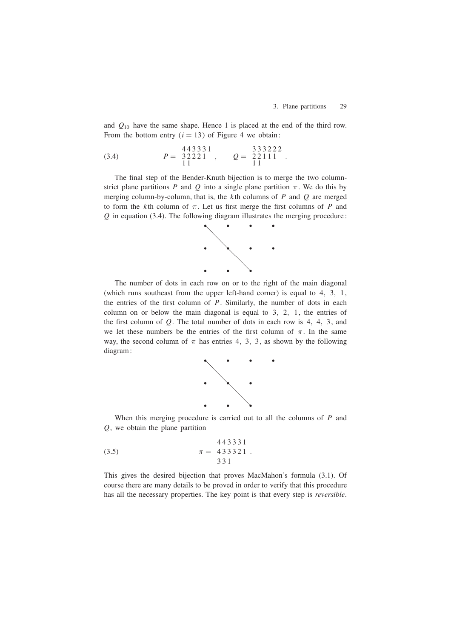.

and *Q*<sup>10</sup> have the same shape. Hence 1 is placed at the end of the third row. From the bottom entry  $(i = 13)$  of Figure 4 we obtain:

$$
(3.4) \qquad P = \begin{array}{c} 443331 \\ 32221 \\ 11 \end{array}, \qquad Q = \begin{array}{c} 333222 \\ 22111 \\ 11 \end{array}
$$

The final step of the Bender-Knuth bijection is to merge the two columnstrict plane partitions *P* and *Q* into a single plane partition  $\pi$ . We do this by merging column-by-column, that is, the *k* th columns of *P* and *Q* are merged to form the *k*th column of  $\pi$ . Let us first merge the first columns of *P* and *Q* in equation (3.4). The following diagram illustrates the merging procedure :



The number of dots in each row on or to the right of the main diagonal (which runs southeast from the upper left-hand corner) is equal to 4, 3, 1, the entries of the first column of *P*. Similarly, the number of dots in each column on or below the main diagonal is equal to 3, 2, 1, the entries of the first column of *Q*. The total number of dots in each row is 4, 4, 3, and we let these numbers be the entries of the first column of  $\pi$ . In the same way, the second column of  $\pi$  has entries 4, 3, 3, as shown by the following diagram :



When this merging procedure is carried out to all the columns of *P* and *Q*, we obtain the plane partition

(3.5) 
$$
\pi = \begin{array}{c} 443331 \\ 433321 \\ 331 \end{array}.
$$

This gives the desired bijection that proves MacMahon's formula (3.1). Of course there are many details to be proved in order to verify that this procedure has all the necessary properties. The key point is that every step is *reversible*.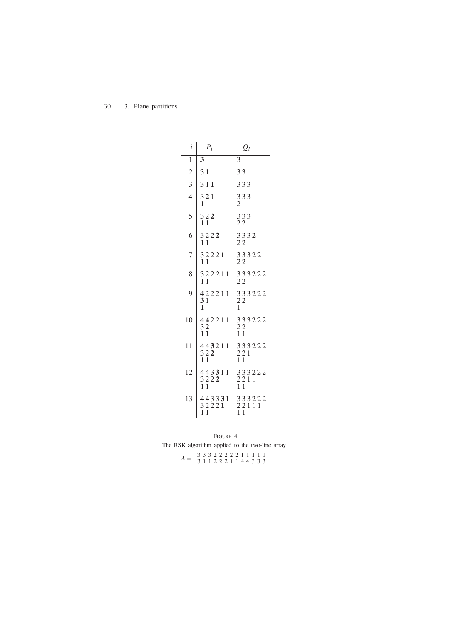30 3. Plane partitions

| i                       | $P_i$                                                                | $\varrho_{\scriptscriptstyle i}$               |
|-------------------------|----------------------------------------------------------------------|------------------------------------------------|
| 1                       | 3                                                                    | 3                                              |
| $\overline{\mathbf{c}}$ | 31                                                                   | 33                                             |
| $\overline{3}$          | 3 1 1                                                                | 333                                            |
| $\overline{4}$          | $\begin{array}{c} 3 2 1 \\ 1 \end{array}$                            | $\begin{array}{c} 333 \\ 2 \end{array}$        |
| 5                       | $\begin{array}{c} 322 \\ 11 \end{array}$                             | $\begin{array}{c} 333 \\ 22 \end{array}$       |
| 6                       | 3222<br>11                                                           | 3332<br>22                                     |
| 7                       | 32221<br>11                                                          | 33322<br>22                                    |
| 8                       | 322211<br>11                                                         | 333222<br>22                                   |
| 9                       | 42221<br>-1<br>31<br>1                                               | 333222<br>22<br>1                              |
| 10                      | 442211<br>32<br>11                                                   | 333222<br>22<br>11                             |
| 11                      | 443211<br>$\begin{smallmatrix} 3 & 2 & 2 \\ 1 & 1 \end{smallmatrix}$ | 333222<br>221<br>11                            |
| 12                      | 443311<br>3222<br>11                                                 | 333222<br>2211<br>$\mathbf{1}$<br>$\mathbf{1}$ |
| 13                      | 443331<br>32221<br>$\mathbf{1}$<br>1                                 | 333222<br>22111<br>1<br>1                      |

FIGURE 4 The RSK algorithm applied to the two-line array  $A = \begin{array}{c} 3 & 3 & 3 & 2 & 2 & 2 & 2 & 1 & 1 & 1 & 1 \\ 3 & 1 & 1 & 2 & 2 & 2 & 1 & 1 & 4 & 4 & 3 & 3 \\ 3 & 1 & 1 & 2 & 2 & 2 & 1 & 1 & 4 & 4 & 3 & 3 \end{array}$ 3 1 1 2 2 2 1 1 4 4 3 3 3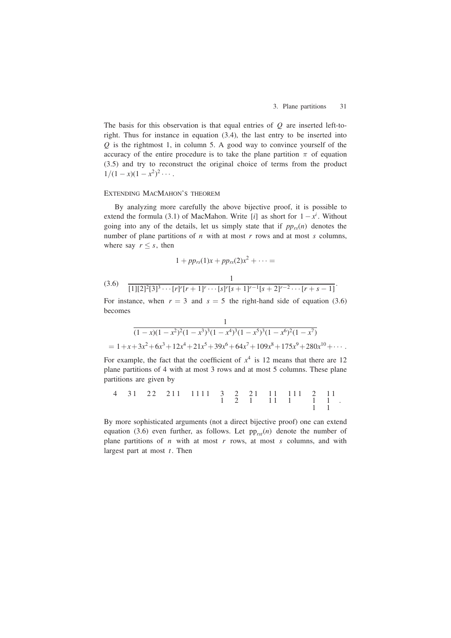.

The basis for this observation is that equal entries of *Q* are inserted left-toright. Thus for instance in equation (3.4), the last entry to be inserted into *Q* is the rightmost 1, in column 5. A good way to convince yourself of the accuracy of the entire procedure is to take the plane partition  $\pi$  of equation (3.5) and try to reconstruct the original choice of terms from the product  $1/(1-x)(1-x^2)^2 \cdots$ 

#### EXTENDING MACMAHON'S THEOREM

By analyzing more carefully the above bijective proof, it is possible to extend the formula (3.1) of MacMahon. Write [*i*] as short for  $1 - x^i$ . Without going into any of the details, let us simply state that if  $pp_{rs}(n)$  denotes the number of plane partitions of *n* with at most *r* rows and at most *s* columns, where say  $r \leq s$ , then

$$
1 + pp_{rs}(1)x + pp_{rs}(2)x^2 + \cdots =
$$

(3.6)  $\frac{1}{[1][2]^2[3]^3 \cdots [r]^r[r+1]^r \cdots [s]^r[s+1]^{r-1}[s+2]^{r-2} \cdots [r+s-1]}$ .

For instance, when  $r = 3$  and  $s = 5$  the right-hand side of equation (3.6) becomes

$$
\frac{1}{(1-x)(1-x^2)^2(1-x^3)^3(1-x^4)^3(1-x^5)^3(1-x^6)^2(1-x^7)}
$$
  
= 1+x+3x<sup>2</sup>+6x<sup>3</sup>+12x<sup>4</sup>+21x<sup>5</sup>+39x<sup>6</sup>+64x<sup>7</sup>+109x<sup>8</sup>+175x<sup>9</sup>+280x<sup>10</sup>+...  
For example, the fact that the coefficient of x<sup>4</sup> is 12 means that there are 12

plane partitions of 4 with at most 3 rows and at most 5 columns. These plane partitions are given by

$$
4 \quad 31 \quad 22 \quad 211 \quad 1111 \quad 3 \quad 2 \quad 21 \quad 11 \quad 111 \quad 2 \quad 11
$$

By more sophisticated arguments (not a direct bijective proof) one can extend equation (3.6) even further, as follows. Let  $pp_{ref}(n)$  denote the number of plane partitions of *n* with at most *r* rows, at most *s* columns, and with largest part at most *t*. Then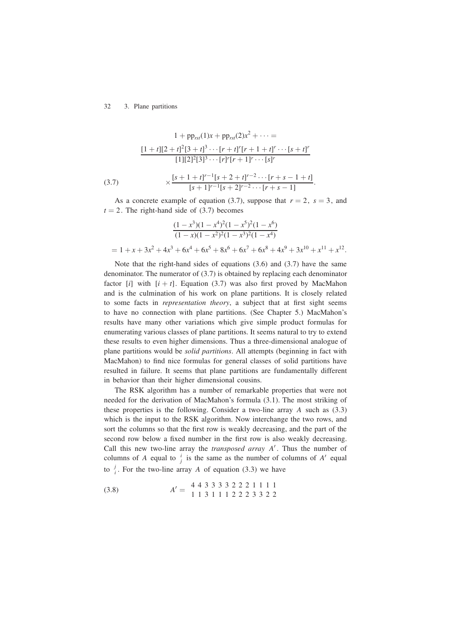32 3. Plane partitions

$$
1 + pp_{rst}(1)x + pp_{rst}(2)x^{2} + \cdots =
$$
\n
$$
\frac{[1+t][2+t]^{2}[3+t]^{3} \cdots [r+t]^{r}[r+1+t]^{r} \cdots [s+t]^{r}}{[1][2]^{2}[3]^{3} \cdots [r]^{r}[r+1]^{r} \cdots [s]^{r}}
$$
\n
$$
\times \frac{[s+1+t]^{r-1}[s+2+t]^{r-2} \cdots [r+s-1+t]}{[s+1]^{r-1}[s+2]^{r-2} \cdots [r+s-1]}.
$$
\n(3.7)

As a concrete example of equation (3.7), suppose that  $r = 2$ ,  $s = 3$ , and  $t = 2$ . The right-hand side of (3.7) becomes

$$
\frac{(1-x^3)(1-x^4)^2(1-x^5)^2(1-x^6)}{(1-x)(1-x^2)^2(1-x^3)^2(1-x^4)}
$$
  
= 1 + x + 3x<sup>2</sup> + 4x<sup>3</sup> + 6x<sup>4</sup> + 6x<sup>5</sup> + 8x<sup>6</sup> + 6x<sup>7</sup> + 6x<sup>8</sup> + 4x<sup>9</sup> + 3x<sup>10</sup> + x<sup>11</sup> + x<sup>12</sup>.

Note that the right-hand sides of equations (3.6) and (3.7) have the same denominator. The numerator of (3.7) is obtained by replacing each denominator factor  $[i]$  with  $[i + i]$ . Equation (3.7) was also first proved by MacMahon and is the culmination of his work on plane partitions. It is closely related to some facts in *representation theory*, a subject that at first sight seems to have no connection with plane partitions. (See Chapter 5.) MacMahon's results have many other variations which give simple product formulas for enumerating various classes of plane partitions. It seems natural to try to extend these results to even higher dimensions. Thus a three-dimensional analogue of plane partitions would be *solid partitions*. All attempts (beginning in fact with MacMahon) to find nice formulas for general classes of solid partitions have resulted in failure. It seems that plane partitions are fundamentally different in behavior than their higher dimensional cousins.

The RSK algorithm has a number of remarkable properties that were not needed for the derivation of MacMahon's formula (3.1). The most striking of these properties is the following. Consider a two-line array *A* such as (3.3) which is the input to the RSK algorithm. Now interchange the two rows, and sort the columns so that the first row is weakly decreasing, and the part of the second row below a fixed number in the first row is also weakly decreasing. Call this new two-line array the *transposed array A*′ . Thus the number of columns of *A* equal to  $\frac{i}{j}$  is the same as the number of columns of *A'* equal to  $i$ . For the two-line array *A* of equation (3.3) we have

$$
A' = \begin{array}{c} 4 & 4 & 3 & 3 & 3 & 3 & 2 & 2 & 2 & 1 & 1 & 1 & 1 \\ 1 & 1 & 3 & 1 & 1 & 1 & 2 & 2 & 2 & 3 & 3 & 2 & 2 \end{array}
$$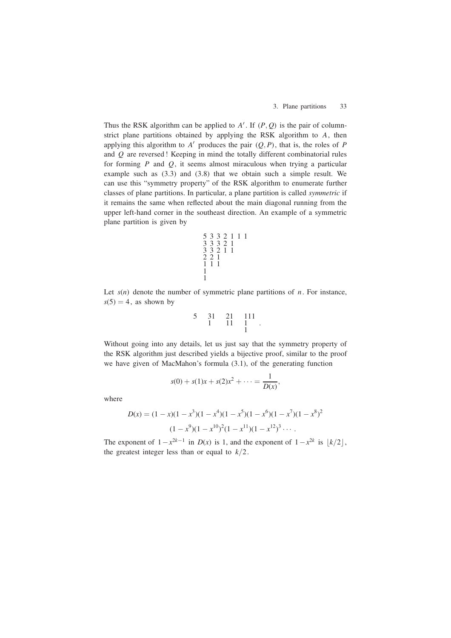Thus the RSK algorithm can be applied to  $A'$ . If  $(P, Q)$  is the pair of columnstrict plane partitions obtained by applying the RSK algorithm to *A*, then applying this algorithm to  $A'$  produces the pair  $(Q, P)$ , that is, the roles of  $P$ and *Q* are reversed ! Keeping in mind the totally different combinatorial rules for forming *P* and *Q*, it seems almost miraculous when trying a particular example such as (3.3) and (3.8) that we obtain such a simple result. We can use this "symmetry property" of the RSK algorithm to enumerate further classes of plane partitions. In particular, a plane partition is called *symmetric* if it remains the same when reflected about the main diagonal running from the upper left-hand corner in the southeast direction. An example of a symmetric plane partition is given by

5 3 3 2 1 1 1 3 3 3 2 1 3 3 2 1 1 2 2 1 1 1 1 1 1

Let  $s(n)$  denote the number of symmetric plane partitions of  $n$ . For instance,  $s(5) = 4$ , as shown by

$$
\begin{array}{cccc}5 & 31 & 21 & 111 \\ & 1 & 11 & 1 \\ & & 1 & 1\end{array}.
$$

Without going into any details, let us just say that the symmetry property of the RSK algorithm just described yields a bijective proof, similar to the proof we have given of MacMahon's formula (3.1), of the generating function

$$
s(0) + s(1)x + s(2)x^{2} + \cdots = \frac{1}{D(x)},
$$

where

$$
D(x) = (1 - x)(1 - x3)(1 - x4)(1 - x5)(1 - x6)(1 - x7)(1 - x8)2
$$
  

$$
(1 - x9)(1 - x10)2(1 - x11)(1 - x12)3... .
$$

The exponent of  $1 - x^{2k-1}$  in *D*(*x*) is 1, and the exponent of  $1 - x^{2k}$  is  $\lfloor k/2 \rfloor$ , the greatest integer less than or equal to *k*/2.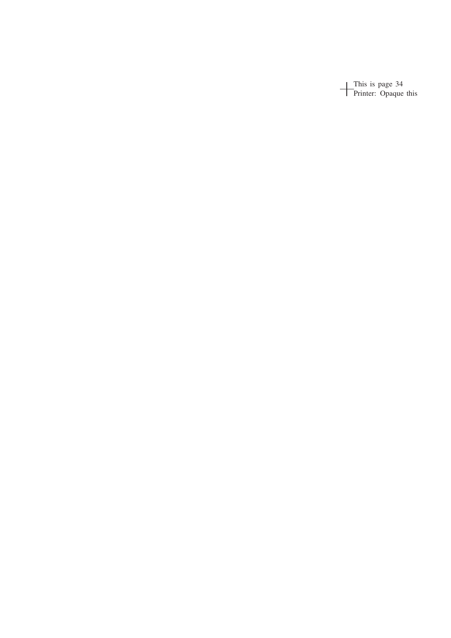This is page 34 Printer: Opaque this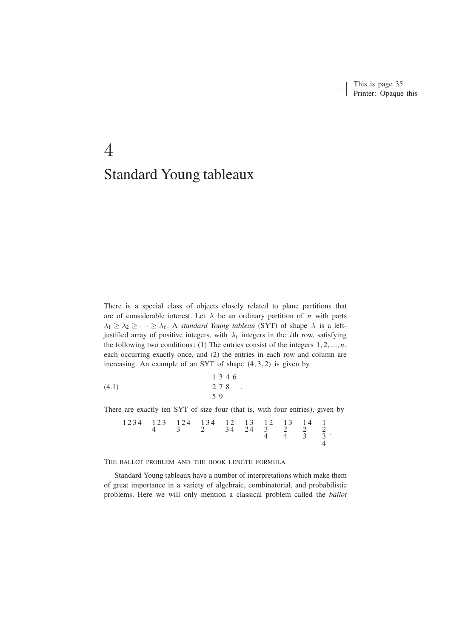This is page 35 Printer: Opaque this

## 4 Standard Young tableaux

There is a special class of objects closely related to plane partitions that are of considerable interest. Let  $\lambda$  be an ordinary partition of *n* with parts  $\lambda_1 \geq \lambda_2 \geq \cdots \geq \lambda_{\ell}$ . A *standard Young tableau* (SYT) of shape  $\lambda$  is a leftjustified array of positive integers, with  $\lambda_i$  integers in the *i*th row, satisfying the following two conditions: (1) The entries consist of the integers  $1, 2, ..., n$ , each occurring exactly once, and (2) the entries in each row and column are increasing. An example of an SYT of shape  $(4, 3, 2)$  is given by

$$
\begin{array}{c}\n 1 \ 3 \ 4 \ 6 \\
 \hline\n 2 \ 7 \ 8 \\
 \hline\n 5 \ 9\n \end{array}
$$

There are exactly ten SYT of size four (that is, with four entries), given by

1 2 3 4 1 2 3 1 2 4 1 3 4 1 2 1 3 1 2 1 3 1 4 1 4 3 2 34 24 3 2 2 2 4 4 3 3 4 .

THE BALLOT PROBLEM AND THE HOOK LENGTH FORMULA

Standard Young tableaux have a number of interpretations which make them of great importance in a variety of algebraic, combinatorial, and probabilistic problems. Here we will only mention a classical problem called the *ballot*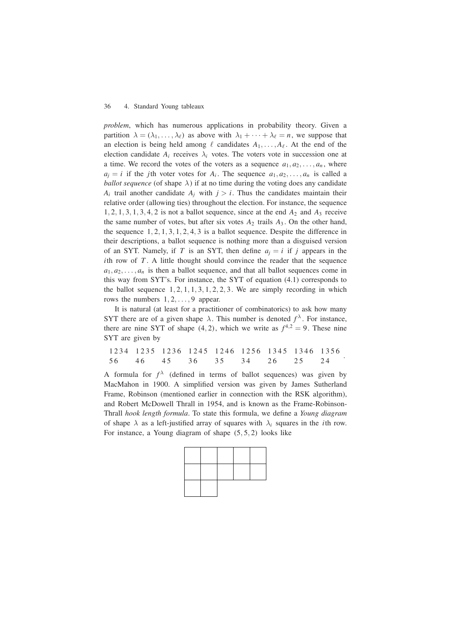#### 36 4. Standard Young tableaux

*problem*, which has numerous applications in probability theory. Given a partition  $\lambda = (\lambda_1, \dots, \lambda_\ell)$  as above with  $\lambda_1 + \dots + \lambda_\ell = n$ , we suppose that an election is being held among  $\ell$  candidates  $A_1, \ldots, A_\ell$ . At the end of the election candidate  $A_i$  receives  $\lambda_i$  votes. The voters vote in succession one at a time. We record the votes of the voters as a sequence  $a_1, a_2, \ldots, a_n$ , where  $a_j = i$  if the *j*th voter votes for  $A_i$ . The sequence  $a_1, a_2, \ldots, a_n$  is called a *ballot sequence* (of shape  $\lambda$ ) if at no time during the voting does any candidate *A<sub>i</sub>* trail another candidate  $A_j$  with  $j > i$ . Thus the candidates maintain their relative order (allowing ties) throughout the election. For instance, the sequence  $1, 2, 1, 3, 1, 3, 4, 2$  is not a ballot sequence, since at the end  $A_2$  and  $A_3$  receive the same number of votes, but after six votes  $A_2$  trails  $A_3$ . On the other hand, the sequence  $1, 2, 1, 3, 1, 2, 4, 3$  is a ballot sequence. Despite the difference in their descriptions, a ballot sequence is nothing more than a disguised version of an SYT. Namely, if *T* is an SYT, then define  $a_i = i$  if *j* appears in the *i*th row of *T*. A little thought should convince the reader that the sequence  $a_1, a_2, \ldots, a_n$  is then a ballot sequence, and that all ballot sequences come in this way from SYT's. For instance, the SYT of equation (4.1) corresponds to the ballot sequence  $1, 2, 1, 1, 3, 1, 2, 2, 3$ . We are simply recording in which rows the numbers  $1, 2, \ldots, 9$  appear.

It is natural (at least for a practitioner of combinatorics) to ask how many SYT there are of a given shape  $\lambda$ . This number is denoted  $f^{\lambda}$ . For instance, there are nine SYT of shape  $(4, 2)$ , which we write as  $f^{4,2} = 9$ . These nine SYT are given by

|  |  |  |  | 1234 1235 1236 1245 1246 1256 1345 1346 1356 |
|--|--|--|--|----------------------------------------------|
|  |  |  |  | 56 46 45 36 35 34 26 25 24                   |

A formula for  $f^{\lambda}$  (defined in terms of ballot sequences) was given by MacMahon in 1900. A simplified version was given by James Sutherland Frame, Robinson (mentioned earlier in connection with the RSK algorithm), and Robert McDowell Thrall in 1954, and is known as the Frame-Robinson-Thrall *hook length formula*. To state this formula, we define a *Young diagram* of shape  $\lambda$  as a left-justified array of squares with  $\lambda_i$  squares in the *i*th row. For instance, a Young diagram of shape  $(5, 5, 2)$  looks like

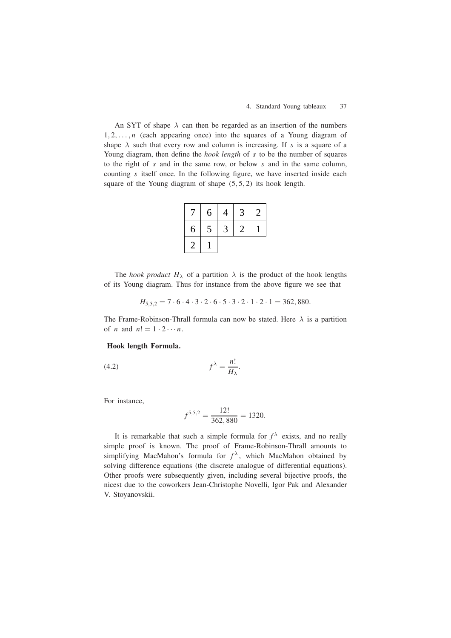An SYT of shape  $\lambda$  can then be regarded as an insertion of the numbers  $1, 2, \ldots, n$  (each appearing once) into the squares of a Young diagram of shape  $\lambda$  such that every row and column is increasing. If *s* is a square of a Young diagram, then define the *hook length* of *s* to be the number of squares to the right of *s* and in the same row, or below *s* and in the same column, counting *s* itself once. In the following figure, we have inserted inside each square of the Young diagram of shape  $(5, 5, 2)$  its hook length.

|              | 6 | 4 | 3 | $\mathbf{2}$ |
|--------------|---|---|---|--------------|
| 6            | 5 | 3 |   |              |
| $\mathcal Z$ |   |   |   |              |

The *hook product*  $H_{\lambda}$  of a partition  $\lambda$  is the product of the hook lengths of its Young diagram. Thus for instance from the above figure we see that

$$
H_{5,5,2} = 7 \cdot 6 \cdot 4 \cdot 3 \cdot 2 \cdot 6 \cdot 5 \cdot 3 \cdot 2 \cdot 1 \cdot 2 \cdot 1 = 362,880.
$$

The Frame-Robinson-Thrall formula can now be stated. Here  $\lambda$  is a partition of *n* and  $n! = 1 \cdot 2 \cdots n$ .

 $\frac{m}{H_{\lambda}}$ .

#### Hook length Formula.

 $(4.2)$  *f*  $\lambda = \frac{n!}{n!}$ 

For instance,

$$
f^{5,5,2} = \frac{12!}{362,880} = 1320.
$$

It is remarkable that such a simple formula for  $f^{\lambda}$  exists, and no really simple proof is known. The proof of Frame-Robinson-Thrall amounts to simplifying MacMahon's formula for  $f^{\lambda}$ , which MacMahon obtained by solving difference equations (the discrete analogue of differential equations). Other proofs were subsequently given, including several bijective proofs, the nicest due to the coworkers Jean-Christophe Novelli, Igor Pak and Alexander V. Stoyanovskii.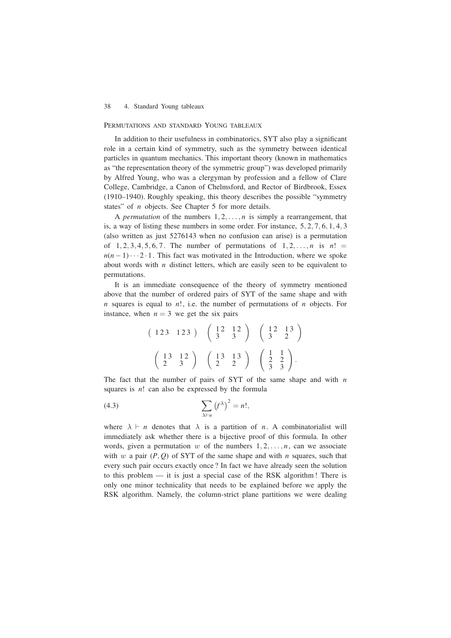### 38 4. Standard Young tableaux

### PERMUTATIONS AND STANDARD YOUNG TABLEAUX

In addition to their usefulness in combinatorics, SYT also play a significant role in a certain kind of symmetry, such as the symmetry between identical particles in quantum mechanics. This important theory (known in mathematics as "the representation theory of the symmetric group") was developed primarily by Alfred Young, who was a clergyman by profession and a fellow of Clare College, Cambridge, a Canon of Chelmsford, and Rector of Birdbrook, Essex (1910–1940). Roughly speaking, this theory describes the possible "symmetry states" of *n* objects. See Chapter 5 for more details.

A *permutation* of the numbers  $1, 2, \ldots, n$  is simply a rearrangement, that is, a way of listing these numbers in some order. For instance, 5, 2, 7, 6, 1, 4, 3 (also written as just 5276143 when no confusion can arise) is a permutation of  $1, 2, 3, 4, 5, 6, 7$ . The number of permutations of  $1, 2, ..., n$  is  $n! =$  $n(n-1)\cdots 2\cdot 1$ . This fact was motivated in the Introduction, where we spoke about words with *n* distinct letters, which are easily seen to be equivalent to permutations.

It is an immediate consequence of the theory of symmetry mentioned above that the number of ordered pairs of SYT of the same shape and with *n* squares is equal to *n*!, i.e. the number of permutations of *n* objects. For instance, when  $n = 3$  we get the six pairs

$$
\begin{pmatrix}\n123 & 123 \\
2 & 3\n\end{pmatrix}\n\begin{pmatrix}\n12 & 12 \\
3 & 3\n\end{pmatrix}\n\begin{pmatrix}\n12 & 13 \\
3 & 2\n\end{pmatrix}
$$
\n
$$
\begin{pmatrix}\n13 & 12 \\
2 & 3\n\end{pmatrix}\n\begin{pmatrix}\n13 & 13 \\
2 & 2\n\end{pmatrix}\n\begin{pmatrix}\n1 & 1 \\
2 & 2 \\
3 & 3\n\end{pmatrix}.
$$

The fact that the number of pairs of SYT of the same shape and with *n* squares is *n*! can also be expressed by the formula

$$
\sum_{\lambda \vdash n} (f^{\lambda})^2 = n!,
$$

where  $\lambda \vdash n$  denotes that  $\lambda$  is a partition of *n*. A combinatorialist will immediately ask whether there is a bijective proof of this formula. In other words, given a permutation w of the numbers  $1, 2, \ldots, n$ , can we associate with w a pair  $(P, Q)$  of SYT of the same shape and with *n* squares, such that every such pair occurs exactly once ? In fact we have already seen the solution to this problem — it is just a special case of the RSK algorithm ! There is only one minor technicality that needs to be explained before we apply the RSK algorithm. Namely, the column-strict plane partitions we were dealing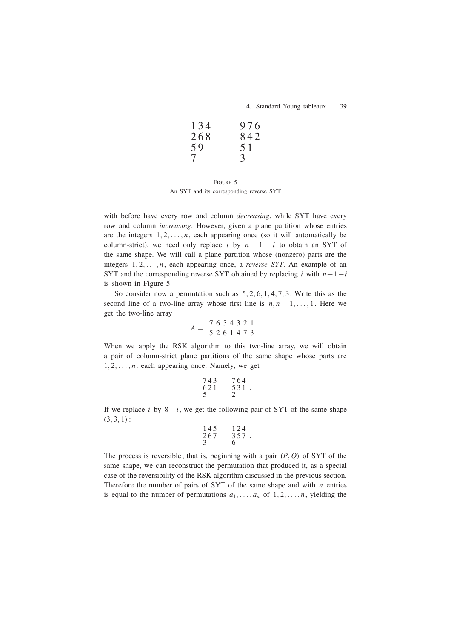| 134                 | 976 |
|---------------------|-----|
| 268                 | 842 |
| 59                  | 51  |
| $\overline{\gamma}$ | 3   |

FIGURE 5 An SYT and its corresponding reverse SYT

with before have every row and column *decreasing*, while SYT have every row and column *increasing*. However, given a plane partition whose entries are the integers  $1, 2, \ldots, n$ , each appearing once (so it will automatically be column-strict), we need only replace *i* by  $n + 1 - i$  to obtain an SYT of the same shape. We will call a plane partition whose (nonzero) parts are the integers 1, 2, . . . , *n*, each appearing once, a *reverse SYT*. An example of an SYT and the corresponding reverse SYT obtained by replacing *i* with  $n+1-i$ is shown in Figure 5.

So consider now a permutation such as  $5, 2, 6, 1, 4, 7, 3$ . Write this as the second line of a two-line array whose first line is  $n, n-1, \ldots, 1$ . Here we get the two-line array

$$
A = \begin{array}{c c c c c c c c c c c c c c} 7 & 6 & 5 & 4 & 3 & 2 & 1 \\ 5 & 2 & 6 & 1 & 4 & 7 & 3 \end{array}.
$$

When we apply the RSK algorithm to this two-line array, we will obtain a pair of column-strict plane partitions of the same shape whose parts are  $1, 2, \ldots, n$ , each appearing once. Namely, we get

| 743 | 764           |  |
|-----|---------------|--|
| 621 | 531           |  |
| 5   | $\mathcal{L}$ |  |

If we replace *i* by  $8-i$ , we get the following pair of SYT of the same shape  $(3, 3, 1)$ :

$$
\begin{array}{cc}\n145 & 124 \\
267 & 357 \\
3 & 6\n\end{array}
$$

.

The process is reversible; that is, beginning with a pair  $(P, Q)$  of SYT of the same shape, we can reconstruct the permutation that produced it, as a special case of the reversibility of the RSK algorithm discussed in the previous section. Therefore the number of pairs of SYT of the same shape and with *n* entries is equal to the number of permutations  $a_1, \ldots, a_n$  of  $1, 2, \ldots, n$ , yielding the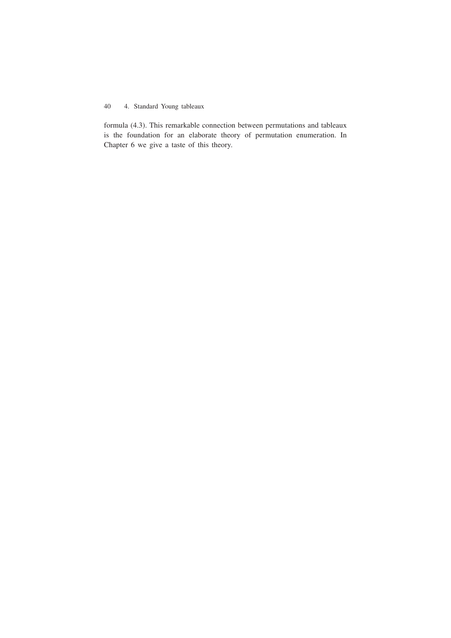## 40 4. Standard Young tableaux

formula (4.3). This remarkable connection between permutations and tableaux is the foundation for an elaborate theory of permutation enumeration. In Chapter 6 we give a taste of this theory.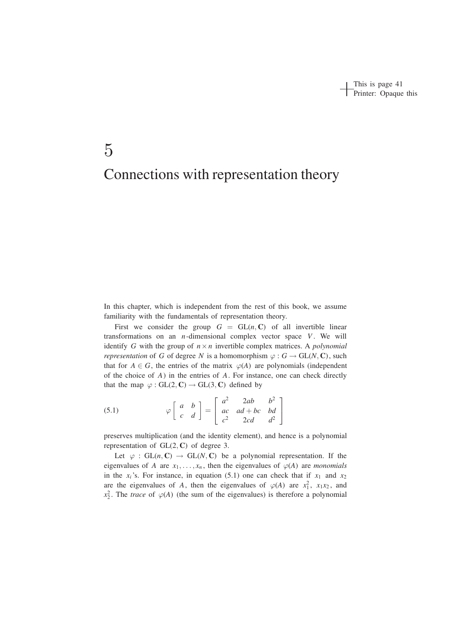This is page 41 Printer: Opaque this

# 5 Connections with representation theory

In this chapter, which is independent from the rest of this book, we assume familiarity with the fundamentals of representation theory.

First we consider the group  $G = GL(n, \mathbb{C})$  of all invertible linear transformations on an *n*-dimensional complex vector space *V*. We will identify *G* with the group of  $n \times n$  invertible complex matrices. A *polynomial representation* of *G* of degree *N* is a homomorphism  $\varphi$  :  $G \to GL(N, \mathbb{C})$ , such that for  $A \in G$ , the entries of the matrix  $\varphi(A)$  are polynomials (independent of the choice of *A*) in the entries of *A*. For instance, one can check directly that the map  $\varphi : GL(2, \mathbb{C}) \to GL(3, \mathbb{C})$  defined by

(5.1) 
$$
\varphi \left[ \begin{array}{cc} a & b \\ c & d \end{array} \right] = \left[ \begin{array}{cc} a^2 & 2ab & b^2 \\ ac & ad + bc & bd \\ c^2 & 2cd & d^2 \end{array} \right]
$$

preserves multiplication (and the identity element), and hence is a polynomial representation of  $GL(2, \mathbb{C})$  of degree 3.

Let  $\varphi$  : GL(*n*, **C**)  $\rightarrow$  GL(*N*, **C**) be a polynomial representation. If the eigenvalues of *A* are  $x_1, \ldots, x_n$ , then the eigenvalues of  $\varphi(A)$  are *monomials* in the  $x_i$ 's. For instance, in equation (5.1) one can check that if  $x_1$  and  $x_2$ are the eigenvalues of *A*, then the eigenvalues of  $\varphi(A)$  are  $x_1^2$ ,  $x_1x_2$ , and  $x_2^2$ . The *trace* of  $\varphi(A)$  (the sum of the eigenvalues) is therefore a polynomial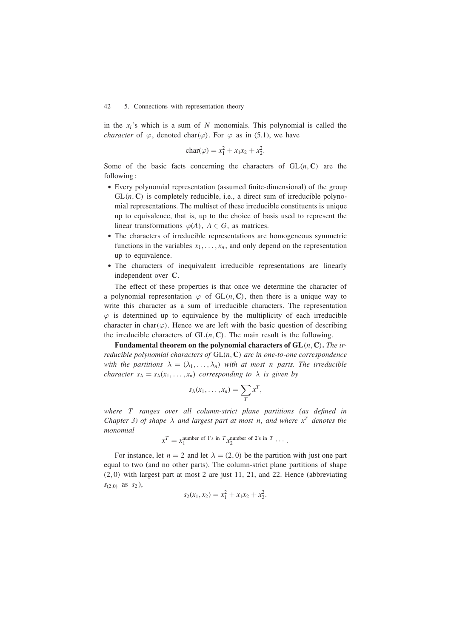## 42 5. Connections with representation theory

in the  $x_i$ 's which is a sum of  $N$  monomials. This polynomial is called the *character* of  $\varphi$ , denoted char $(\varphi)$ . For  $\varphi$  as in (5.1), we have

$$
char(\varphi) = x_1^2 + x_1x_2 + x_2^2.
$$

Some of the basic facts concerning the characters of  $GL(n, \mathbb{C})$  are the following :

- Every polynomial representation (assumed finite-dimensional) of the group  $GL(n, \mathbb{C})$  is completely reducible, i.e., a direct sum of irreducible polynomial representations. The multiset of these irreducible constituents is unique up to equivalence, that is, up to the choice of basis used to represent the linear transformations  $\varphi(A)$ ,  $A \in G$ , as matrices.
- The characters of irreducible representations are homogeneous symmetric functions in the variables  $x_1, \ldots, x_n$ , and only depend on the representation up to equivalence.
- The characters of inequivalent irreducible representations are linearly independent over C.

The effect of these properties is that once we determine the character of a polynomial representation  $\varphi$  of GL(*n*, **C**), then there is a unique way to write this character as a sum of irreducible characters. The representation  $\varphi$  is determined up to equivalence by the multiplicity of each irreducible character in char $(\varphi)$ . Hence we are left with the basic question of describing the irreducible characters of  $GL(n, \mathbb{C})$ . The main result is the following.

Fundamental theorem on the polynomial characters of GL(*n*, C). *The irreducible polynomial characters of* GL(*n*, C) *are in one-to-one correspondence with the partitions*  $\lambda = (\lambda_1, \dots, \lambda_n)$  *with at most n parts. The irreducible character*  $s_{\lambda} = s_{\lambda}(x_1, \ldots, x_n)$  *corresponding to*  $\lambda$  *is given by* 

$$
s_{\lambda}(x_1,\ldots,x_n)=\sum_{T}x^T,
$$

*where T ranges over all column-strict plane partitions (as defined in Chapter 3) of shape*  $\lambda$  *and largest part at most n, and where*  $x^T$  *denotes the monomial*

$$
x^T = x_1^{\text{number of 1's in }T} x_2^{\text{number of 2's in }T} \cdots
$$

For instance, let  $n = 2$  and let  $\lambda = (2, 0)$  be the partition with just one part equal to two (and no other parts). The column-strict plane partitions of shape (2, 0) with largest part at most 2 are just 11, 21, and 22. Hence (abbreviating *s*(2,0) as *s*<sup>2</sup> ),

$$
s_2(x_1, x_2) = x_1^2 + x_1 x_2 + x_2^2.
$$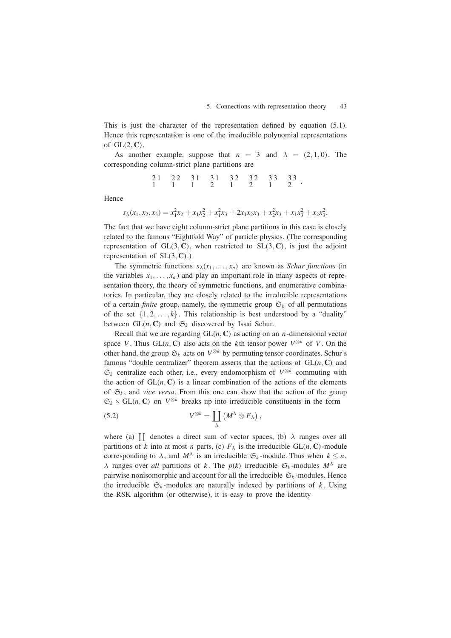This is just the character of the representation defined by equation (5.1). Hence this representation is one of the irreducible polynomial representations of  $GL(2, \mathbb{C})$ .

As another example, suppose that  $n = 3$  and  $\lambda = (2, 1, 0)$ . The corresponding column-strict plane partitions are

$$
\begin{array}{ccccccccc}2\,1 & 2\,2 & 3\,1 & 3\,1 & 3\,2 & 3\,2 & 3\,3 & 3\,3 \\1 & 1 & 1 & 2 & 1 & 2 & 1 & 2 \end{array}.
$$

Hence

$$
s_{\lambda}(x_1, x_2, x_3) = x_1^2 x_2 + x_1 x_2^2 + x_1^2 x_3 + 2x_1 x_2 x_3 + x_2^2 x_3 + x_1 x_3^2 + x_2 x_3^2.
$$

The fact that we have eight column-strict plane partitions in this case is closely related to the famous "Eightfold Way" of particle physics. (The corresponding representation of  $GL(3, \mathbb{C})$ , when restricted to  $SL(3, \mathbb{C})$ , is just the adjoint representation of  $SL(3, \mathbb{C})$ .)

The symmetric functions  $s_{\lambda}(x_1, \ldots, x_n)$  are known as *Schur functions* (in the variables  $x_1, \ldots, x_n$  and play an important role in many aspects of representation theory, the theory of symmetric functions, and enumerative combinatorics. In particular, they are closely related to the irreducible representations of a certain *finite* group, namely, the symmetric group  $\mathfrak{S}_k$  of all permutations of the set  $\{1, 2, \ldots, k\}$ . This relationship is best understood by a "duality" between  $GL(n, \mathbb{C})$  and  $\mathfrak{S}_k$  discovered by Issai Schur.

Recall that we are regarding  $GL(n, \mathbb{C})$  as acting on an *n*-dimensional vector space *V*. Thus  $GL(n, \mathbb{C})$  also acts on the *k*th tensor power  $V^{\otimes k}$  of *V*. On the other hand, the group  $\mathfrak{S}_k$  acts on  $V^{\otimes k}$  by permuting tensor coordinates. Schur's famous "double centralizer" theorem asserts that the actions of  $GL(n, \mathbb{C})$  and  $\mathfrak{S}_k$  centralize each other, i.e., every endomorphism of  $V^{\otimes k}$  commuting with the action of  $GL(n, \mathbb{C})$  is a linear combination of the actions of the elements of  $\mathfrak{S}_k$ , and *vice versa*. From this one can show that the action of the group  $\mathfrak{S}_k \times \text{GL}(n, \mathbb{C})$  on  $V^{\otimes k}$  breaks up into irreducible constituents in the form

(5.2) 
$$
V^{\otimes k} = \coprod_{\lambda} \left( M^{\lambda} \otimes F_{\lambda} \right),
$$

where (a)  $\coprod$  denotes a direct sum of vector spaces, (b)  $\lambda$  ranges over all partitions of *k* into at most *n* parts, (c)  $F_{\lambda}$  is the irreducible GL(*n*, **C**)-module corresponding to  $\lambda$ , and  $M^{\lambda}$  is an irreducible  $\mathfrak{S}_k$ -module. Thus when  $k \leq n$ ,  $\lambda$  ranges over *all* partitions of *k*. The *p*(*k*) irreducible  $\mathfrak{S}_k$ -modules  $M^{\lambda}$  are pairwise nonisomorphic and account for all the irreducible  $\mathfrak{S}_k$ -modules. Hence the irreducible  $\mathfrak{S}_k$ -modules are naturally indexed by partitions of *k*. Using the RSK algorithm (or otherwise), it is easy to prove the identity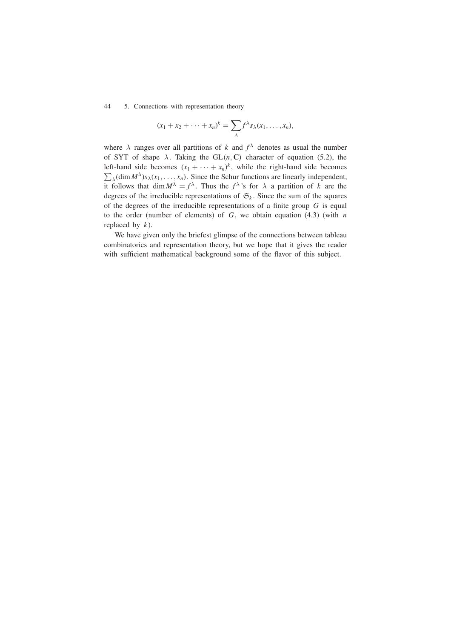44 5. Connections with representation theory

$$
(x_1 + x_2 + \cdots + x_n)^k = \sum_{\lambda} f^{\lambda} s_{\lambda} (x_1, \ldots, x_n),
$$

where  $\lambda$  ranges over all partitions of  $k$  and  $f^{\lambda}$  denotes as usual the number of SYT of shape  $\lambda$ . Taking the GL(*n*, C) character of equation (5.2), the left-hand side becomes  $(x_1 + \cdots + x_n)^k$ , while the right-hand side becomes  $\sum_{\lambda}$ (dim *M*<sup> $\lambda$ </sup>)*s*<sub> $\lambda$ </sub>(*x*<sub>1</sub>, . . . . *, x<sub>n</sub>*). Since the Schur functions are linearly independent, it follows that dim  $M^{\lambda} = f^{\lambda}$ . Thus the  $f^{\lambda}$ 's for  $\lambda$  a partition of *k* are the degrees of the irreducible representations of  $\mathfrak{S}_k$ . Since the sum of the squares of the degrees of the irreducible representations of a finite group *G* is equal to the order (number of elements) of *G*, we obtain equation (4.3) (with *n* replaced by  $k$ ).

We have given only the briefest glimpse of the connections between tableau combinatorics and representation theory, but we hope that it gives the reader with sufficient mathematical background some of the flavor of this subject.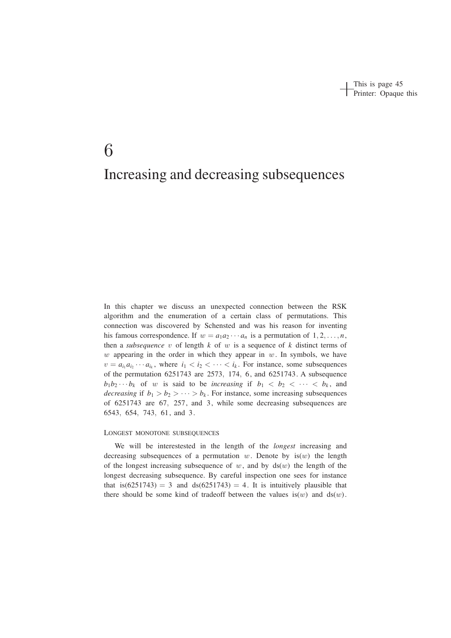This is page 45 Printer: Opaque this

# 6 Increasing and decreasing subsequences

In this chapter we discuss an unexpected connection between the RSK algorithm and the enumeration of a certain class of permutations. This connection was discovered by Schensted and was his reason for inventing his famous correspondence. If  $w = a_1 a_2 \cdots a_n$  is a permutation of  $1, 2, \ldots, n$ , then a *subsequence* v of length  $k$  of  $w$  is a sequence of  $k$  distinct terms of w appearing in the order in which they appear in  $w$ . In symbols, we have  $v = a_{i_1} a_{i_2} \cdots a_{i_k}$ , where  $i_1 < i_2 < \cdots < i_k$ . For instance, some subsequences of the permutation 6251743 are 2573, 174, 6, and 6251743. A subsequence  $b_1b_2\cdots b_k$  of w is said to be *increasing* if  $b_1 < b_2 < \cdots < b_k$ , and *decreasing* if  $b_1 > b_2 > \cdots > b_k$ . For instance, some increasing subsequences of 6251743 are 67, 257, and 3, while some decreasing subsequences are 6543, 654, 743, 61, and 3.

#### LONGEST MONOTONE SUBSEQUENCES

We will be interestested in the length of the *longest* increasing and decreasing subsequences of a permutation  $w$ . Denote by  $is(w)$  the length of the longest increasing subsequence of  $w$ , and by  $ds(w)$  the length of the longest decreasing subsequence. By careful inspection one sees for instance that is(6251743) = 3 and ds(6251743) = 4. It is intuitively plausible that there should be some kind of tradeoff between the values is(w) and  $ds(w)$ .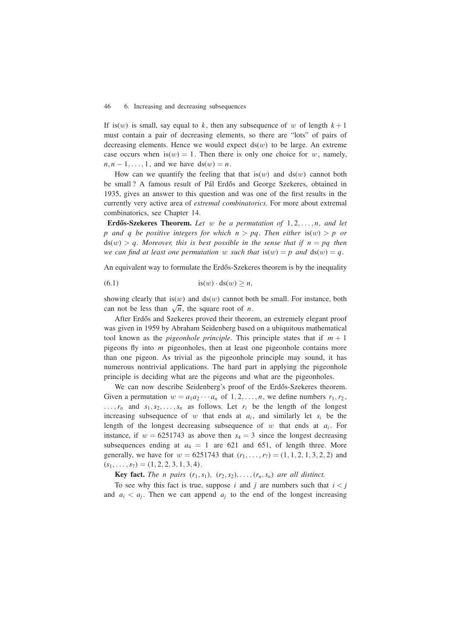### 46 6. Increasing and decreasing subsequences

If is(w) is small, say equal to k, then any subsequence of w of length  $k+1$ must contain a pair of decreasing elements, so there are "lots" of pairs of decreasing elements. Hence we would expect  $ds(w)$  to be large. An extreme case occurs when is(w) = 1. Then there is only one choice for w, namely,  $n, n-1, \ldots, 1$ , and we have  $ds(w) = n$ .

How can we quantify the feeling that that  $is(w)$  and  $ds(w)$  cannot both be small ? A famous result of Pál Erdős and George Szekeres, obtained in 1935, gives an answer to this question and was one of the first results in the currently very active area of *extremal combinatorics*. For more about extremal combinatorics, see Chapter 14.

Erdős-Szekeres Theorem. Let w be a permutation of 1,2, ..., *n, and let p* and *q* be positive integers for which  $n > pq$ . Then either  $is(w) > p$  or  $ds(w) > q$ . Moreover, this is best possible in the sense that if  $n = pq$  then *we can find at least one permutation* w *such that*  $is(w) = p$  *and*  $ds(w) = q$ .

An equivalent way to formulate the Erdős-Szekeres theorem is by the inequality

(6.1) is(w) · ds(w) ≥ *n*,

showing clearly that is(w) and  $ds(w)$  cannot both be small. For instance, both can not be less than  $\sqrt{n}$ , the square root of *n*.

After Erdős and Szekeres proved their theorem, an extremely elegant proof was given in 1959 by Abraham Seidenberg based on a ubiquitous mathematical tool known as the *pigeonhole principle*. This principle states that if  $m + 1$ pigeons fly into *m* pigeonholes, then at least one pigeonhole contains more than one pigeon. As trivial as the pigeonhole principle may sound, it has numerous nontrivial applications. The hard part in applying the pigeonhole principle is deciding what are the pigeons and what are the pigeonholes.

We can now describe Seidenberg's proof of the Erdős-Szekeres theorem. Given a permutation  $w = a_1 a_2 \cdots a_n$  of  $1, 2, \ldots, n$ , we define numbers  $r_1, r_2$ ,  $\ldots$ ,  $r_n$  and  $s_1, s_2, \ldots, s_n$  as follows. Let  $r_i$  be the length of the longest increasing subsequence of  $w$  that ends at  $a_i$ , and similarly let  $s_i$  be the length of the longest decreasing subsequence of w that ends at *a<sup>i</sup>* . For instance, if  $w = 6251743$  as above then  $s_4 = 3$  since the longest decreasing subsequences ending at  $a_4 = 1$  are 621 and 651, of length three. More generally, we have for  $w = 6251743$  that  $(r_1, \ldots, r_7) = (1, 1, 2, 1, 3, 2, 2)$  and  $(s_1, \ldots, s_7) = (1, 2, 2, 3, 1, 3, 4).$ 

**Key fact.** The *n* pairs  $(r_1, s_1)$ ,  $(r_2, s_2)$ , ...,  $(r_n, s_n)$  are all distinct.

To see why this fact is true, suppose *i* and *j* are numbers such that  $i < j$ and  $a_i < a_j$ . Then we can append  $a_j$  to the end of the longest increasing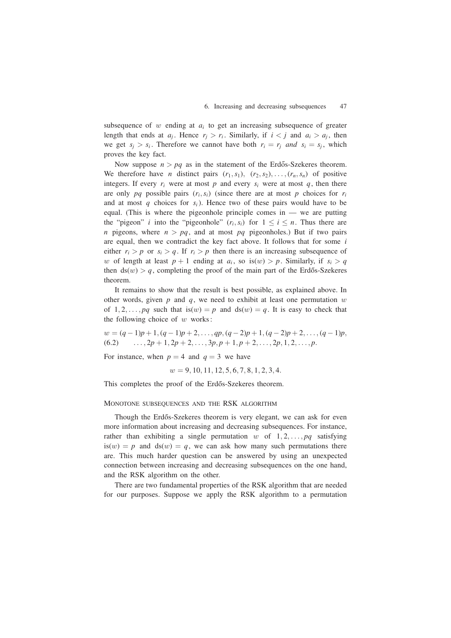subsequence of  $w$  ending at  $a_i$  to get an increasing subsequence of greater length that ends at  $a_j$ . Hence  $r_j > r_i$ . Similarly, if  $i < j$  and  $a_i > a_j$ , then we get  $s_j > s_i$ . Therefore we cannot have both  $r_i = r_j$  *and*  $s_i = s_j$ , which proves the key fact.

Now suppose  $n > pq$  as in the statement of the Erdős-Szekeres theorem. We therefore have *n* distinct pairs  $(r_1, s_1)$ ,  $(r_2, s_2)$ , ...,  $(r_n, s_n)$  of positive integers. If every  $r_i$  were at most  $p$  and every  $s_i$  were at most  $q$ , then there are only  $pq$  possible pairs  $(r_i, s_i)$  (since there are at most  $p$  choices for  $r_i$ and at most  $q$  choices for  $s_i$ ). Hence two of these pairs would have to be equal. (This is where the pigeonhole principle comes in  $-$  we are putting the "pigeon" *i* into the "pigeonhole"  $(r_i, s_i)$  for  $1 \le i \le n$ . Thus there are *n* pigeons, where  $n > pq$ , and at most  $pq$  pigeonholes.) But if two pairs are equal, then we contradict the key fact above. It follows that for some *i* either  $r_i > p$  or  $s_i > q$ . If  $r_i > p$  then there is an increasing subsequence of w of length at least  $p + 1$  ending at  $a_i$ , so is(w) > p. Similarly, if  $s_i > q$ then  $ds(w) > q$ , completing the proof of the main part of the Erdős-Szekeres theorem.

It remains to show that the result is best possible, as explained above. In other words, given  $p$  and  $q$ , we need to exhibit at least one permutation  $w$ of 1, 2, ..., pq such that is(w) = p and  $ds(w) = q$ . It is easy to check that the following choice of  $w$  works:

 $w = (q - 1)p + 1$ ,  $(q - 1)p + 2$ , ...,  $qp$ ,  $(q - 2)p + 1$ ,  $(q - 2)p + 2$ , ...,  $(q - 1)p$ ,<br>(6.2) ...,  $2p + 1$ ,  $2p + 2$ , ...,  $3p$ ,  $p + 1$ ,  $p + 2$ , ...,  $2p$ , 1, 2, ..., p.  $(6, 2p+1, 2p+2, \ldots, 3p, p+1, p+2, \ldots, 2p, 1, 2, \ldots, p).$ 

For instance, when  $p = 4$  and  $q = 3$  we have

$$
w = 9, 10, 11, 12, 5, 6, 7, 8, 1, 2, 3, 4.
$$

This completes the proof of the Erdős-Szekeres theorem.

#### MONOTONE SUBSEQUENCES AND THE RSK ALGORITHM

Though the Erdős-Szekeres theorem is very elegant, we can ask for even more information about increasing and decreasing subsequences. For instance, rather than exhibiting a single permutation w of  $1, 2, \ldots, pq$  satisfying  $is(w) = p$  and  $ds(w) = q$ , we can ask how many such permutations there are. This much harder question can be answered by using an unexpected connection between increasing and decreasing subsequences on the one hand, and the RSK algorithm on the other.

There are two fundamental properties of the RSK algorithm that are needed for our purposes. Suppose we apply the RSK algorithm to a permutation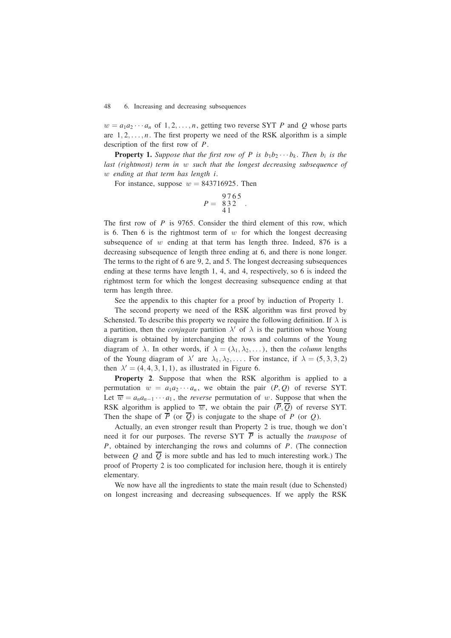### 48 6. Increasing and decreasing subsequences

 $w = a_1 a_2 \cdots a_n$  of 1, 2, ..., *n*, getting two reverse SYT *P* and *Q* whose parts are  $1, 2, \ldots, n$ . The first property we need of the RSK algorithm is a simple description of the first row of *P*.

**Property 1.** *Suppose that the first row of P is*  $b_1b_2 \cdots b_k$ *. Then*  $b_i$  *is the last (rightmost) term in* w *such that the longest decreasing subsequence of* w *ending at that term has length i.*

For instance, suppose  $w = 843716925$ . Then

$$
P = \begin{array}{c} 9765 \\ 832 \\ 41 \end{array}.
$$

The first row of *P* is 9765. Consider the third element of this row, which is 6. Then 6 is the rightmost term of  $w$  for which the longest decreasing subsequence of  $w$  ending at that term has length three. Indeed, 876 is a decreasing subsequence of length three ending at 6, and there is none longer. The terms to the right of 6 are 9, 2, and 5. The longest decreasing subsequences ending at these terms have length 1, 4, and 4, respectively, so 6 is indeed the rightmost term for which the longest decreasing subsequence ending at that term has length three.

See the appendix to this chapter for a proof by induction of Property 1.

The second property we need of the RSK algorithm was first proved by Schensted. To describe this property we require the following definition. If  $\lambda$  is a partition, then the *conjugate* partition  $\lambda'$  of  $\lambda$  is the partition whose Young diagram is obtained by interchanging the rows and columns of the Young diagram of  $\lambda$ . In other words, if  $\lambda = (\lambda_1, \lambda_2, \dots)$ , then the *column* lengths of the Young diagram of  $\lambda'$  are  $\lambda_1, \lambda_2, \ldots$ . For instance, if  $\lambda = (5, 3, 3, 2)$ then  $\lambda' = (4, 4, 3, 1, 1)$ , as illustrated in Figure 6.

Property 2. Suppose that when the RSK algorithm is applied to a permutation  $w = a_1 a_2 \cdots a_n$ , we obtain the pair  $(P, Q)$  of reverse SYT. Let  $\overline{w} = a_n a_{n-1} \cdots a_1$ , the *reverse* permutation of w. Suppose that when the RSK algorithm is applied to  $\overline{w}$ , we obtain the pair  $(\overline{P}, \overline{Q})$  of reverse SYT. Then the shape of  $\overline{P}$  (or  $\overline{Q}$ ) is conjugate to the shape of *P* (or *Q*).

Actually, an even stronger result than Property 2 is true, though we don't need it for our purposes. The reverse SYT  $\overline{P}$  is actually the *transpose* of *P*, obtained by interchanging the rows and columns of *P*. (The connection between *Q* and  $\overline{Q}$  is more subtle and has led to much interesting work.) The proof of Property 2 is too complicated for inclusion here, though it is entirely elementary.

We now have all the ingredients to state the main result (due to Schensted) on longest increasing and decreasing subsequences. If we apply the RSK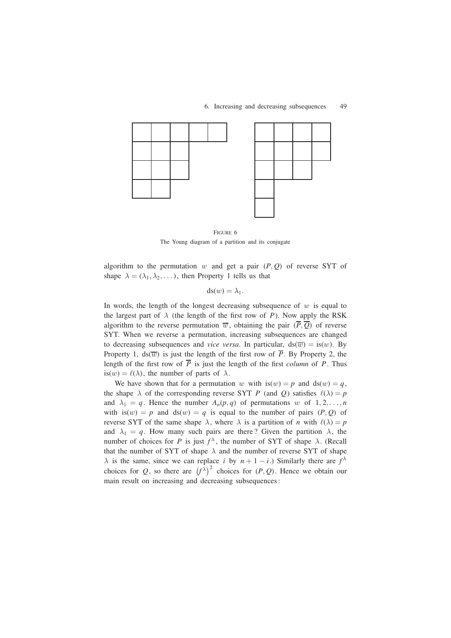

FIGURE 6 The Young diagram of a partition and its conjugate

algorithm to the permutation w and get a pair  $(P, Q)$  of reverse SYT of shape  $\lambda = (\lambda_1, \lambda_2, \dots)$ , then Property 1 tells us that

 $ds(w) = \lambda_1$ .

In words, the length of the longest decreasing subsequence of  $w$  is equal to the largest part of  $\lambda$  (the length of the first row of *P*). Now apply the RSK algorithm to the reverse permutation  $\overline{w}$ , obtaining the pair  $(\overline{P}, \overline{Q})$  of reverse SYT. When we reverse a permutation, increasing subsequences are changed to decreasing subsequences and *vice versa*. In particular,  $ds(\overline{w}) = is(w)$ . By Property 1,  $ds(\overline{w})$  is just the length of the first row of  $\overline{P}$ . By Property 2, the length of the first row of  $\overline{P}$  is just the length of the first *column* of *P*. Thus is(w) =  $\ell(\lambda)$ , the number of parts of  $\lambda$ .

We have shown that for a permutation w with  $is(w) = p$  and  $ds(w) = q$ , the shape  $\lambda$  of the corresponding reverse SYT *P* (and *Q*) satisfies  $\ell(\lambda) = p$ and  $\lambda_1 = q$ . Hence the number  $A_n(p,q)$  of permutations w of  $1, 2, ..., n$ with  $is(w) = p$  and  $ds(w) = q$  is equal to the number of pairs  $(P, Q)$  of reverse SYT of the same shape  $\lambda$ , where  $\lambda$  is a partition of *n* with  $\ell(\lambda) = p$ and  $\lambda_1 = q$ . How many such pairs are there? Given the partition  $\lambda$ , the number of choices for *P* is just  $f^{\lambda}$ , the number of SYT of shape  $\lambda$ . (Recall that the number of SYT of shape  $\lambda$  and the number of reverse SYT of shape  $\lambda$  is the same, since we can replace *i* by  $n + 1 - i$ .) Similarly there are  $f^{\lambda}$ choices for *Q*, so there are  $(f^{\lambda})^2$  choices for  $(P, Q)$ . Hence we obtain our main result on increasing and decreasing subsequences :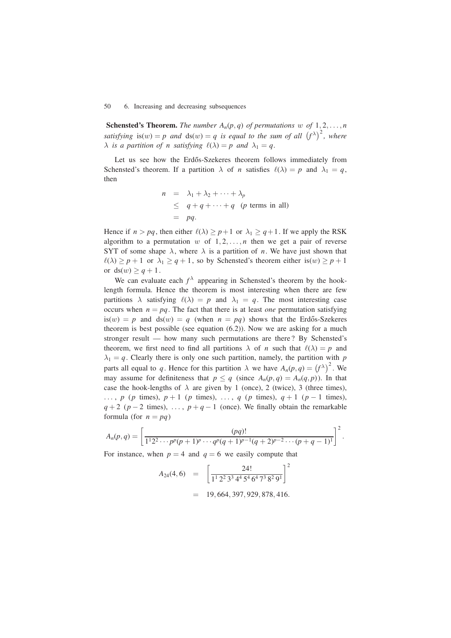### 50 6. Increasing and decreasing subsequences

**Schensted's Theorem.** *The number*  $A_n(p,q)$  *of permutations* w *of*  $1, 2, ..., n$ *satisfying*  $is(w) = p$  *and*  $ds(w) = q$  *is equal to the sum of all*  $(f^{\lambda})^2$ *, where*  $\lambda$  *is a partition of n satisfying*  $\ell(\lambda) = p$  *and*  $\lambda_1 = q$ .

Let us see how the Erdős-Szekeres theorem follows immediately from Schensted's theorem. If a partition  $\lambda$  of *n* satisfies  $\ell(\lambda) = p$  and  $\lambda_1 = q$ , then

$$
n = \lambda_1 + \lambda_2 + \dots + \lambda_p
$$
  
\n
$$
\leq q + q + \dots + q \quad (p \text{ terms in all})
$$
  
\n
$$
= pq.
$$

Hence if  $n > pq$ , then either  $\ell(\lambda) \geq p+1$  or  $\lambda_1 \geq q+1$ . If we apply the RSK algorithm to a permutation w of  $1, 2, \ldots, n$  then we get a pair of reverse SYT of some shape  $\lambda$ , where  $\lambda$  is a partition of *n*. We have just shown that  $\ell(\lambda) \geq p+1$  or  $\lambda_1 \geq q+1$ , so by Schensted's theorem either is(w)  $\geq p+1$ or  $ds(w) > q + 1$ .

We can evaluate each  $f^{\lambda}$  appearing in Schensted's theorem by the hooklength formula. Hence the theorem is most interesting when there are few partitions  $\lambda$  satisfying  $\ell(\lambda) = p$  and  $\lambda_1 = q$ . The most interesting case occurs when  $n = pq$ . The fact that there is at least *one* permutation satisfying is(w) = *p* and ds(w) = *q* (when  $n = pq$ ) shows that the Erdős-Szekeres theorem is best possible (see equation  $(6.2)$ ). Now we are asking for a much stronger result — how many such permutations are there ? By Schensted's theorem, we first need to find all partitions  $\lambda$  of *n* such that  $\ell(\lambda) = p$  and  $\lambda_1 = q$ . Clearly there is only one such partition, namely, the partition with *p* parts all equal to *q*. Hence for this partition  $\lambda$  we have  $A_n(p,q) = (f^{\lambda})^2$ . We may assume for definiteness that  $p \le q$  (since  $A_n(p,q) = A_n(q,p)$ ). In that case the hook-lengths of  $\lambda$  are given by 1 (once), 2 (twice), 3 (three times), . . . , *<sup>p</sup>* (*<sup>p</sup>* times), *<sup>p</sup>* <sup>+</sup> 1 (*<sup>p</sup>* times), . . . , *<sup>q</sup>* (*<sup>p</sup>* times), *<sup>q</sup>* <sup>+</sup> 1 (*<sup>p</sup>* <sup>−</sup> 1 times), *q* + 2 (*p* − 2 times), ..., *p* + *q* − 1 (once). We finally obtain the remarkable formula (for  $n = pq$ )

$$
A_n(p,q) = \left[\frac{(pq)!}{1!2^2\cdots p^p(p+1)^p\cdots q^p(q+1)^{p-1}(q+2)^{p-2}\cdots (p+q-1)^1}\right]^2
$$

.

For instance, when  $p = 4$  and  $q = 6$  we easily compute that

$$
A_{24}(4,6) = \left[\frac{24!}{1^1 2^2 3^3 4^4 5^4 6^4 7^3 8^2 9^1}\right]^2
$$
  
= 19,664,397,929,878,416.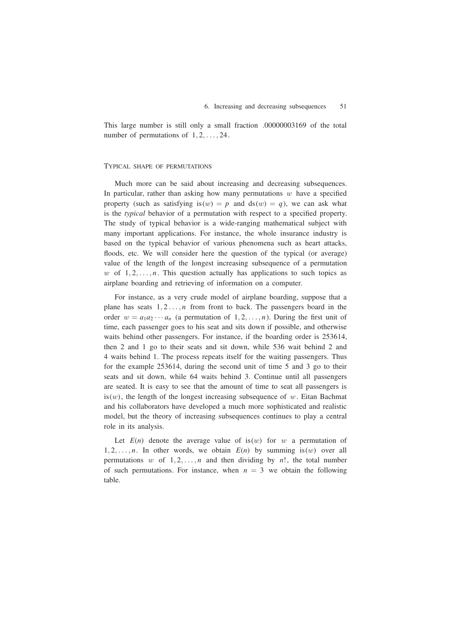This large number is still only a small fraction .00000003169 of the total number of permutations of  $1, 2, \ldots, 24$ .

#### TYPICAL SHAPE OF PERMUTATIONS

Much more can be said about increasing and decreasing subsequences. In particular, rather than asking how many permutations  $w$  have a specified property (such as satisfying  $is(w) = p$  and  $ds(w) = q$ ), we can ask what is the *typical* behavior of a permutation with respect to a specified property. The study of typical behavior is a wide-ranging mathematical subject with many important applications. For instance, the whole insurance industry is based on the typical behavior of various phenomena such as heart attacks, floods, etc. We will consider here the question of the typical (or average) value of the length of the longest increasing subsequence of a permutation w of  $1, 2, \ldots, n$ . This question actually has applications to such topics as airplane boarding and retrieving of information on a computer.

For instance, as a very crude model of airplane boarding, suppose that a plane has seats  $1, 2, \ldots, n$  from front to back. The passengers board in the order  $w = a_1 a_2 \cdots a_n$  (a permutation of  $1, 2, \ldots, n$ ). During the first unit of time, each passenger goes to his seat and sits down if possible, and otherwise waits behind other passengers. For instance, if the boarding order is 253614, then 2 and 1 go to their seats and sit down, while 536 wait behind 2 and 4 waits behind 1. The process repeats itself for the waiting passengers. Thus for the example 253614, during the second unit of time 5 and 3 go to their seats and sit down, while 64 waits behind 3. Continue until all passengers are seated. It is easy to see that the amount of time to seat all passengers is  $is(w)$ , the length of the longest increasing subsequence of w. Eitan Bachmat and his collaborators have developed a much more sophisticated and realistic model, but the theory of increasing subsequences continues to play a central role in its analysis.

Let  $E(n)$  denote the average value of is  $(w)$  for w a permutation of 1, 2, ..., *n*. In other words, we obtain  $E(n)$  by summing is (w) over all permutations w of  $1, 2, \ldots, n$  and then dividing by  $n!$ , the total number of such permutations. For instance, when  $n = 3$  we obtain the following table.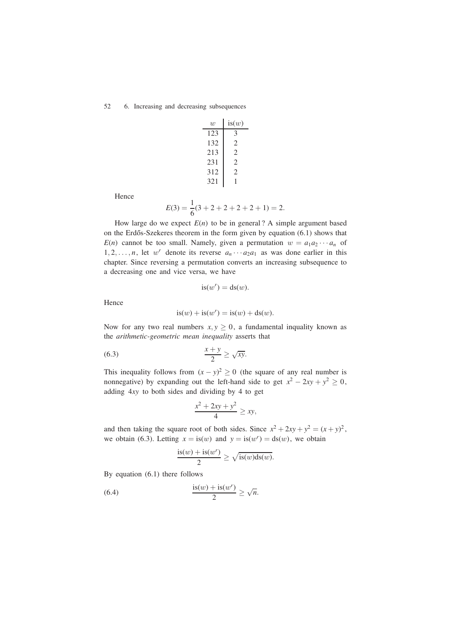52 6. Increasing and decreasing subsequences

| $\overline{w}$ | is(w)          |
|----------------|----------------|
| 123            | 3              |
| 132            | 2              |
| 213            | $\mathfrak{D}$ |
| 231            | $\mathfrak{D}$ |
| 312            | 2              |
| 321            |                |

Hence

$$
E(3) = \frac{1}{6}(3 + 2 + 2 + 2 + 2 + 1) = 2.
$$

How large do we expect  $E(n)$  to be in general ? A simple argument based on the Erdős-Szekeres theorem in the form given by equation  $(6.1)$  shows that *E*(*n*) cannot be too small. Namely, given a permutation  $w = a_1 a_2 \cdots a_n$  of 1, 2, ..., *n*, let w<sup>*r*</sup> denote its reverse  $a_n \cdots a_2 a_1$  as was done earlier in this chapter. Since reversing a permutation converts an increasing subsequence to a decreasing one and vice versa, we have

$$
is(w^r) = ds(w).
$$

Hence

$$
is(w) + is(wr) = is(w) + ds(w).
$$

Now for any two real numbers  $x, y \geq 0$ , a fundamental inquality known as the *arithmetic-geometric mean inequality* asserts that

$$
\frac{x+y}{2} \ge \sqrt{xy}.
$$

This inequality follows from  $(x - y)^2 \ge 0$  (the square of any real number is nonnegative) by expanding out the left-hand side to get  $x^2 - 2xy + y^2 \ge 0$ , adding 4*xy* to both sides and dividing by 4 to get

$$
\frac{x^2 + 2xy + y^2}{4} \ge xy,
$$

and then taking the square root of both sides. Since  $x^2 + 2xy + y^2 = (x + y)^2$ , we obtain (6.3). Letting  $x = is(w)$  and  $y = is(w^r) = ds(w)$ , we obtain

$$
\frac{\operatorname{is}(w) + \operatorname{is}(w^r)}{2} \ge \sqrt{\operatorname{is}(w)\operatorname{ds}(w)}.
$$

By equation (6.1) there follows

(6.4) 
$$
\frac{\operatorname{is}(w) + \operatorname{is}(w^r)}{2} \ge \sqrt{n}.
$$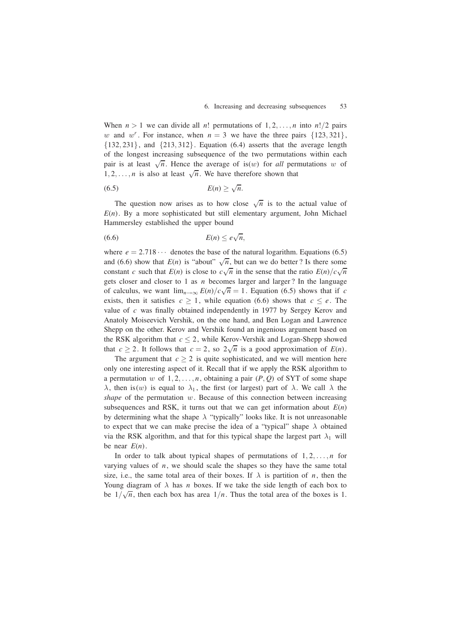When  $n > 1$  we can divide all *n*! permutations of  $1, 2, \ldots, n$  into  $n!/2$  pairs w and w<sup>r</sup>. For instance, when  $n = 3$  we have the three pairs  $\{123, 321\}$ ,  $\{132, 231\}$ , and  $\{213, 312\}$ . Equation (6.4) asserts that the average length of the longest increasing subsequence of the two permutations within each pair is at least  $\sqrt{n}$ . Hence the average of is(w) for *all* permutations w of  $1, 2, \ldots, n$  is also at least  $\sqrt{n}$ . We have therefore shown that

$$
(6.5) \t\t\t E(n) \ge \sqrt{n}.
$$

The question now arises as to how close  $\sqrt{n}$  is to the actual value of  $E(n)$ . By a more sophisticated but still elementary argument, John Michael Hammersley established the upper bound

$$
(6.6) \t\t\t E(n) \le e\sqrt{n},
$$

where  $e = 2.718 \cdots$  denotes the base of the natural logarithm. Equations (6.5) and (6.6) show that  $E(n)$  is "about"  $\sqrt{n}$ , but can we do better ? Is there some constant *c* such that  $E(n)$  is close to  $c\sqrt{n}$  in the sense that the ratio  $E(n)/c\sqrt{n}$ gets closer and closer to 1 as *n* becomes larger and larger ? In the language of calculus, we want  $\lim_{n\to\infty} E(n)/c\sqrt{n} = 1$ . Equation (6.5) shows that if *c* exists, then it satisfies  $c \ge 1$ , while equation (6.6) shows that  $c \le e$ . The value of *c* was finally obtained independently in 1977 by Sergey Kerov and Anatoly Moiseevich Vershik, on the one hand, and Ben Logan and Lawrence Shepp on the other. Kerov and Vershik found an ingenious argument based on the RSK algorithm that  $c \leq 2$ , while Kerov-Vershik and Logan-Shepp showed that  $c \ge 2$ . It follows that  $c = 2$ , so  $2\sqrt{n}$  is a good approximation of  $E(n)$ .

The argument that  $c \geq 2$  is quite sophisticated, and we will mention here only one interesting aspect of it. Recall that if we apply the RSK algorithm to a permutation w of  $1, 2, \ldots, n$ , obtaining a pair  $(P, O)$  of SYT of some shape  $\lambda$ , then is (w) is equal to  $\lambda_1$ , the first (or largest) part of  $\lambda$ . We call  $\lambda$  the *shape* of the permutation  $w$ . Because of this connection between increasing subsequences and RSK, it turns out that we can get information about  $E(n)$ by determining what the shape  $\lambda$  "typically" looks like. It is not unreasonable to expect that we can make precise the idea of a "typical" shape  $\lambda$  obtained via the RSK algorithm, and that for this typical shape the largest part  $\lambda_1$  will be near  $E(n)$ .

In order to talk about typical shapes of permutations of  $1, 2, \ldots, n$  for varying values of *n*, we should scale the shapes so they have the same total size, i.e., the same total area of their boxes. If  $\lambda$  is partition of *n*, then the Young diagram of  $\lambda$  has *n* boxes. If we take the side length of each box to be  $1/\sqrt{n}$ , then each box has area  $1/n$ . Thus the total area of the boxes is 1.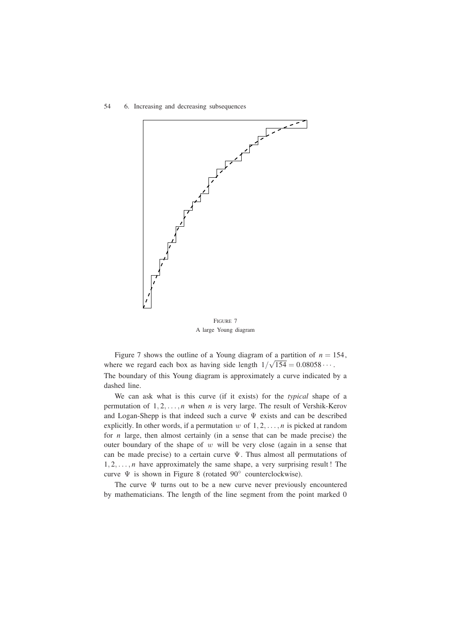#### 54 6. Increasing and decreasing subsequences



FIGURE 7 A large Young diagram

Figure 7 shows the outline of a Young diagram of a partition of  $n = 154$ , where we regard each box as having side length  $1/\sqrt{154} = 0.08058 \cdots$ . The boundary of this Young diagram is approximately a curve indicated by a dashed line.

We can ask what is this curve (if it exists) for the *typical* shape of a permutation of  $1, 2, \ldots, n$  when *n* is very large. The result of Vershik-Kerov and Logan-Shepp is that indeed such a curve  $\Psi$  exists and can be described explicitly. In other words, if a permutation w of  $1, 2, \ldots, n$  is picked at random for *n* large, then almost certainly (in a sense that can be made precise) the outer boundary of the shape of  $w$  will be very close (again in a sense that can be made precise) to a certain curve  $\Psi$ . Thus almost all permutations of  $1, 2, \ldots, n$  have approximately the same shape, a very surprising result! The curve  $\Psi$  is shown in Figure 8 (rotated 90 $^{\circ}$  counterclockwise).

The curve  $\Psi$  turns out to be a new curve never previously encountered by mathematicians. The length of the line segment from the point marked 0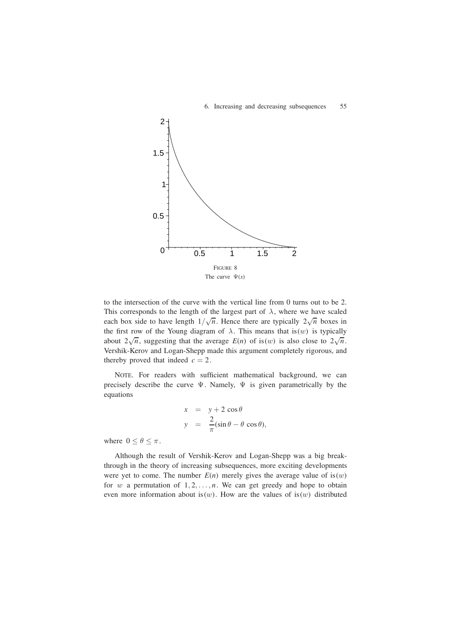

to the intersection of the curve with the vertical line from 0 turns out to be 2. This corresponds to the length of the largest part of  $\lambda$ , where we have scaled each box side to have length  $1/\sqrt{n}$ . Hence there are typically  $2\sqrt{n}$  boxes in the first row of the Young diagram of  $\lambda$ . This means that is (w) is typically about  $2\sqrt{n}$ , suggesting that the average  $E(n)$  of is (w) is also close to  $2\sqrt{n}$ . Vershik-Kerov and Logan-Shepp made this argument completely rigorous, and thereby proved that indeed  $c = 2$ .

NOTE. For readers with sufficient mathematical background, we can precisely describe the curve  $\Psi$ . Namely,  $\Psi$  is given parametrically by the equations

$$
x = y + 2 \cos \theta
$$
  

$$
y = \frac{2}{\pi} (\sin \theta - \theta \cos \theta),
$$

where  $0 \le \theta \le \pi$ .

Although the result of Vershik-Kerov and Logan-Shepp was a big breakthrough in the theory of increasing subsequences, more exciting developments were yet to come. The number  $E(n)$  merely gives the average value of is  $(w)$ for w a permutation of  $1, 2, \ldots, n$ . We can get greedy and hope to obtain even more information about is  $(w)$ . How are the values of is  $(w)$  distributed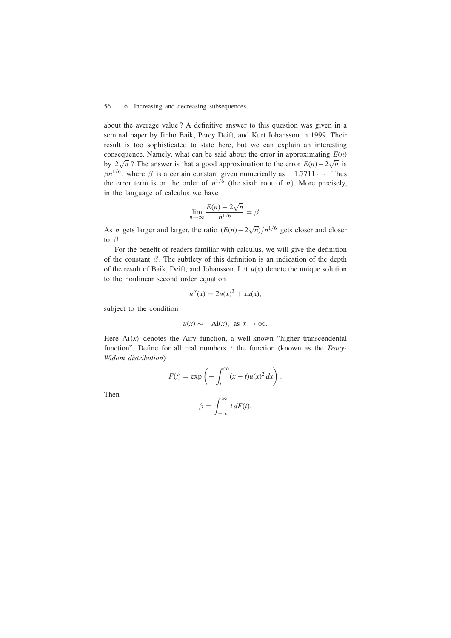### 56 6. Increasing and decreasing subsequences

about the average value ? A definitive answer to this question was given in a seminal paper by Jinho Baik, Percy Deift, and Kurt Johansson in 1999. Their result is too sophisticated to state here, but we can explain an interesting consequence. Namely, what can be said about the error in approximating  $E(n)$ by  $2\sqrt{n}$ ? The answer is that a good approximation to the error  $E(n) - 2\sqrt{n}$  is  $\beta n^{1/6}$ , where  $\beta$  is a certain constant given numerically as  $-1.7711 \cdots$ . Thus the error term is on the order of  $n^{1/6}$  (the sixth root of *n*). More precisely, in the language of calculus we have

$$
\lim_{n \to \infty} \frac{E(n) - 2\sqrt{n}}{n^{1/6}} = \beta.
$$

As *n* gets larger and larger, the ratio  $(E(n) - 2\sqrt{n})/n^{1/6}$  gets closer and closer to  $\beta$ .

For the benefit of readers familiar with calculus, we will give the definition of the constant  $\beta$ . The subtlety of this definition is an indication of the depth of the result of Baik, Deift, and Johansson. Let  $u(x)$  denote the unique solution to the nonlinear second order equation

$$
u''(x) = 2u(x)^3 + xu(x),
$$

subject to the condition

$$
u(x) \sim -Ai(x), \text{ as } x \to \infty.
$$

Here  $Ai(x)$  denotes the Airy function, a well-known "higher transcendental" function". Define for all real numbers *t* the function (known as the *Tracy-Widom distribution*)

$$
F(t) = \exp\left(-\int_t^\infty (x-t)u(x)^2 dx\right)
$$

.

Then

$$
\beta = \int_{-\infty}^{\infty} t \, dF(t).
$$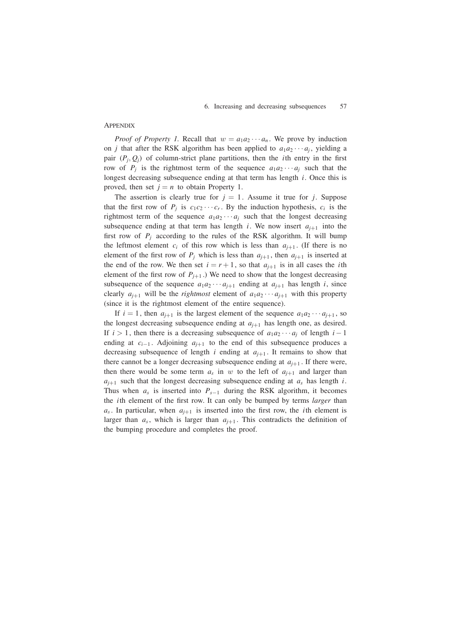## **APPENDIX**

*Proof of Property 1.* Recall that  $w = a_1 a_2 \cdots a_n$ . We prove by induction on *j* that after the RSK algorithm has been applied to  $a_1 a_2 \cdots a_j$ , yielding a pair  $(P_j, Q_j)$  of column-strict plane partitions, then the *i*th entry in the first row of  $P_j$  is the rightmost term of the sequence  $a_1 a_2 \cdots a_j$  such that the longest decreasing subsequence ending at that term has length *i*. Once this is proved, then set  $j = n$  to obtain Property 1.

The assertion is clearly true for  $j = 1$ . Assume it true for *j*. Suppose that the first row of  $P_j$  is  $c_1c_2 \cdots c_r$ . By the induction hypothesis,  $c_i$  is the rightmost term of the sequence  $a_1a_2 \cdots a_j$  such that the longest decreasing subsequence ending at that term has length *i*. We now insert  $a_{i+1}$  into the first row of  $P_i$  according to the rules of the RSK algorithm. It will bump the leftmost element  $c_i$  of this row which is less than  $a_{i+1}$ . (If there is no element of the first row of  $P_j$  which is less than  $a_{i+1}$ , then  $a_{i+1}$  is inserted at the end of the row. We then set  $i = r + 1$ , so that  $a_{i+1}$  is in all cases the *i*th element of the first row of  $P_{i+1}$ .) We need to show that the longest decreasing subsequence of the sequence  $a_1 a_2 \cdots a_{i+1}$  ending at  $a_{i+1}$  has length *i*, since clearly  $a_{i+1}$  will be the *rightmost* element of  $a_1 a_2 \cdots a_{i+1}$  with this property (since it is the rightmost element of the entire sequence).

If  $i = 1$ , then  $a_{i+1}$  is the largest element of the sequence  $a_1 a_2 \cdots a_{i+1}$ , so the longest decreasing subsequence ending at  $a_{j+1}$  has length one, as desired. If  $i > 1$ , then there is a decreasing subsequence of  $a_1 a_2 \cdots a_j$  of length  $i - 1$ ending at  $c_{i-1}$ . Adjoining  $a_{i+1}$  to the end of this subsequence produces a decreasing subsequence of length  $i$  ending at  $a_{i+1}$ . It remains to show that there cannot be a longer decreasing subsequence ending at  $a_{i+1}$ . If there were, then there would be some term  $a_s$  in w to the left of  $a_{j+1}$  and larger than  $a_{i+1}$  such that the longest decreasing subsequence ending at  $a_s$  has length *i*. Thus when  $a_s$  is inserted into  $P_{s-1}$  during the RSK algorithm, it becomes the *i*th element of the first row. It can only be bumped by terms *larger* than  $a_s$ . In particular, when  $a_{j+1}$  is inserted into the first row, the *i*th element is larger than  $a_s$ , which is larger than  $a_{j+1}$ . This contradicts the definition of the bumping procedure and completes the proof.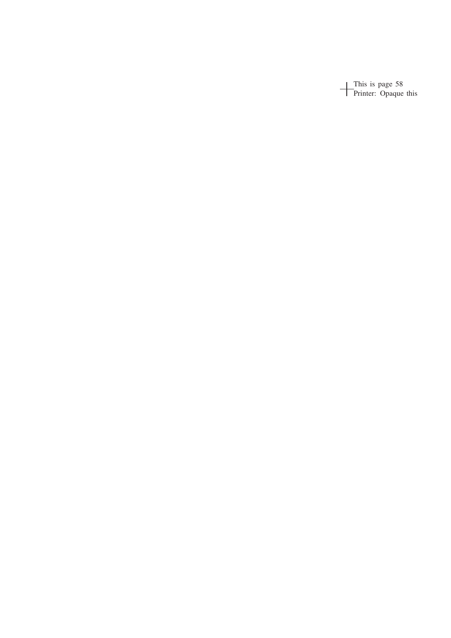This is page 58 Printer: Opaque this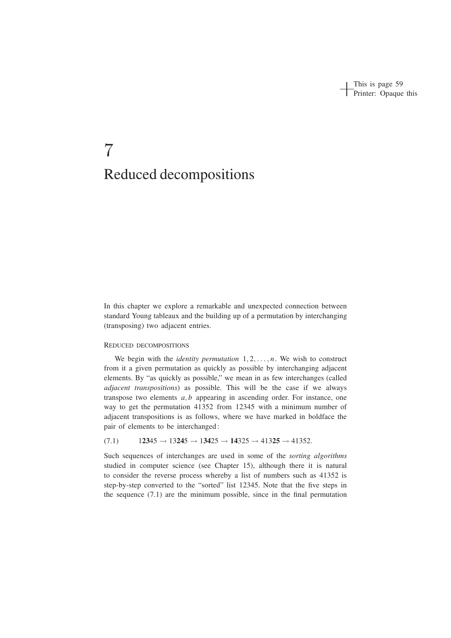This is page 59 Printer: Opaque this

## 7 Reduced decompositions

In this chapter we explore a remarkable and unexpected connection between standard Young tableaux and the building up of a permutation by interchanging (transposing) two adjacent entries.

## REDUCED DECOMPOSITIONS

We begin with the *identity permutation*  $1, 2, \ldots, n$ . We wish to construct from it a given permutation as quickly as possible by interchanging adjacent elements. By "as quickly as possible," we mean in as few interchanges (called *adjacent transpositions*) as possible. This will be the case if we always transpose two elements *a*, *b* appearing in ascending order. For instance, one way to get the permutation 41352 from 12345 with a minimum number of adjacent transpositions is as follows, where we have marked in boldface the pair of elements to be interchanged :

(7.1)  $12345 \rightarrow 13245 \rightarrow 13425 \rightarrow 14325 \rightarrow 41325 \rightarrow 41352$ .

Such sequences of interchanges are used in some of the *sorting algorithms* studied in computer science (see Chapter 15), although there it is natural to consider the reverse process whereby a list of numbers such as 41352 is step-by-step converted to the "sorted" list 12345. Note that the five steps in the sequence (7.1) are the minimum possible, since in the final permutation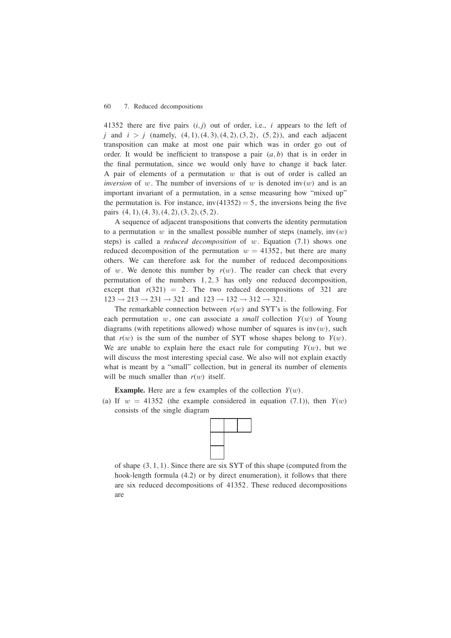## 60 7. Reduced decompositions

41352 there are five pairs  $(i, j)$  out of order, i.e., *i* appears to the left of *j* and  $i > j$  (namely,  $(4, 1), (4, 3), (4, 2), (3, 2), (5, 2)$ ), and each adjacent transposition can make at most one pair which was in order go out of order. It would be inefficient to transpose a pair  $(a, b)$  that is in order in the final permutation, since we would only have to change it back later. A pair of elements of a permutation  $w$  that is out of order is called an *inversion* of w. The number of inversions of w is denoted inv(w) and is an important invariant of a permutation, in a sense measuring how "mixed up" the permutation is. For instance,  $inv(41352) = 5$ , the inversions being the five pairs  $(4, 1), (4, 3), (4, 2), (3, 2), (5, 2)$ .

A sequence of adjacent transpositions that converts the identity permutation to a permutation w in the smallest possible number of steps (namely,  $inv(w)$ ) steps) is called a *reduced decomposition* of w. Equation (7.1) shows one reduced decomposition of the permutation  $w = 41352$ , but there are many others. We can therefore ask for the number of reduced decompositions of w. We denote this number by  $r(w)$ . The reader can check that every permutation of the numbers 1, 2, 3 has only one reduced decomposition, except that  $r(321) = 2$ . The two reduced decompositions of 321 are  $123 \rightarrow 213 \rightarrow 231 \rightarrow 321$  and  $123 \rightarrow 132 \rightarrow 312 \rightarrow 321$ .

The remarkable connection between  $r(w)$  and SYT's is the following. For each permutation w, one can associate a *small* collection *Y*(w) of Young diagrams (with repetitions allowed) whose number of squares is inv(w), such that  $r(w)$  is the sum of the number of SYT whose shapes belong to  $Y(w)$ . We are unable to explain here the exact rule for computing  $Y(w)$ , but we will discuss the most interesting special case. We also will not explain exactly what is meant by a "small" collection, but in general its number of elements will be much smaller than  $r(w)$  itself.

**Example.** Here are a few examples of the collection  $Y(w)$ .

(a) If  $w = 41352$  (the example considered in equation (7.1)), then  $Y(w)$ consists of the single diagram



of shape (3, 1, 1). Since there are six SYT of this shape (computed from the hook-length formula (4.2) or by direct enumeration), it follows that there are six reduced decompositions of 41352. These reduced decompositions are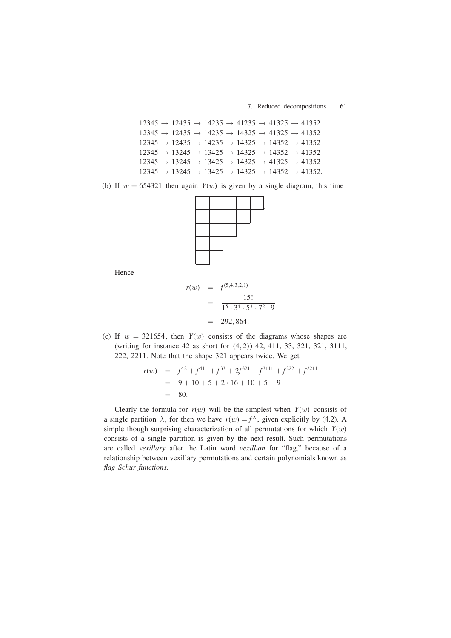7. Reduced decompositions 61

| $12345 \rightarrow 12435 \rightarrow 14235 \rightarrow 41235 \rightarrow 41325 \rightarrow 41352$   |  |  |  |
|-----------------------------------------------------------------------------------------------------|--|--|--|
| $12345 \rightarrow 12435 \rightarrow 14235 \rightarrow 14325 \rightarrow 41325 \rightarrow 41352$   |  |  |  |
| $12345 \rightarrow 12435 \rightarrow 14235 \rightarrow 14325 \rightarrow 14352 \rightarrow 41352$   |  |  |  |
| $12345 \rightarrow 13245 \rightarrow 13425 \rightarrow 14325 \rightarrow 14352 \rightarrow 41352$   |  |  |  |
| $12345 \rightarrow 13245 \rightarrow 13425 \rightarrow 14325 \rightarrow 41325 \rightarrow 41352$   |  |  |  |
| $12345 \rightarrow 13245 \rightarrow 13425 \rightarrow 14325 \rightarrow 14352 \rightarrow 41352$ . |  |  |  |
|                                                                                                     |  |  |  |

.

(b) If  $w = 654321$  then again  $Y(w)$  is given by a single diagram, this time



Hence

$$
r(w) = f^{(5,4,3,2,1)}
$$
  
= 
$$
\frac{15!}{1^5 \cdot 3^4 \cdot 5^3 \cdot 7^2 \cdot 9}
$$
  
= 292,864.

(c) If  $w = 321654$ , then  $Y(w)$  consists of the diagrams whose shapes are (writing for instance 42 as short for (4, 2) ) 42, 411, 33, 321, 321, 3111, 222, 2211. Note that the shape 321 appears twice. We get

$$
r(w) = f^{42} + f^{411} + f^{33} + 2f^{321} + f^{3111} + f^{222} + f^{2211}
$$
  
= 9 + 10 + 5 + 2 \cdot 16 + 10 + 5 + 9  
= 80.

Clearly the formula for  $r(w)$  will be the simplest when  $Y(w)$  consists of a single partition  $\lambda$ , for then we have  $r(w) = f^{\lambda}$ , given explicitly by (4.2). A simple though surprising characterization of all permutations for which  $Y(w)$ consists of a single partition is given by the next result. Such permutations are called *vexillary* after the Latin word *vexillum* for "flag," because of a relationship between vexillary permutations and certain polynomials known as *flag Schur functions*.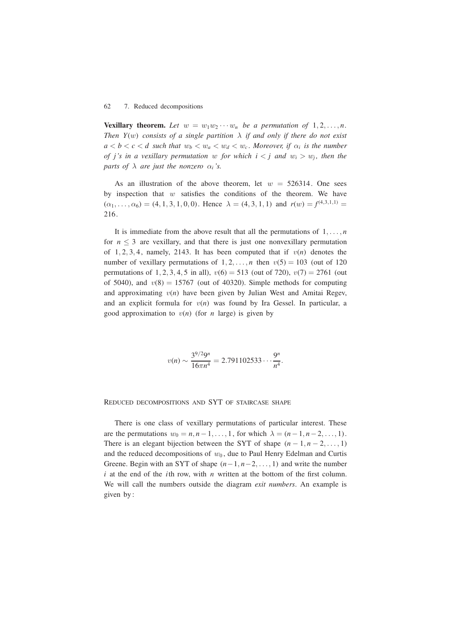### 62 7. Reduced decompositions

**Vexillary theorem.** Let  $w = w_1w_2 \cdots w_n$  be a permutation of  $1, 2, \ldots, n$ . *Then Y(w) consists of a single partition*  $\lambda$  *if and only if there do not exist*  $a < b < c < d$  such that  $w_b < w_a < w_d < w_c$ . Moreover, if  $\alpha_i$  is the number *of j's in a vexillary permutation* w *for which*  $i < j$  *and*  $w_i > w_j$ *, then the parts of*  $\lambda$  *are just the nonzero*  $\alpha_i$ *'s.* 

As an illustration of the above theorem, let  $w = 526314$ . One sees by inspection that  $w$  satisfies the conditions of the theorem. We have  $(\alpha_1, \ldots, \alpha_6) = (4, 1, 3, 1, 0, 0)$ . Hence  $\lambda = (4, 3, 1, 1)$  and  $r(w) = f^{(4,3,1,1)}$ 216.

It is immediate from the above result that all the permutations of  $1, \ldots, n$ for  $n \leq 3$  are vexillary, and that there is just one nonvexillary permutation of 1, 2, 3, 4, namely, 2143. It has been computed that if  $v(n)$  denotes the number of vexillary permutations of  $1, 2, ..., n$  then  $v(5) = 103$  (out of 120) permutations of 1, 2, 3, 4, 5 in all),  $v(6) = 513$  (out of 720),  $v(7) = 2761$  (out of 5040), and  $v(8) = 15767$  (out of 40320). Simple methods for computing and approximating  $v(n)$  have been given by Julian West and Amitai Regev, and an explicit formula for  $v(n)$  was found by Ira Gessel. In particular, a good approximation to  $v(n)$  (for *n* large) is given by

$$
v(n) \sim \frac{3^{9/2}9^n}{16\pi n^4} = 2.791102533\cdots \frac{9^n}{n^4}.
$$

REDUCED DECOMPOSITIONS AND SYT OF STAIRCASE SHAPE

There is one class of vexillary permutations of particular interest. These are the permutations  $w_0 = n, n-1, \ldots, 1$ , for which  $\lambda = (n-1, n-2, \ldots, 1)$ . There is an elegant bijection between the SYT of shape  $(n-1, n-2, \ldots, 1)$ and the reduced decompositions of  $w_0$ , due to Paul Henry Edelman and Curtis Greene. Begin with an SYT of shape  $(n-1, n-2, \ldots, 1)$  and write the number *i* at the end of the *i*th row, with *n* written at the bottom of the first column. We will call the numbers outside the diagram *exit numbers*. An example is given by :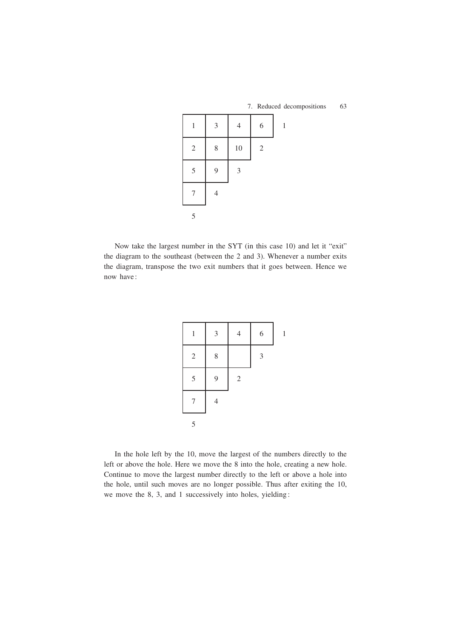| $\mathbf{1}$ | $\mathfrak{Z}$ | $\overline{4}$ | 6          | $\mathbf{1}$ |  |
|--------------|----------------|----------------|------------|--------------|--|
| $\sqrt{2}$   | 8              | 10             | $\sqrt{2}$ |              |  |
| 5            | 9              | 3              |            |              |  |
| 7            | 4              |                |            |              |  |
| 5            |                |                |            |              |  |

Now take the largest number in the SYT (in this case 10) and let it "exit" the diagram to the southeast (between the 2 and 3). Whenever a number exits the diagram, transpose the two exit numbers that it goes between. Hence we now have :

| 1          | 3 |            | 6              | 1 |
|------------|---|------------|----------------|---|
| $\sqrt{2}$ | 8 |            | $\overline{3}$ |   |
| 5          | 9 | $\sqrt{2}$ |                |   |
|            | 4 |            |                |   |
| 5          |   |            |                |   |

In the hole left by the 10, move the largest of the numbers directly to the left or above the hole. Here we move the 8 into the hole, creating a new hole. Continue to move the largest number directly to the left or above a hole into the hole, until such moves are no longer possible. Thus after exiting the 10, we move the 8, 3, and 1 successively into holes, yielding :

7. Reduced decompositions 63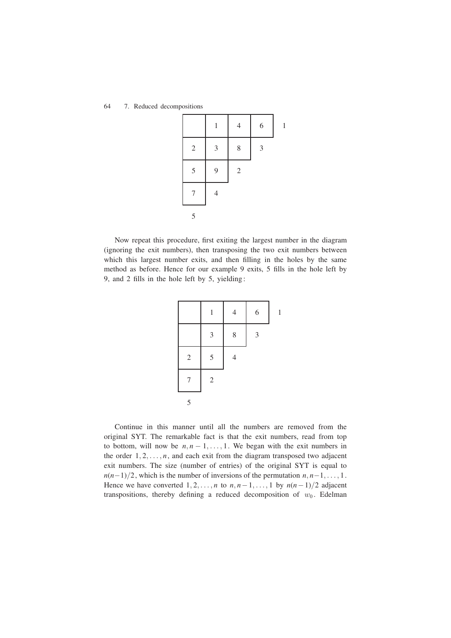64 7. Reduced decompositions

|            | 1              | 4          | 6 | $\mathbf{1}$ |
|------------|----------------|------------|---|--------------|
| $\sqrt{2}$ | 3              | 8          | 3 |              |
| 5          | 9              | $\sqrt{2}$ |   |              |
|            | $\overline{4}$ |            |   |              |
| 5          |                |            |   |              |

Now repeat this procedure, first exiting the largest number in the diagram (ignoring the exit numbers), then transposing the two exit numbers between which this largest number exits, and then filling in the holes by the same method as before. Hence for our example 9 exits, 5 fills in the hole left by 9, and 2 fills in the hole left by 5, yielding :

|            | $\mathbf{1}$ | $\overline{4}$ | 6 | $\,1\,$ |
|------------|--------------|----------------|---|---------|
|            | 3            | 8              | 3 |         |
| $\sqrt{2}$ | 5            | $\overline{4}$ |   |         |
|            | $\sqrt{2}$   |                |   |         |
| 5          |              |                |   |         |

Continue in this manner until all the numbers are removed from the original SYT. The remarkable fact is that the exit numbers, read from top to bottom, will now be  $n, n-1, \ldots, 1$ . We began with the exit numbers in the order  $1, 2, \ldots, n$ , and each exit from the diagram transposed two adjacent exit numbers. The size (number of entries) of the original SYT is equal to  $n(n-1)/2$ , which is the number of inversions of the permutation  $n, n-1, \ldots, 1$ . Hence we have converted  $1, 2, \ldots, n$  to  $n, n-1, \ldots, 1$  by  $n(n-1)/2$  adjacent transpositions, thereby defining a reduced decomposition of  $w_0$ . Edelman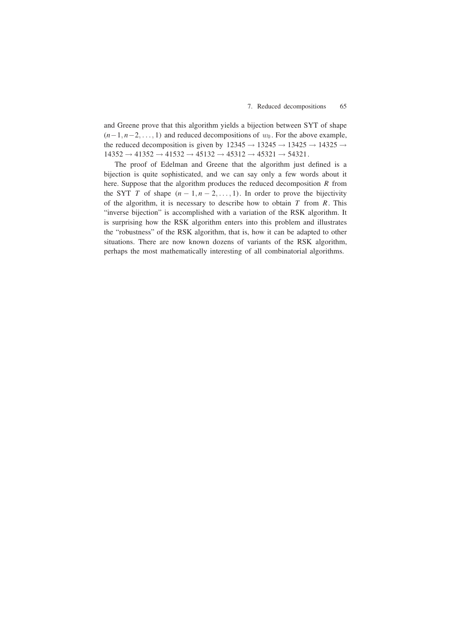and Greene prove that this algorithm yields a bijection between SYT of shape  $(n-1, n-2, \ldots, 1)$  and reduced decompositions of  $w_0$ . For the above example, the reduced decomposition is given by  $12345 \rightarrow 13245 \rightarrow 13425 \rightarrow 14325 \rightarrow$  $14352 \rightarrow 41352 \rightarrow 41532 \rightarrow 45132 \rightarrow 45312 \rightarrow 45321 \rightarrow 54321$ .

The proof of Edelman and Greene that the algorithm just defined is a bijection is quite sophisticated, and we can say only a few words about it here. Suppose that the algorithm produces the reduced decomposition *R* from the SYT *T* of shape  $(n-1, n-2, \ldots, 1)$ . In order to prove the bijectivity of the algorithm, it is necessary to describe how to obtain *T* from *R*. This "inverse bijection" is accomplished with a variation of the RSK algorithm. It is surprising how the RSK algorithm enters into this problem and illustrates the "robustness" of the RSK algorithm, that is, how it can be adapted to other situations. There are now known dozens of variants of the RSK algorithm, perhaps the most mathematically interesting of all combinatorial algorithms.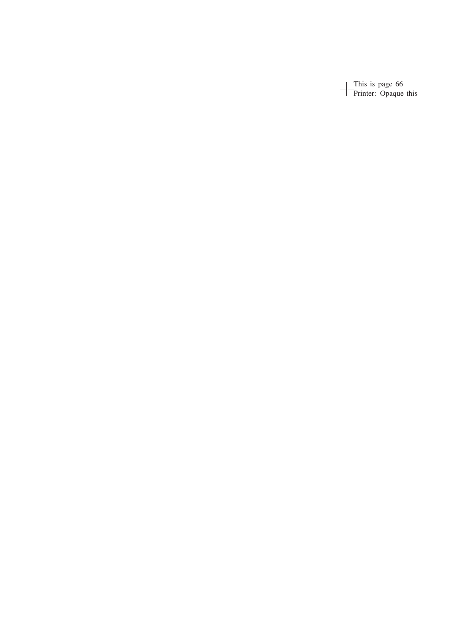This is page 66 Printer: Opaque this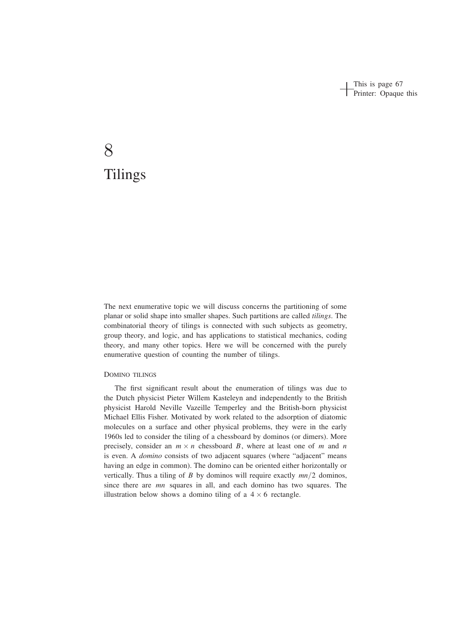This is page 67 Printer: Opaque this

# 8 Tilings

The next enumerative topic we will discuss concerns the partitioning of some planar or solid shape into smaller shapes. Such partitions are called *tilings*. The combinatorial theory of tilings is connected with such subjects as geometry, group theory, and logic, and has applications to statistical mechanics, coding theory, and many other topics. Here we will be concerned with the purely enumerative question of counting the number of tilings.

#### DOMINO TILINGS

The first significant result about the enumeration of tilings was due to the Dutch physicist Pieter Willem Kasteleyn and independently to the British physicist Harold Neville Vazeille Temperley and the British-born physicist Michael Ellis Fisher. Motivated by work related to the adsorption of diatomic molecules on a surface and other physical problems, they were in the early 1960s led to consider the tiling of a chessboard by dominos (or dimers). More precisely, consider an  $m \times n$  chessboard *B*, where at least one of *m* and *n* is even. A *domino* consists of two adjacent squares (where "adjacent" means having an edge in common). The domino can be oriented either horizontally or vertically. Thus a tiling of *B* by dominos will require exactly *mn*/2 dominos, since there are *mn* squares in all, and each domino has two squares. The illustration below shows a domino tiling of a  $4 \times 6$  rectangle.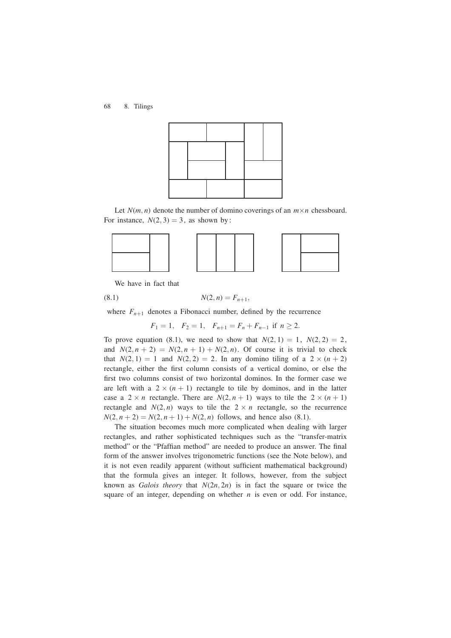68 8. Tilings



Let  $N(m, n)$  denote the number of domino coverings of an  $m \times n$  chessboard. For instance,  $N(2, 3) = 3$ , as shown by:



We have in fact that

$$
(8.1) \t\t N(2, n) = F_{n+1},
$$

where  $F_{n+1}$  denotes a Fibonacci number, defined by the recurrence

 $F_1 = 1$ ,  $F_2 = 1$ ,  $F_{n+1} = F_n + F_{n-1}$  if  $n \ge 2$ .

To prove equation (8.1), we need to show that  $N(2, 1) = 1$ ,  $N(2, 2) = 2$ , and  $N(2, n + 2) = N(2, n + 1) + N(2, n)$ . Of course it is trivial to check that  $N(2, 1) = 1$  and  $N(2, 2) = 2$ . In any domino tiling of a  $2 \times (n + 2)$ rectangle, either the first column consists of a vertical domino, or else the first two columns consist of two horizontal dominos. In the former case we are left with a  $2 \times (n + 1)$  rectangle to tile by dominos, and in the latter case a  $2 \times n$  rectangle. There are  $N(2, n + 1)$  ways to tile the  $2 \times (n + 1)$ rectangle and  $N(2, n)$  ways to tile the  $2 \times n$  rectangle, so the recurrence  $N(2, n+2) = N(2, n+1) + N(2, n)$  follows, and hence also (8.1).

The situation becomes much more complicated when dealing with larger rectangles, and rather sophisticated techniques such as the "transfer-matrix method" or the "Pfaffian method" are needed to produce an answer. The final form of the answer involves trigonometric functions (see the Note below), and it is not even readily apparent (without sufficient mathematical background) that the formula gives an integer. It follows, however, from the subject known as *Galois theory* that *N*(2*n*, 2*n*) is in fact the square or twice the square of an integer, depending on whether *n* is even or odd. For instance,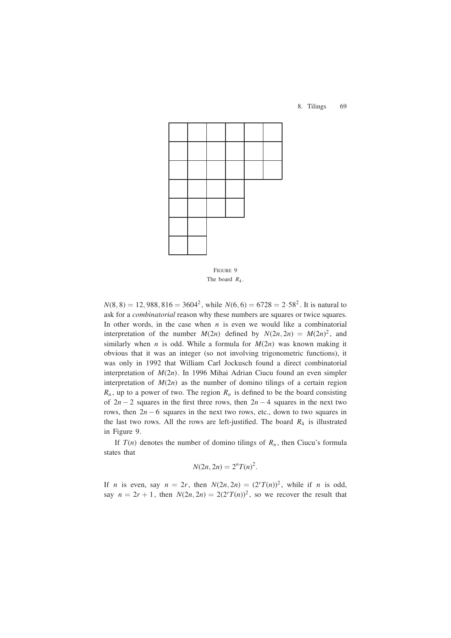8. Tilings 69



The board  $R_4$ .

 $N(8, 8) = 12,988,816 = 3604^2$ , while  $N(6, 6) = 6728 = 2.58^2$ . It is natural to ask for a *combinatorial* reason why these numbers are squares or twice squares. In other words, in the case when  $n$  is even we would like a combinatorial interpretation of the number  $M(2n)$  defined by  $N(2n, 2n) = M(2n)^2$ , and similarly when *n* is odd. While a formula for  $M(2n)$  was known making it obvious that it was an integer (so not involving trigonometric functions), it was only in 1992 that William Carl Jockusch found a direct combinatorial interpretation of *M*(2*n*). In 1996 Mihai Adrian Ciucu found an even simpler interpretation of  $M(2n)$  as the number of domino tilings of a certain region  $R_n$ , up to a power of two. The region  $R_n$  is defined to be the board consisting of  $2n - 2$  squares in the first three rows, then  $2n - 4$  squares in the next two rows, then  $2n - 6$  squares in the next two rows, etc., down to two squares in the last two rows. All the rows are left-justified. The board  $R_4$  is illustrated in Figure 9.

If  $T(n)$  denotes the number of domino tilings of  $R_n$ , then Ciucu's formula states that

$$
N(2n, 2n) = 2n T(n)2.
$$

If *n* is even, say  $n = 2r$ , then  $N(2n, 2n) = (2^rT(n))^2$ , while if *n* is odd, say  $n = 2r + 1$ , then  $N(2n, 2n) = 2(2^rT(n))^2$ , so we recover the result that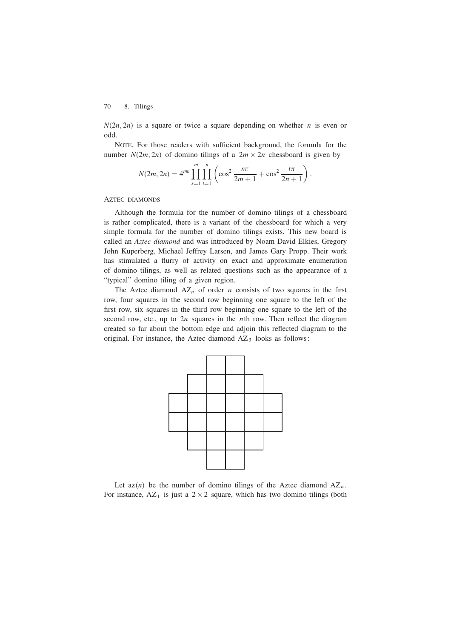# 70 8. Tilings

 $N(2n, 2n)$  is a square or twice a square depending on whether *n* is even or odd.

NOTE. For those readers with sufficient background, the formula for the number  $N(2m, 2n)$  of domino tilings of a  $2m \times 2n$  chessboard is given by

$$
N(2m, 2n) = 4^{mn} \prod_{s=1}^{m} \prod_{t=1}^{n} \left( \cos^2 \frac{s\pi}{2m+1} + \cos^2 \frac{t\pi}{2n+1} \right).
$$

AZTEC DIAMONDS

Although the formula for the number of domino tilings of a chessboard is rather complicated, there is a variant of the chessboard for which a very simple formula for the number of domino tilings exists. This new board is called an *Aztec diamond* and was introduced by Noam David Elkies, Gregory John Kuperberg, Michael Jeffrey Larsen, and James Gary Propp. Their work has stimulated a flurry of activity on exact and approximate enumeration of domino tilings, as well as related questions such as the appearance of a "typical" domino tiling of a given region.

The Aztec diamond  $AZ_n$  of order *n* consists of two squares in the first row, four squares in the second row beginning one square to the left of the first row, six squares in the third row beginning one square to the left of the second row, etc., up to 2*n* squares in the *n*th row. Then reflect the diagram created so far about the bottom edge and adjoin this reflected diagram to the original. For instance, the Aztec diamond  $AZ_3$  looks as follows:



Let  $az(n)$  be the number of domino tilings of the Aztec diamond  $AZ_n$ . For instance,  $AZ_1$  is just a  $2 \times 2$  square, which has two domino tilings (both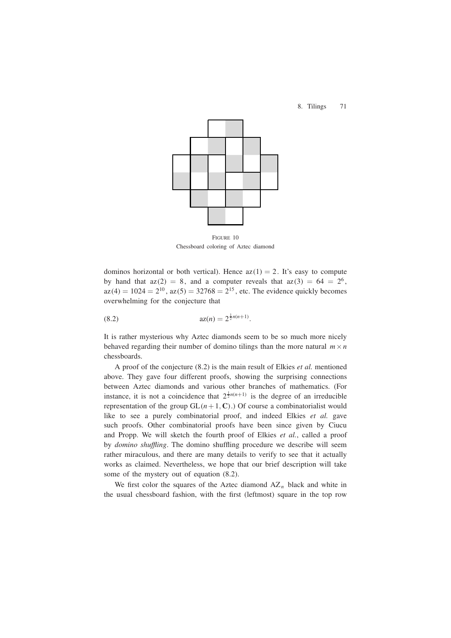8. Tilings 71



FIGURE 10 Chessboard coloring of Aztec diamond

dominos horizontal or both vertical). Hence  $az(1) = 2$ . It's easy to compute by hand that  $az(2) = 8$ , and a computer reveals that  $az(3) = 64 = 2^6$ ,  $az(4) = 1024 = 2^{10}$ ,  $az(5) = 32768 = 2^{15}$ , etc. The evidence quickly becomes overwhelming for the conjecture that

(8.2) 
$$
az(n) = 2^{\frac{1}{2}n(n+1)}.
$$

It is rather mysterious why Aztec diamonds seem to be so much more nicely behaved regarding their number of domino tilings than the more natural  $m \times n$ chessboards.

A proof of the conjecture (8.2) is the main result of Elkies *et al.* mentioned above. They gave four different proofs, showing the surprising connections between Aztec diamonds and various other branches of mathematics. (For instance, it is not a coincidence that  $2^{\frac{1}{2}n(n+1)}$  is the degree of an irreducible representation of the group  $GL(n+1, C)$ .) Of course a combinatorialist would like to see a purely combinatorial proof, and indeed Elkies *et al.* gave such proofs. Other combinatorial proofs have been since given by Ciucu and Propp. We will sketch the fourth proof of Elkies *et al.*, called a proof by *domino shuffling*. The domino shuffling procedure we describe will seem rather miraculous, and there are many details to verify to see that it actually works as claimed. Nevertheless, we hope that our brief description will take some of the mystery out of equation (8.2).

We first color the squares of the Aztec diamond  $AZ_n$  black and white in the usual chessboard fashion, with the first (leftmost) square in the top row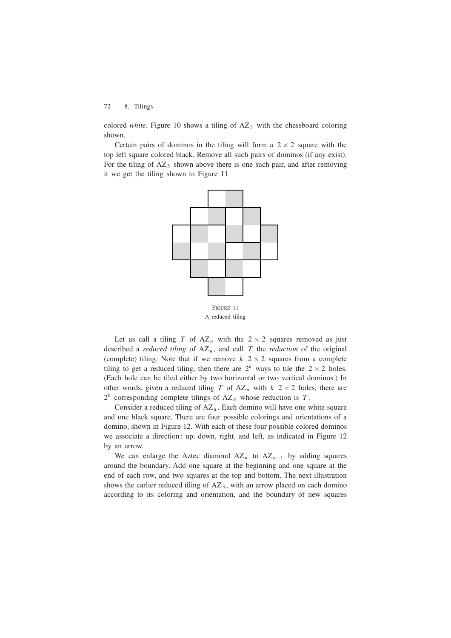# 72 8. Tilings

colored *white*. Figure 10 shows a tiling of  $AZ_3$  with the chessboard coloring shown.

Certain pairs of dominos in the tiling will form a  $2 \times 2$  square with the top left square colored black. Remove all such pairs of dominos (if any exist). For the tiling of  $AZ_3$  shown above there is one such pair, and after removing it we get the tiling shown in Figure 11



Let us call a tiling *T* of  $AZ_n$  with the  $2 \times 2$  squares removed as just described a *reduced tiling* of  $AZ_n$ , and call *T* the *reduction* of the original (complete) tiling. Note that if we remove  $k \geq 2 \times 2$  squares from a complete tiling to get a reduced tiling, then there are  $2^k$  ways to tile the  $2 \times 2$  holes. (Each hole can be tiled either by two horizontal or two vertical dominos.) In other words, given a reduced tiling *T* of  $AZ_n$  with  $k$  2 × 2 holes, there are  $2^k$  corresponding complete tilings of  $AZ_n$  whose reduction is *T*.

Consider a reduced tiling of  $AZ_n$ . Each domino will have one white square and one black square. There are four possible colorings and orientations of a domino, shown in Figure 12. With each of these four possible colored dominos we associate a direction: up, down, right, and left, as indicated in Figure 12 by an arrow.

We can enlarge the Aztec diamond  $AZ_n$  to  $AZ_{n+1}$  by adding squares around the boundary. Add one square at the beginning and one square at the end of each row, and two squares at the top and bottom. The next illustration shows the earlier reduced tiling of  $AZ_3$ , with an arrow placed on each domino according to its coloring and orientation, and the boundary of new squares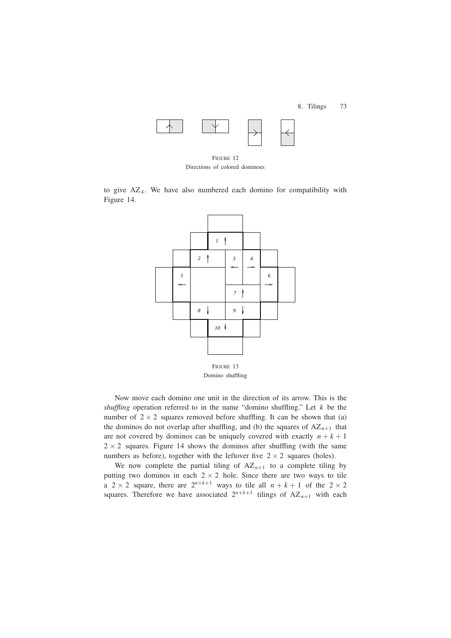8. Tilings 73



FIGURE 12 Directions of colored dominoes

to give AZ<sup>4</sup> . We have also numbered each domino for compatibility with Figure 14.



Domino shuffling

Now move each domino one unit in the direction of its arrow. This is the *shuffling* operation referred to in the name "domino shuffling." Let *k* be the number of  $2 \times 2$  squares removed before shuffling. It can be shown that (a) the dominos do not overlap after shuffling, and (b) the squares of  $AZ_{n+1}$  that are not covered by dominos can be uniquely covered with exactly  $n + k + 1$  $2 \times 2$  squares. Figure 14 shows the dominos after shuffling (with the same numbers as before), together with the leftover five  $2 \times 2$  squares (holes).

We now complete the partial tiling of  $AZ_{n+1}$  to a complete tiling by putting two dominos in each  $2 \times 2$  hole. Since there are two ways to tile a 2 × 2 square, there are  $2^{n+k+1}$  ways to tile all  $n+k+1$  of the 2 × 2 squares. Therefore we have associated  $2^{n+k+1}$  tilings of  $AZ_{n+1}$  with each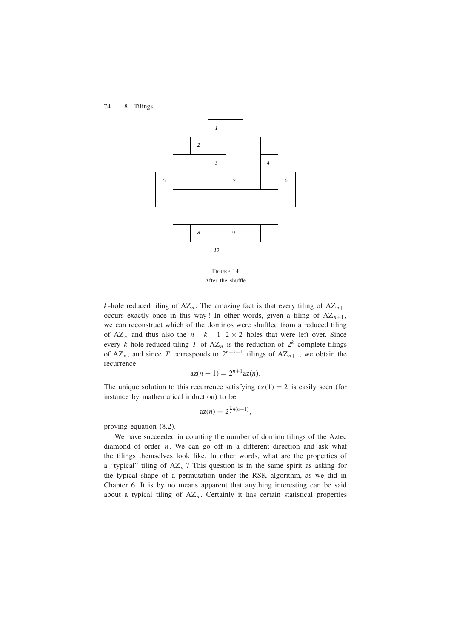74 8. Tilings



*k*-hole reduced tiling of  $AZ_n$ . The amazing fact is that every tiling of  $AZ_{n+1}$ occurs exactly once in this way! In other words, given a tiling of  $AZ_{n+1}$ , we can reconstruct which of the dominos were shuffled from a reduced tiling of  $AZ_n$  and thus also the  $n + k + 1$  2 × 2 holes that were left over. Since every *k*-hole reduced tiling *T* of  $AZ_n$  is the reduction of  $2^k$  complete tilings of  $AZ_n$ , and since *T* corresponds to  $2^{n+k+1}$  tilings of  $AZ_{n+1}$ , we obtain the recurrence

$$
\mathrm{az}(n+1)=2^{n+1}\mathrm{az}(n).
$$

The unique solution to this recurrence satisfying  $az(1) = 2$  is easily seen (for instance by mathematical induction) to be

$$
\mathrm{az}(n)=2^{\frac{1}{2}n(n+1)},
$$

proving equation (8.2).

We have succeeded in counting the number of domino tilings of the Aztec diamond of order *n*. We can go off in a different direction and ask what the tilings themselves look like. In other words, what are the properties of a "typical" tiling of  $AZ_n$ ? This question is in the same spirit as asking for the typical shape of a permutation under the RSK algorithm, as we did in Chapter 6. It is by no means apparent that anything interesting can be said about a typical tiling of  $AZ_n$ . Certainly it has certain statistical properties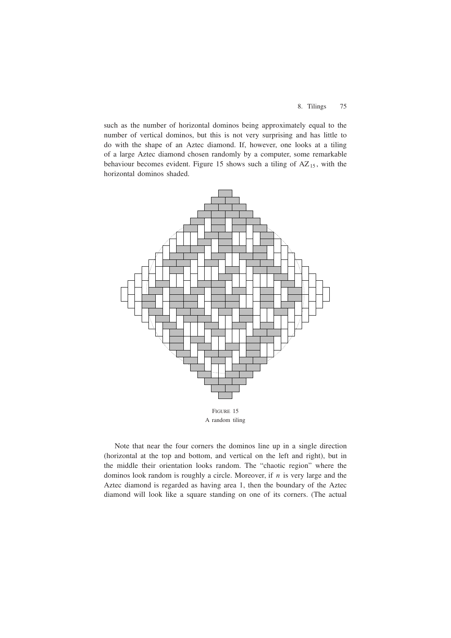# 8. Tilings 75

such as the number of horizontal dominos being approximately equal to the number of vertical dominos, but this is not very surprising and has little to do with the shape of an Aztec diamond. If, however, one looks at a tiling of a large Aztec diamond chosen randomly by a computer, some remarkable behaviour becomes evident. Figure 15 shows such a tiling of  $AZ_{15}$ , with the horizontal dominos shaded.



Note that near the four corners the dominos line up in a single direction (horizontal at the top and bottom, and vertical on the left and right), but in the middle their orientation looks random. The "chaotic region" where the dominos look random is roughly a circle. Moreover, if *n* is very large and the Aztec diamond is regarded as having area 1, then the boundary of the Aztec diamond will look like a square standing on one of its corners. (The actual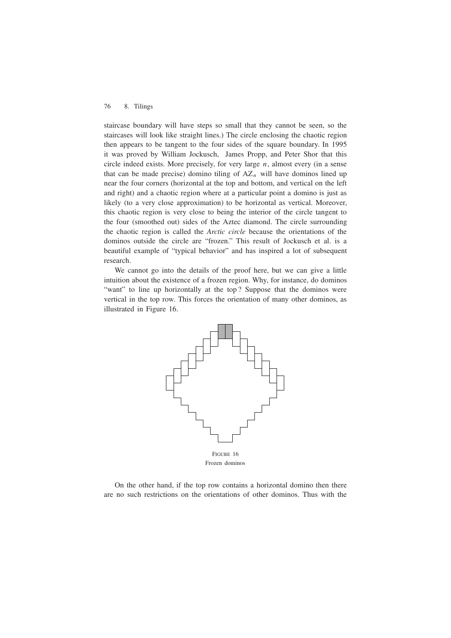### 76 8. Tilings

staircase boundary will have steps so small that they cannot be seen, so the staircases will look like straight lines.) The circle enclosing the chaotic region then appears to be tangent to the four sides of the square boundary. In 1995 it was proved by William Jockusch, James Propp, and Peter Shor that this circle indeed exists. More precisely, for very large *n*, almost every (in a sense that can be made precise) domino tiling of  $AZ_n$  will have dominos lined up near the four corners (horizontal at the top and bottom, and vertical on the left and right) and a chaotic region where at a particular point a domino is just as likely (to a very close approximation) to be horizontal as vertical. Moreover, this chaotic region is very close to being the interior of the circle tangent to the four (smoothed out) sides of the Aztec diamond. The circle surrounding the chaotic region is called the *Arctic circle* because the orientations of the dominos outside the circle are "frozen." This result of Jockusch et al. is a beautiful example of "typical behavior" and has inspired a lot of subsequent research.

We cannot go into the details of the proof here, but we can give a little intuition about the existence of a frozen region. Why, for instance, do dominos "want" to line up horizontally at the top? Suppose that the dominos were vertical in the top row. This forces the orientation of many other dominos, as illustrated in Figure 16.



On the other hand, if the top row contains a horizontal domino then there are no such restrictions on the orientations of other dominos. Thus with the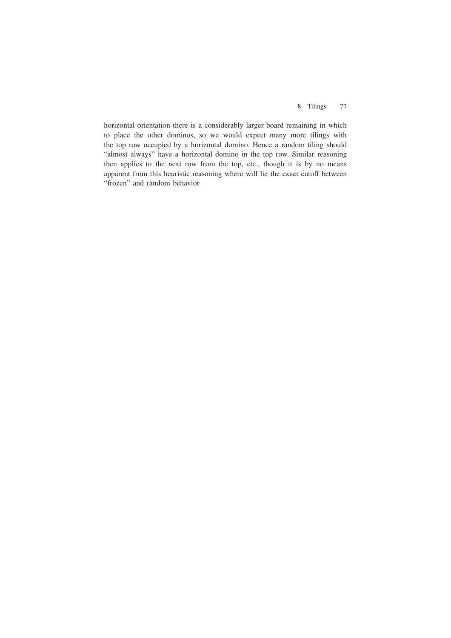# 8. Tilings 77

horizontal orientation there is a considerably larger board remaining in which to place the other dominos, so we would expect many more tilings with the top row occupied by a horizontal domino. Hence a random tiling should "almost always" have a horizontal domino in the top row. Similar reasoning then applies to the next row from the top, etc., though it is by no means apparent from this heuristic reasoning where will lie the exact cutoff between "frozen" and random behavior.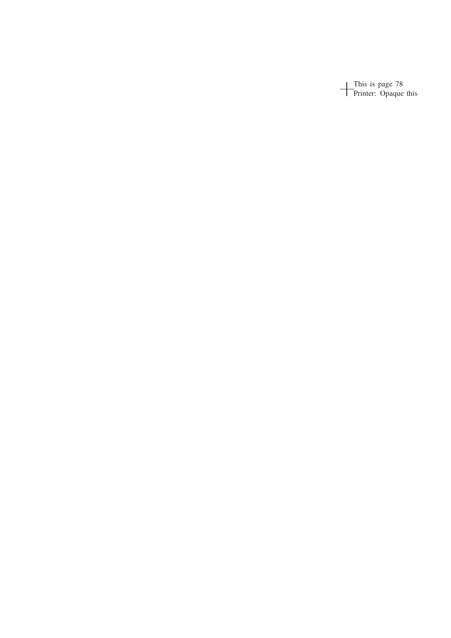This is page 78 Printer: Opaque this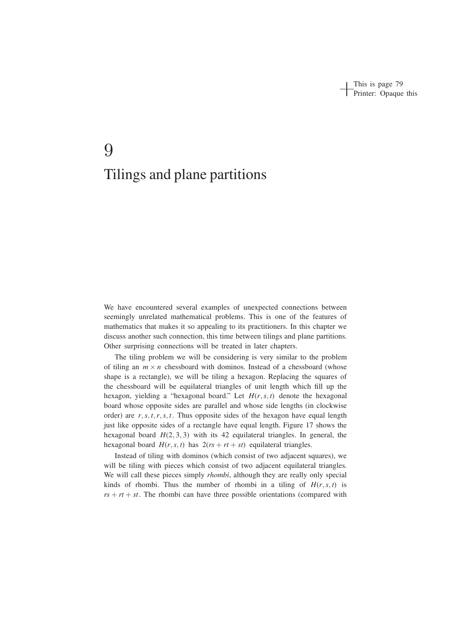This is page 79 Printer: Opaque this

# 9 Tilings and plane partitions

We have encountered several examples of unexpected connections between seemingly unrelated mathematical problems. This is one of the features of mathematics that makes it so appealing to its practitioners. In this chapter we discuss another such connection, this time between tilings and plane partitions. Other surprising connections will be treated in later chapters.

The tiling problem we will be considering is very similar to the problem of tiling an  $m \times n$  chessboard with dominos. Instead of a chessboard (whose shape is a rectangle), we will be tiling a hexagon. Replacing the squares of the chessboard will be equilateral triangles of unit length which fill up the hexagon, yielding a "hexagonal board." Let *H*(*r*,*s*, *t*) denote the hexagonal board whose opposite sides are parallel and whose side lengths (in clockwise order) are *r*,*s*, *t*,*r*,*s*, *t*. Thus opposite sides of the hexagon have equal length just like opposite sides of a rectangle have equal length. Figure 17 shows the hexagonal board  $H(2, 3, 3)$  with its 42 equilateral triangles. In general, the hexagonal board  $H(r, s, t)$  has  $2(rs + rt + st)$  equilateral triangles.

Instead of tiling with dominos (which consist of two adjacent squares), we will be tiling with pieces which consist of two adjacent equilateral triangles. We will call these pieces simply *rhombi*, although they are really only special kinds of rhombi. Thus the number of rhombi in a tiling of  $H(r, s, t)$  is  $rs + rt + st$ . The rhombi can have three possible orientations (compared with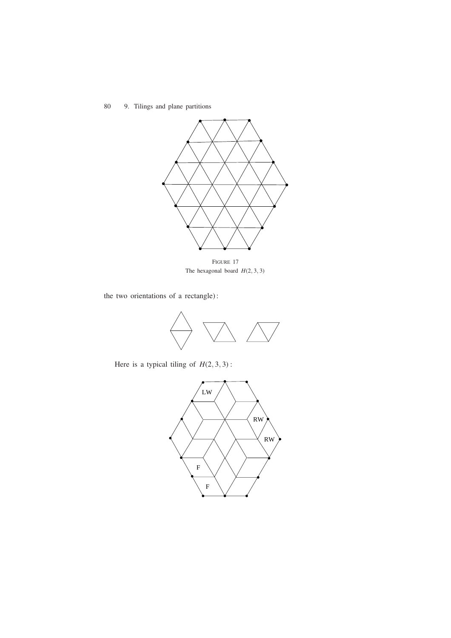



The hexagonal board *H*(2, 3, 3)

the two orientations of a rectangle) :



Here is a typical tiling of  $H(2, 3, 3)$ :

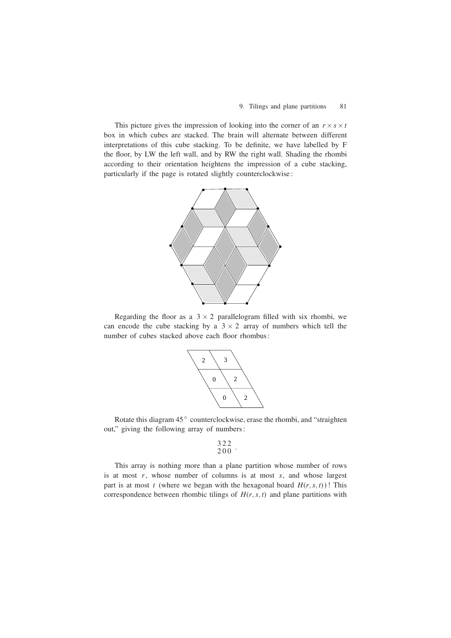This picture gives the impression of looking into the corner of an  $r \times s \times t$ box in which cubes are stacked. The brain will alternate between different interpretations of this cube stacking. To be definite, we have labelled by F the floor, by LW the left wall, and by RW the right wall. Shading the rhombi according to their orientation heightens the impression of a cube stacking, particularly if the page is rotated slightly counterclockwise :



Regarding the floor as a  $3 \times 2$  parallelogram filled with six rhombi, we can encode the cube stacking by a  $3 \times 2$  array of numbers which tell the number of cubes stacked above each floor rhombus :



Rotate this diagram 45° counterclockwise, erase the rhombi, and "straighten out," giving the following array of numbers :

$$
\begin{array}{c} 322 \\ 200 \end{array}
$$

This array is nothing more than a plane partition whose number of rows is at most *r*, whose number of columns is at most *s*, and whose largest part is at most *t* (where we began with the hexagonal board  $H(r, s, t)$ )! This correspondence between rhombic tilings of  $H(r, s, t)$  and plane partitions with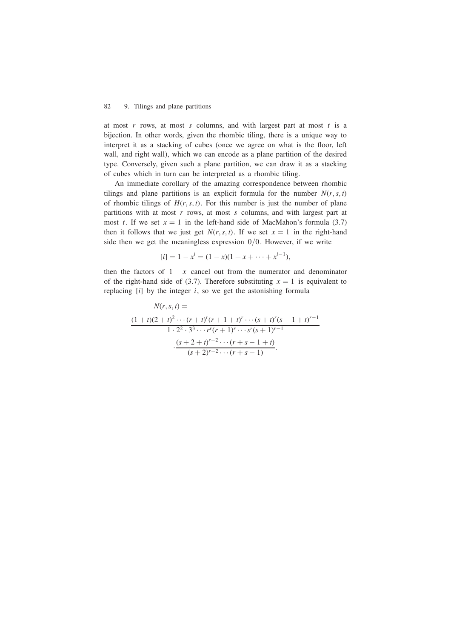# 82 9. Tilings and plane partitions

at most *r* rows, at most *s* columns, and with largest part at most *t* is a bijection. In other words, given the rhombic tiling, there is a unique way to interpret it as a stacking of cubes (once we agree on what is the floor, left wall, and right wall), which we can encode as a plane partition of the desired type. Conversely, given such a plane partition, we can draw it as a stacking of cubes which in turn can be interpreted as a rhombic tiling.

An immediate corollary of the amazing correspondence between rhombic tilings and plane partitions is an explicit formula for the number  $N(r, s, t)$ of rhombic tilings of  $H(r, s, t)$ . For this number is just the number of plane partitions with at most *r* rows, at most *s* columns, and with largest part at most *t*. If we set  $x = 1$  in the left-hand side of MacMahon's formula (3.7) then it follows that we just get  $N(r, s, t)$ . If we set  $x = 1$  in the right-hand side then we get the meaningless expression  $0/0$ . However, if we write

$$
[i] = 1 - xi = (1 - x)(1 + x + \dots + xi-1),
$$

then the factors of  $1 - x$  cancel out from the numerator and denominator of the right-hand side of (3.7). Therefore substituting  $x = 1$  is equivalent to replacing  $[i]$  by the integer  $i$ , so we get the astonishing formula

$$
N(r, s, t) =
$$
  
\n
$$
\frac{(1+t)(2+t)^2 \cdots (r+t)^r (r+1+t)^r \cdots (s+t)^r (s+1+t)^{r-1}}{1 \cdot 2^2 \cdot 3^3 \cdots r^r (r+1)^r \cdots s^r (s+1)^{r-1}}
$$
  
\n
$$
\frac{(s+2+t)^{r-2} \cdots (r+s-1+t)}{(s+2)^{r-2} \cdots (r+s-1)}.
$$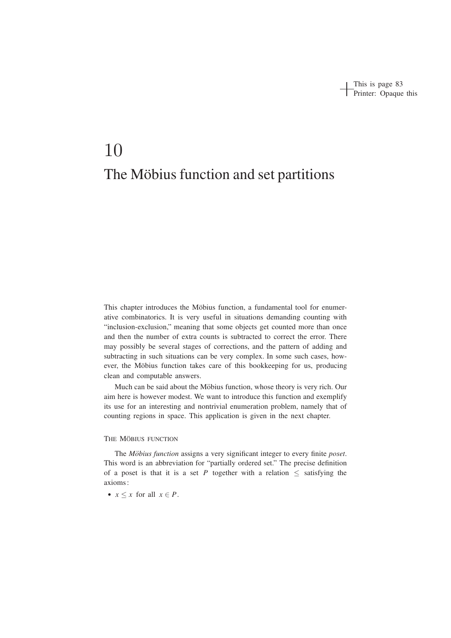This is page 83 Printer: Opaque this

# 10 The Möbius function and set partitions

This chapter introduces the Möbius function, a fundamental tool for enumerative combinatorics. It is very useful in situations demanding counting with "inclusion-exclusion," meaning that some objects get counted more than once and then the number of extra counts is subtracted to correct the error. There may possibly be several stages of corrections, and the pattern of adding and subtracting in such situations can be very complex. In some such cases, however, the Möbius function takes care of this bookkeeping for us, producing clean and computable answers.

Much can be said about the Möbius function, whose theory is very rich. Our aim here is however modest. We want to introduce this function and exemplify its use for an interesting and nontrivial enumeration problem, namely that of counting regions in space. This application is given in the next chapter.

# THE MÖBIUS FUNCTION

The *Möbius function* assigns a very significant integer to every finite *poset*. This word is an abbreviation for "partially ordered set." The precise definition of a poset is that it is a set *P* together with a relation  $\leq$  satisfying the axioms :

•  $x \leq x$  for all  $x \in P$ .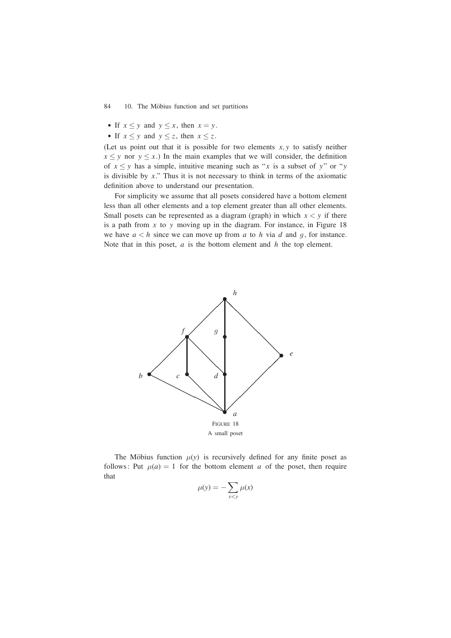84 10. The Möbius function and set partitions

- If  $x \leq y$  and  $y \leq x$ , then  $x = y$ .
- If  $x \leq y$  and  $y \leq z$ , then  $x \leq z$ .

(Let us point out that it is possible for two elements  $x, y$  to satisfy neither  $x \leq y$  nor  $y \leq x$ .) In the main examples that we will consider, the definition of  $x \leq y$  has a simple, intuitive meaning such as "x is a subset of y" or "y is divisible by *x*." Thus it is not necessary to think in terms of the axiomatic definition above to understand our presentation.

For simplicity we assume that all posets considered have a bottom element less than all other elements and a top element greater than all other elements. Small posets can be represented as a diagram (graph) in which  $x < y$  if there is a path from *x* to *y* moving up in the diagram. For instance, in Figure 18 we have  $a < h$  since we can move up from  $a$  to  $h$  via  $d$  and  $g$ , for instance. Note that in this poset, *a* is the bottom element and *h* the top element.



The Möbius function  $\mu(y)$  is recursively defined for any finite poset as follows: Put  $\mu(a) = 1$  for the bottom element *a* of the poset, then require that

$$
\mu(y) = -\sum_{x < y} \mu(x)
$$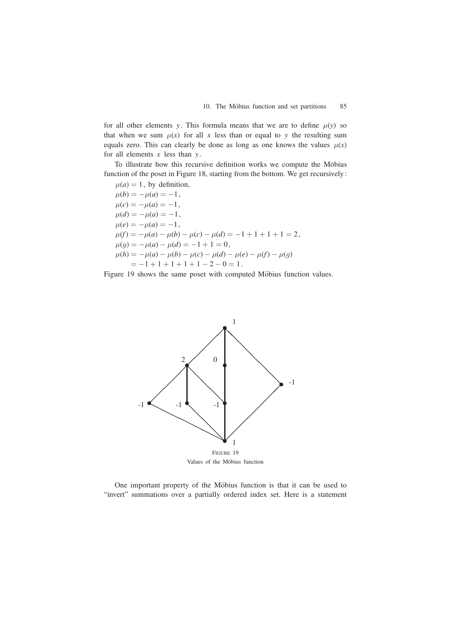for all other elements *y*. This formula means that we are to define  $\mu(y)$  so that when we sum  $\mu(x)$  for all x less than or equal to y the resulting sum equals zero. This can clearly be done as long as one knows the values  $\mu(x)$ for all elements *x* less than *y*.

To illustrate how this recursive definition works we compute the Möbius function of the poset in Figure 18, starting from the bottom. We get recursively :

 $\mu(a) = 1$ , by definition,  $\mu(b) = -\mu(a) = -1,$  $\mu(c) = -\mu(a) = -1,$  $\mu(d) = -\mu(a) = -1,$  $\mu(e) = -\mu(a) = -1,$  $\mu(f) = -\mu(a) - \mu(b) - \mu(c) - \mu(d) = -1 + 1 + 1 + 1 = 2,$  $\mu(g) = -\mu(a) - \mu(d) = -1 + 1 = 0,$  $\mu(h) = -\mu(a) - \mu(b) - \mu(c) - \mu(d) - \mu(e) - \mu(f) - \mu(g)$  $=-1+1+1+1+1-2-0=1.$ 

Figure 19 shows the same poset with computed Möbius function values.



One important property of the Möbius function is that it can be used to "invert" summations over a partially ordered index set. Here is a statement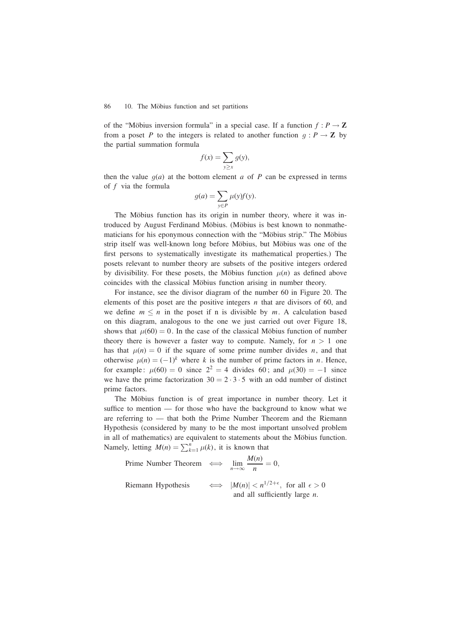### 86 10. The Möbius function and set partitions

of the "Möbius inversion formula" in a special case. If a function  $f : P \to \mathbb{Z}$ from a poset *P* to the integers is related to another function  $g : P \to \mathbb{Z}$  by the partial summation formula

$$
f(x) = \sum_{y \ge x} g(y),
$$

then the value  $q(a)$  at the bottom element *a* of *P* can be expressed in terms of *f* via the formula

$$
g(a) = \sum_{y \in P} \mu(y) f(y).
$$

The Möbius function has its origin in number theory, where it was introduced by August Ferdinand Möbius. (Möbius is best known to nonmathematicians for his eponymous connection with the "Möbius strip." The Möbius strip itself was well-known long before Möbius, but Möbius was one of the first persons to systematically investigate its mathematical properties.) The posets relevant to number theory are subsets of the positive integers ordered by divisibility. For these posets, the Möbius function  $\mu(n)$  as defined above coincides with the classical Möbius function arising in number theory.

For instance, see the divisor diagram of the number 60 in Figure 20. The elements of this poset are the positive integers *n* that are divisors of 60, and we define  $m \le n$  in the poset if n is divisible by m. A calculation based on this diagram, analogous to the one we just carried out over Figure 18, shows that  $\mu(60) = 0$ . In the case of the classical Möbius function of number theory there is however a faster way to compute. Namely, for  $n > 1$  one has that  $\mu(n) = 0$  if the square of some prime number divides *n*, and that otherwise  $\mu(n) = (-1)^k$  where *k* is the number of prime factors in *n*. Hence, for example:  $\mu(60) = 0$  since  $2^2 = 4$  divides 60; and  $\mu(30) = -1$  since we have the prime factorization  $30 = 2 \cdot 3 \cdot 5$  with an odd number of distinct prime factors.

The Möbius function is of great importance in number theory. Let it suffice to mention — for those who have the background to know what we are referring to — that both the Prime Number Theorem and the Riemann Hypothesis (considered by many to be the most important unsolved problem in all of mathematics) are equivalent to statements about the Möbius function. Namely, letting  $M(n) = \sum_{k=1}^{n} \mu(k)$ , it is known that

Prime Number Theorem  $\iff \lim_{n\to\infty}$ *M*(*n*)  $\frac{\Delta(n)}{n} = 0,$ Riemann Hypothesis ⇐⇒ |*M*(*n*)| < *n*  $1/2+\epsilon$ , for all  $\epsilon > 0$ and all sufficiently large *n*.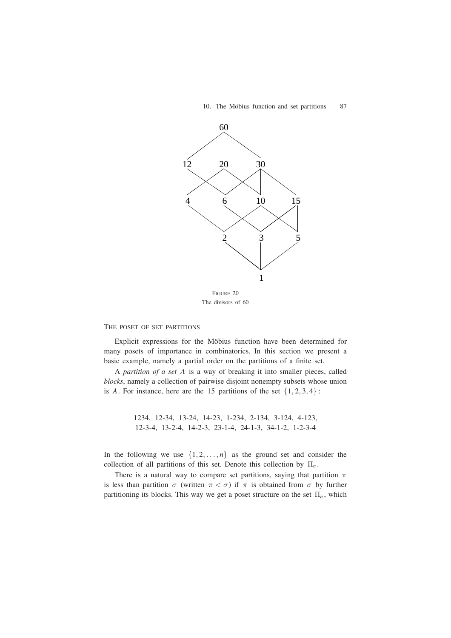

The divisors of 60

# THE POSET OF SET PARTITIONS

Explicit expressions for the Möbius function have been determined for many posets of importance in combinatorics. In this section we present a basic example, namely a partial order on the partitions of a finite set.

A *partition of a set A* is a way of breaking it into smaller pieces, called *blocks*, namely a collection of pairwise disjoint nonempty subsets whose union is *A*. For instance, here are the 15 partitions of the set  $\{1, 2, 3, 4\}$ :

> 1234, 12-34, 13-24, 14-23, 1-234, 2-134, 3-124, 4-123, 12-3-4, 13-2-4, 14-2-3, 23-1-4, 24-1-3, 34-1-2, 1-2-3-4

In the following we use  $\{1, 2, \ldots, n\}$  as the ground set and consider the collection of all partitions of this set. Denote this collection by  $\Pi_n$ .

There is a natural way to compare set partitions, saying that partition  $\pi$ is less than partition  $\sigma$  (written  $\pi < \sigma$ ) if  $\pi$  is obtained from  $\sigma$  by further partitioning its blocks. This way we get a poset structure on the set  $\Pi_n$ , which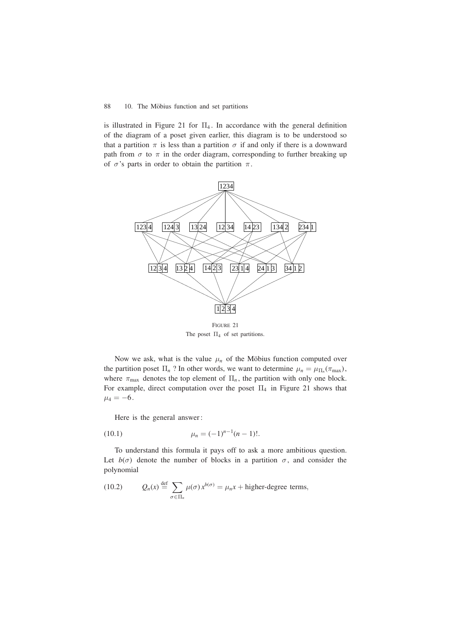### 88 10. The Möbius function and set partitions

is illustrated in Figure 21 for  $\Pi_4$ . In accordance with the general definition of the diagram of a poset given earlier, this diagram is to be understood so that a partition  $\pi$  is less than a partition  $\sigma$  if and only if there is a downward path from  $\sigma$  to  $\pi$  in the order diagram, corresponding to further breaking up of  $\sigma$ 's parts in order to obtain the partition  $\pi$ .



FIGURE 21 The poset  $\Pi_4$  of set partitions.

Now we ask, what is the value  $\mu_n$  of the Möbius function computed over the partition poset  $\Pi_n$ ? In other words, we want to determine  $\mu_n = \mu_{\Pi_n}(\pi_{\max})$ , where  $\pi_{\text{max}}$  denotes the top element of  $\Pi_n$ , the partition with only one block. For example, direct computation over the poset  $\Pi_4$  in Figure 21 shows that  $\mu_4 = -6.$ 

Here is the general answer :

(10.1) 
$$
\mu_n = (-1)^{n-1}(n-1)!.
$$

To understand this formula it pays off to ask a more ambitious question. Let  $b(\sigma)$  denote the number of blocks in a partition  $\sigma$ , and consider the polynomial

(10.2) 
$$
Q_n(x) \stackrel{\text{def}}{=} \sum_{\sigma \in \Pi_n} \mu(\sigma) x^{b(\sigma)} = \mu_n x + \text{higher-degree terms},
$$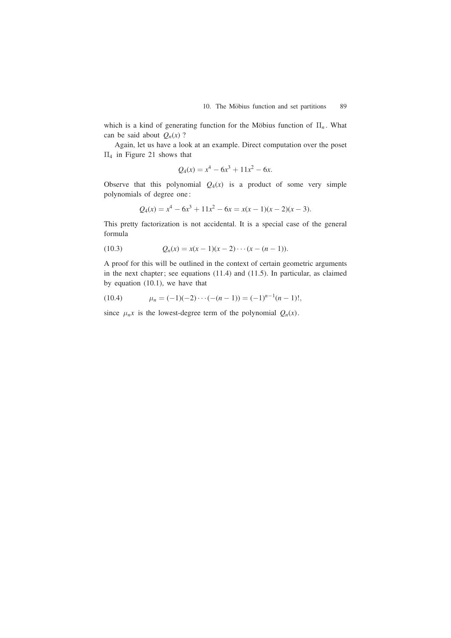which is a kind of generating function for the Möbius function of  $\Pi_n$ . What can be said about  $Q_n(x)$ ?

Again, let us have a look at an example. Direct computation over the poset Π<sup>4</sup> in Figure 21 shows that

$$
Q_4(x) = x^4 - 6x^3 + 11x^2 - 6x.
$$

Observe that this polynomial  $Q_4(x)$  is a product of some very simple polynomials of degree one :

$$
Q_4(x) = x^4 - 6x^3 + 11x^2 - 6x = x(x - 1)(x - 2)(x - 3).
$$

This pretty factorization is not accidental. It is a special case of the general formula

(10.3) 
$$
Q_n(x) = x(x-1)(x-2)\cdots(x-(n-1)).
$$

A proof for this will be outlined in the context of certain geometric arguments in the next chapter; see equations (11.4) and (11.5). In particular, as claimed by equation (10.1), we have that

(10.4) 
$$
\mu_n = (-1)(-2) \cdots (-(n-1)) = (-1)^{n-1}(n-1)!,
$$

since  $\mu_n x$  is the lowest-degree term of the polynomial  $Q_n(x)$ .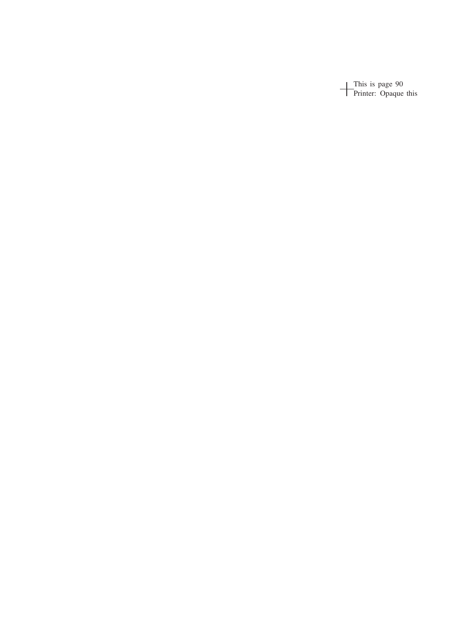This is page 90 Printer: Opaque this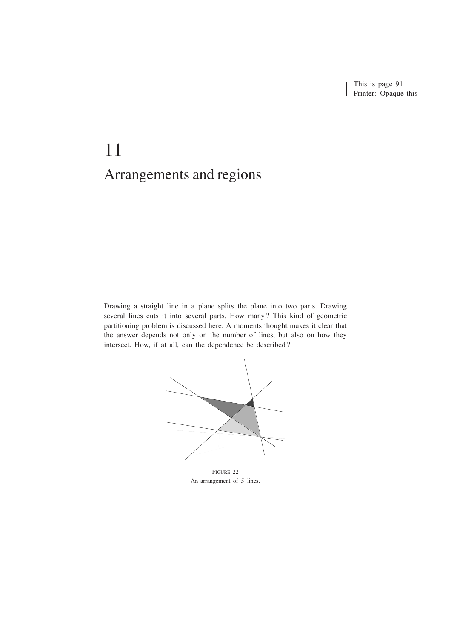This is page 91 Printer: Opaque this

# 11 Arrangements and regions

Drawing a straight line in a plane splits the plane into two parts. Drawing several lines cuts it into several parts. How many ? This kind of geometric partitioning problem is discussed here. A moments thought makes it clear that the answer depends not only on the number of lines, but also on how they intersect. How, if at all, can the dependence be described ?



FIGURE 22 An arrangement of 5 lines.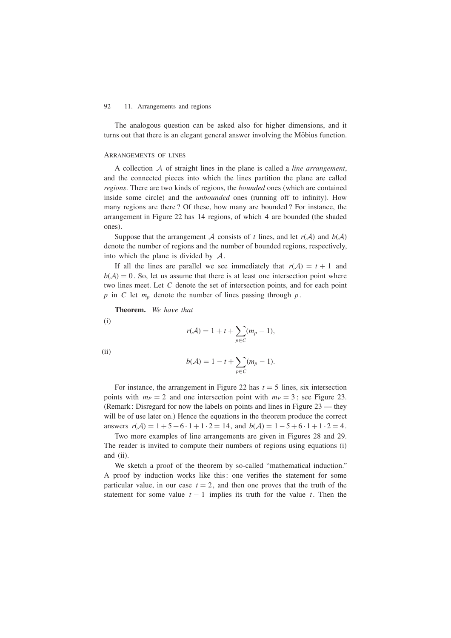# 92 11. Arrangements and regions

The analogous question can be asked also for higher dimensions, and it turns out that there is an elegant general answer involving the Möbius function.

### ARRANGEMENTS OF LINES

A collection A of straight lines in the plane is called a *line arrangement*, and the connected pieces into which the lines partition the plane are called *regions*. There are two kinds of regions, the *bounded* ones (which are contained inside some circle) and the *unbounded* ones (running off to infinity). How many regions are there ? Of these, how many are bounded ? For instance, the arrangement in Figure 22 has 14 regions, of which 4 are bounded (the shaded ones).

Suppose that the arrangement A consists of *t* lines, and let  $r(A)$  and  $b(A)$ denote the number of regions and the number of bounded regions, respectively, into which the plane is divided by A.

If all the lines are parallel we see immediately that  $r(A) = t + 1$  and  $b(A) = 0$ . So, let us assume that there is at least one intersection point where two lines meet. Let *C* denote the set of intersection points, and for each point  $p$  in *C* let  $m_p$  denote the number of lines passing through  $p$ .

Theorem. *We have that*

(i)

$$
r(\mathcal{A}) = 1 + t + \sum_{p \in C} (m_p - 1),
$$

(ii)

$$
b(\mathcal{A}) = 1 - t + \sum_{p \in C} (m_p - 1).
$$

For instance, the arrangement in Figure 22 has  $t = 5$  lines, six intersection points with  $m_p = 2$  and one intersection point with  $m_p = 3$ ; see Figure 23. (Remark : Disregard for now the labels on points and lines in Figure 23 — they will be of use later on.) Hence the equations in the theorem produce the correct answers  $r(A) = 1 + 5 + 6 \cdot 1 + 1 \cdot 2 = 14$ , and  $b(A) = 1 - 5 + 6 \cdot 1 + 1 \cdot 2 = 4$ .

Two more examples of line arrangements are given in Figures 28 and 29. The reader is invited to compute their numbers of regions using equations (i) and (ii).

We sketch a proof of the theorem by so-called "mathematical induction." A proof by induction works like this : one verifies the statement for some particular value, in our case  $t = 2$ , and then one proves that the truth of the statement for some value  $t - 1$  implies its truth for the value  $t$ . Then the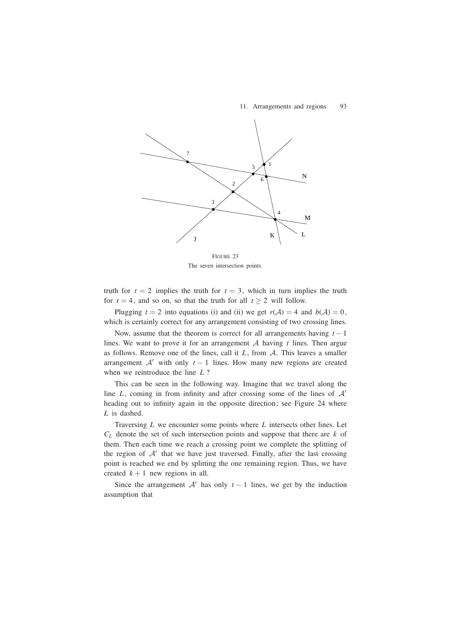

The seven intersection points.

truth for  $t = 2$  implies the truth for  $t = 3$ , which in turn implies the truth for  $t = 4$ , and so on, so that the truth for all  $t > 2$  will follow.

Plugging  $t = 2$  into equations (i) and (ii) we get  $r(A) = 4$  and  $b(A) = 0$ , which is certainly correct for any arrangement consisting of two crossing lines.

Now, assume that the theorem is correct for all arrangements having  $t - 1$ lines. We want to prove it for an arrangement A having *t* lines. Then argue as follows. Remove one of the lines, call it *L*, from A. This leaves a smaller arrangement  $A'$  with only  $t - 1$  lines. How many new regions are created when we reintroduce the line *L* ?

This can be seen in the following way. Imagine that we travel along the line  $L$ , coming in from infinity and after crossing some of the lines of  $A'$ heading out to infinity again in the opposite direction; see Figure 24 where *L* is dashed.

Traversing *L* we encounter some points where *L* intersects other lines. Let *C<sup>L</sup>* denote the set of such intersection points and suppose that there are *k* of them. Then each time we reach a crossing point we complete the splitting of the region of  $A'$  that we have just traversed. Finally, after the last crossing point is reached we end by splitting the one remaining region. Thus, we have created  $k + 1$  new regions in all.

Since the arrangement  $A'$  has only  $t-1$  lines, we get by the induction assumption that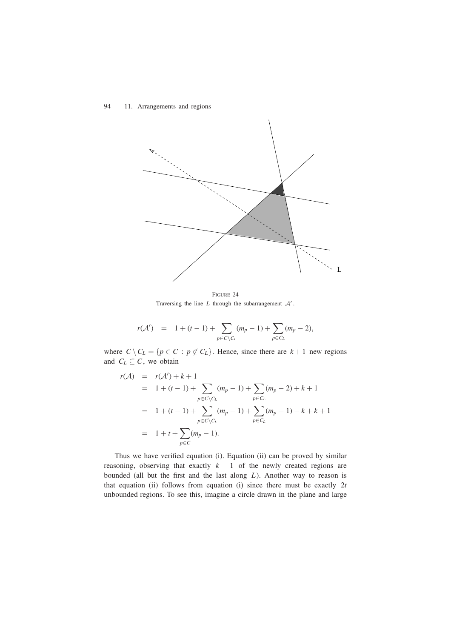

FIGURE 24 Traversing the line  $L$  through the subarrangement  $A'$ .

$$
r(\mathcal{A}') = 1 + (t - 1) + \sum_{p \in C \setminus C_L} (m_p - 1) + \sum_{p \in C_L} (m_p - 2),
$$

where  $C \setminus C_L = \{p \in C : p \notin C_L\}$ . Hence, since there are  $k+1$  new regions and  $C_L \subseteq C$ , we obtain

$$
r(\mathcal{A}) = r(\mathcal{A}') + k + 1
$$
  
= 1 + (t - 1) +  $\sum_{p \in C \setminus C_L} (m_p - 1) + \sum_{p \in C_L} (m_p - 2) + k + 1$   
= 1 + (t - 1) +  $\sum_{p \in C \setminus C_L} (m_p - 1) + \sum_{p \in C_L} (m_p - 1) - k + k + 1$   
= 1 + t +  $\sum_{p \in C} (m_p - 1)$ .

Thus we have verified equation (i). Equation (ii) can be proved by similar reasoning, observing that exactly  $k - 1$  of the newly created regions are bounded (all but the first and the last along *L*). Another way to reason is that equation (ii) follows from equation (i) since there must be exactly  $2t$ unbounded regions. To see this, imagine a circle drawn in the plane and large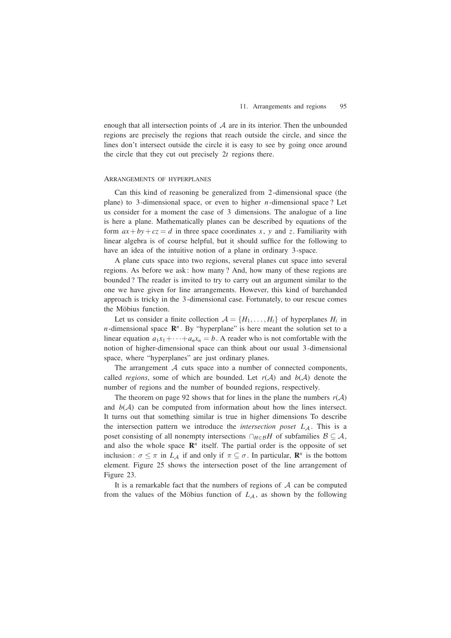enough that all intersection points of  $A$  are in its interior. Then the unbounded regions are precisely the regions that reach outside the circle, and since the lines don't intersect outside the circle it is easy to see by going once around the circle that they cut out precisely 2*t* regions there.

### ARRANGEMENTS OF HYPERPLANES

Can this kind of reasoning be generalized from 2 -dimensional space (the plane) to 3 -dimensional space, or even to higher *n*-dimensional space ? Let us consider for a moment the case of 3 dimensions. The analogue of a line is here a plane. Mathematically planes can be described by equations of the form  $ax + by + cz = d$  in three space coordinates *x*, *y* and *z*. Familiarity with linear algebra is of course helpful, but it should suffice for the following to have an idea of the intuitive notion of a plane in ordinary 3 -space.

A plane cuts space into two regions, several planes cut space into several regions. As before we ask : how many ? And, how many of these regions are bounded ? The reader is invited to try to carry out an argument similar to the one we have given for line arrangements. However, this kind of barehanded approach is tricky in the 3 -dimensional case. Fortunately, to our rescue comes the Möbius function.

Let us consider a finite collection  $A = \{H_1, \ldots, H_t\}$  of hyperplanes  $H_i$  in *n*-dimensional space  $\mathbb{R}^n$ . By "hyperplane" is here meant the solution set to a linear equation  $a_1x_1+\cdots+a_nx_n=b$ . A reader who is not comfortable with the notion of higher-dimensional space can think about our usual 3 -dimensional space, where "hyperplanes" are just ordinary planes.

The arrangement  $A$  cuts space into a number of connected components, called *regions*, some of which are bounded. Let  $r(A)$  and  $b(A)$  denote the number of regions and the number of bounded regions, respectively.

The theorem on page 92 shows that for lines in the plane the numbers  $r(\mathcal{A})$ and  $b(A)$  can be computed from information about how the lines intersect. It turns out that something similar is true in higher dimensions To describe the intersection pattern we introduce the *intersection poset L*<sup>A</sup> . This is a poset consisting of all nonempty intersections  $\cap_{H \in \mathcal{B}} H$  of subfamilies  $\mathcal{B} \subseteq \mathcal{A}$ , and also the whole space  $\mathbb{R}^n$  itself. The partial order is the opposite of set inclusion:  $\sigma \leq \pi$  in  $L_A$  if and only if  $\pi \subseteq \sigma$ . In particular,  $\mathbb{R}^n$  is the bottom element. Figure 25 shows the intersection poset of the line arrangement of Figure 23.

It is a remarkable fact that the numbers of regions of  $A$  can be computed from the values of the Möbius function of  $L_A$ , as shown by the following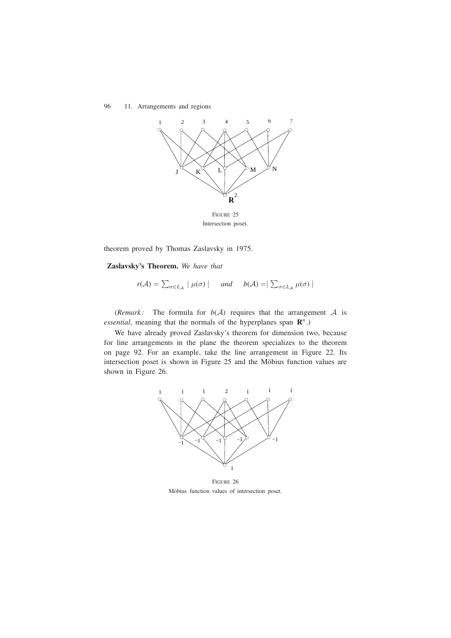96 11. Arrangements and regions



Intersection poset.

theorem proved by Thomas Zaslavsky in 1975.

Zaslavsky's Theorem. *We have that*

$$
r(\mathcal{A}) = \sum_{\sigma \in L_{\mathcal{A}}} |\mu(\sigma)| \quad \text{and} \quad b(\mathcal{A}) = \sum_{\sigma \in L_{\mathcal{A}}} \mu(\sigma) |
$$

(*Remark*: The formula for  $b(A)$  requires that the arrangement A is *essential*, meaning that the normals of the hyperplanes span  $\mathbb{R}^n$ .)

We have already proved Zaslavsky's theorem for dimension two, because for line arrangements in the plane the theorem specializes to the theorem on page 92. For an example, take the line arrangement in Figure 22. Its intersection poset is shown in Figure 25 and the Möbius function values are shown in Figure 26.



FIGURE 26 Möbius function values of intersection poset.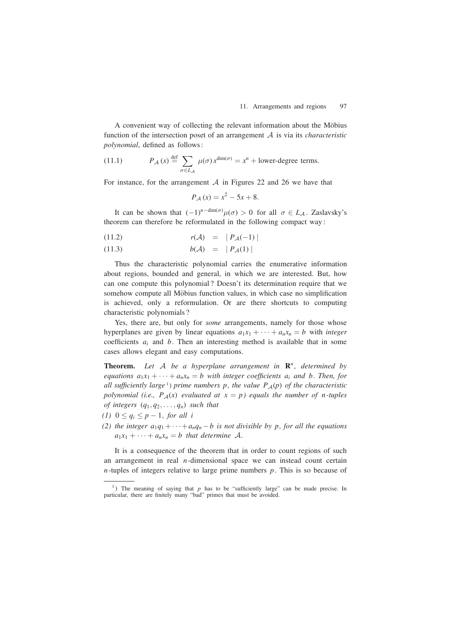A convenient way of collecting the relevant information about the Möbius function of the intersection poset of an arrangement A is via its *characteristic polynomial*, defined as follows :

(11.1) 
$$
P_{\mathcal{A}}(x) \stackrel{\text{def}}{=} \sum_{\sigma \in L_{\mathcal{A}}} \mu(\sigma) x^{\dim(\sigma)} = x^n + \text{lower-degree terms}.
$$

For instance, for the arrangement  $A$  in Figures 22 and 26 we have that

$$
P_{\mathcal{A}}\left(x\right) = x^2 - 5x + 8.
$$

It can be shown that  $(-1)^{n-\dim(\sigma)}\mu(\sigma) > 0$  for all  $\sigma \in L_A$ . Zaslavsky's theorem can therefore be reformulated in the following compact way :

$$
r(\mathcal{A}) = |P_{\mathcal{A}}(-1)|
$$

$$
(11.3) \t b(\mathcal{A}) = |P_{\mathcal{A}}(1)|
$$

Thus the characteristic polynomial carries the enumerative information about regions, bounded and general, in which we are interested. But, how can one compute this polynomial ? Doesn't its determination require that we somehow compute all Möbius function values, in which case no simplification is achieved, only a reformulation. Or are there shortcuts to computing characteristic polynomials ?

Yes, there are, but only for *some* arrangements, namely for those whose hyperplanes are given by linear equations  $a_1x_1 + \cdots + a_nx_n = b$  with *integer* coefficients  $a_i$  and  $b$ . Then an interesting method is available that in some cases allows elegant and easy computations.

Theorem. *Let* A *be a hyperplane arrangement in* R *n , determined by equations*  $a_1x_1 + \cdots + a_nx_n = b$  *with integer coefficients*  $a_i$  *and*  $b$ *. Then, for all sufficiently large* <sup>1</sup> ) *prime numbers p, the value P*A(*p*) *of the characteristic polynomial (i.e.,*  $P_A(x)$  *evaluated at*  $x = p$ ) *equals the number of n-tuples of integers*  $(q_1, q_2, \ldots, q_n)$  *such that* 

- *(1)* 0 ≤  $q_i$  ≤  $p 1$ *, for all i*
- *(2) the integer*  $a_1q_1 + \cdots + a_nq_n b$  *is not divisible by p, for all the equations*  $a_1x_1 + \cdots + a_nx_n = b$  that determine A.

It is a consequence of the theorem that in order to count regions of such an arrangement in real *n*-dimensional space we can instead count certain *n*-tuples of integers relative to large prime numbers *p*. This is so because of

<sup>&</sup>lt;sup>1</sup>) The meaning of saying that  $p$  has to be "sufficiently large" can be made precise. In particular, there are finitely many "bad" primes that must be avoided.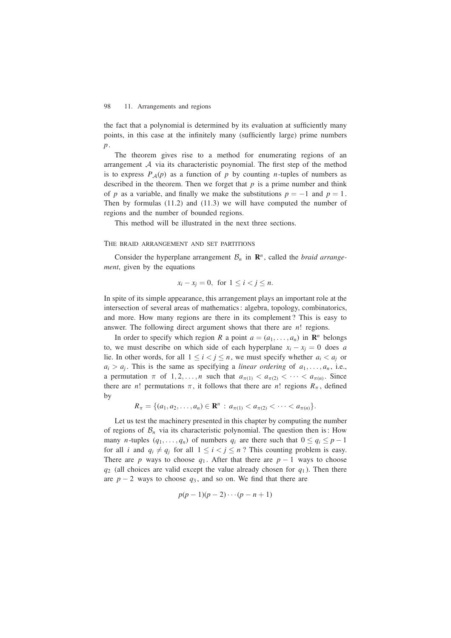### 98 11. Arrangements and regions

the fact that a polynomial is determined by its evaluation at sufficiently many points, in this case at the infinitely many (sufficiently large) prime numbers *p*.

The theorem gives rise to a method for enumerating regions of an arrangement  $A$  via its characteristic poynomial. The first step of the method is to express  $P_A(p)$  as a function of *p* by counting *n*-tuples of numbers as described in the theorem. Then we forget that *p* is a prime number and think of *p* as a variable, and finally we make the substitutions  $p = -1$  and  $p = 1$ . Then by formulas (11.2) and (11.3) we will have computed the number of regions and the number of bounded regions.

This method will be illustrated in the next three sections.

### THE BRAID ARRANGEMENT AND SET PARTITIONS

Consider the hyperplane arrangement  $B_n$  in  $\mathbb{R}^n$ , called the *braid arrangement*, given by the equations

$$
x_i - x_j = 0, \text{ for } 1 \leq i < j \leq n.
$$

In spite of its simple appearance, this arrangement plays an important role at the intersection of several areas of mathematics : algebra, topology, combinatorics, and more. How many regions are there in its complement ? This is easy to answer. The following direct argument shows that there are *n*! regions.

In order to specify which region *R* a point  $a = (a_1, \ldots, a_n)$  in  $\mathbb{R}^n$  belongs to, we must describe on which side of each hyperplane  $x_i - x_j = 0$  does *a* lie. In other words, for all  $1 \leq i < j \leq n$ , we must specify whether  $a_i < a_j$  or  $a_i > a_j$ . This is the same as specifying a *linear ordering* of  $a_1, \ldots, a_n$ , i.e., a permutation  $\pi$  of  $1, 2, ..., n$  such that  $a_{\pi(1)} < a_{\pi(2)} < \cdots < a_{\pi(n)}$ . Since there are *n*! permutations  $\pi$ , it follows that there are *n*! regions  $R_{\pi}$ , defined by

$$
R_{\pi} = \{(a_1, a_2, \ldots, a_n) \in \mathbf{R}^n : a_{\pi(1)} < a_{\pi(2)} < \cdots < a_{\pi(n)}\}.
$$

Let us test the machinery presented in this chapter by computing the number of regions of  $\mathcal{B}_n$  via its characteristic polynomial. The question then is: How many *n*-tuples  $(q_1, \ldots, q_n)$  of numbers  $q_i$  are there such that  $0 \le q_i \le p - 1$ for all *i* and  $q_i \neq q_j$  for all  $1 \leq i \leq j \leq n$ ? This counting problem is easy. There are *p* ways to choose  $q_1$ . After that there are  $p - 1$  ways to choose  $q_2$  (all choices are valid except the value already chosen for  $q_1$ ). Then there are  $p - 2$  ways to choose  $q_3$ , and so on. We find that there are

$$
p(p-1)(p-2)\cdots(p-n+1)
$$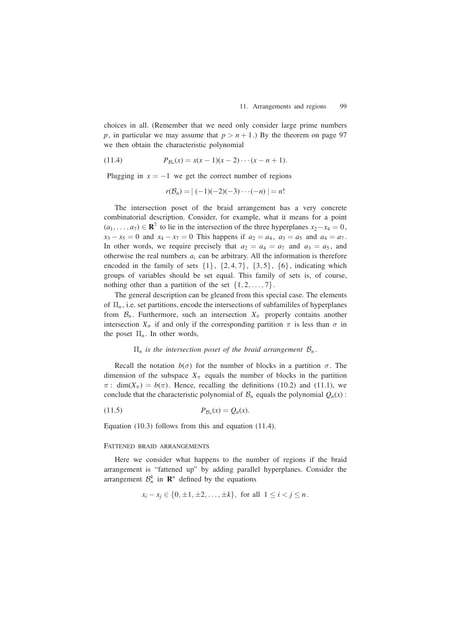choices in all. (Remember that we need only consider large prime numbers *p*, in particular we may assume that  $p > n + 1$ . By the theorem on page 97 we then obtain the characteristic polynomial

(11.4) 
$$
P_{\mathcal{B}_n}(x) = x(x-1)(x-2)\cdots(x-n+1).
$$

Plugging in  $x = -1$  we get the correct number of regions

$$
r(B_n) = | (-1)(-2)(-3) \cdots (-n) | = n!
$$

The intersection poset of the braid arrangement has a very concrete combinatorial description. Consider, for example, what it means for a point  $(a_1, \ldots, a_7)$  ∈ **R**<sup>7</sup> to lie in the intersection of the three hyperplanes  $x_2 - x_4 = 0$ ,  $x_3 - x_5 = 0$  and  $x_4 - x_7 = 0$  This happens if  $a_2 = a_4$ ,  $a_3 = a_5$  and  $a_4 = a_7$ . In other words, we require precisely that  $a_2 = a_4 = a_7$  and  $a_3 = a_5$ , and otherwise the real numbers  $a_i$  can be arbitrary. All the information is therefore encoded in the family of sets  $\{1\}$ ,  $\{2, 4, 7\}$ ,  $\{3, 5\}$ ,  $\{6\}$ , indicating which groups of variables should be set equal. This family of sets is, of course, nothing other than a partition of the set  $\{1, 2, \ldots, 7\}$ .

The general description can be gleaned from this special case. The elements of  $\Pi_n$ , i.e. set partitions, encode the intersections of subfamililes of hyperplanes from  $\mathcal{B}_n$ . Furthermore, such an intersection  $X_\pi$  properly contains another intersection  $X_{\sigma}$  if and only if the corresponding partition  $\pi$  is less than  $\sigma$  in the poset  $\Pi_n$ . In other words,

# $\Pi_n$  *is the intersection poset of the braid arrangement*  $\mathcal{B}_n$ *.*

Recall the notation  $b(\sigma)$  for the number of blocks in a partition  $\sigma$ . The dimension of the subspace  $X_\pi$  equals the number of blocks in the partition  $\pi$ : dim( $X_{\pi}$ ) =  $b(\pi)$ . Hence, recalling the definitions (10.2) and (11.1), we conclude that the characteristic polynomial of  $\mathcal{B}_n$  equals the polynomial  $Q_n(x)$ :

$$
(11.5) \t\t P_{\mathcal{B}_n}(x) = Q_n(x).
$$

Equation (10.3) follows from this and equation (11.4).

#### FATTENED BRAID ARRANGEMENTS

Here we consider what happens to the number of regions if the braid arrangement is "fattened up" by adding parallel hyperplanes. Consider the arrangement  $\mathcal{B}_n^k$  in  $\mathbb{R}^n$  defined by the equations

$$
x_i - x_j \in \{0, \pm 1, \pm 2, \ldots, \pm k\}
$$
, for all  $1 \le i < j \le n$ .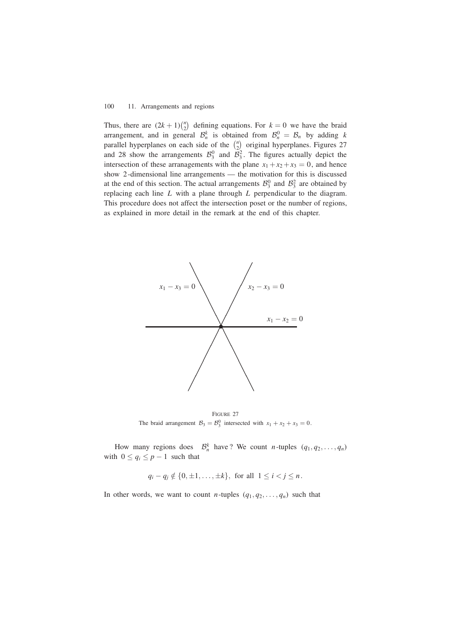# 100 11. Arrangements and regions

Thus, there are  $(2k+1)\binom{n}{2}$  defining equations. For  $k=0$  we have the braid arrangement, and in general  $\mathcal{B}_n^k$  is obtained from  $\mathcal{B}_n^0 = \mathcal{B}_n$  by adding *k* parallel hyperplanes on each side of the  $\binom{n}{2}$  original hyperplanes. Figures 27 and 28 show the arrangements  $\mathcal{B}_3^0$  and  $\mathcal{B}_3^2$ . The figures actually depict the intersection of these arranagements with the plane  $x_1 + x_2 + x_3 = 0$ , and hence show 2 -dimensional line arrangements — the motivation for this is discussed at the end of this section. The actual arrangements  $\mathcal{B}_3^0$  and  $\mathcal{B}_3^2$  are obtained by replacing each line *L* with a plane through *L* perpendicular to the diagram. This procedure does not affect the intersection poset or the number of regions, as explained in more detail in the remark at the end of this chapter.



FIGURE 27 The braid arrangement  $B_3 = B_3^0$  intersected with  $x_1 + x_2 + x_3 = 0$ .

How many regions does  $B_n^k$  have? We count *n*-tuples  $(q_1, q_2, \ldots, q_n)$ with  $0 \le q_i \le p-1$  such that

 $q_i - q_j \notin \{0, \pm 1, \ldots, \pm k\},$  for all  $1 \leq i < j \leq n$ .

In other words, we want to count *n*-tuples  $(q_1, q_2, \ldots, q_n)$  such that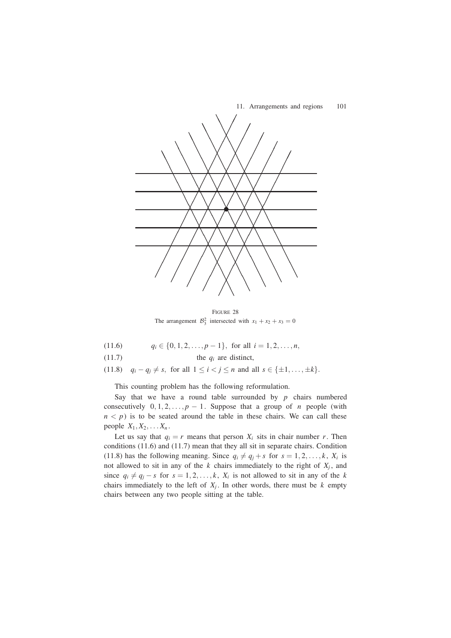

FIGURE 28 The arrangement  $\mathcal{B}_3^2$  intersected with  $x_1 + x_2 + x_3 = 0$ 

$$
(11.6) \tq_i \in \{0, 1, 2, \dots, p-1\}, \text{ for all } i = 1, 2, \dots, n,
$$

$$
(11.7)
$$
 the  $q_i$  are distinct,

$$
(11.8) \quad q_i - q_j \neq s, \text{ for all } 1 \leq i < j \leq n \text{ and all } s \in \{\pm 1, \ldots, \pm k\}.
$$

This counting problem has the following reformulation.

Say that we have a round table surrounded by  $p$  chairs numbered consecutively  $0, 1, 2, \ldots, p - 1$ . Suppose that a group of *n* people (with  $n < p$ ) is to be seated around the table in these chairs. We can call these people  $X_1, X_2, \ldots X_n$ .

Let us say that  $q_i = r$  means that person  $X_i$  sits in chair number  $r$ . Then conditions (11.6) and (11.7) mean that they all sit in separate chairs. Condition (11.8) has the following meaning. Since  $q_i \neq q_j + s$  for  $s = 1, 2, ..., k$ ,  $X_i$  is not allowed to sit in any of the  $k$  chairs immediately to the right of  $X_j$ , and since  $q_i \neq q_j - s$  for  $s = 1, 2, ..., k$ ,  $X_i$  is not allowed to sit in any of the *k* chairs immediately to the left of  $X_j$ . In other words, there must be  $k$  empty chairs between any two people sitting at the table.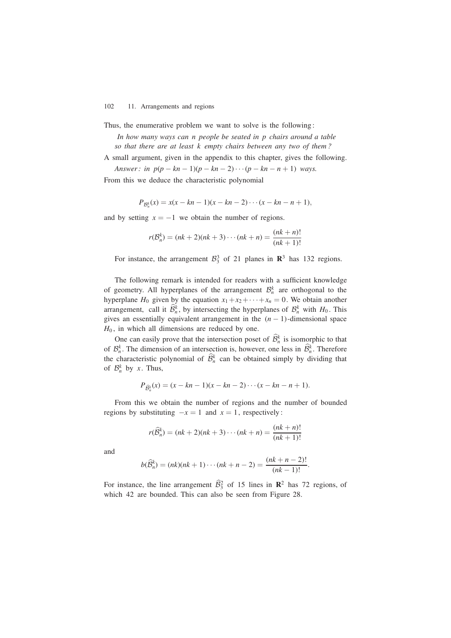# 102 11. Arrangements and regions

Thus, the enumerative problem we want to solve is the following :

*In how many ways can n people be seated in p chairs around a table so that there are at least k empty chairs between any two of them ?*

A small argument, given in the appendix to this chapter, gives the following. *Answer: in*  $p(p - kn - 1)(p - kn - 2) \cdots (p - kn - n + 1)$  ways.

From this we deduce the characteristic polynomial

$$
P_{\mathcal{B}_{n}^{k}}(x) = x(x - kn - 1)(x - kn - 2) \cdots (x - kn - n + 1),
$$

and by setting  $x = -1$  we obtain the number of regions.

$$
r(B_n^k) = (nk + 2)(nk + 3) \cdots (nk + n) = \frac{(nk + n)!}{(nk + 1)!}
$$

For instance, the arrangement  $\mathcal{B}_3^3$  of 21 planes in  $\mathbb{R}^3$  has 132 regions.

The following remark is intended for readers with a sufficient knowledge of geometry. All hyperplanes of the arrangement  $\mathcal{B}_n^k$  are orthogonal to the hyperplane  $H_0$  given by the equation  $x_1 + x_2 + \cdots + x_n = 0$ . We obtain another arrangement, call it  $\hat{\mathcal{B}}_n^k$ , by intersecting the hyperplanes of  $\mathcal{B}_n^k$  with  $H_0$ . This gives an essentially equivalent arrangement in the  $(n - 1)$ -dimensional space  $H_0$ , in which all dimensions are reduced by one.

One can easily prove that the intersection poset of  $\hat{\mathcal{B}}_n^k$  is isomorphic to that of  $\mathcal{B}_n^k$ . The dimension of an intersection is, however, one less in  $\widehat{\mathcal{B}}_n^k$ . Therefore the characteristic polynomial of  $\widehat{\mathcal{B}}_n^k$  can be obtained simply by dividing that of  $\mathcal{B}_n^k$  by *x*. Thus,

$$
P_{\widehat{B}_n^k}(x) = (x - kn - 1)(x - kn - 2) \cdots (x - kn - n + 1).
$$

From this we obtain the number of regions and the number of bounded regions by substituting  $-x = 1$  and  $x = 1$ , respectively :

$$
r(\widehat{\mathcal{B}}_n^k) = (nk + 2)(nk + 3) \cdots (nk + n) = \frac{(nk + n)!}{(nk + 1)!}
$$

and

$$
b(\widehat{\mathcal{B}}_n^k) = (nk)(nk+1)\cdots(nk+n-2) = \frac{(nk+n-2)!}{(nk-1)!}.
$$

For instance, the line arrangement  $\hat{B}_3^2$  of 15 lines in  $\mathbb{R}^2$  has 72 regions, of which 42 are bounded. This can also be seen from Figure 28.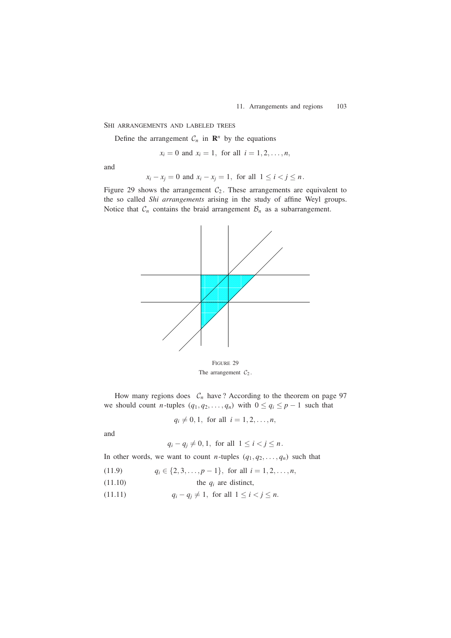SHI ARRANGEMENTS AND LABELED TREES

Define the arrangement  $C_n$  in  $\mathbb{R}^n$  by the equations

$$
x_i = 0
$$
 and  $x_i = 1$ , for all  $i = 1, 2, ..., n$ ,

and

$$
x_i - x_j = 0 \text{ and } x_i - x_j = 1, \text{ for all } 1 \leq i < j \leq n.
$$

Figure 29 shows the arrangement  $C_2$ . These arrangements are equivalent to the so called *Shi arrangements* arising in the study of affine Weyl groups. Notice that  $C_n$  contains the braid arrangement  $B_n$  as a subarrangement.



The arrangement  $C_2$ .

How many regions does  $C_n$  have ? According to the theorem on page 97 we should count *n*-tuples  $(q_1, q_2, \ldots, q_n)$  with  $0 \le q_i \le p-1$  such that

$$
q_i \neq 0, 1
$$
, for all  $i = 1, 2, ..., n$ ,

and

$$
q_i - q_j \neq 0, 1, \text{ for all } 1 \leq i < j \leq n.
$$

In other words, we want to count *n*-tuples  $(q_1, q_2, \ldots, q_n)$  such that

(11.9)  $q_i \in \{2, 3, \ldots, p-1\}$ , for all  $i = 1, 2, \ldots, n$ ,

$$
(11.10) \t\t the  $q_i$  are distinct,
$$

(11.11)  $q_i - q_j \neq 1$ , for all  $1 \leq i < j \leq n$ .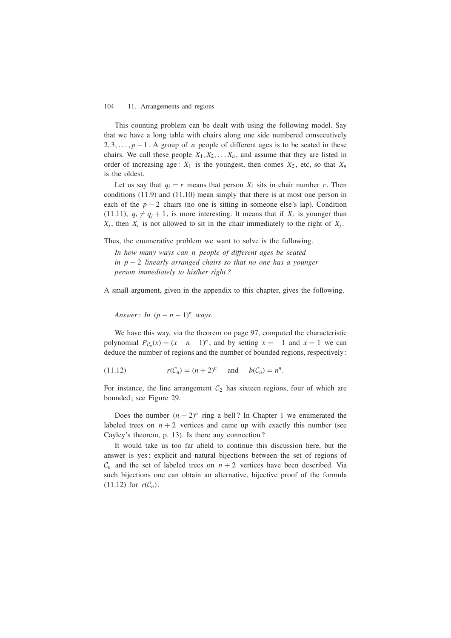# 104 11. Arrangements and regions

This counting problem can be dealt with using the following model. Say that we have a long table with chairs along one side numbered consecutively  $2, 3, \ldots, p-1$ . A group of *n* people of different ages is to be seated in these chairs. We call these people  $X_1, X_2, \ldots, X_n$ , and assume that they are listed in order of increasing age:  $X_1$  is the youngest, then comes  $X_2$ , etc, so that  $X_n$ is the oldest.

Let us say that  $q_i = r$  means that person  $X_i$  sits in chair number  $r$ . Then conditions (11.9) and (11.10) mean simply that there is at most one person in each of the  $p - 2$  chairs (no one is sitting in someone else's lap). Condition (11.11),  $q_i \neq q_j + 1$ , is more interesting. It means that if  $X_i$  is younger than  $X_j$ , then  $X_i$  is not allowed to sit in the chair immediately to the right of  $X_j$ .

Thus, the enumerative problem we want to solve is the following.

*In how many ways can n people of different ages be seated in p* − 2 *linearly arranged chairs so that no one has a younger person immediately to his/her right ?*

A small argument, given in the appendix to this chapter, gives the following.

*Answer: In*  $(p - n - 1)^n$  *ways.* 

We have this way, via the theorem on page 97, computed the characteristic polynomial  $P_{\mathcal{C}_n}(x) = (x - n - 1)^n$ , and by setting  $x = -1$  and  $x = 1$  we can deduce the number of regions and the number of bounded regions, respectively :

$$
(11.12) \t\t r(Cn) = (n+2)n \t and \t b(Cn) = nn.
$$

For instance, the line arrangement  $C_2$  has sixteen regions, four of which are bounded; see Figure 29.

Does the number  $(n + 2)^n$  ring a bell ? In Chapter 1 we enumerated the labeled trees on  $n + 2$  vertices and came up with exactly this number (see Cayley's theorem, p. 13). Is there any connection ?

It would take us too far afield to continue this discussion here, but the answer is yes : explicit and natural bijections between the set of regions of  $\mathcal{C}_n$  and the set of labeled trees on  $n+2$  vertices have been described. Via such bijections one can obtain an alternative, bijective proof of the formula  $(11.12)$  for  $r(\mathcal{C}_n)$ .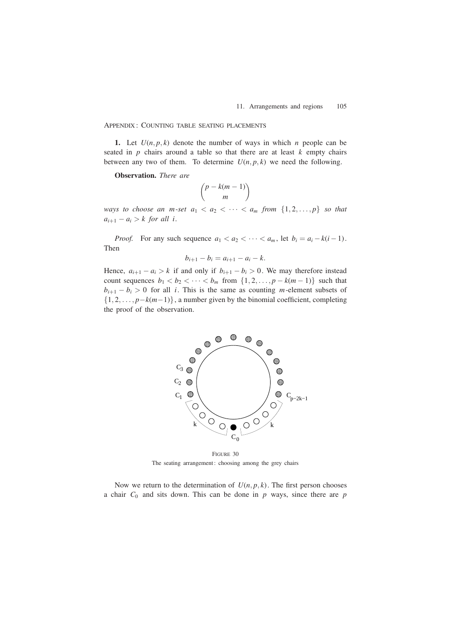APPENDIX : COUNTING TABLE SEATING PLACEMENTS

1. Let  $U(n, p, k)$  denote the number of ways in which *n* people can be seated in  $p$  chairs around a table so that there are at least  $k$  empty chairs between any two of them. To determine  $U(n, p, k)$  we need the following.

Observation. *There are*

$$
\binom{p-k(m-1)}{m}
$$

*ways to choose an m-set*  $a_1 < a_2 < \cdots < a_m$  *from*  $\{1, 2, \ldots, p\}$  *so that*  $a_{i+1} - a_i > k$  *for all i.* 

*Proof.* For any such sequence  $a_1 < a_2 < \cdots < a_m$ , let  $b_i = a_i - k(i-1)$ . Then

$$
b_{i+1} - b_i = a_{i+1} - a_i - k.
$$

Hence,  $a_{i+1} - a_i > k$  if and only if  $b_{i+1} - b_i > 0$ . We may therefore instead count sequences  $b_1 < b_2 < \cdots < b_m$  from  $\{1, 2, \ldots, p - k(m-1)\}$  such that  $b_{i+1} - b_i > 0$  for all *i*. This is the same as counting *m*-element subsets of {1, 2, . . . , *p*−*k*(*m*−1)}, a number given by the binomial coefficient, completing the proof of the observation.



FIGURE 30 The seating arrangement: choosing among the grey chairs

Now we return to the determination of  $U(n, p, k)$ . The first person chooses a chair  $C_0$  and sits down. This can be done in  $p$  ways, since there are  $p$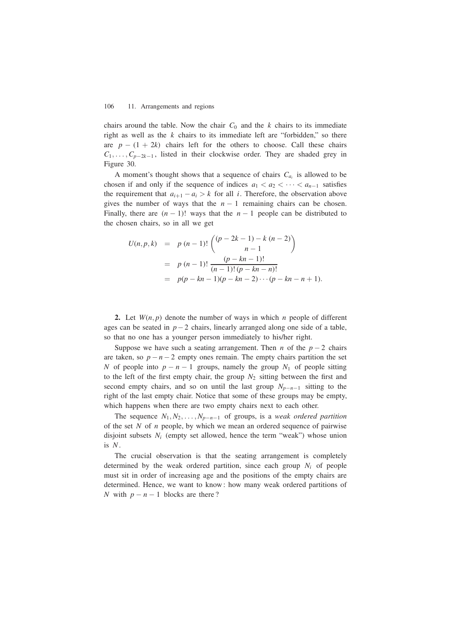## 106 11. Arrangements and regions

chairs around the table. Now the chair  $C_0$  and the  $k$  chairs to its immediate right as well as the *k* chairs to its immediate left are "forbidden," so there are  $p - (1 + 2k)$  chairs left for the others to choose. Call these chairs  $C_1, \ldots, C_{p-2k-1}$ , listed in their clockwise order. They are shaded grey in Figure 30.

A moment's thought shows that a sequence of chairs  $C_{a_i}$  is allowed to be chosen if and only if the sequence of indices  $a_1 < a_2 < \cdots < a_{n-1}$  satisfies the requirement that  $a_{i+1} - a_i > k$  for all *i*. Therefore, the observation above gives the number of ways that the  $n - 1$  remaining chairs can be chosen. Finally, there are  $(n - 1)!$  ways that the  $n - 1$  people can be distributed to the chosen chairs, so in all we get

$$
U(n, p, k) = p (n - 1)! \binom{(p - 2k - 1) - k (n - 2)}{n - 1}
$$
  
=  $p (n - 1)! \frac{(p - kn - 1)!}{(n - 1)! (p - kn - n)!}$   
=  $p(p - kn - 1)(p - kn - 2) \cdots (p - kn - n + 1).$ 

2. Let  $W(n, p)$  denote the number of ways in which *n* people of different ages can be seated in *p*−2 chairs, linearly arranged along one side of a table, so that no one has a younger person immediately to his/her right.

Suppose we have such a seating arrangement. Then *n* of the  $p - 2$  chairs are taken, so  $p - n - 2$  empty ones remain. The empty chairs partition the set *N* of people into  $p - n - 1$  groups, namely the group  $N_1$  of people sitting to the left of the first empty chair, the group  $N_2$  sitting between the first and second empty chairs, and so on until the last group  $N_{p-n-1}$  sitting to the right of the last empty chair. Notice that some of these groups may be empty, which happens when there are two empty chairs next to each other.

The sequence  $N_1, N_2, \ldots, N_{p-n-1}$  of groups, is a *weak ordered partition* of the set *N* of *n* people, by which we mean an ordered sequence of pairwise disjoint subsets *N<sup>i</sup>* (empty set allowed, hence the term "weak") whose union is *N*.

The crucial observation is that the seating arrangement is completely determined by the weak ordered partition, since each group  $N_i$  of people must sit in order of increasing age and the positions of the empty chairs are determined. Hence, we want to know : how many weak ordered partitions of *N* with  $p - n - 1$  blocks are there?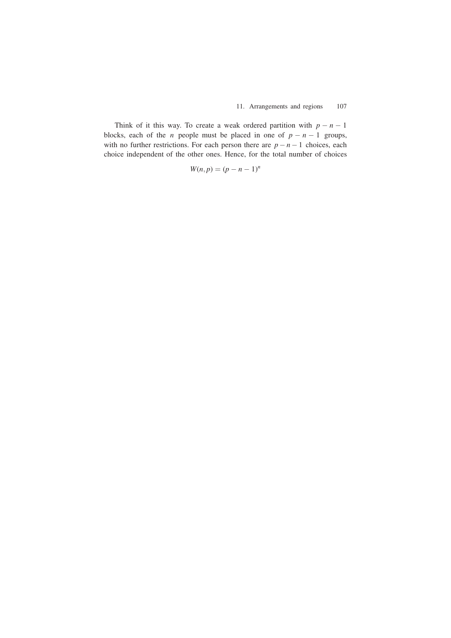# 11. Arrangements and regions 107

Think of it this way. To create a weak ordered partition with  $p - n - 1$ blocks, each of the *n* people must be placed in one of  $p - n - 1$  groups, with no further restrictions. For each person there are  $p - n - 1$  choices, each choice independent of the other ones. Hence, for the total number of choices

$$
W(n,p) = (p - n - 1)^n
$$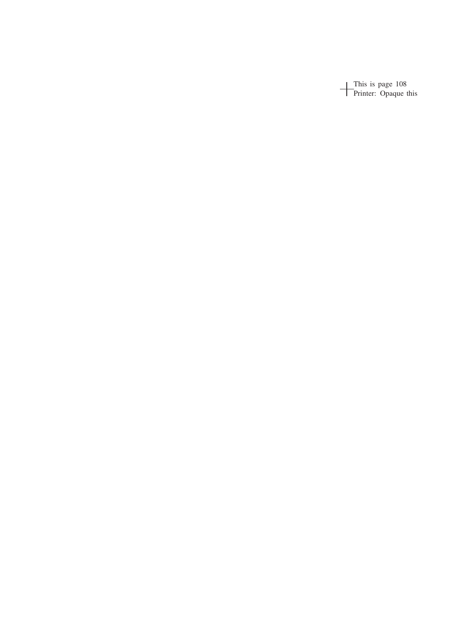This is page 108 Printer: Opaque this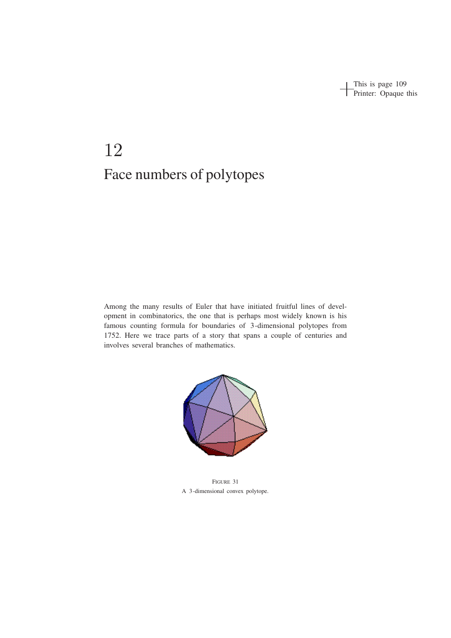This is page 109 Printer: Opaque this

# 12 Face numbers of polytopes

Among the many results of Euler that have initiated fruitful lines of development in combinatorics, the one that is perhaps most widely known is his famous counting formula for boundaries of 3 -dimensional polytopes from 1752. Here we trace parts of a story that spans a couple of centuries and involves several branches of mathematics.



FIGURE 31 A 3 -dimensional convex polytope.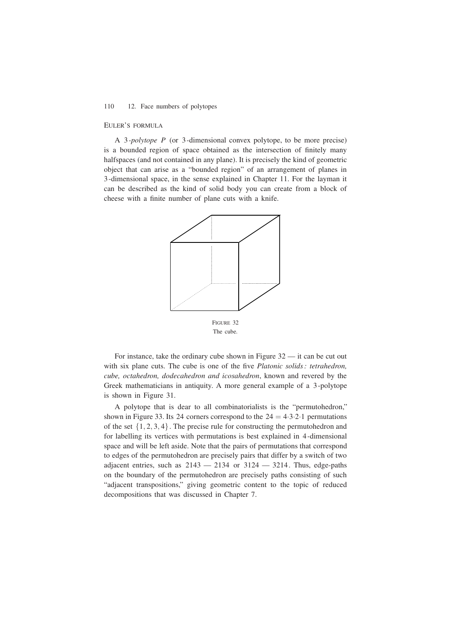## 110 12. Face numbers of polytopes

#### EULER'S FORMULA

A 3*-polytope P* (or 3 -dimensional convex polytope, to be more precise) is a bounded region of space obtained as the intersection of finitely many halfspaces (and not contained in any plane). It is precisely the kind of geometric object that can arise as a "bounded region" of an arrangement of planes in 3 -dimensional space, in the sense explained in Chapter 11. For the layman it can be described as the kind of solid body you can create from a block of cheese with a finite number of plane cuts with a knife.



The cube.

For instance, take the ordinary cube shown in Figure 32 — it can be cut out with six plane cuts. The cube is one of the five *Platonic solids : tetrahedron, cube, octahedron, dodecahedron and icosahedron*, known and revered by the Greek mathematicians in antiquity. A more general example of a 3 -polytope is shown in Figure 31.

A polytope that is dear to all combinatorialists is the "permutohedron," shown in Figure 33. Its 24 corners correspond to the  $24 = 4.3.2.1$  permutations of the set  $\{1, 2, 3, 4\}$ . The precise rule for constructing the permutohedron and for labelling its vertices with permutations is best explained in 4 -dimensional space and will be left aside. Note that the pairs of permutations that correspond to edges of the permutohedron are precisely pairs that differ by a switch of two adjacent entries, such as  $2143 - 2134$  or  $3124 - 3214$ . Thus, edge-paths on the boundary of the permutohedron are precisely paths consisting of such "adjacent transpositions," giving geometric content to the topic of reduced decompositions that was discussed in Chapter 7.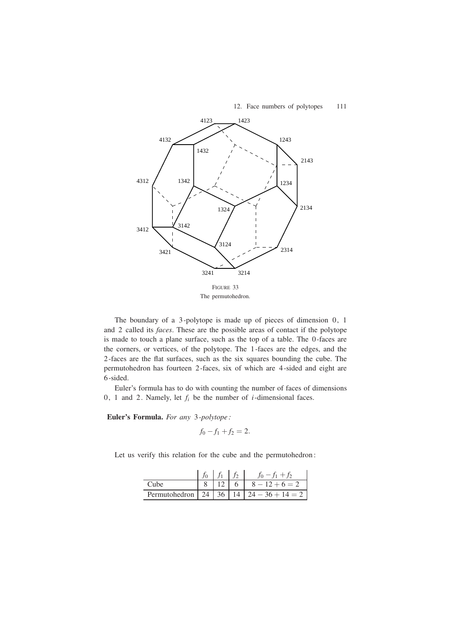

The boundary of a 3 -polytope is made up of pieces of dimension 0, 1 and 2 called its *faces*. These are the possible areas of contact if the polytope is made to touch a plane surface, such as the top of a table. The 0 -faces are the corners, or vertices, of the polytope. The 1 -faces are the edges, and the 2 -faces are the flat surfaces, such as the six squares bounding the cube. The permutohedron has fourteen 2 -faces, six of which are 4 -sided and eight are 6 -sided.

Euler's formula has to do with counting the number of faces of dimensions 0, 1 and 2. Namely, let  $f_i$  be the number of *i*-dimensional faces.

Euler's Formula. *For any* 3*-polytope :*

$$
f_0 - f_1 + f_2 = 2.
$$

Let us verify this relation for the cube and the permutohedron :

|                         |  | $t_0 - t_1 + t_2$  |
|-------------------------|--|--------------------|
| Cube                    |  | $-12+6=2$          |
| Permutohedron   24   36 |  | $24 - 36 + 14 = 2$ |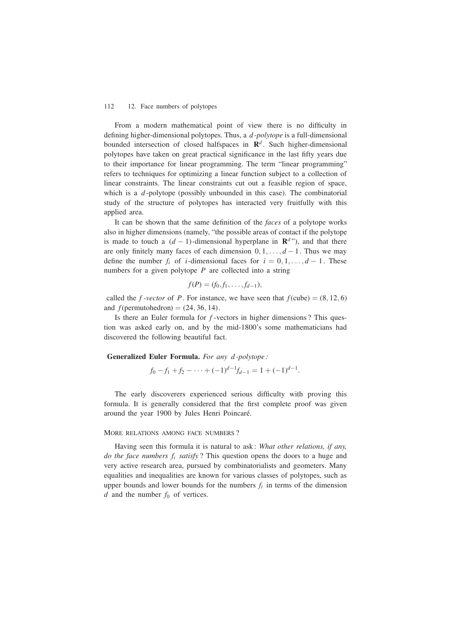## 112 12. Face numbers of polytopes

From a modern mathematical point of view there is no difficulty in defining higher-dimensional polytopes. Thus, a *d -polytope* is a full-dimensional bounded intersection of closed halfspaces in R *d* . Such higher-dimensional polytopes have taken on great practical significance in the last fifty years due to their importance for linear programming. The term "linear programming" refers to techniques for optimizing a linear function subject to a collection of linear constraints. The linear constraints cut out a feasible region of space, which is a *d*-polytope (possibly unbounded in this case). The combinatorial study of the structure of polytopes has interacted very fruitfully with this applied area.

It can be shown that the same definition of the *faces* of a polytope works also in higher dimensions (namely, "the possible areas of contact if the polytope is made to touch a  $(d-1)$ -dimensional hyperplane in  $\mathbb{R}^d$ <sup>2</sup>, and that there are only finitely many faces of each dimension  $0, 1, \ldots, d - 1$ . Thus we may define the number  $f_i$  of *i*-dimensional faces for  $i = 0, 1, \ldots, d - 1$ . These numbers for a given polytope *P* are collected into a string

$$
f(P)=(f_0,f_1,\ldots,f_{d-1}),
$$

called the *f* -*vector* of *P*. For instance, we have seen that  $f$ (cube) = (8, 12, 6) and  $f$ (permutohedron) =  $(24, 36, 14)$ .

Is there an Euler formula for *f* -vectors in higher dimensions ? This question was asked early on, and by the mid-1800's some mathematicians had discovered the following beautiful fact.

Generalized Euler Formula. *For any d -polytope :*

$$
f_0 - f_1 + f_2 - \dots + (-1)^{d-1} f_{d-1} = 1 + (-1)^{d-1}.
$$

The early discoverers experienced serious difficulty with proving this formula. It is generally considered that the first complete proof was given around the year 1900 by Jules Henri Poincaré.

#### MORE RELATIONS AMONG FACE NUMBERS ?

Having seen this formula it is natural to ask : *What other relations, if any, do the face numbers f<sup>i</sup> satisfy* ? This question opens the doors to a huge and very active research area, pursued by combinatorialists and geometers. Many equalities and inequalities are known for various classes of polytopes, such as upper bounds and lower bounds for the numbers  $f_i$  in terms of the dimension *d* and the number  $f_0$  of vertices.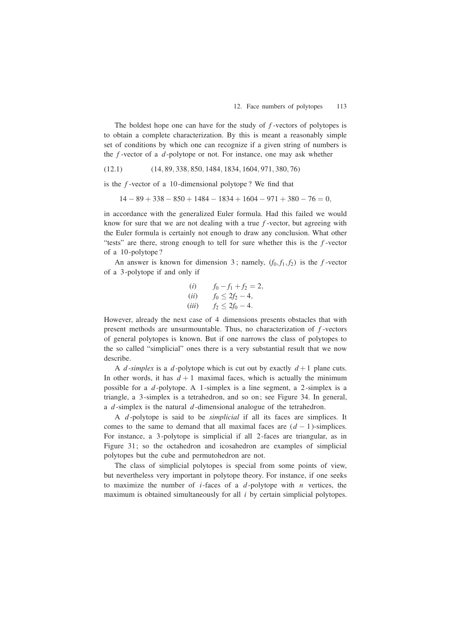The boldest hope one can have for the study of *f* -vectors of polytopes is to obtain a complete characterization. By this is meant a reasonably simple set of conditions by which one can recognize if a given string of numbers is the *f* -vector of a *d* -polytope or not. For instance, one may ask whether

$$
(12.1) \qquad (14, 89, 338, 850, 1484, 1834, 1604, 971, 380, 76)
$$

is the *f* -vector of a 10 -dimensional polytope ? We find that

 $14 - 89 + 338 - 850 + 1484 - 1834 + 1604 - 971 + 380 - 76 = 0$ 

in accordance with the generalized Euler formula. Had this failed we would know for sure that we are not dealing with a true *f* -vector, but agreeing with the Euler formula is certainly not enough to draw any conclusion. What other "tests" are there, strong enough to tell for sure whether this is the *f* -vector of a 10 -polytope ?

An answer is known for dimension 3; namely,  $(f_0, f_1, f_2)$  is the *f*-vector of a 3 -polytope if and only if

(i) 
$$
f_0 - f_1 + f_2 = 2
$$
,  
\n(ii)  $f_0 \le 2f_2 - 4$ ,  
\n(iii)  $f_2 \le 2f_0 - 4$ .

However, already the next case of 4 dimensions presents obstacles that with present methods are unsurmountable. Thus, no characterization of *f* -vectors of general polytopes is known. But if one narrows the class of polytopes to the so called "simplicial" ones there is a very substantial result that we now describe.

A *d*-simplex is a *d*-polytope which is cut out by exactly  $d+1$  plane cuts. In other words, it has  $d + 1$  maximal faces, which is actually the minimum possible for a *d* -polytope. A 1 -simplex is a line segment, a 2 -simplex is a triangle, a 3 -simplex is a tetrahedron, and so on; see Figure 34. In general, a *d* -simplex is the natural *d* -dimensional analogue of the tetrahedron.

A *d* -polytope is said to be *simplicial* if all its faces are simplices. It comes to the same to demand that all maximal faces are  $(d-1)$ -simplices. For instance, a 3 -polytope is simplicial if all 2 -faces are triangular, as in Figure 31; so the octahedron and icosahedron are examples of simplicial polytopes but the cube and permutohedron are not.

The class of simplicial polytopes is special from some points of view, but nevertheless very important in polytope theory. For instance, if one seeks to maximize the number of *i*-faces of a *d* -polytope with *n* vertices, the maximum is obtained simultaneously for all *i* by certain simplicial polytopes.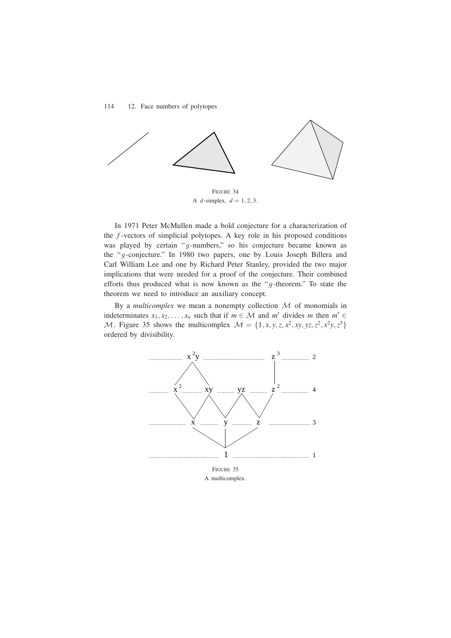

In 1971 Peter McMullen made a bold conjecture for a characterization of the *f* -vectors of simplicial polytopes. A key role in his proposed conditions was played by certain " $g$ -numbers," so his conjecture became known as the "g -conjecture." In 1980 two papers, one by Louis Joseph Billera and Carl William Lee and one by Richard Peter Stanley, provided the two major implications that were needed for a proof of the conjecture. Their combined efforts thus produced what is now known as the " $g$ -theorem." To state the theorem we need to introduce an auxiliary concept.

By a *multicomplex* we mean a nonempty collection M of monomials in indeterminates  $x_1, x_2, \ldots, x_n$  such that if  $m \in \mathcal{M}$  and  $m'$  divides  $m$  then  $m' \in$ M. Figure 35 shows the multicomplex  $M = \{1, x, y, z, x^2, xy, yz, z^2, x^2y, z^3\}$ ordered by divisibility.

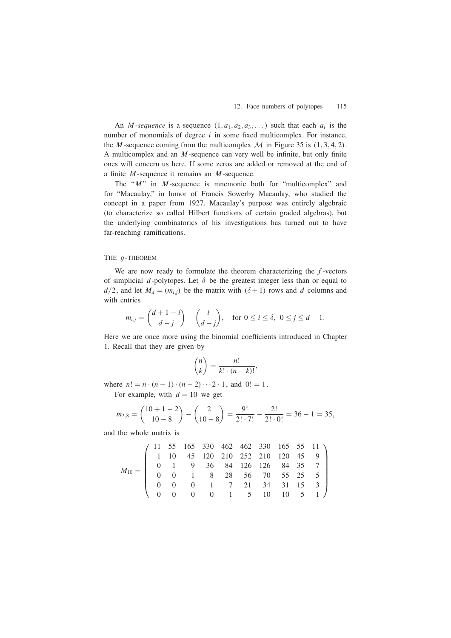An *M*-sequence is a sequence  $(1, a_1, a_2, a_3, \ldots)$  such that each  $a_i$  is the number of monomials of degree *i* in some fixed multicomplex. For instance, the *M*-sequence coming from the multicomplex  $M$  in Figure 35 is  $(1, 3, 4, 2)$ . A multicomplex and an *M* -sequence can very well be infinite, but only finite ones will concern us here. If some zeros are added or removed at the end of a finite *M* -sequence it remains an *M* -sequence.

The "*M*" in *M*-sequence is mnemonic both for "multicomplex" and for "Macaulay," in honor of Francis Sowerby Macaulay, who studied the concept in a paper from 1927. Macaulay's purpose was entirely algebraic (to characterize so called Hilbert functions of certain graded algebras), but the underlying combinatorics of his investigations has turned out to have far-reaching ramifications.

#### THE  $g$ -THEOREM

We are now ready to formulate the theorem characterizing the *f* -vectors of simplicial *d*-polytopes. Let  $\delta$  be the greatest integer less than or equal to  $d/2$ , and let  $M_d = (m_{i,j})$  be the matrix with  $(\delta + 1)$  rows and *d* columns and with entries

$$
m_{i,j} = \binom{d+1-i}{d-j} - \binom{i}{d-j}, \quad \text{for } 0 \le i \le \delta, \ 0 \le j \le d-1.
$$

Here we are once more using the binomial coefficients introduced in Chapter 1. Recall that they are given by

$$
\binom{n}{k} = \frac{n!}{k! \cdot (n-k)!}
$$

,

where  $n! = n \cdot (n-1) \cdot (n-2) \cdot \cdot \cdot 2 \cdot 1$ , and  $0! = 1$ .

For example, with  $d = 10$  we get

$$
m_{2,8} = {10+1-2 \choose 10-8} - {2 \choose 10-8} = \frac{9!}{2! \cdot 7!} - \frac{2!}{2! \cdot 0!} = 36-1 = 35,
$$

and the whole matrix is

$$
M_{10} = \left(\begin{array}{cccccccc} 11 & 55 & 165 & 330 & 462 & 462 & 330 & 165 & 55 & 11 \\ 1 & 10 & 45 & 120 & 210 & 252 & 210 & 120 & 45 & 9 \\ 0 & 1 & 9 & 36 & 84 & 126 & 126 & 84 & 35 & 7 \\ 0 & 0 & 1 & 8 & 28 & 56 & 70 & 55 & 25 & 5 \\ 0 & 0 & 0 & 1 & 7 & 21 & 34 & 31 & 15 & 3 \\ 0 & 0 & 0 & 0 & 1 & 5 & 10 & 10 & 5 & 1 \end{array}\right)
$$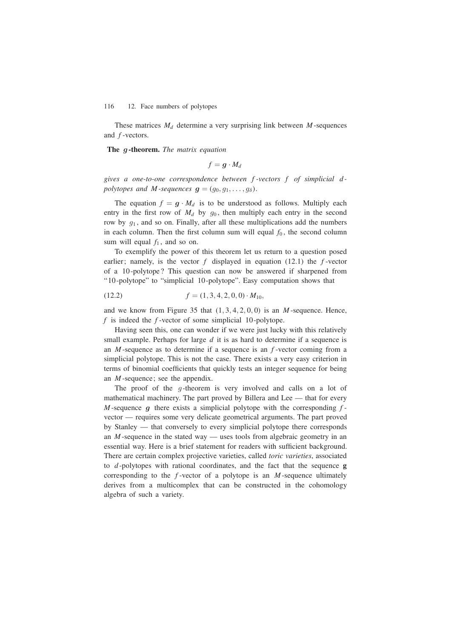## 116 12. Face numbers of polytopes

These matrices  $M_d$  determine a very surprising link between  $M$ -sequences and *f* -vectors.

The g -theorem. *The matrix equation*

$$
f = \boldsymbol{g} \cdot \boldsymbol{M}_d
$$

*gives a one-to-one correspondence between f -vectors f of simplicial d polytopes and M-sequences*  $q = (q_0, q_1, \ldots, q_\delta)$ .

The equation  $f = g \cdot M_d$  is to be understood as follows. Multiply each entry in the first row of  $M_d$  by  $g_0$ , then multiply each entry in the second row by  $q_1$ , and so on. Finally, after all these multiplications add the numbers in each column. Then the first column sum will equal  $f_0$ , the second column sum will equal  $f_1$ , and so on.

To exemplify the power of this theorem let us return to a question posed earlier; namely, is the vector  $f$  displayed in equation (12.1) the  $f$ -vector of a 10 -polytope ? This question can now be answered if sharpened from "10 -polytope" to "simplicial 10 -polytope". Easy computation shows that

(12.2) 
$$
f = (1, 3, 4, 2, 0, 0) \cdot M_{10},
$$

and we know from Figure 35 that (1, 3, 4, 2, 0, 0) is an *M* -sequence. Hence, *f* is indeed the *f* -vector of some simplicial 10 -polytope.

Having seen this, one can wonder if we were just lucky with this relatively small example. Perhaps for large *d* it is as hard to determine if a sequence is an *M* -sequence as to determine if a sequence is an *f* -vector coming from a simplicial polytope. This is not the case. There exists a very easy criterion in terms of binomial coefficients that quickly tests an integer sequence for being an *M* -sequence; see the appendix.

The proof of the  $q$ -theorem is very involved and calls on a lot of mathematical machinery. The part proved by Billera and Lee — that for every *M* -sequence g there exists a simplicial polytope with the corresponding *f* vector — requires some very delicate geometrical arguments. The part proved by Stanley — that conversely to every simplicial polytope there corresponds an  $M$ -sequence in the stated way — uses tools from algebraic geometry in an essential way. Here is a brief statement for readers with sufficient background. There are certain complex projective varieties, called *toric varieties*, associated to *d* -polytopes with rational coordinates, and the fact that the sequence g corresponding to the  $f$ -vector of a polytope is an  $M$ -sequence ultimately derives from a multicomplex that can be constructed in the cohomology algebra of such a variety.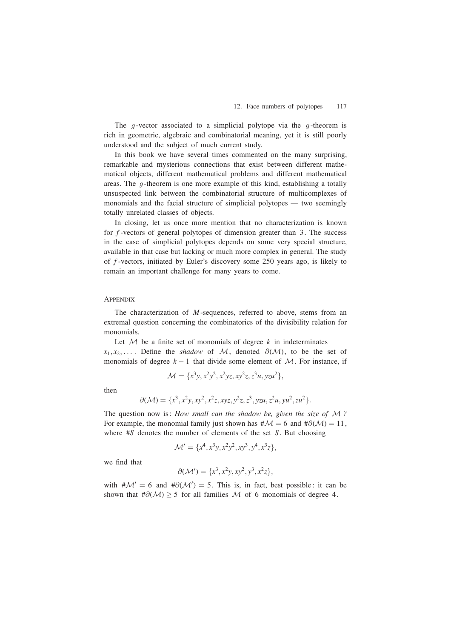The *q*-vector associated to a simplicial polytope via the *q*-theorem is rich in geometric, algebraic and combinatorial meaning, yet it is still poorly understood and the subject of much current study.

In this book we have several times commented on the many surprising, remarkable and mysterious connections that exist between different mathematical objects, different mathematical problems and different mathematical areas. The  $g$ -theorem is one more example of this kind, establishing a totally unsuspected link between the combinatorial structure of multicomplexes of monomials and the facial structure of simplicial polytopes — two seemingly totally unrelated classes of objects.

In closing, let us once more mention that no characterization is known for *f* -vectors of general polytopes of dimension greater than 3. The success in the case of simplicial polytopes depends on some very special structure, available in that case but lacking or much more complex in general. The study of *f* -vectors, initiated by Euler's discovery some 250 years ago, is likely to remain an important challenge for many years to come.

#### **APPENDIX**

The characterization of *M*-sequences, referred to above, stems from an extremal question concerning the combinatorics of the divisibility relation for monomials.

Let  $M$  be a finite set of monomials of degree  $k$  in indeterminates  $x_1, x_2, \ldots$ . Define the *shadow* of M, denoted  $\partial(M)$ , to be the set of monomials of degree  $k-1$  that divide some element of M. For instance, if

$$
\mathcal{M} = \{x^3y, x^2y^2, x^2yz, xy^2z, z^3u, yzu^2\},\
$$

then

$$
\partial(\mathcal{M}) = \{x^3, x^2y, xy^2, x^2z, xyz, y^2z, z^3, yzu, z^2u, yu^2, zu^2\}.
$$

The question now is : *How small can the shadow be, given the size of* M *?* For example, the monomial family just shown has  $\#\mathcal{M} = 6$  and  $\#\partial(\mathcal{M}) = 11$ , where #*S* denotes the number of elements of the set *S*. But choosing

$$
\mathcal{M}' = \{x^4, x^3y, x^2y^2, xy^3, y^4, x^3z\},\
$$

we find that

$$
\partial(\mathcal{M}') = \{x^3, x^2y, xy^2, y^3, x^2z\},\
$$

with  $\#\mathcal{M}' = 6$  and  $\#\partial(\mathcal{M}') = 5$ . This is, in fact, best possible: it can be shown that  $\#\partial(\mathcal{M}) \geq 5$  for all families M of 6 monomials of degree 4.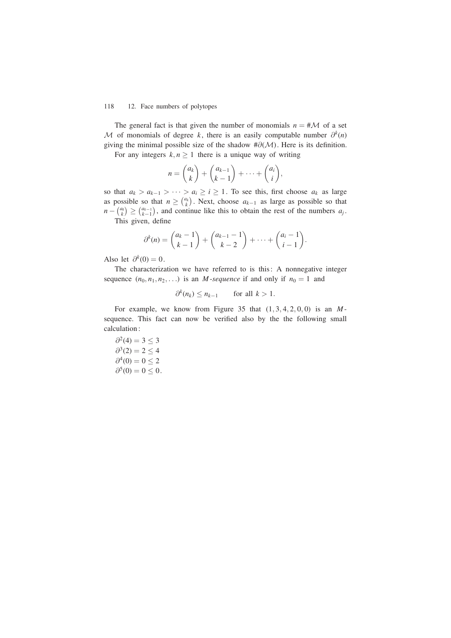## 118 12. Face numbers of polytopes

The general fact is that given the number of monomials  $n = #M$  of a set *M* of monomials of degree *k*, there is an easily computable number  $\partial^k(n)$ giving the minimal possible size of the shadow #∂(M). Here is its definition.

For any integers  $k, n \ge 1$  there is a unique way of writing

$$
n = \binom{a_k}{k} + \binom{a_{k-1}}{k-1} + \cdots + \binom{a_i}{i},
$$

so that  $a_k > a_{k-1} > \cdots > a_i \ge i \ge 1$ . To see this, first choose  $a_k$  as large as possible so that  $n \geq {a_k \choose k}$ . Next, choose  $a_{k-1}$  as large as possible so that  $n - \binom{a_k}{k} \geq \binom{a_{k-1}}{k-1}$ , and continue like this to obtain the rest of the numbers *a<sub>j</sub>*.

This given, define

$$
\partial^k(n) = \binom{a_k-1}{k-1} + \binom{a_{k-1}-1}{k-2} + \cdots + \binom{a_i-1}{i-1}.
$$

Also let  $\partial^k(0) = 0$ .

The characterization we have referred to is this: A nonnegative integer sequence  $(n_0, n_1, n_2, \ldots)$  is an *M*-*sequence* if and only if  $n_0 = 1$  and

$$
\partial^k(n_k) \le n_{k-1} \qquad \text{for all } k > 1.
$$

For example, we know from Figure 35 that  $(1, 3, 4, 2, 0, 0)$  is an *M*sequence. This fact can now be verified also by the the following small calculation :

$$
\partial^2(4) = 3 \le 3
$$
  
\n $\partial^3(2) = 2 \le 4$   
\n $\partial^4(0) = 0 \le 2$   
\n $\partial^5(0) = 0 \le 0$ .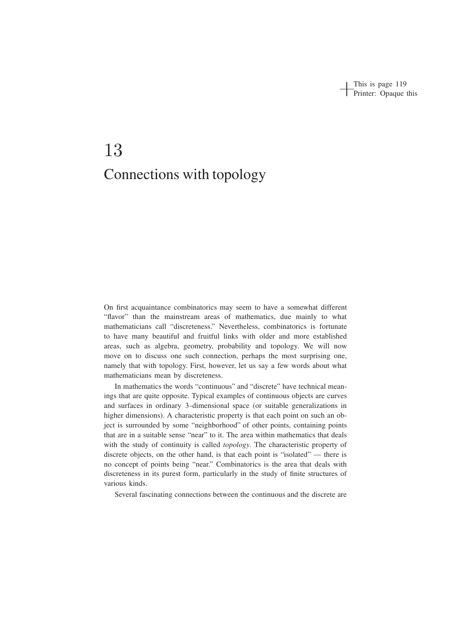This is page 119 Printer: Opaque this

# 13 Connections with topology

On first acquaintance combinatorics may seem to have a somewhat different "flavor" than the mainstream areas of mathematics, due mainly to what mathematicians call "discreteness." Nevertheless, combinatorics is fortunate to have many beautiful and fruitful links with older and more established areas, such as algebra, geometry, probability and topology. We will now move on to discuss one such connection, perhaps the most surprising one, namely that with topology. First, however, let us say a few words about what mathematicians mean by discreteness.

In mathematics the words "continuous" and "discrete" have technical meanings that are quite opposite. Typical examples of continuous objects are curves and surfaces in ordinary 3 -dimensional space (or suitable generalizations in higher dimensions). A characteristic property is that each point on such an object is surrounded by some "neighborhood" of other points, containing points that are in a suitable sense "near" to it. The area within mathematics that deals with the study of continuity is called *topology*. The characteristic property of discrete objects, on the other hand, is that each point is "isolated" — there is no concept of points being "near." Combinatorics is the area that deals with discreteness in its purest form, particularly in the study of finite structures of various kinds.

Several fascinating connections between the continuous and the discrete are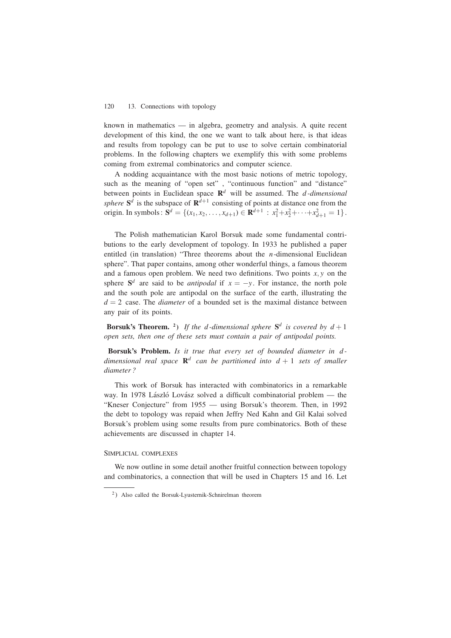## 120 13. Connections with topology

known in mathematics — in algebra, geometry and analysis. A quite recent development of this kind, the one we want to talk about here, is that ideas and results from topology can be put to use to solve certain combinatorial problems. In the following chapters we exemplify this with some problems coming from extremal combinatorics and computer science.

A nodding acquaintance with the most basic notions of metric topology, such as the meaning of "open set" , "continuous function" and "distance" between points in Euclidean space  $\mathbb{R}^d$  will be assumed. The *d*-dimensional *sphere*  $S^d$  is the subspace of  $\mathbb{R}^{d+1}$  consisting of points at distance one from the origin. In symbols:  $S^d = \{(x_1, x_2, ..., x_{d+1}) \in \mathbf{R}^{d+1} : x_1^2 + x_2^2 + \cdots + x_{d+1}^2 = 1\}.$ 

The Polish mathematician Karol Borsuk made some fundamental contributions to the early development of topology. In 1933 he published a paper entitled (in translation) "Three theorems about the *n*-dimensional Euclidean sphere". That paper contains, among other wonderful things, a famous theorem and a famous open problem. We need two definitions. Two points *x*, *y* on the sphere  $S^d$  are said to be *antipodal* if  $x = -y$ . For instance, the north pole and the south pole are antipodal on the surface of the earth, illustrating the  $d = 2$  case. The *diameter* of a bounded set is the maximal distance between any pair of its points.

**Borsuk's Theorem.** <sup>2</sup>) If the d-dimensional sphere  $S^d$  is covered by  $d+1$ *open sets, then one of these sets must contain a pair of antipodal points.*

Borsuk's Problem. *Is it true that every set of bounded diameter in d dimensional real space* R *d can be partitioned into d* + 1 *sets of smaller diameter ?*

This work of Borsuk has interacted with combinatorics in a remarkable way. In 1978 László Lovász solved a difficult combinatorial problem  $-$  the "Kneser Conjecture" from 1955 — using Borsuk's theorem. Then, in 1992 the debt to topology was repaid when Jeffry Ned Kahn and Gil Kalai solved Borsuk's problem using some results from pure combinatorics. Both of these achievements are discussed in chapter 14.

### SIMPLICIAL COMPLEXES

We now outline in some detail another fruitful connection between topology and combinatorics, a connection that will be used in Chapters 15 and 16. Let

<sup>&</sup>lt;sup>2</sup>) Also called the Borsuk-Lyusternik-Schnirelman theorem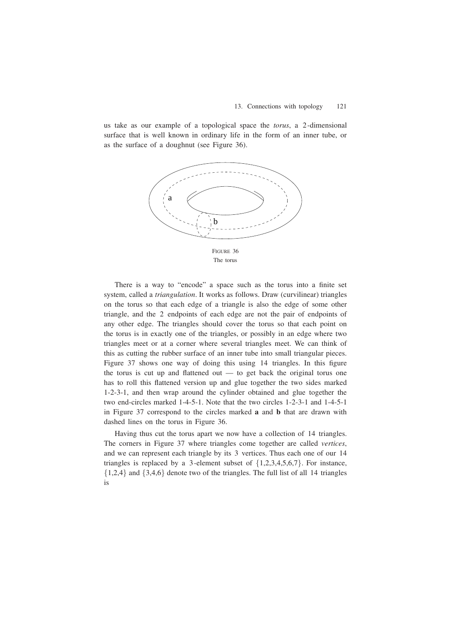us take as our example of a topological space the *torus*, a 2 -dimensional surface that is well known in ordinary life in the form of an inner tube, or as the surface of a doughnut (see Figure 36).



There is a way to "encode" a space such as the torus into a finite set system, called a *triangulation*. It works as follows. Draw (curvilinear) triangles on the torus so that each edge of a triangle is also the edge of some other triangle, and the 2 endpoints of each edge are not the pair of endpoints of any other edge. The triangles should cover the torus so that each point on the torus is in exactly one of the triangles, or possibly in an edge where two triangles meet or at a corner where several triangles meet. We can think of this as cutting the rubber surface of an inner tube into small triangular pieces. Figure 37 shows one way of doing this using 14 triangles. In this figure the torus is cut up and flattened out — to get back the original torus one has to roll this flattened version up and glue together the two sides marked 1-2-3-1, and then wrap around the cylinder obtained and glue together the two end-circles marked 1-4-5-1. Note that the two circles 1-2-3-1 and 1-4-5-1 in Figure 37 correspond to the circles marked a and b that are drawn with dashed lines on the torus in Figure 36.

Having thus cut the torus apart we now have a collection of 14 triangles. The corners in Figure 37 where triangles come together are called *vertices*, and we can represent each triangle by its 3 vertices. Thus each one of our 14 triangles is replaced by a 3-element subset of  $\{1,2,3,4,5,6,7\}$ . For instance,  $\{1,2,4\}$  and  $\{3,4,6\}$  denote two of the triangles. The full list of all 14 triangles is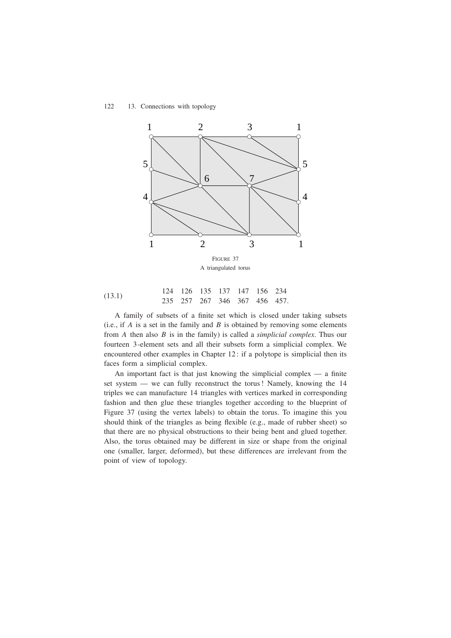#### 122 13. Connections with topology



$$
(13.1) \t124 \t126 \t135 \t137 \t147 \t156 \t234 235 \t257 \t267 \t346 \t367 \t456 \t457.
$$

A family of subsets of a finite set which is closed under taking subsets (i.e., if *A* is a set in the family and *B* is obtained by removing some elements from *A* then also *B* is in the family) is called a *simplicial complex*. Thus our fourteen 3 -element sets and all their subsets form a simplicial complex. We encountered other examples in Chapter 12 : if a polytope is simplicial then its faces form a simplicial complex.

An important fact is that just knowing the simplicial complex  $-$  a finite set system — we can fully reconstruct the torus ! Namely, knowing the 14 triples we can manufacture 14 triangles with vertices marked in corresponding fashion and then glue these triangles together according to the blueprint of Figure 37 (using the vertex labels) to obtain the torus. To imagine this you should think of the triangles as being flexible (e.g., made of rubber sheet) so that there are no physical obstructions to their being bent and glued together. Also, the torus obtained may be different in size or shape from the original one (smaller, larger, deformed), but these differences are irrelevant from the point of view of topology.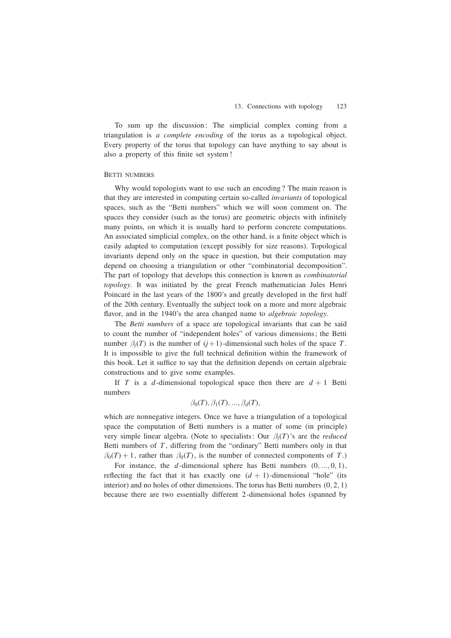To sum up the discussion: The simplicial complex coming from a triangulation is *a complete encoding* of the torus as a topological object. Every property of the torus that topology can have anything to say about is also a property of this finite set system !

#### BETTI NUMBERS

Why would topologists want to use such an encoding ? The main reason is that they are interested in computing certain so-called *invariants* of topological spaces, such as the "Betti numbers" which we will soon comment on. The spaces they consider (such as the torus) are geometric objects with infinitely many points, on which it is usually hard to perform concrete computations. An associated simplicial complex, on the other hand, is a finite object which is easily adapted to computation (except possibly for size reasons). Topological invariants depend only on the space in question, but their computation may depend on choosing a triangulation or other "combinatorial decomposition". The part of topology that develops this connection is known as *combinatorial topology*. It was initiated by the great French mathematician Jules Henri Poincaré in the last years of the 1800's and greatly developed in the first half of the 20th century. Eventually the subject took on a more and more algebraic flavor, and in the 1940's the area changed name to *algebraic topology*.

The *Betti numbers* of a space are topological invariants that can be said to count the number of "independent holes" of various dimensions; the Betti number  $\beta_i(T)$  is the number of  $(j+1)$ -dimensional such holes of the space *T*. It is impossible to give the full technical definition within the framework of this book. Let it suffice to say that the definition depends on certain algebraic constructions and to give some examples.

If *T* is a *d*-dimensional topological space then there are  $d + 1$  Betti numbers

# $\beta_0(T), \beta_1(T), \ldots, \beta_d(T),$

which are nonnegative integers. Once we have a triangulation of a topological space the computation of Betti numbers is a matter of some (in principle) very simple linear algebra. (Note to specialists : Our β*j*(*T*) 's are the *reduced* Betti numbers of *T* , differing from the "ordinary" Betti numbers only in that  $\beta_0(T) + 1$ , rather than  $\beta_0(T)$ , is the number of connected components of *T*.)

For instance, the *d*-dimensional sphere has Betti numbers  $(0, ..., 0, 1)$ , reflecting the fact that it has exactly one  $(d + 1)$ -dimensional "hole" (its interior) and no holes of other dimensions. The torus has Betti numbers  $(0, 2, 1)$ because there are two essentially different 2 -dimensional holes (spanned by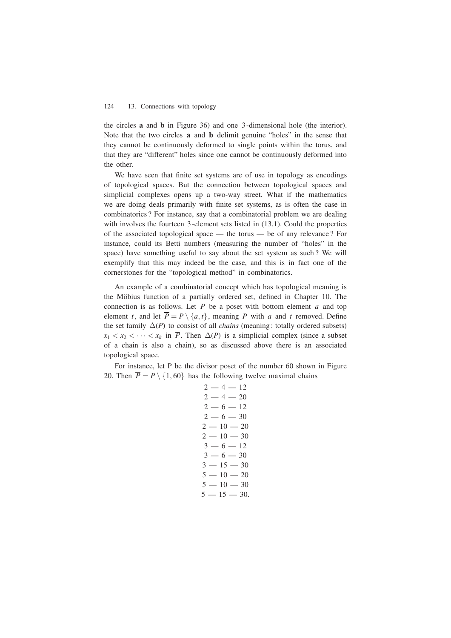## 124 13. Connections with topology

the circles a and b in Figure 36) and one 3 -dimensional hole (the interior). Note that the two circles a and b delimit genuine "holes" in the sense that they cannot be continuously deformed to single points within the torus, and that they are "different" holes since one cannot be continuously deformed into the other.

We have seen that finite set systems are of use in topology as encodings of topological spaces. But the connection between topological spaces and simplicial complexes opens up a two-way street. What if the mathematics we are doing deals primarily with finite set systems, as is often the case in combinatorics ? For instance, say that a combinatorial problem we are dealing with involves the fourteen 3-element sets listed in (13.1). Could the properties of the associated topological space — the torus — be of any relevance ? For instance, could its Betti numbers (measuring the number of "holes" in the space) have something useful to say about the set system as such ? We will exemplify that this may indeed be the case, and this is in fact one of the cornerstones for the "topological method" in combinatorics.

An example of a combinatorial concept which has topological meaning is the Möbius function of a partially ordered set, defined in Chapter 10. The connection is as follows. Let *P* be a poset with bottom element *a* and top element *t*, and let  $\overline{P} = P \setminus \{a, t\}$ , meaning *P* with *a* and *t* removed. Define the set family  $\Delta(P)$  to consist of all *chains* (meaning: totally ordered subsets)  $x_1 < x_2 < \cdots < x_k$  in  $\overline{P}$ . Then  $\Delta(P)$  is a simplicial complex (since a subset of a chain is also a chain), so as discussed above there is an associated topological space.

For instance, let P be the divisor poset of the number 60 shown in Figure 20. Then  $\overline{P} = P \setminus \{1, 60\}$  has the following twelve maximal chains

| $2 - 4 - 12$   |
|----------------|
| $2 - 4 - 20$   |
| $2 - 6 - 12$   |
| $2 - 6 - 30$   |
| $2 - 10 - 20$  |
| $2 - 10 - 30$  |
| $3 - 6 - 12$   |
| $3 - 6 - 30$   |
| $3 - 15 - 30$  |
| $5 - 10 - 20$  |
| $5 - 10 - 30$  |
| $5 - 15 - 30.$ |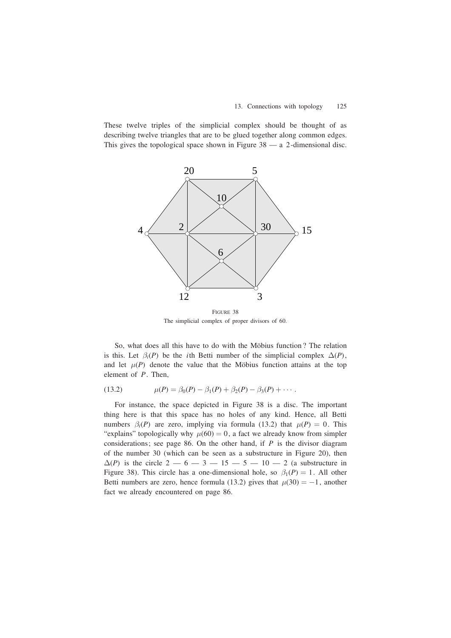These twelve triples of the simplicial complex should be thought of as describing twelve triangles that are to be glued together along common edges. This gives the topological space shown in Figure  $38 - a$  2-dimensional disc.



The simplicial complex of proper divisors of 60.

So, what does all this have to do with the Möbius function? The relation is this. Let  $\beta_i(P)$  be the *i*th Betti number of the simplicial complex  $\Delta(P)$ , and let  $\mu(P)$  denote the value that the Möbius function attains at the top element of *P*. Then,

(13.2) 
$$
\mu(P) = \beta_0(P) - \beta_1(P) + \beta_2(P) - \beta_3(P) + \cdots
$$

For instance, the space depicted in Figure 38 is a disc. The important thing here is that this space has no holes of any kind. Hence, all Betti numbers  $\beta_i(P)$  are zero, implying via formula (13.2) that  $\mu(P) = 0$ . This "explains" topologically why  $\mu(60) = 0$ , a fact we already know from simpler considerations; see page 86. On the other hand, if *P* is the divisor diagram of the number 30 (which can be seen as a substructure in Figure 20), then  $\Delta(P)$  is the circle 2 — 6 — 3 — 15 — 5 — 10 — 2 (a substructure in Figure 38). This circle has a one-dimensional hole, so  $\beta_1(P) = 1$ . All other Betti numbers are zero, hence formula (13.2) gives that  $\mu(30) = -1$ , another fact we already encountered on page 86.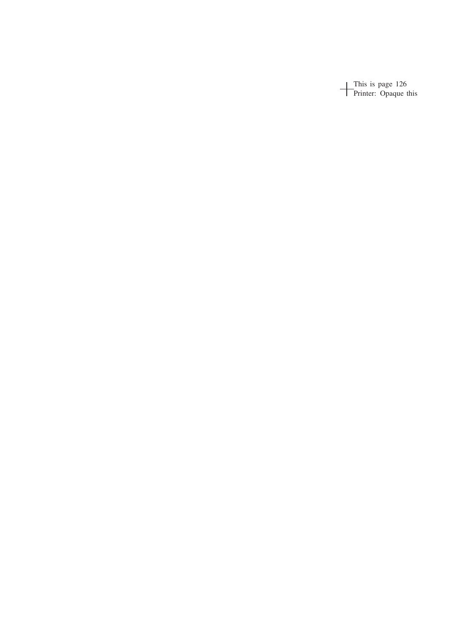This is page 126 Printer: Opaque this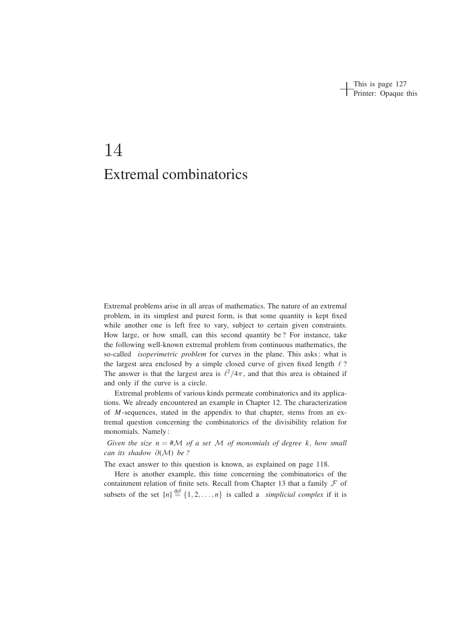This is page 127 Printer: Opaque this

# 14 Extremal combinatorics

Extremal problems arise in all areas of mathematics. The nature of an extremal problem, in its simplest and purest form, is that some quantity is kept fixed while another one is left free to vary, subject to certain given constraints. How large, or how small, can this second quantity be ? For instance, take the following well-known extremal problem from continuous mathematics, the so-called *isoperimetric problem* for curves in the plane. This asks : what is the largest area enclosed by a simple closed curve of given fixed length  $\ell$ ? The answer is that the largest area is  $\ell^2/4\pi$ , and that this area is obtained if and only if the curve is a circle.

Extremal problems of various kinds permeate combinatorics and its applications. We already encountered an example in Chapter 12. The characterization of *M* -sequences, stated in the appendix to that chapter, stems from an extremal question concerning the combinatorics of the divisibility relation for monomials. Namely :

*Given the size n* <sup>=</sup> #<sup>M</sup> *of a set* <sup>M</sup> *of monomials of degree k, how small can its shadow* ∂(M) *be ?*

The exact answer to this question is known, as explained on page 118.

Here is another example, this time concerning the combinatorics of the containment relation of finite sets. Recall from Chapter 13 that a family  ${\mathcal F}$  of subsets of the set  $[n] \stackrel{\text{def}}{=} \{1, 2, ..., n\}$  is called a *simplicial complex* if it is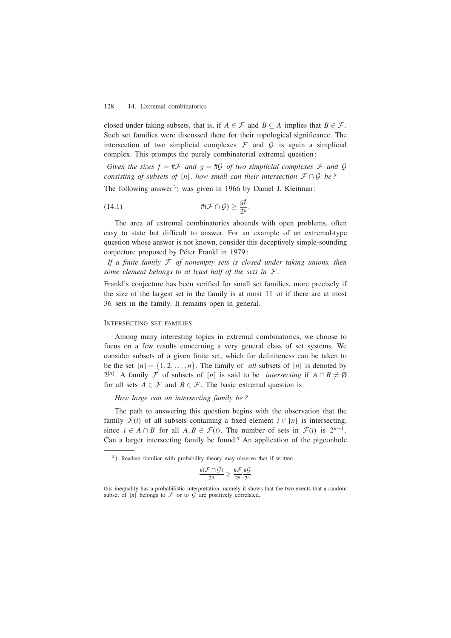## 128 14. Extremal combinatorics

closed under taking subsets, that is, if  $A \in \mathcal{F}$  and  $B \subseteq A$  implies that  $B \in \mathcal{F}$ . Such set families were discussed there for their topological significance. The intersection of two simplicial complexes  $\mathcal F$  and  $\mathcal G$  is again a simplicial complex. This prompts the purely combinatorial extremal question :

*Given the sizes*  $f = #\mathcal{F}$  *and*  $g = #\mathcal{G}$  *of two simplicial complexes*  $\mathcal F$  *and*  $\mathcal G$ *consisting of subsets of* [*n*]*, how small can their intersection*  $\mathcal{F} \cap \mathcal{G}$  *be* ?

The following answer<sup>3</sup>) was given in 1966 by Daniel J. Kleitman:

$$
\#(\mathcal{F}\cap\mathcal{G})\geq \frac{gf}{2^n}.
$$

The area of extremal combinatorics abounds with open problems, often easy to state but difficult to answer. For an example of an extremal-type question whose answer is not known, consider this deceptively simple-sounding conjecture proposed by Péter Frankl in 1979:

*If a finite family* F *of nonempty sets is closed under taking unions, then some element belongs to at least half of the sets in* F *.*

Frankl's conjecture has been verified for small set families, more precisely if the size of the largest set in the family is at most 11 or if there are at most 36 sets in the family. It remains open in general.

#### INTERSECTING SET FAMILIES

Among many interesting topics in extremal combinatorics, we choose to focus on a few results concerning a very general class of set systems. We consider subsets of a given finite set, which for definiteness can be taken to be the set  $[n] = \{1, 2, ..., n\}$ . The family of *all* subsets of  $[n]$  is denoted by  $2^{[n]}$ . A family *F* of subsets of [*n*] is said to be *intersecting* if  $A \cap B \neq \emptyset$ for all sets  $A \in \mathcal{F}$  and  $B \in \mathcal{F}$ . The basic extremal question is:

*How large can an intersecting family be ?*

The path to answering this question begins with the observation that the family  $\mathcal{F}(i)$  of all subsets containing a fixed element  $i \in [n]$  is intersecting, since  $i \in A \cap B$  for all  $A, B \in \mathcal{F}(i)$ . The number of sets in  $\mathcal{F}(i)$  is  $2^{n-1}$ . Can a larger intersecting family be found ? An application of the pigeonhole

$$
\frac{\#(\mathcal{F}\cap\mathcal{G})}{2^n}\geq \frac{\#\mathcal{F}}{2^n}\frac{\#\mathcal{G}}{2^n}
$$

<sup>&</sup>lt;sup>3</sup>) Readers familiar with probability theory may observe that if written

this inequality has a probabilistic interpretation, namely it shows that the two events that a random subset of  $[n]$  belongs to  $\mathcal F$  or to  $\mathcal G$  are positively correlated.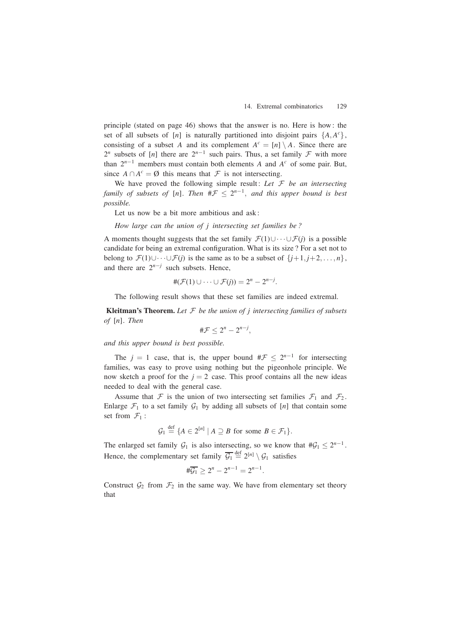principle (stated on page 46) shows that the answer is no. Here is how : the set of all subsets of  $[n]$  is naturally partitioned into disjoint pairs  $\{A, A^c\}$ , consisting of a subset *A* and its complement  $A^c = [n] \setminus A$ . Since there are 2<sup>*n*</sup> subsets of [*n*] there are  $2^{n-1}$  such pairs. Thus, a set family  $\mathcal F$  with more than  $2^{n-1}$  members must contain both elements *A* and  $A^c$  of some pair. But, since  $A \cap A^c = \emptyset$  this means that  $\mathcal F$  is not intersecting.

We have proved the following simple result: Let F be an intersecting *family of subsets of* [*n*]. *Then*  $#F \leq 2^{n-1}$ , *and this upper bound is best possible.*

Let us now be a bit more ambitious and ask :

*How large can the union of j intersecting set families be ?*

A moments thought suggests that the set family  $\mathcal{F}(1) \cup \cdots \cup \mathcal{F}(j)$  is a possible candidate for being an extremal configuration. What is its size ? For a set not to belong to  $\mathcal{F}(1) \cup \cdots \cup \mathcal{F}(j)$  is the same as to be a subset of  $\{j+1, j+2, \ldots, n\}$ , and there are  $2^{n-j}$  such subsets. Hence,

$$
\#(\mathcal{F}(1)\cup\cdots\cup\mathcal{F}(j))=2^n-2^{n-j}.
$$

The following result shows that these set families are indeed extremal.

Kleitman's Theorem. *Let* F *be the union of j intersecting families of subsets of* [*n*]*. Then*

$$
\#\mathcal{F}\leq 2^n-2^{n-j},
$$

*and this upper bound is best possible.*

The  $j = 1$  case, that is, the upper bound  $#F \leq 2^{n-1}$  for intersecting families, was easy to prove using nothing but the pigeonhole principle. We now sketch a proof for the  $j = 2$  case. This proof contains all the new ideas needed to deal with the general case.

Assume that F is the union of two intersecting set families  $\mathcal{F}_1$  and  $\mathcal{F}_2$ . Enlarge  $\mathcal{F}_1$  to a set family  $\mathcal{G}_1$  by adding all subsets of  $[n]$  that contain some set from  $\mathcal{F}_1$  :

$$
\mathcal{G}_1 \stackrel{\text{def}}{=} \{ A \in 2^{[n]} \mid A \supseteq B \text{ for some } B \in \mathcal{F}_1 \}.
$$

The enlarged set family  $\mathcal{G}_1$  is also intersecting, so we know that  $\#\mathcal{G}_1 \leq 2^{n-1}$ . Hence, the complementary set family  $\overline{G_1} \stackrel{\text{def}}{=} 2^{[n]} \setminus G_1$  satisfies

$$
\#\overline{G_1} \ge 2^n - 2^{n-1} = 2^{n-1}.
$$

Construct  $G_2$  from  $\mathcal{F}_2$  in the same way. We have from elementary set theory that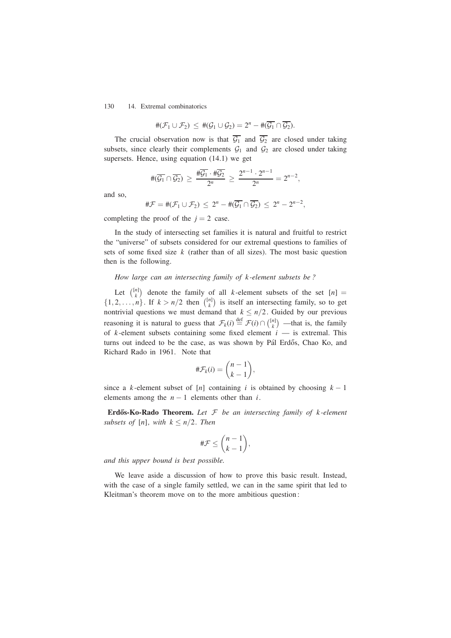130 14. Extremal combinatorics

$$
\#(\mathcal{F}_1 \cup \mathcal{F}_2) \leq \#(\mathcal{G}_1 \cup \mathcal{G}_2) = 2^n - \#(\overline{\mathcal{G}_1} \cap \overline{\mathcal{G}_2}).
$$

The crucial observation now is that  $\overline{G_1}$  and  $\overline{G_2}$  are closed under taking subsets, since clearly their complements  $G_1$  and  $G_2$  are closed under taking supersets. Hence, using equation (14.1) we get

$$
\#(\overline{\mathcal{G}_1} \cap \overline{\mathcal{G}_2}) \,\geq\, \frac{\#\overline{\mathcal{G}_1} \cdot \#\overline{\mathcal{G}_2}}{2^n} \,\geq\, \frac{2^{n-1} \cdot 2^{n-1}}{2^n} = 2^{n-2},
$$

and so,

$$
\#\mathcal{F}=\#(\mathcal{F}_1\cup\mathcal{F}_2)\,\leq\,2^n-\#(\overline{\mathcal{G}_1}\cap\overline{\mathcal{G}_2})\,\leq\,2^n-2^{n-2},
$$

completing the proof of the  $j = 2$  case.

In the study of intersecting set families it is natural and fruitful to restrict the "universe" of subsets considered for our extremal questions to families of sets of some fixed size *k* (rather than of all sizes). The most basic question then is the following.

# *How large can an intersecting family of k -element subsets be ?*

Let  $\binom{[n]}{k}$  denote the family of all *k*-element subsets of the set  $[n] =$  $\{1, 2, \ldots, n\}$ . If  $k > n/2$  then  $\binom{[n]}{k}$  is itself an intersecting family, so to get nontrivial questions we must demand that  $k \leq n/2$ . Guided by our previous reasoning it is natural to guess that  $\mathcal{F}_k(i) \stackrel{\text{def}}{=} \mathcal{F}(i) \cap {[n] \choose k}$  —that is, the family of  $k$ -element subsets containing some fixed element  $i$  — is extremal. This turns out indeed to be the case, as was shown by Pál Erdős, Chao Ko, and Richard Rado in 1961. Note that

$$
\#\mathcal{F}_k(i) = \binom{n-1}{k-1},
$$

since a *k*-element subset of  $[n]$  containing *i* is obtained by choosing  $k - 1$ elements among the  $n - 1$  elements other than *i*.

Erdős-Ko-Rado Theorem. Let F be an intersecting family of k-element *subsets of* [*n*]*, with*  $k \leq n/2$ *. Then* 

$$
\#\mathcal{F} \le \binom{n-1}{k-1},
$$

*and this upper bound is best possible.*

We leave aside a discussion of how to prove this basic result. Instead, with the case of a single family settled, we can in the same spirit that led to Kleitman's theorem move on to the more ambitious question :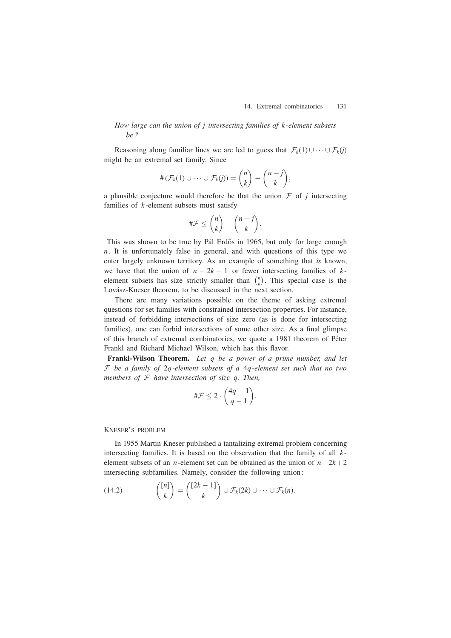*How large can the union of j intersecting families of k -element subsets be ?*

Reasoning along familiar lines we are led to guess that  $\mathcal{F}_k(1) \cup \cdots \cup \mathcal{F}_k(j)$ might be an extremal set family. Since

$$
\#(\mathcal{F}_k(1) \cup \cdots \cup \mathcal{F}_k(j)) = \binom{n}{k} - \binom{n-j}{k},
$$

a plausible conjecture would therefore be that the union  $\mathcal F$  of *j* intersecting families of *k* -element subsets must satisfy

$$
\#\mathcal{F} \leq {n \choose k} - {n-j \choose k}.
$$

This was shown to be true by Pál Erdős in 1965, but only for large enough *n*. It is unfortunately false in general, and with questions of this type we enter largely unknown territory. As an example of something that *is* known, we have that the union of  $n - 2k + 1$  or fewer intersecting families of  $k$ element subsets has size strictly smaller than  $\binom{n}{k}$ . This special case is the Lovász-Kneser theorem, to be discussed in the next section.

There are many variations possible on the theme of asking extremal questions for set families with constrained intersection properties. For instance, instead of forbidding intersections of size zero (as is done for intersecting families), one can forbid intersections of some other size. As a final glimpse of this branch of extremal combinatorics, we quote a 1981 theorem of Peter ´ Frankl and Richard Michael Wilson, which has this flavor.

Frankl-Wilson Theorem. *Let q be a power of a prime number, and let* F *be a family of* 2*q -element subsets of a* 4*q -element set such that no two members of* F *have intersection of size q. Then,*

$$
\#\mathcal{F} \le 2 \cdot {4q-1 \choose q-1}.
$$

KNESER'S PROBLEM

In 1955 Martin Kneser published a tantalizing extremal problem concerning intersecting families. It is based on the observation that the family of all *k* element subsets of an *<sup>n</sup>*-element set can be obtained as the union of *<sup>n</sup>*−2*k*+<sup>2</sup> intersecting subfamilies. Namely, consider the following union :

(14.2) 
$$
{\binom{[n]}{k}} = {\binom{[2k-1]}{k}} \cup \mathcal{F}_k(2k) \cup \cdots \cup \mathcal{F}_k(n).
$$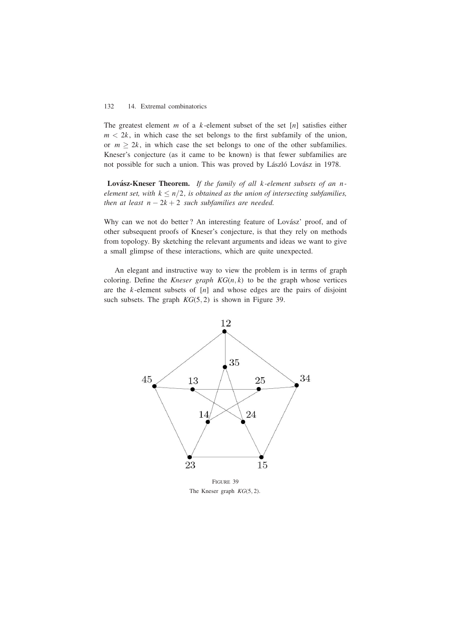### 132 14. Extremal combinatorics

The greatest element *m* of a *k* -element subset of the set [*n*] satisfies either  $m < 2k$ , in which case the set belongs to the first subfamily of the union, or  $m \geq 2k$ , in which case the set belongs to one of the other subfamilies. Kneser's conjecture (as it came to be known) is that fewer subfamilies are not possible for such a union. This was proved by László Lovász in 1978.

Lovász-Kneser Theorem. If the family of all k-element subsets of an n*element set, with*  $k \leq n/2$ , is obtained as the union of intersecting subfamilies, *then at least*  $n - 2k + 2$  *such subfamilies are needed.* 

Why can we not do better? An interesting feature of Lovász' proof, and of other subsequent proofs of Kneser's conjecture, is that they rely on methods from topology. By sketching the relevant arguments and ideas we want to give a small glimpse of these interactions, which are quite unexpected.

An elegant and instructive way to view the problem is in terms of graph coloring. Define the *Kneser graph*  $KG(n, k)$  to be the graph whose vertices are the *k* -element subsets of [*n*] and whose edges are the pairs of disjoint such subsets. The graph  $KG(5, 2)$  is shown in Figure 39.

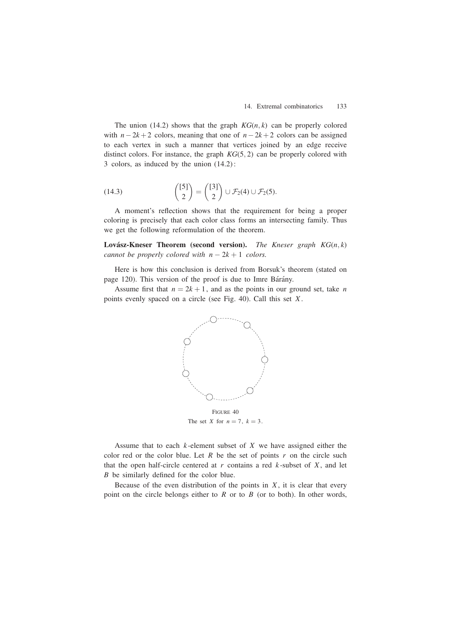The union (14.2) shows that the graph  $KG(n, k)$  can be properly colored with  $n-2k+2$  colors, meaning that one of  $n-2k+2$  colors can be assigned to each vertex in such a manner that vertices joined by an edge receive distinct colors. For instance, the graph *KG*(5, 2) can be properly colored with 3 colors, as induced by the union (14.2) :

(14.3) 
$$
\begin{pmatrix} [5] \\ 2 \end{pmatrix} = \begin{pmatrix} [3] \\ 2 \end{pmatrix} \cup \mathcal{F}_2(4) \cup \mathcal{F}_2(5).
$$

A moment's reflection shows that the requirement for being a proper coloring is precisely that each color class forms an intersecting family. Thus we get the following reformulation of the theorem.

Lovász-Kneser Theorem (second version). *The Kneser graph*  $KG(n, k)$ *cannot be properly colored with*  $n - 2k + 1$  *colors.* 

Here is how this conclusion is derived from Borsuk's theorem (stated on page 120). This version of the proof is due to Imre Bárány.

Assume first that  $n = 2k + 1$ , and as the points in our ground set, take *n* points evenly spaced on a circle (see Fig. 40). Call this set *X*.



Assume that to each *k* -element subset of *X* we have assigned either the color red or the color blue. Let  $R$  be the set of points  $r$  on the circle such that the open half-circle centered at *r* contains a red *k* -subset of *X*, and let *B* be similarly defined for the color blue.

Because of the even distribution of the points in  $X$ , it is clear that every point on the circle belongs either to *R* or to *B* (or to both). In other words,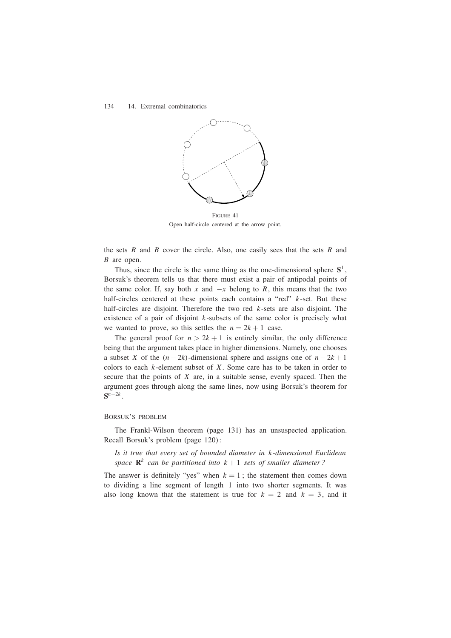134 14. Extremal combinatorics



FIGURE 41 Open half-circle centered at the arrow point.

the sets *R* and *B* cover the circle. Also, one easily sees that the sets *R* and *B* are open.

Thus, since the circle is the same thing as the one-dimensional sphere  $S<sup>1</sup>$ , Borsuk's theorem tells us that there must exist a pair of antipodal points of the same color. If, say both *x* and  $-x$  belong to *R*, this means that the two half-circles centered at these points each contains a "red" *k* -set. But these half-circles are disjoint. Therefore the two red *k* -sets are also disjoint. The existence of a pair of disjoint *k* -subsets of the same color is precisely what we wanted to prove, so this settles the  $n = 2k + 1$  case.

The general proof for  $n > 2k + 1$  is entirely similar, the only difference being that the argument takes place in higher dimensions. Namely, one chooses a subset *X* of the  $(n - 2k)$ -dimensional sphere and assigns one of  $n - 2k + 1$ colors to each *k* -element subset of *X*. Some care has to be taken in order to secure that the points of *X* are, in a suitable sense, evenly spaced. Then the argument goes through along the same lines, now using Borsuk's theorem for  $S^{n-2k}$ .

#### BORSUK'S PROBLEM

The Frankl-Wilson theorem (page 131) has an unsuspected application. Recall Borsuk's problem (page 120) :

*Is it true that every set of bounded diameter in k -dimensional Euclidean space*  $\mathbb{R}^k$  *can be partitioned into*  $k+1$  *sets of smaller diameter?* 

The answer is definitely "yes" when  $k = 1$ ; the statement then comes down to dividing a line segment of length 1 into two shorter segments. It was also long known that the statement is true for  $k = 2$  and  $k = 3$ , and it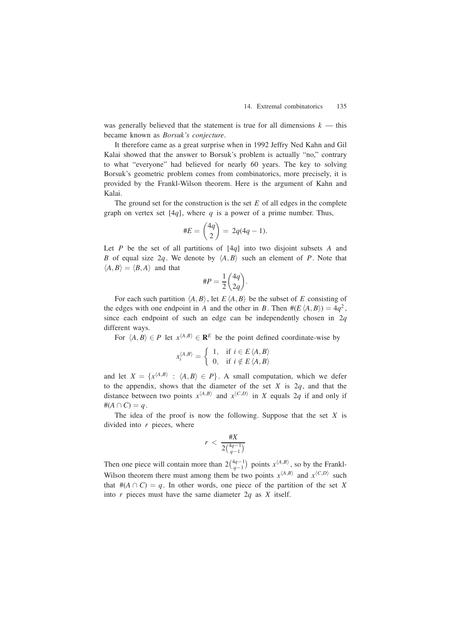was generally believed that the statement is true for all dimensions  $k$  — this became known as *Borsuk's conjecture*.

It therefore came as a great surprise when in 1992 Jeffry Ned Kahn and Gil Kalai showed that the answer to Borsuk's problem is actually "no," contrary to what "everyone" had believed for nearly 60 years. The key to solving Borsuk's geometric problem comes from combinatorics, more precisely, it is provided by the Frankl-Wilson theorem. Here is the argument of Kahn and Kalai.

The ground set for the construction is the set *E* of all edges in the complete graph on vertex set  $[4q]$ , where q is a power of a prime number. Thus,

$$
\#E = \binom{4q}{2} = 2q(4q - 1).
$$

Let *P* be the set of all partitions of  $[4q]$  into two disjoint subsets *A* and *B* of equal size 2*q*. We denote by  $\langle A, B \rangle$  such an element of *P*. Note that  $\langle A, B \rangle = \langle B, A \rangle$  and that

$$
\#P = \frac{1}{2} \binom{4q}{2q}.
$$

For each such partition  $\langle A, B \rangle$ , let  $E \langle A, B \rangle$  be the subset of *E* consisting of the edges with one endpoint in *A* and the other in *B*. Then  $#(E \langle A, B \rangle) = 4q^2$ , since each endpoint of such an edge can be independently chosen in 2*q* different ways.

For  $\langle A, B \rangle \in P$  let  $x^{\langle A, B \rangle} \in \mathbb{R}^E$  be the point defined coordinate-wise by

$$
x_i^{\langle A,B\rangle} = \begin{cases} 1, & \text{if } i \in E \langle A,B \rangle \\ 0, & \text{if } i \notin E \langle A,B \rangle \end{cases}
$$

and let  $X = \{x^{(A,B)} : \langle A,B \rangle \in P\}$ . A small computation, which we defer to the appendix, shows that the diameter of the set  $X$  is  $2q$ , and that the distance between two points  $x^{\langle A,B \rangle}$  and  $x^{\langle C,D \rangle}$  in *X* equals 2*q* if and only if # $(A ∩ C) = q$ .

The idea of the proof is now the following. Suppose that the set *X* is divided into *r* pieces, where

$$
r < \frac{\#X}{2\binom{4q-1}{q-1}}
$$

Then one piece will contain more than  $2\binom{4q-1}{q-1}$  points  $x^{(A,B)}$ , so by the Frankl-Wilson theorem there must among them be two points  $x^{\langle A,B \rangle}$  and  $x^{\langle C,D \rangle}$  such that  $#(A \cap C) = q$ . In other words, one piece of the partition of the set *X* into  $r$  pieces must have the same diameter  $2q$  as  $X$  itself.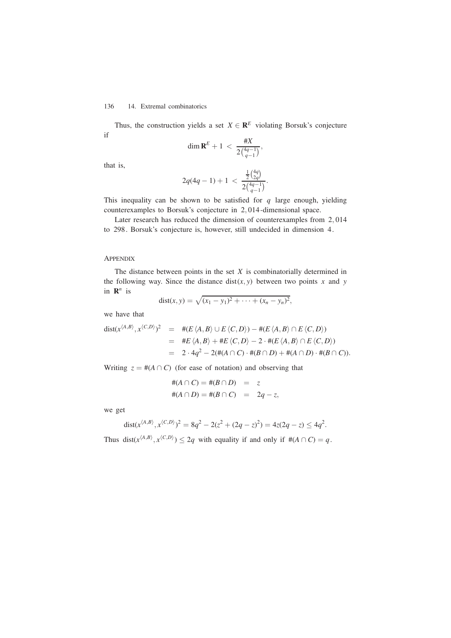# 136 14. Extremal combinatorics

Thus, the construction yields a set  $X \in \mathbb{R}^E$  violating Borsuk's conjecture if

$$
\dim \mathbf{R}^E + 1 \, < \, \frac{\#X}{2\binom{4q-1}{q-1}},
$$

that is,

$$
2q(4q-1)+1 < \frac{\frac{1}{2} {4q \choose 2q}}{2{4q-1 \choose q-1}}.
$$

This inequality can be shown to be satisfied for  $q$  large enough, yielding counterexamples to Borsuk's conjecture in 2, 014 -dimensional space.

Later research has reduced the dimension of counterexamples from 2, 014 to 298. Borsuk's conjecture is, however, still undecided in dimension 4.

#### APPENDIX

The distance between points in the set *X* is combinatorially determined in the following way. Since the distance  $dist(x, y)$  between two points x and y in  $\mathbf{R}^n$  is

$$
dist(x, y) = \sqrt{(x_1 - y_1)^2 + \dots + (x_n - y_n)^2},
$$

we have that

$$
dist(x^{\langle A,B \rangle}, x^{\langle C,D \rangle})^2 = #(E \langle A,B \rangle \cup E \langle C,D \rangle) - #(E \langle A,B \rangle \cap E \langle C,D \rangle)
$$
  
= #E \langle A,B \rangle + #E \langle C,D \rangle - 2 \cdot #(E \langle A,B \rangle \cap E \langle C,D \rangle)  
= 2 \cdot 4q^2 - 2(#(A \cap C) \cdot #(B \cap D) + #(A \cap D) \cdot #(B \cap C)).

Writing  $z = \#(A \cap C)$  (for ease of notation) and observing that

$$
\begin{aligned}\n\#(A \cap C) &= \#(B \cap D) &= z \\
\#(A \cap D) &= \#(B \cap C) &= 2q - z,\n\end{aligned}
$$

we get

$$
dist(x^{\langle A,B \rangle}, x^{\langle C,D \rangle})^2 = 8q^2 - 2(z^2 + (2q - z)^2) = 4z(2q - z) \le 4q^2.
$$

Thus dist( $x^{(A,B)}, x^{(C,D)} \le 2q$  with equality if and only if  $#(A \cap C) = q$ .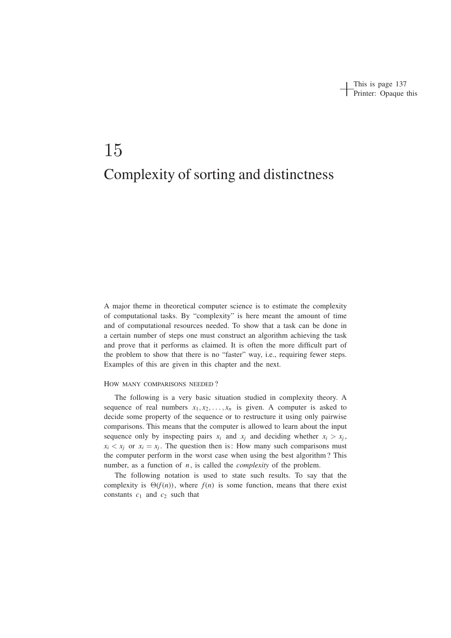This is page 137 Printer: Opaque this

# 15 Complexity of sorting and distinctness

A major theme in theoretical computer science is to estimate the complexity of computational tasks. By "complexity" is here meant the amount of time and of computational resources needed. To show that a task can be done in a certain number of steps one must construct an algorithm achieving the task and prove that it performs as claimed. It is often the more difficult part of the problem to show that there is no "faster" way, i.e., requiring fewer steps. Examples of this are given in this chapter and the next.

#### HOW MANY COMPARISONS NEEDED ?

The following is a very basic situation studied in complexity theory. A sequence of real numbers  $x_1, x_2, \ldots, x_n$  is given. A computer is asked to decide some property of the sequence or to restructure it using only pairwise comparisons. This means that the computer is allowed to learn about the input sequence only by inspecting pairs  $x_i$  and  $x_j$  and deciding whether  $x_i > x_j$ ,  $x_i < x_j$  or  $x_i = x_j$ . The question then is: How many such comparisons must the computer perform in the worst case when using the best algorithm ? This number, as a function of *n*, is called the *complexity* of the problem.

The following notation is used to state such results. To say that the complexity is  $\Theta(f(n))$ , where  $f(n)$  is some function, means that there exist constants  $c_1$  and  $c_2$  such that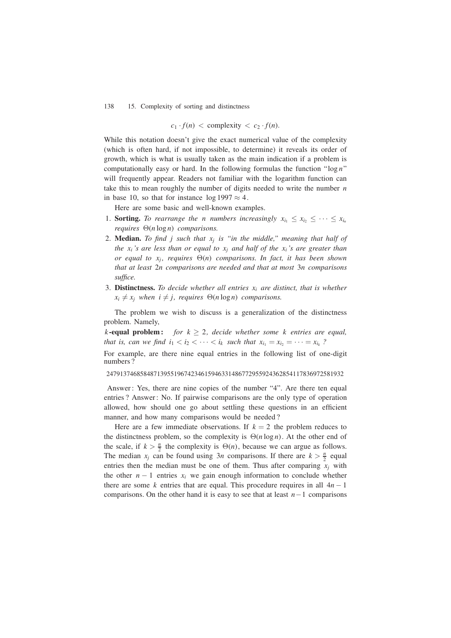138 15. Complexity of sorting and distinctness

 $c_1 \cdot f(n) <$  complexity  $\langle c_2 \cdot f(n) \rangle$ .

While this notation doesn't give the exact numerical value of the complexity (which is often hard, if not impossible, to determine) it reveals its order of growth, which is what is usually taken as the main indication if a problem is computationally easy or hard. In the following formulas the function "log *n*" will frequently appear. Readers not familiar with the logarithm function can take this to mean roughly the number of digits needed to write the number *n* in base 10, so that for instance log 1997  $\approx$  4.

Here are some basic and well-known examples.

- 1. Sorting. *To rearrange the n numbers increasingly*  $x_{i_1} \leq x_{i_2} \leq \cdots \leq x_{i_n}$ *requires* Θ(*n* log *n*) *comparisons.*
- 2. Median. *To find j such that x<sup>j</sup> is "in the middle," meaning that half of the xi's are less than or equal to x<sup>j</sup> and half of the xi's are greater than or equal to x<sup>j</sup> , requires* Θ(*n*) *comparisons. In fact, it has been shown that at least* 2*n comparisons are needed and that at most* 3*n comparisons suffice.*
- 3. Distinctness. *To decide whether all entries x<sup>i</sup> are distinct, that is whether*  $x_i \neq x_j$  *when*  $i \neq j$ *, requires*  $\Theta(n \log n)$  *comparisons.*

The problem we wish to discuss is a generalization of the distinctness problem. Namely,

*k*-equal problem: *for*  $k \geq 2$ *, decide whether some k entries are equal, that is, can we find*  $i_1 < i_2 < \cdots < i_k$  *such that*  $x_{i_1} = x_{i_2} = \cdots = x_{i_k}$ *?* 

For example, are there nine equal entries in the following list of one-digit numbers ?

2479137468584871395519674234615946331486772955924362854117836972581932

Answer: Yes, there are nine copies of the number "4". Are there ten equal entries ? Answer : No. If pairwise comparisons are the only type of operation allowed, how should one go about settling these questions in an efficient manner, and how many comparisons would be needed ?

Here are a few immediate observations. If  $k = 2$  the problem reduces to the distinctness problem, so the complexity is  $\Theta(n \log n)$ . At the other end of the scale, if  $k > \frac{n}{2}$  the complexity is  $\Theta(n)$ , because we can argue as follows. The median  $x_j$  can be found using  $3n$  comparisons. If there are  $k > \frac{n}{2}$  equal entries then the median must be one of them. Thus after comparing  $x_i$  with the other  $n - 1$  entries  $x_i$  we gain enough information to conclude whether there are some *k* entries that are equal. This procedure requires in all  $4n - 1$ comparisons. On the other hand it is easy to see that at least *n*−1 comparisons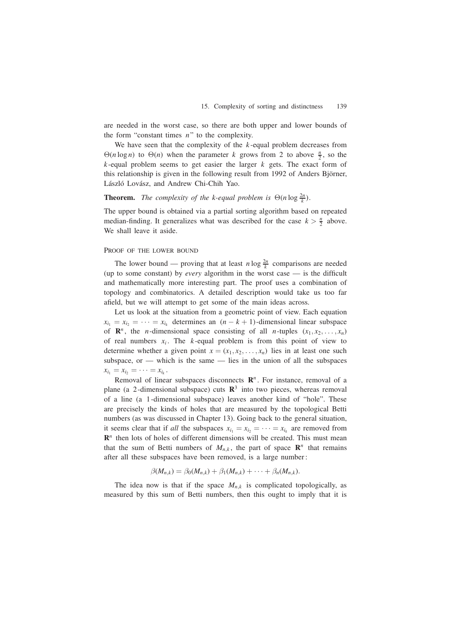are needed in the worst case, so there are both upper and lower bounds of the form "constant times *n*" to the complexity.

We have seen that the complexity of the *k* -equal problem decreases from  $Θ(n \log n)$  to  $Θ(n)$  when the parameter *k* grows from 2 to above  $\frac{n}{2}$ , so the *k* -equal problem seems to get easier the larger *k* gets. The exact form of this relationship is given in the following result from 1992 of Anders Björner, László Lovász, and Andrew Chi-Chih Yao.

# **Theorem.** *The complexity of the k-equal problem is*  $\Theta(n \log \frac{2n}{k})$ *.*

The upper bound is obtained via a partial sorting algorithm based on repeated median-finding. It generalizes what was described for the case  $k > \frac{n}{2}$  above. We shall leave it aside.

#### PROOF OF THE LOWER BOUND

The lower bound — proving that at least  $n \log \frac{2n}{k}$  comparisons are needed (up to some constant) by *every* algorithm in the worst case — is the difficult and mathematically more interesting part. The proof uses a combination of topology and combinatorics. A detailed description would take us too far afield, but we will attempt to get some of the main ideas across.

Let us look at the situation from a geometric point of view. Each equation  $x_{i_1} = x_{i_2} = \cdots = x_{i_k}$  determines an  $(n - k + 1)$ -dimensional linear subspace of  $\mathbb{R}^n$ , the *n*-dimensional space consisting of all *n*-tuples  $(x_1, x_2, \ldots, x_n)$ of real numbers  $x_i$ . The  $k$ -equal problem is from this point of view to determine whether a given point  $x = (x_1, x_2, \dots, x_n)$  lies in at least one such subspace, or — which is the same — lies in the union of all the subspaces  $x_{i_1} = x_{i_2} = \cdots = x_{i_k}$ .

Removal of linear subspaces disconnects  $\mathbb{R}^n$ . For instance, removal of a plane (a 2-dimensional subspace) cuts  $\mathbb{R}^3$  into two pieces, whereas removal of a line (a 1 -dimensional subspace) leaves another kind of "hole". These are precisely the kinds of holes that are measured by the topological Betti numbers (as was discussed in Chapter 13). Going back to the general situation, it seems clear that if *all* the subspaces  $x_{i_1} = x_{i_2} = \cdots = x_{i_k}$  are removed from  $\mathbb{R}^n$  then lots of holes of different dimensions will be created. This must mean that the sum of Betti numbers of  $M_{n,k}$ , the part of space  $\mathbb{R}^n$  that remains after all these subspaces have been removed, is a large number :

$$
\beta(M_{n,k})=\beta_0(M_{n,k})+\beta_1(M_{n,k})+\cdots+\beta_n(M_{n,k}).
$$

The idea now is that if the space  $M_{n,k}$  is complicated topologically, as measured by this sum of Betti numbers, then this ought to imply that it is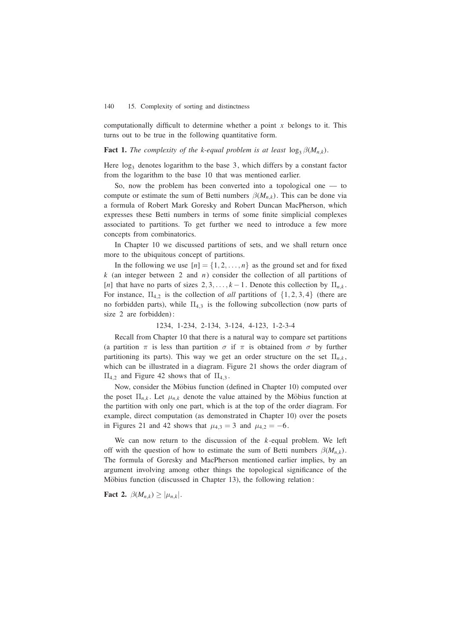## 140 15. Complexity of sorting and distinctness

computationally difficult to determine whether a point *x* belongs to it. This turns out to be true in the following quantitative form.

#### **Fact 1.** *The complexity of the k-equal problem is at least*  $\log_3 \beta(M_{n,k})$ *.*

Here  $log<sub>3</sub>$  denotes logarithm to the base 3, which differs by a constant factor from the logarithm to the base 10 that was mentioned earlier.

So, now the problem has been converted into a topological one — to compute or estimate the sum of Betti numbers  $\beta(M_{n,k})$ . This can be done via a formula of Robert Mark Goresky and Robert Duncan MacPherson, which expresses these Betti numbers in terms of some finite simplicial complexes associated to partitions. To get further we need to introduce a few more concepts from combinatorics.

In Chapter 10 we discussed partitions of sets, and we shall return once more to the ubiquitous concept of partitions.

In the following we use  $[n] = \{1, 2, \ldots, n\}$  as the ground set and for fixed *k* (an integer between 2 and *n*) consider the collection of all partitions of [*n*] that have no parts of sizes  $2, 3, \ldots, k-1$ . Denote this collection by  $\Pi_{n,k}$ . For instance,  $\Pi_{4,2}$  is the collection of *all* partitions of  $\{1, 2, 3, 4\}$  (there are no forbidden parts), while  $\Pi_{4,3}$  is the following subcollection (now parts of size 2 are forbidden) :

1234, 1-234, 2-134, 3-124, 4-123, 1-2-3-4

Recall from Chapter 10 that there is a natural way to compare set partitions (a partition  $\pi$  is less than partition  $\sigma$  if  $\pi$  is obtained from  $\sigma$  by further partitioning its parts). This way we get an order structure on the set  $\Pi_{n,k}$ , which can be illustrated in a diagram. Figure 21 shows the order diagram of  $\Pi$ <sub>4,2</sub> and Figure 42 shows that of  $\Pi$ <sub>4,3</sub>.

Now, consider the Möbius function (defined in Chapter 10) computed over the poset  $\Pi_{n,k}$ . Let  $\mu_{n,k}$  denote the value attained by the Möbius function at the partition with only one part, which is at the top of the order diagram. For example, direct computation (as demonstrated in Chapter 10) over the posets in Figures 21 and 42 shows that  $\mu_{4,3} = 3$  and  $\mu_{4,2} = -6$ .

We can now return to the discussion of the *k* -equal problem. We left off with the question of how to estimate the sum of Betti numbers  $\beta(M_{n,k})$ . The formula of Goresky and MacPherson mentioned earlier implies, by an argument involving among other things the topological significance of the Möbius function (discussed in Chapter 13), the following relation:

Fact 2.  $\beta(M_{n,k}) \geq |\mu_{n,k}|$ .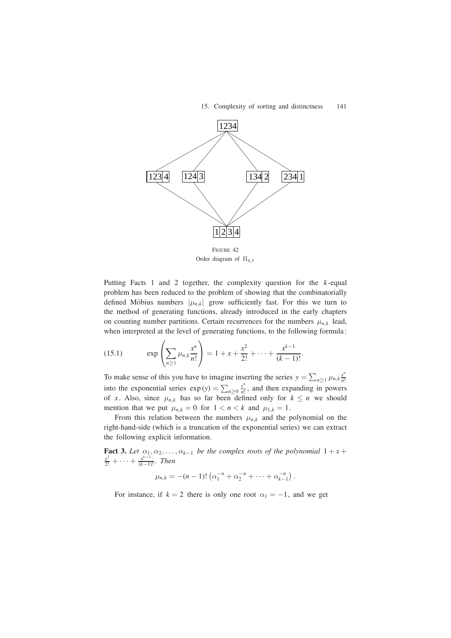

Order diagram of  $\Pi_{4,3}$ 

Putting Facts 1 and 2 together, the complexity question for the *k* -equal problem has been reduced to the problem of showing that the combinatorially defined Möbius numbers  $|\mu_{n,k}|$  grow sufficiently fast. For this we turn to the method of generating functions, already introduced in the early chapters on counting number partitions. Certain recurrences for the numbers  $\mu_{n,k}$  lead, when interpreted at the level of generating functions, to the following formula :

(15.1) 
$$
\exp\left(\sum_{n\geq 1}\mu_{n,k}\frac{x^n}{n!}\right)=1+x+\frac{x^2}{2!}+\cdots+\frac{x^{k-1}}{(k-1)!}.
$$

To make sense of this you have to imagine inserting the series  $y = \sum_{n \geq 1} \mu_{n,k} \frac{x^n}{n!}$ *n*! into the exponential series  $exp(y) = \sum_{n\geq 0} \frac{y^n}{n!}$  $\frac{y}{n!}$ , and then expanding in powers of *x*. Also, since  $\mu_{n,k}$  has so far been defined only for  $k \leq n$  we should mention that we put  $\mu_{n,k} = 0$  for  $1 < n < k$  and  $\mu_{1,k} = 1$ .

From this relation between the numbers  $\mu_{n,k}$  and the polynomial on the right-hand-side (which is a truncation of the exponential series) we can extract the following explicit information.

**Fact 3.** *Let*  $\alpha_1, \alpha_2, \ldots, \alpha_{k-1}$  *be the complex roots of the polynomial*  $1 + x + \frac{x^2}{2!} + \cdots + \frac{x^{k-1}}{(k-1)!}$ . Then

$$
\mu_{n,k} = -(n-1)!\left(\alpha_1^{-n} + \alpha_2^{-n} + \cdots + \alpha_{k-1}^{-n}\right).
$$

For instance, if  $k = 2$  there is only one root  $\alpha_1 = -1$ , and we get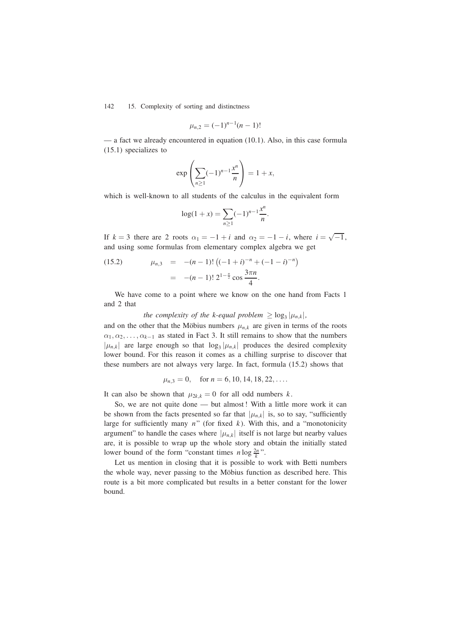142 15. Complexity of sorting and distinctness

$$
\mu_{n,2}=(-1)^{n-1}(n-1)!
$$

— a fact we already encountered in equation (10.1). Also, in this case formula (15.1) specializes to

$$
\exp\left(\sum_{n\geq 1}(-1)^{n-1}\frac{x^n}{n}\right)=1+x,
$$

which is well-known to all students of the calculus in the equivalent form

$$
\log(1+x) = \sum_{n\geq 1} (-1)^{n-1} \frac{x^n}{n}
$$

.

If  $k = 3$  there are 2 roots  $\alpha_1 = -1 + i$  and  $\alpha_2 = -1 - i$ , where  $i = \sqrt{-1}$ , and using some formulas from elementary complex algebra we get

(15.2) 
$$
\mu_{n,3} = -(n-1)! \left( (-1+i)^{-n} + (-1-i)^{-n} \right) \n= -(n-1)! \ 2^{1-\frac{n}{2}} \cos \frac{3\pi n}{4}.
$$

We have come to a point where we know on the one hand from Facts 1 and 2 that

*the complexity of the k-equal problem*  $\geq \log_3 |\mu_{n,k}|$ ,

and on the other that the Möbius numbers  $\mu_{n,k}$  are given in terms of the roots  $\alpha_1, \alpha_2, \ldots, \alpha_{k-1}$  as stated in Fact 3. It still remains to show that the numbers  $|\mu_{n,k}|$  are large enough so that  $\log_3 |\mu_{n,k}|$  produces the desired complexity lower bound. For this reason it comes as a chilling surprise to discover that these numbers are not always very large. In fact, formula (15.2) shows that

$$
\mu_{n,3} = 0
$$
, for  $n = 6, 10, 14, 18, 22, \ldots$ 

It can also be shown that  $\mu_{2k,k} = 0$  for all odd numbers *k*.

So, we are not quite done — but almost ! With a little more work it can be shown from the facts presented so far that  $|\mu_{n,k}|$  is, so to say, "sufficiently large for sufficiently many *n*" (for fixed *k* ). With this, and a "monotonicity argument" to handle the cases where  $|\mu_{n,k}|$  itself is not large but nearby values are, it is possible to wrap up the whole story and obtain the initially stated lower bound of the form "constant times  $n \log \frac{2n}{k}$ ".

Let us mention in closing that it is possible to work with Betti numbers the whole way, never passing to the Möbius function as described here. This route is a bit more complicated but results in a better constant for the lower bound.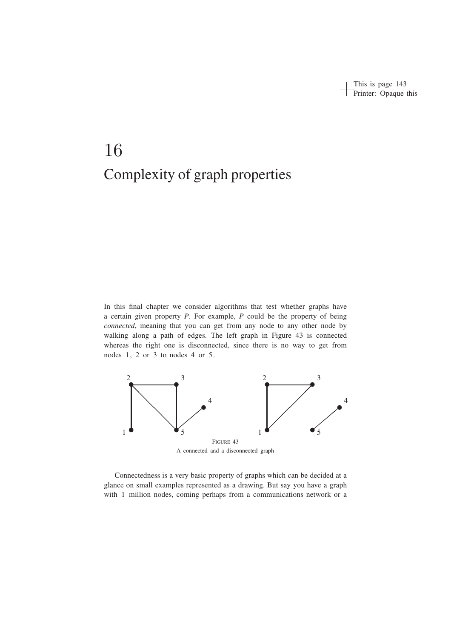This is page 143 Printer: Opaque this

# 16 Complexity of graph properties

In this final chapter we consider algorithms that test whether graphs have a certain given property *P*. For example, *P* could be the property of being *connected*, meaning that you can get from any node to any other node by walking along a path of edges. The left graph in Figure 43 is connected whereas the right one is disconnected, since there is no way to get from nodes 1, 2 or 3 to nodes 4 or 5.



Connectedness is a very basic property of graphs which can be decided at a glance on small examples represented as a drawing. But say you have a graph with 1 million nodes, coming perhaps from a communications network or a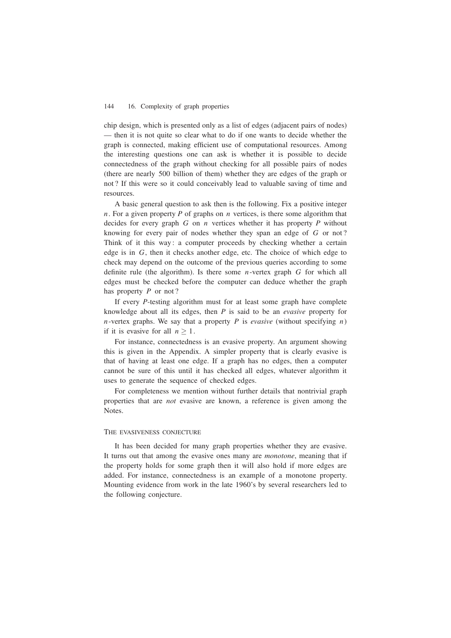#### 144 16. Complexity of graph properties

chip design, which is presented only as a list of edges (adjacent pairs of nodes) — then it is not quite so clear what to do if one wants to decide whether the graph is connected, making efficient use of computational resources. Among the interesting questions one can ask is whether it is possible to decide connectedness of the graph without checking for all possible pairs of nodes (there are nearly 500 billion of them) whether they are edges of the graph or not ? If this were so it could conceivably lead to valuable saving of time and resources.

A basic general question to ask then is the following. Fix a positive integer *n*. For a given property *P* of graphs on *n* vertices, is there some algorithm that decides for every graph *G* on *n* vertices whether it has property *P* without knowing for every pair of nodes whether they span an edge of *G* or not ? Think of it this way: a computer proceeds by checking whether a certain edge is in *G*, then it checks another edge, etc. The choice of which edge to check may depend on the outcome of the previous queries according to some definite rule (the algorithm). Is there some *n*-vertex graph *G* for which all edges must be checked before the computer can deduce whether the graph has property *P* or not?

If every *P*-testing algorithm must for at least some graph have complete knowledge about all its edges, then *P* is said to be an *evasive* property for *n*-vertex graphs. We say that a property *P* is *evasive* (without specifying *n*) if it is evasive for all  $n > 1$ .

For instance, connectedness is an evasive property. An argument showing this is given in the Appendix. A simpler property that is clearly evasive is that of having at least one edge. If a graph has no edges, then a computer cannot be sure of this until it has checked all edges, whatever algorithm it uses to generate the sequence of checked edges.

For completeness we mention without further details that nontrivial graph properties that are *not* evasive are known, a reference is given among the Notes.

#### THE EVASIVENESS CONJECTURE

It has been decided for many graph properties whether they are evasive. It turns out that among the evasive ones many are *monotone*, meaning that if the property holds for some graph then it will also hold if more edges are added. For instance, connectedness is an example of a monotone property. Mounting evidence from work in the late 1960's by several researchers led to the following conjecture.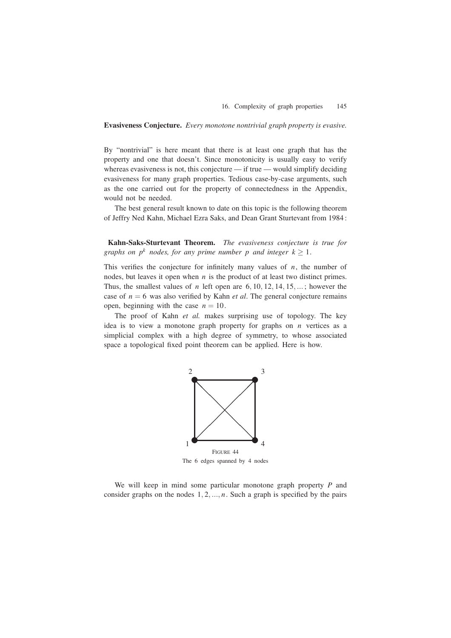#### Evasiveness Conjecture. *Every monotone nontrivial graph property is evasive.*

By "nontrivial" is here meant that there is at least one graph that has the property and one that doesn't. Since monotonicity is usually easy to verify whereas evasiveness is not, this conjecture  $\frac{d}{dt}$  if true  $\frac{d}{dt}$  would simplify deciding evasiveness for many graph properties. Tedious case-by-case arguments, such as the one carried out for the property of connectedness in the Appendix, would not be needed.

The best general result known to date on this topic is the following theorem of Jeffry Ned Kahn, Michael Ezra Saks, and Dean Grant Sturtevant from 1984 :

Kahn-Saks-Sturtevant Theorem. *The evasiveness conjecture is true for graphs on*  $p^k$  *nodes, for any prime number p and integer*  $k \geq 1$ *.* 

This verifies the conjecture for infinitely many values of  $n$ , the number of nodes, but leaves it open when *n* is the product of at least two distinct primes. Thus, the smallest values of *n* left open are  $6, 10, 12, 14, 15, \ldots$ ; however the case of  $n = 6$  was also verified by Kahn *et al*. The general conjecture remains open, beginning with the case  $n = 10$ .

The proof of Kahn *et al.* makes surprising use of topology. The key idea is to view a monotone graph property for graphs on *n* vertices as a simplicial complex with a high degree of symmetry, to whose associated space a topological fixed point theorem can be applied. Here is how.



We will keep in mind some particular monotone graph property *P* and consider graphs on the nodes  $1, 2, ..., n$ . Such a graph is specified by the pairs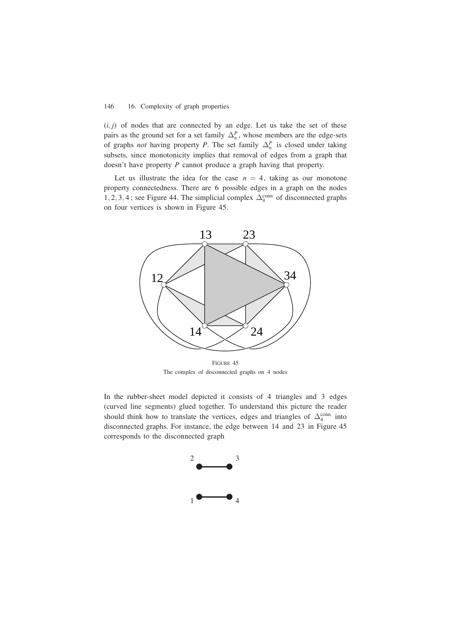#### 146 16. Complexity of graph properties

 $(i, j)$  of nodes that are connected by an edge. Let us take the set of these pairs as the ground set for a set family  $\Delta_n^P$ , whose members are the edge-sets of graphs *not* having property *P*. The set family  $\Delta_n^P$  is closed under taking subsets, since monotonicity implies that removal of edges from a graph that doesn't have property *P* cannot produce a graph having that property.

Let us illustrate the idea for the case  $n = 4$ , taking as our monotone property connectedness. There are 6 possible edges in a graph on the nodes 1, 2, 3, 4 ; see Figure 44. The simplicial complex  $\Delta_4^{\text{conn}}$  of disconnected graphs on four vertices is shown in Figure 45.



FIGURE 45 The complex of disconnected graphs on 4 nodes

In the rubber-sheet model depicted it consists of 4 triangles and 3 edges (curved line segments) glued together. To understand this picture the reader should think how to translate the vertices, edges and triangles of  $\Delta_4^{\text{conn}}$  into disconnected graphs. For instance, the edge between 14 and 23 in Figure 45 corresponds to the disconnected graph

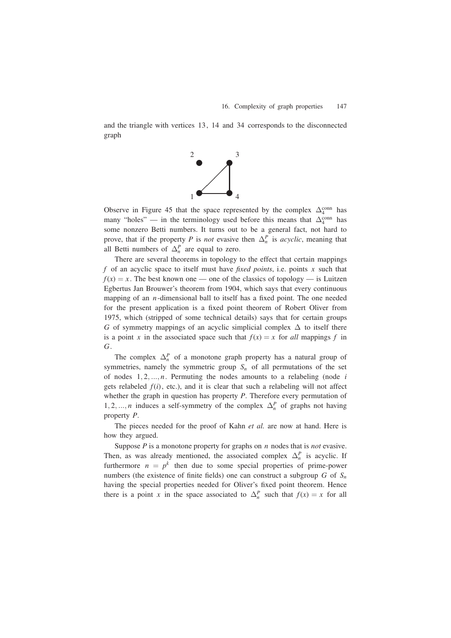and the triangle with vertices 13, 14 and 34 corresponds to the disconnected graph



Observe in Figure 45 that the space represented by the complex  $\Delta_4^{\text{conn}}$  has many "holes" — in the terminology used before this means that  $\Delta_4^{\text{conn}}$  has some nonzero Betti numbers. It turns out to be a general fact, not hard to prove, that if the property *P* is *not* evasive then  $\Delta_n^P$  is *acyclic*, meaning that all Betti numbers of  $\Delta_n^P$  are equal to zero.

There are several theorems in topology to the effect that certain mappings *f* of an acyclic space to itself must have *fixed points*, i.e. points *x* such that  $f(x) = x$ . The best known one — one of the classics of topology — is Luitzen Egbertus Jan Brouwer's theorem from 1904, which says that every continuous mapping of an *n*-dimensional ball to itself has a fixed point. The one needed for the present application is a fixed point theorem of Robert Oliver from 1975, which (stripped of some technical details) says that for certain groups *G* of symmetry mappings of an acyclic simplicial complex  $\Delta$  to itself there is a point *x* in the associated space such that  $f(x) = x$  for *all* mappings *f* in *G*.

The complex  $\Delta_n^P$  of a monotone graph property has a natural group of symmetries, namely the symmetric group  $S_n$  of all permutations of the set of nodes 1, 2, ..., *n*. Permuting the nodes amounts to a relabeling (node *i* gets relabeled *f*(*i*), etc.), and it is clear that such a relabeling will not affect whether the graph in question has property *P*. Therefore every permutation of 1, 2, ..., *n* induces a self-symmetry of the complex  $\Delta_n^P$  of graphs not having property *P*.

The pieces needed for the proof of Kahn *et al.* are now at hand. Here is how they argued.

Suppose *P* is a monotone property for graphs on *n* nodes that is *not* evasive. Then, as was already mentioned, the associated complex  $\Delta_n^P$  is acyclic. If furthermore  $n = p^k$  then due to some special properties of prime-power numbers (the existence of finite fields) one can construct a subgroup  $G$  of  $S_n$ having the special properties needed for Oliver's fixed point theorem. Hence there is a point *x* in the space associated to  $\Delta_n^P$  such that  $f(x) = x$  for all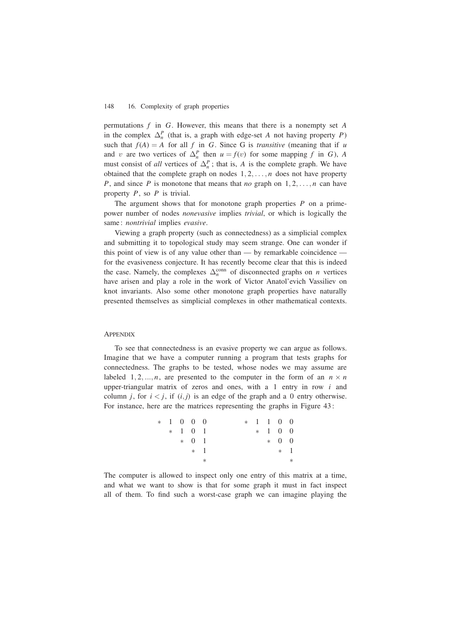#### 148 16. Complexity of graph properties

permutations *f* in *G*. However, this means that there is a nonempty set *A* in the complex  $\Delta_n^P$  (that is, a graph with edge-set *A* not having property *P*) such that  $f(A) = A$  for all *f* in *G*. Since *G* is *transitive* (meaning that if *u* and v are two vertices of  $\Delta_n^P$  then  $u = f(v)$  for some mapping *f* in *G*), *A* must consist of *all* vertices of  $\Delta_n^P$ ; that is, *A* is the complete graph. We have obtained that the complete graph on nodes  $1, 2, \ldots, n$  does not have property *P*, and since *P* is monotone that means that *no* graph on 1, 2, ..., *n* can have property *P*, so *P* is trivial.

The argument shows that for monotone graph properties *P* on a primepower number of nodes *nonevasive* implies *trivial*, or which is logically the same : *nontrivial* implies *evasive*.

Viewing a graph property (such as connectedness) as a simplicial complex and submitting it to topological study may seem strange. One can wonder if this point of view is of any value other than — by remarkable coincidence for the evasiveness conjecture. It has recently become clear that this is indeed the case. Namely, the complexes  $\Delta_n^{\text{conn}}$  of disconnected graphs on *n* vertices have arisen and play a role in the work of Victor Anatol'evich Vassiliev on knot invariants. Also some other monotone graph properties have naturally presented themselves as simplicial complexes in other mathematical contexts.

#### **APPENDIX**

To see that connectedness is an evasive property we can argue as follows. Imagine that we have a computer running a program that tests graphs for connectedness. The graphs to be tested, whose nodes we may assume are labeled  $1, 2, ..., n$ , are presented to the computer in the form of an  $n \times n$ upper-triangular matrix of zeros and ones, with a 1 entry in row *i* and column *j*, for  $i < j$ , if  $(i, j)$  is an edge of the graph and a 0 entry otherwise. For instance, here are the matrices representing the graphs in Figure 43 :

|  | $*$ 1000  |            |        |  |  | $* 1 1 0 0$ |     |
|--|-----------|------------|--------|--|--|-------------|-----|
|  | $*$ 1 0 1 |            |        |  |  | $*$ 1 0 0   |     |
|  |           | $\ast$ 0 1 |        |  |  | $* 0 0$     |     |
|  |           | $*$ 1      |        |  |  | $\ast$ 1    |     |
|  |           |            | $\ast$ |  |  |             | $*$ |
|  |           |            |        |  |  |             |     |

The computer is allowed to inspect only one entry of this matrix at a time, and what we want to show is that for some graph it must in fact inspect all of them. To find such a worst-case graph we can imagine playing the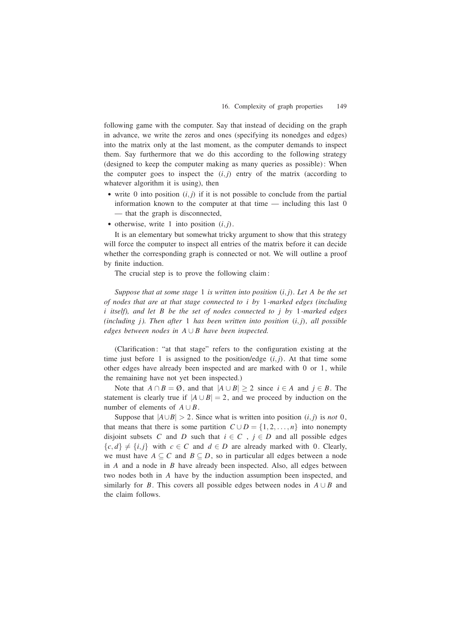following game with the computer. Say that instead of deciding on the graph in advance, we write the zeros and ones (specifying its nonedges and edges) into the matrix only at the last moment, as the computer demands to inspect them. Say furthermore that we do this according to the following strategy (designed to keep the computer making as many queries as possible) : When the computer goes to inspect the  $(i, j)$  entry of the matrix (according to whatever algorithm it is using), then

- write 0 into position  $(i, j)$  if it is not possible to conclude from the partial information known to the computer at that time — including this last 0 — that the graph is disconnected,
- otherwise, write 1 into position  $(i, j)$ .

It is an elementary but somewhat tricky argument to show that this strategy will force the computer to inspect all entries of the matrix before it can decide whether the corresponding graph is connected or not. We will outline a proof by finite induction.

The crucial step is to prove the following claim :

*Suppose that at some stage* 1 *is written into position* (*i*, *j*)*. Let A be the set of nodes that are at that stage connected to i by* 1*-marked edges (including i itself), and let B be the set of nodes connected to j by* 1*-marked edges*  $(including i)$ *. Then after* 1 *has been written into position*  $(i, j)$ *, all possible edges between nodes in A* ∪ *B have been inspected.*

(Clarification : "at that stage" refers to the configuration existing at the time just before 1 is assigned to the position/edge  $(i, j)$ . At that time some other edges have already been inspected and are marked with 0 or 1, while the remaining have not yet been inspected.)

Note that  $A \cap B = \emptyset$ , and that  $|A \cup B| > 2$  since  $i \in A$  and  $j \in B$ . The statement is clearly true if  $|A \cup B| = 2$ , and we proceed by induction on the number of elements of  $A \cup B$ .

Suppose that  $|A \cup B| > 2$ . Since what is written into position  $(i, j)$  is *not* 0, that means that there is some partition  $C \cup D = \{1, 2, ..., n\}$  into nonempty disjoint subsets *C* and *D* such that  $i \in C$ ,  $j \in D$  and all possible edges  ${c, d} \neq {i, j}$  with  $c \in C$  and  $d \in D$  are already marked with 0. Clearly, we must have  $A \subseteq C$  and  $B \subseteq D$ , so in particular all edges between a node in *A* and a node in *B* have already been inspected. Also, all edges between two nodes both in *A* have by the induction assumption been inspected, and similarly for *B*. This covers all possible edges between nodes in  $A \cup B$  and the claim follows.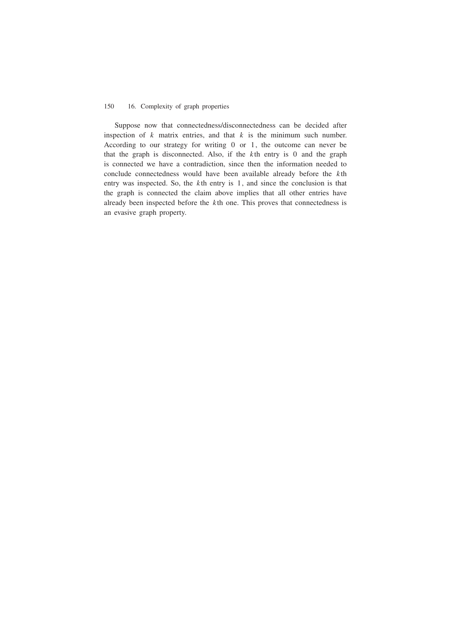#### 150 16. Complexity of graph properties

Suppose now that connectedness/disconnectedness can be decided after inspection of *k* matrix entries, and that *k* is the minimum such number. According to our strategy for writing 0 or 1, the outcome can never be that the graph is disconnected. Also, if the *k* th entry is 0 and the graph is connected we have a contradiction, since then the information needed to conclude connectedness would have been available already before the *k* th entry was inspected. So, the *k* th entry is 1, and since the conclusion is that the graph is connected the claim above implies that all other entries have already been inspected before the *k* th one. This proves that connectedness is an evasive graph property.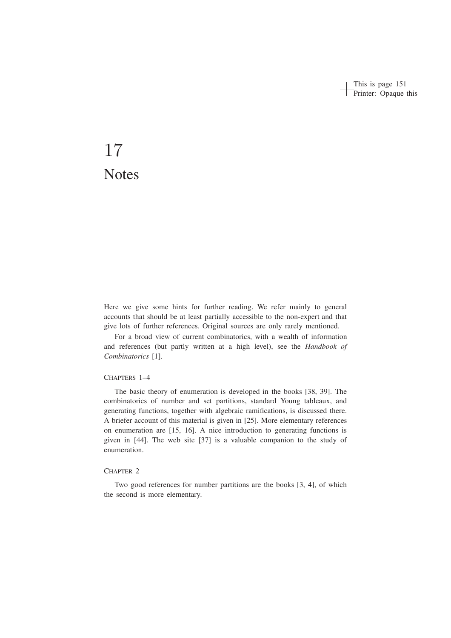This is page 151 Printer: Opaque this

# 17 Notes

Here we give some hints for further reading. We refer mainly to general accounts that should be at least partially accessible to the non-expert and that give lots of further references. Original sources are only rarely mentioned.

For a broad view of current combinatorics, with a wealth of information and references (but partly written at a high level), see the *Handbook of Combinatorics* [1].

#### CHAPTERS 1–4

The basic theory of enumeration is developed in the books [38, 39]. The combinatorics of number and set partitions, standard Young tableaux, and generating functions, together with algebraic ramifications, is discussed there. A briefer account of this material is given in [25]. More elementary references on enumeration are [15, 16]. A nice introduction to generating functions is given in [44]. The web site [37] is a valuable companion to the study of enumeration.

#### CHAPTER 2

Two good references for number partitions are the books [3, 4], of which the second is more elementary.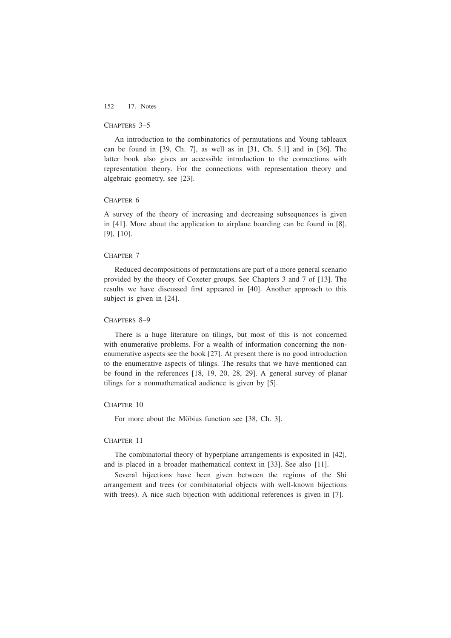#### 152 17. Notes

#### CHAPTERS 3–5

An introduction to the combinatorics of permutations and Young tableaux can be found in [39, Ch. 7], as well as in [31, Ch. 5.1] and in [36]. The latter book also gives an accessible introduction to the connections with representation theory. For the connections with representation theory and algebraic geometry, see [23].

#### CHAPTER 6

A survey of the theory of increasing and decreasing subsequences is given in [41]. More about the application to airplane boarding can be found in [8], [9], [10].

#### CHAPTER 7

Reduced decompositions of permutations are part of a more general scenario provided by the theory of Coxeter groups. See Chapters 3 and 7 of [13]. The results we have discussed first appeared in [40]. Another approach to this subject is given in [24].

#### CHAPTERS 8–9

There is a huge literature on tilings, but most of this is not concerned with enumerative problems. For a wealth of information concerning the nonenumerative aspects see the book [27]. At present there is no good introduction to the enumerative aspects of tilings. The results that we have mentioned can be found in the references [18, 19, 20, 28, 29]. A general survey of planar tilings for a nonmathematical audience is given by [5].

#### CHAPTER 10

For more about the Möbius function see [38, Ch. 3].

#### CHAPTER 11

The combinatorial theory of hyperplane arrangements is exposited in [42], and is placed in a broader mathematical context in [33]. See also [11].

Several bijections have been given between the regions of the Shi arrangement and trees (or combinatorial objects with well-known bijections with trees). A nice such bijection with additional references is given in [7].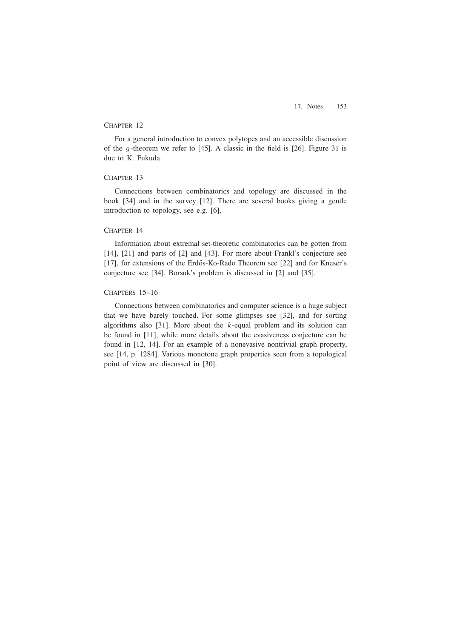#### CHAPTER 12

For a general introduction to convex polytopes and an accessible discussion of the g-theorem we refer to [45]. A classic in the field is [26]. Figure 31 is due to K. Fukuda.

#### CHAPTER 13

Connections between combinatorics and topology are discussed in the book [34] and in the survey [12]. There are several books giving a gentle introduction to topology, see e.g. [6].

#### CHAPTER 14

Information about extremal set-theoretic combinatorics can be gotten from [14], [21] and parts of [2] and [43]. For more about Frankl's conjecture see [17], for extensions of the Erdős-Ko-Rado Theorem see [22] and for Kneser's conjecture see [34]. Borsuk's problem is discussed in [2] and [35].

#### CHAPTERS 15–16

Connections between combinatorics and computer science is a huge subject that we have barely touched. For some glimpses see [32], and for sorting algorithms also [31]. More about the *k* -equal problem and its solution can be found in [11], while more details about the evasiveness conjecture can be found in [12, 14]. For an example of a nonevasive nontrivial graph property, see [14, p. 1284]. Various monotone graph properties seen from a topological point of view are discussed in [30].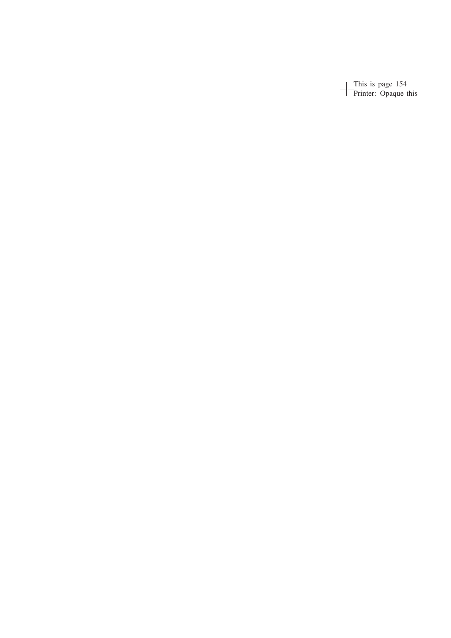This is page 154 Printer: Opaque this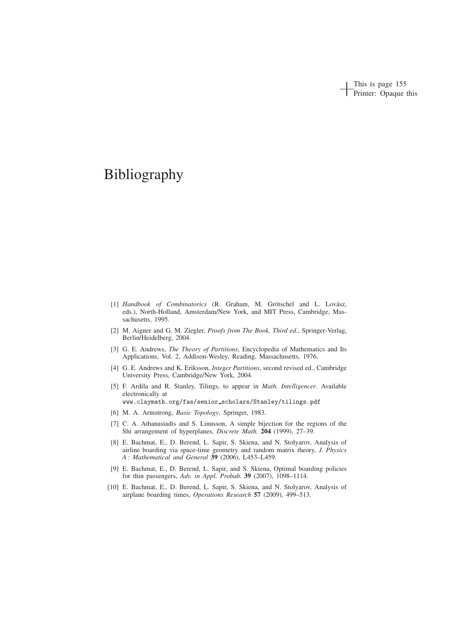This is page 155 Printer: Opaque this

### Bibliography

- [1] *Handbook of Combinatorics* (R. Graham, M. Grötschel and L. Lovász, eds.), North-Holland, Amsterdam/New York, and MIT Press, Cambridge, Massachusetts, 1995.
- [2] M. Aigner and G. M. Ziegler, *Proofs from The Book, Third ed.*, Springer-Verlag, Berlin/Heidelberg, 2004.
- [3] G. E. Andrews, *The Theory of Partitions*, Encyclopedia of Mathematics and Its Applications, Vol. 2, Addison-Wesley, Reading, Massachusetts, 1976.
- [4] G. E. Andrews and K. Eriksson, *Integer Partitions*, second revised ed., Cambridge University Press, Cambridge/New York, 2004.
- [5] F. Ardila and R. Stanley, Tilings, to appear in *Math. Intelligencer*. Available electronically at

www.claymath.org/fas/senior scholars/Stanley/tilings.pdf

- [6] M. A. Armstrong, *Basic Topology*, Springer, 1983.
- [7] C. A. Athanasiadis and S. Linusson, A simple bijection for the regions of the Shi arrangement of hyperplanes, *Discrete Math.* 204 (1999), 27–39.
- [8] E. Bachmat, E., D. Berend, L. Sapir, S. Skiena, and N. Stolyarov, Analysis of airline boarding via space-time geometry and random matrix theory, *J. Physics A : Mathematical and General* 39 (2006), L453–L459.
- [9] E. Bachmat, E., D. Berend, L. Sapir, and S. Skiena, Optimal boarding policies for thin passengers, *Adv. in Appl. Probab.* 39 (2007), 1098–1114.
- [10] E. Bachmat, E., D. Berend, L. Sapir, S. Skiena, and N. Stolyarov, Analysis of airplane boarding times, *Operations Research* 57 (2009), 499–513.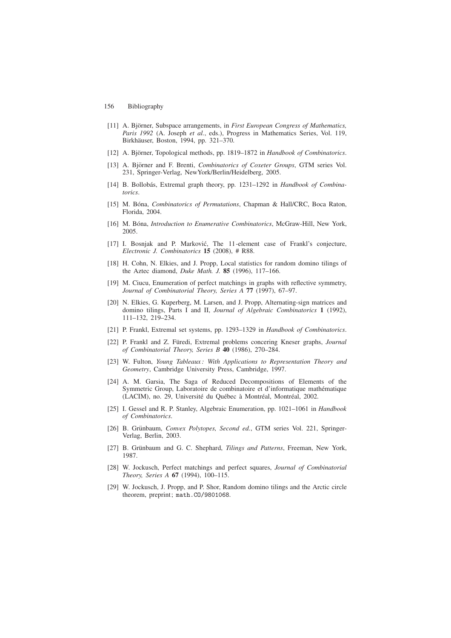- 156 Bibliography
- [11] A. Björner, Subspace arrangements, in *First European Congress of Mathematics*, *Paris 1992* (A. Joseph *et al.*, eds.), Progress in Mathematics Series, Vol. 119, Birkhäuser, Boston, 1994, pp. 321–370.
- [12] A. Björner, Topological methods, pp. 1819–1872 in *Handbook of Combinatorics*.
- [13] A. Björner and F. Brenti, *Combinatorics of Coxeter Groups*, GTM series Vol. 231, Springer-Verlag, NewYork/Berlin/Heidelberg, 2005.
- [14] B. Bollobás, Extremal graph theory, pp. 1231-1292 in *Handbook of Combinatorics*.
- [15] M. Bóna, *Combinatorics of Permutations*, Chapman & Hall/CRC, Boca Raton, Florida, 2004.
- [16] M. Bóna, *Introduction to Enumerative Combinatorics*, McGraw-Hill, New York, 2005.
- [17] I. Bosnjak and P. Marković, The 11-element case of Frankl's conjecture, *Electronic J. Combinatorics* 15 (2008), # R88.
- [18] H. Cohn, N. Elkies, and J. Propp, Local statistics for random domino tilings of the Aztec diamond, *Duke Math. J.* 85 (1996), 117–166.
- [19] M. Ciucu, Enumeration of perfect matchings in graphs with reflective symmetry, *Journal of Combinatorial Theory, Series A* 77 (1997), 67–97.
- [20] N. Elkies, G. Kuperberg, M. Larsen, and J. Propp, Alternating-sign matrices and domino tilings, Parts I and II, *Journal of Algebraic Combinatorics* 1 (1992), 111–132, 219–234.
- [21] P. Frankl, Extremal set systems, pp. 1293–1329 in *Handbook of Combinatorics*.
- [22] P. Frankl and Z. Füredi, Extremal problems concering Kneser graphs, *Journal of Combinatorial Theory, Series B* 40 (1986), 270–284.
- [23] W. Fulton, *Young Tableaux : With Applications to Representation Theory and Geometry*, Cambridge University Press, Cambridge, 1997.
- [24] A. M. Garsia, The Saga of Reduced Decompositions of Elements of the Symmetric Group, Laboratoire de combinatoire et d'informatique mathématique (LACIM), no. 29, Université du Québec à Montréal, Montréal, 2002.
- [25] I. Gessel and R. P. Stanley, Algebraic Enumeration, pp. 1021–1061 in *Handbook of Combinatorics*.
- [26] B. Grünbaum, Convex Polytopes, Second ed., GTM series Vol. 221, Springer-Verlag, Berlin, 2003.
- [27] B. Grünbaum and G. C. Shephard, *Tilings and Patterns*, Freeman, New York, 1987.
- [28] W. Jockusch, Perfect matchings and perfect squares, *Journal of Combinatorial Theory, Series A* 67 (1994), 100–115.
- [29] W. Jockusch, J. Propp, and P. Shor, Random domino tilings and the Arctic circle theorem, preprint; math.CO/9801068.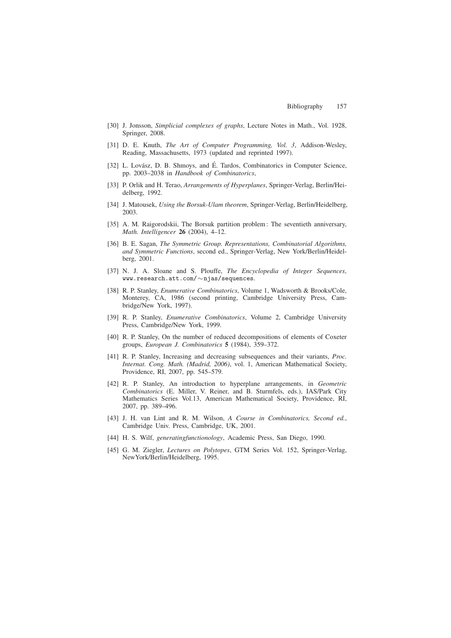- [30] J. Jonsson, *Simplicial complexes of graphs*, Lecture Notes in Math., Vol. 1928, Springer, 2008.
- [31] D. E. Knuth, *The Art of Computer Programming, Vol. 3*, Addison-Wesley, Reading, Massachusetts, 1973 (updated and reprinted 1997).
- [32] L. Lovász, D. B. Shmoys, and É. Tardos, Combinatorics in Computer Science, pp. 2003–2038 in *Handbook of Combinatorics*,
- [33] P. Orlik and H. Terao, *Arrangements of Hyperplanes*, Springer-Verlag, Berlin/Heidelberg, 1992.
- [34] J. Matousek, *Using the Borsuk-Ulam theorem*, Springer-Verlag, Berlin/Heidelberg, 2003.
- [35] A. M. Raigorodskii, The Borsuk partition problem: The seventieth anniversary, *Math. Intelligencer* 26 (2004), 4–12.
- [36] B. E. Sagan, *The Symmetric Group. Representations, Combinatorial Algorithms, and Symmetric Functions*, second ed., Springer-Verlag, New York/Berlin/Heidelberg, 2001.
- [37] N. J. A. Sloane and S. Plouffe, *The Encyclopedia of Integer Sequences*, www.research.att.com/∼njas/sequences.
- [38] R. P. Stanley, *Enumerative Combinatorics*, Volume 1, Wadsworth & Brooks/Cole, Monterey, CA, 1986 (second printing, Cambridge University Press, Cambridge/New York, 1997).
- [39] R. P. Stanley, *Enumerative Combinatorics*, Volume 2, Cambridge University Press, Cambridge/New York, 1999.
- [40] R. P. Stanley, On the number of reduced decompositions of elements of Coxeter groups, *European J. Combinatorics* 5 (1984), 359–372.
- [41] R. P. Stanley, Increasing and decreasing subsequences and their variants, *Proc. Internat. Cong. Math. (Madrid, 2006)*, vol. 1, American Mathematical Society, Providence, RI, 2007, pp. 545–579.
- [42] R. P. Stanley, An introduction to hyperplane arrangements, in *Geometric Combinatorics* (E. Miller, V. Reiner, and B. Sturmfels, eds.), IAS/Park City Mathematics Series Vol.13, American Mathematical Society, Providence, RI, 2007, pp. 389–496.
- [43] J. H. van Lint and R. M. Wilson, *A Course in Combinatorics, Second ed.*, Cambridge Univ. Press, Cambridge, UK, 2001.
- [44] H. S. Wilf, *generatingfunctionology*, Academic Press, San Diego, 1990.
- [45] G. M. Ziegler, *Lectures on Polytopes*, GTM Series Vol. 152, Springer-Verlag, NewYork/Berlin/Heidelberg, 1995.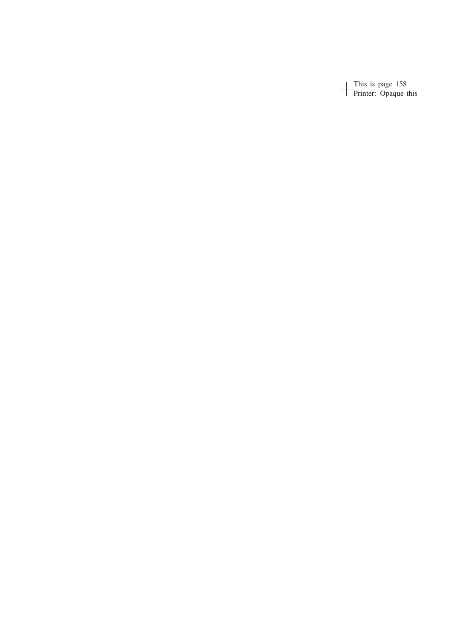This is page 158 Printer: Opaque this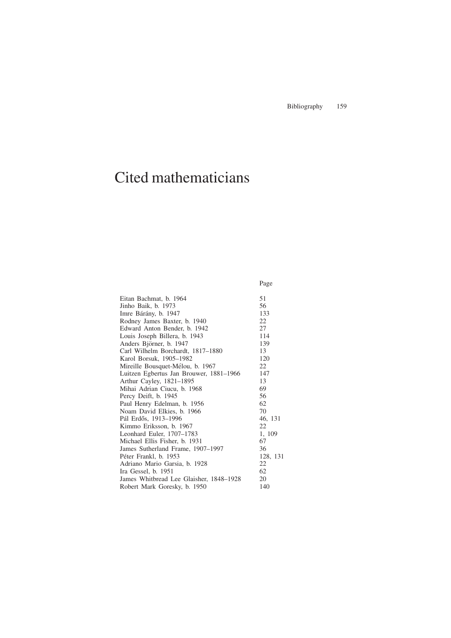## Cited mathematicians

#### Page

| 51       |
|----------|
| 56       |
| 133      |
| 22       |
| 27       |
| 114      |
| 139      |
| 13       |
| 120      |
| 22       |
| 147      |
| 13       |
| 69       |
| 56       |
| 62       |
| 70       |
| 46, 131  |
| 22       |
| 1, 109   |
| 67       |
| 36       |
| 128, 131 |
| 22       |
| 62       |
| 20       |
| 140      |
|          |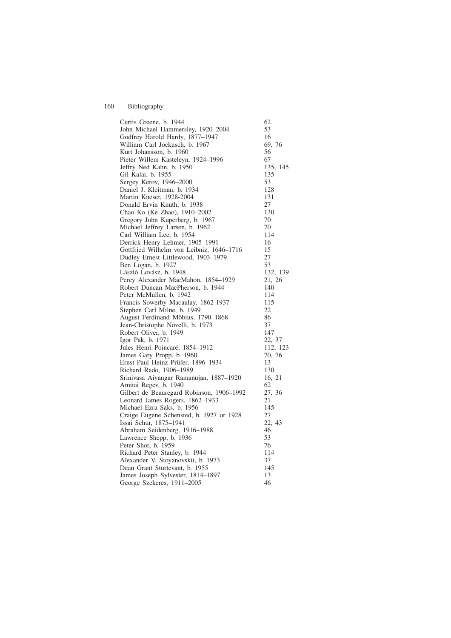### 160 Bibliography

| Curtis Greene, b. 1944                    | 62       |
|-------------------------------------------|----------|
| John Michael Hammersley, 1920–2004        | 53       |
| Godfrey Harold Hardy, 1877-1947           | 16       |
| William Carl Jockusch, b. 1967            | 69, 76   |
| Kurt Johansson, b. 1960                   | 56       |
| Pieter Willem Kasteleyn, 1924-1996        | 67       |
| Jeffry Ned Kahn, b. 1950                  | 135, 145 |
| Gil Kalai, b. 1955                        | 135      |
| Sergey Kerov, 1946–2000                   | 53       |
| Daniel J. Kleitman, b. 1934               | 128      |
| Martin Kneser, 1928-2004                  | 131      |
| Donald Ervin Knuth, b. 1938               | 27       |
| Chao Ko (Ke Zhao), 1910–2002              | 130      |
| Gregory John Kuperberg, b. 1967           | 70       |
| Michael Jeffrey Larsen, b. 1962           | 70       |
| Carl William Lee, b. 1954                 | 114      |
| Derrick Henry Lehmer, 1905-1991           | 16       |
| Gottfried Wilhelm von Leibniz, 1646-1716  | 15       |
| Dudley Ernest Littlewood, 1903–1979       | 27       |
| Ben Logan, b. 1927                        | 53       |
| László Lovász, b. 1948                    | 132, 139 |
| Percy Alexander MacMahon, 1854-1929       | 21, 26   |
| Robert Duncan MacPherson, b. 1944         | 140      |
| Peter McMullen, b. 1942                   | 114      |
| Francis Sowerby Macaulay, 1862-1937       | 115      |
| Stephen Carl Milne, b. 1949               | 22       |
| August Ferdinand Möbius, 1790-1868        | 86       |
| Jean-Christophe Novelli, b. 1973          | 37       |
| Robert Oliver, b. 1949                    | 147      |
| Igor Pak, b. 1971                         | 22, 37   |
| Jules Henri Poincaré, 1854-1912           | 112, 123 |
| James Gary Propp, b. 1960                 | 70, 76   |
| Ernst Paul Heinz Prüfer, 1896-1934        | 13       |
| Richard Rado, 1906-1989                   | 130      |
| Srinivasa Aiyangar Ramanujan, 1887-1920   | 16, 21   |
| Amitai Regev, b. 1940                     | 62       |
| Gilbert de Beauregard Robinson, 1906-1992 | 27, 36   |
| Leonard James Rogers, 1862-1933           | 21       |
| Michael Ezra Saks, b. 1956                | 145      |
| Craige Eugene Schensted, b. 1927 or 1928  | 27       |
| Issai Schur, 1875-1941                    | 22, 43   |
| Abraham Seidenberg, 1916-1988             | 46       |
| Lawrence Shepp, b. 1936                   | 53       |
| Peter Shor, b. 1959                       | 76       |
| Richard Peter Stanley, b. 1944            | 114      |
| Alexander V. Stoyanovskii, b. 1973        | 37       |
| Dean Grant Sturtevant, b. 1955            | 145      |
| James Joseph Sylvester, 1814-1897         | 13       |
| George Szekeres, 1911-2005                | 46       |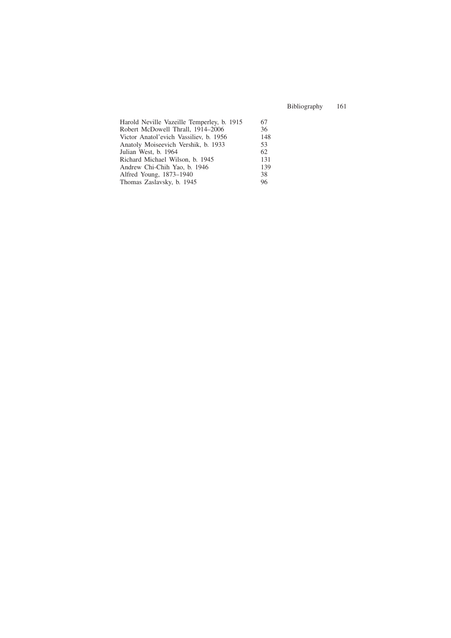### Bibliography 161

| Harold Neville Vazeille Temperley, b. 1915<br>Robert McDowell Thrall, 1914-2006<br>Victor Anatol'evich Vassiliev, b. 1956<br>Anatoly Moiseevich Vershik, b. 1933<br>Julian West, b. 1964<br>Richard Michael Wilson, b. 1945<br>Andrew Chi-Chih Yao, b. 1946<br>Alfred Young, 1873-1940 | 67<br>36<br>148<br>53<br>62.<br>131<br>139<br>38 |
|----------------------------------------------------------------------------------------------------------------------------------------------------------------------------------------------------------------------------------------------------------------------------------------|--------------------------------------------------|
| Thomas Zaslavsky, b. 1945                                                                                                                                                                                                                                                              | 96                                               |
|                                                                                                                                                                                                                                                                                        |                                                  |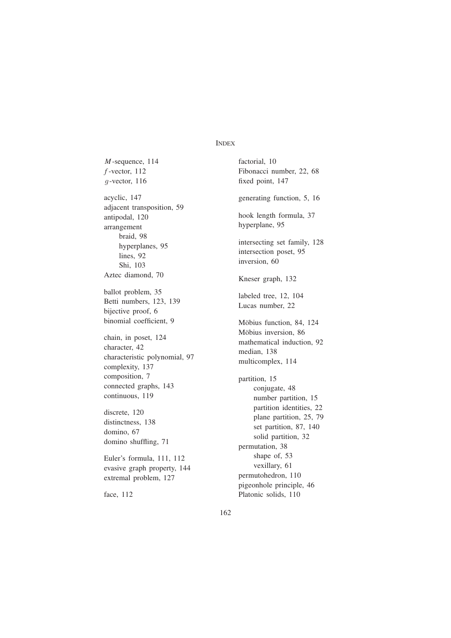#### INDEX

*M* -sequence, 114 *f* -vector, 112  $q$ -vector, 116 acyclic, 147 adjacent transposition, 59 antipodal, 120 arrangement braid, 98 hyperplanes, 95 lines, 92 Shi, 103 Aztec diamond, 70 ballot problem, 35 Betti numbers, 123, 139 bijective proof, 6 binomial coefficient, 9 chain, in poset, 124 character, 42 characteristic polynomial, 97 complexity, 137 composition, 7 connected graphs, 143 continuous, 119 discrete, 120 distinctness, 138 domino, 67 domino shuffling, 71 Euler's formula, 111, 112

evasive graph property, 144 extremal problem, 127

face, 112

factorial, 10 Fibonacci number, 22, 68 fixed point, 147 generating function, 5, 16 hook length formula, 37 hyperplane, 95 intersecting set family, 128 intersection poset, 95 inversion, 60 Kneser graph, 132 labeled tree, 12, 104 Lucas number, 22 Möbius function, 84, 124 Möbius inversion, 86 mathematical induction, 92 median, 138 multicomplex, 114 partition, 15 conjugate, 48 number partition, 15 partition identities, 22 plane partition, 25, 79 set partition, 87, 140 solid partition, 32 permutation, 38 shape of, 53 vexillary, 61 permutohedron, 110 pigeonhole principle, 46 Platonic solids, 110

162